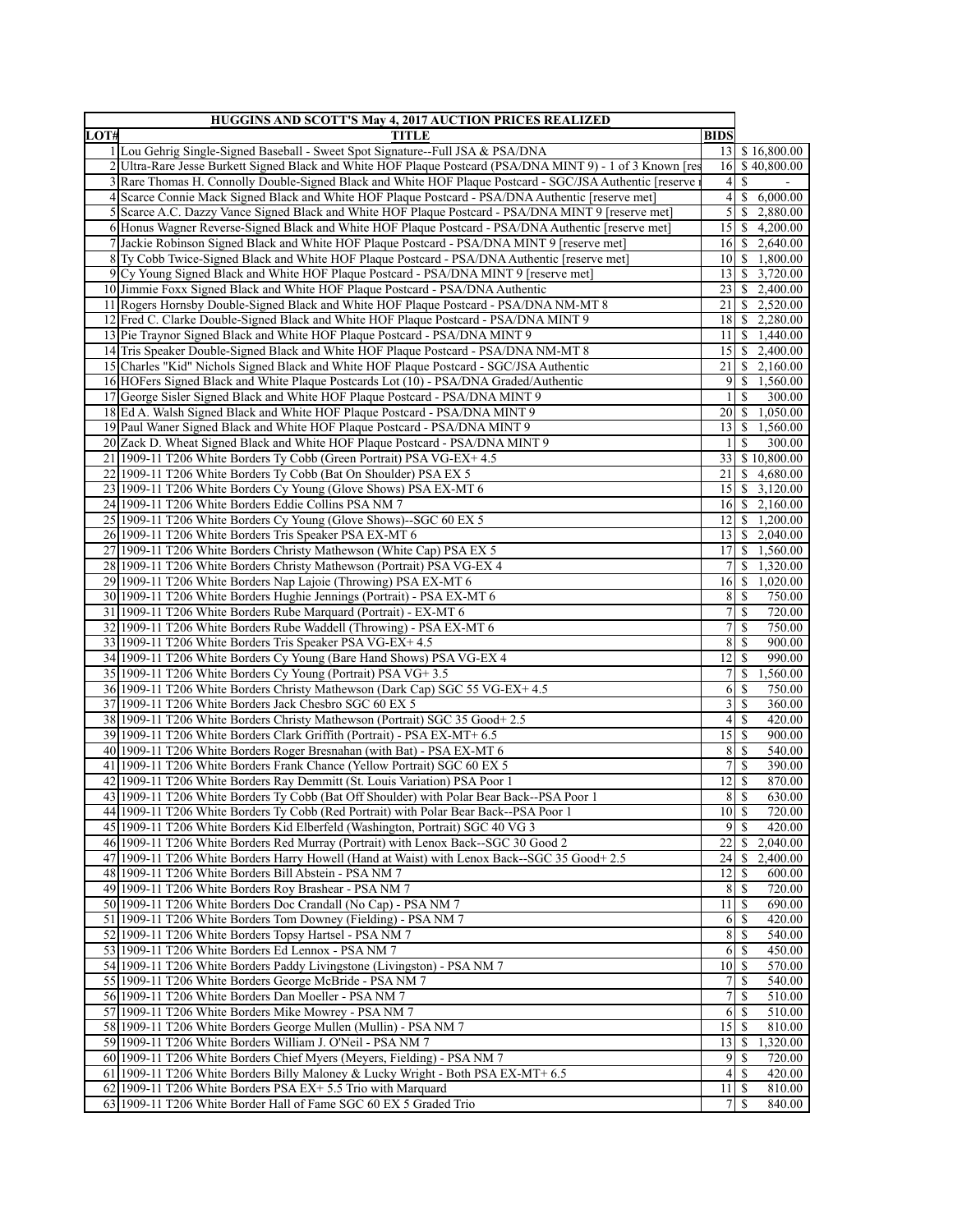| <b>HUGGINS AND SCOTT'S May 4, 2017 AUCTION PRICES REALIZED</b> |                                                                                                                                         |                             |                                    |
|----------------------------------------------------------------|-----------------------------------------------------------------------------------------------------------------------------------------|-----------------------------|------------------------------------|
| LOT#                                                           | <b>TITLE</b>                                                                                                                            | <b>BIDS</b>                 |                                    |
|                                                                | 1 Lou Gehrig Single-Signed Baseball - Sweet Spot Signature--Full JSA & PSA/DNA                                                          |                             | 13 \$ 16,800.00                    |
|                                                                | 2 Ultra-Rare Jesse Burkett Signed Black and White HOF Plaque Postcard (PSA/DNA MINT 9) - 1 of 3 Known [res                              |                             | 16 \$40,800.00                     |
|                                                                | 3 Rare Thomas H. Connolly Double-Signed Black and White HOF Plaque Postcard - SGC/JSA Authentic [reserve                                |                             | $4\vert S$                         |
|                                                                | 4 Scarce Connie Mack Signed Black and White HOF Plaque Postcard - PSA/DNA Authentic [reserve met]                                       | $\vert 4 \vert$             | $\mathbb{S}$<br>6,000.00           |
|                                                                | 5 Scarce A.C. Dazzy Vance Signed Black and White HOF Plaque Postcard - PSA/DNA MINT 9 [reserve met]                                     | 5                           | <sup>\$</sup><br>2,880.00          |
|                                                                | 6 Honus Wagner Reverse-Signed Black and White HOF Plaque Postcard - PSA/DNA Authentic [reserve met]                                     |                             | $15 \mid $4,200.00$                |
|                                                                | 7 Jackie Robinson Signed Black and White HOF Plaque Postcard - PSA/DNA MINT 9 [reserve met]                                             |                             | $16 \mid$ \$ 2,640.00              |
|                                                                | 8 Ty Cobb Twice-Signed Black and White HOF Plaque Postcard - PSA/DNA Authentic [reserve met]                                            |                             | $10 \mid $1,800.00$                |
|                                                                | 9 Cy Young Signed Black and White HOF Plaque Postcard - PSA/DNA MINT 9 [reserve met]                                                    |                             | 13 \$ 3,720.00                     |
|                                                                | 10 Jimmie Foxx Signed Black and White HOF Plaque Postcard - PSA/DNA Authentic                                                           |                             | 23 \$ 2,400.00                     |
|                                                                | 11 Rogers Hornsby Double-Signed Black and White HOF Plaque Postcard - PSA/DNA NM-MT 8                                                   | 21                          | $\frac{1}{2}$ , 2,520.00           |
|                                                                | 12 Fred C. Clarke Double-Signed Black and White HOF Plaque Postcard - PSA/DNA MINT 9                                                    |                             | 18 \$ 2,280.00                     |
|                                                                | 13 Pie Traynor Signed Black and White HOF Plaque Postcard - PSA/DNA MINT 9                                                              | 11 <sup>1</sup>             | $\frac{1}{2}$ 1,440.00             |
|                                                                | 14 Tris Speaker Double-Signed Black and White HOF Plaque Postcard - PSA/DNA NM-MT 8                                                     |                             | $15 \mid$ \$ 2,400.00              |
|                                                                | 15 Charles "Kid" Nichols Signed Black and White HOF Plaque Postcard - SGC/JSA Authentic                                                 | 21                          | $\mathbb{S}$<br>2,160.00           |
|                                                                | 16 HOFers Signed Black and White Plaque Postcards Lot (10) - PSA/DNA Graded/Authentic                                                   | 9                           | 1,560.00<br><sup>\$</sup>          |
|                                                                | 17 George Sisler Signed Black and White HOF Plaque Postcard - PSA/DNA MINT 9                                                            | $\mathbf{1}$                | <sup>\$</sup><br>300.00            |
|                                                                | 18 Ed A. Walsh Signed Black and White HOF Plaque Postcard - PSA/DNA MINT 9                                                              |                             | 20 \$ 1,050.00                     |
|                                                                | 19 Paul Waner Signed Black and White HOF Plaque Postcard - PSA/DNA MINT 9                                                               |                             | $13 \mid $1,560.00$                |
|                                                                | 20 Zack D. Wheat Signed Black and White HOF Plaque Postcard - PSA/DNA MINT 9                                                            | 1                           | -S<br>300.00                       |
|                                                                | 21 1909-11 T206 White Borders Ty Cobb (Green Portrait) PSA VG-EX+ 4.5                                                                   |                             | 33 \$10,800.00                     |
|                                                                | 22 1909-11 T206 White Borders Ty Cobb (Bat On Shoulder) PSA EX 5                                                                        | 21                          | \$4,680.00                         |
|                                                                | 23 1909-11 T206 White Borders Cy Young (Glove Shows) PSA EX-MT 6                                                                        |                             | $15 \mid $3,120.00$                |
|                                                                | 24 1909-11 T206 White Borders Eddie Collins PSA NM 7                                                                                    |                             | $16 \quad $2,160.00$               |
|                                                                | 25 1909-11 T206 White Borders Cy Young (Glove Shows)--SGC 60 EX 5                                                                       |                             | $12 \mid$ \$ 1,200.00              |
|                                                                | 26 1909-11 T206 White Borders Tris Speaker PSA EX-MT 6                                                                                  |                             | $13 \mid$ \$ 2,040.00              |
|                                                                | 27 1909-11 T206 White Borders Christy Mathewson (White Cap) PSA EX 5                                                                    | 17 <sup>1</sup>             | \$1,560.00                         |
|                                                                | 28 1909-11 T206 White Borders Christy Mathewson (Portrait) PSA VG-EX 4                                                                  | 7 <sup>1</sup>              | \$1,320.00                         |
|                                                                | 29 1909-11 T206 White Borders Nap Lajoie (Throwing) PSA EX-MT 6                                                                         | $16 \overline{\smash{)}\,}$ | 1,020.00                           |
|                                                                | 30 1909-11 T206 White Borders Hughie Jennings (Portrait) - PSA EX-MT 6                                                                  | $8 \mid$ \$                 | 750.00                             |
|                                                                | 31 1909-11 T206 White Borders Rube Marquard (Portrait) - EX-MT 6<br>32 1909-11 T206 White Borders Rube Waddell (Throwing) - PSA EX-MT 6 | $\boldsymbol{7}$            | 7s<br>720.00<br>\$<br>750.00       |
|                                                                | 33 1909-11 T206 White Borders Tris Speaker PSA VG-EX+4.5                                                                                | 8 <sup>1</sup>              | $\mathbb{S}$<br>900.00             |
|                                                                | 34 1909-11 T206 White Borders Cy Young (Bare Hand Shows) PSA VG-EX 4                                                                    | 12                          | $\mathsf{S}$<br>990.00             |
|                                                                | 35 1909-11 T206 White Borders Cy Young (Portrait) PSA VG+3.5                                                                            | 7                           | $\mathbb{S}$<br>1,560.00           |
|                                                                | 36 1909-11 T206 White Borders Christy Mathewson (Dark Cap) SGC 55 VG-EX+ 4.5                                                            |                             | 750.00                             |
|                                                                | 37 1909-11 T206 White Borders Jack Chesbro SGC 60 EX 5                                                                                  | $\overline{\mathbf{3}}$     | -S<br>360.00                       |
|                                                                | 38 1909-11 T206 White Borders Christy Mathewson (Portrait) SGC 35 Good + 2.5                                                            | $\overline{4}$              | 420.00<br>-S                       |
|                                                                | 39 1909-11 T206 White Borders Clark Griffith (Portrait) - PSA EX-MT+ 6.5                                                                | 15                          | $\mathbf S$<br>900.00              |
|                                                                | 40 1909-11 T206 White Borders Roger Bresnahan (with Bat) - PSA EX-MT 6                                                                  | $\sqrt{8}$                  | \$<br>540.00                       |
|                                                                | 41   1909-11 T206 White Borders Frank Chance (Yellow Portrait) SGC 60 EX 5                                                              | $\overline{7}$              | $\mathbb{S}$<br>390.00             |
|                                                                | 42 1909-11 T206 White Borders Ray Demmitt (St. Louis Variation) PSA Poor 1                                                              | 12                          | $\mathbb{S}$<br>870.00             |
|                                                                | 43 1909-11 T206 White Borders Ty Cobb (Bat Off Shoulder) with Polar Bear Back--PSA Poor 1                                               | 8 <sup>1</sup>              | $\overline{\mathcal{S}}$<br>630.00 |
|                                                                | 44 1909-11 T206 White Borders Ty Cobb (Red Portrait) with Polar Bear Back--PSA Poor 1                                                   | $10$ $\overline{\text{S}}$  | 720.00                             |
|                                                                | 45 1909-11 T206 White Borders Kid Elberfeld (Washington, Portrait) SGC 40 VG 3                                                          | $9$ $\sqrt{S}$              | 420.00                             |
|                                                                | 46 1909-11 T206 White Borders Red Murray (Portrait) with Lenox Back--SGC 30 Good 2                                                      | 22                          | <sup>\$</sup><br>2,040.00          |
|                                                                | 47 1909-11 T206 White Borders Harry Howell (Hand at Waist) with Lenox Back-SGC 35 Good+ 2.5                                             | $24 \mid$ \$                | 2,400.00                           |
|                                                                | 48 1909-11 T206 White Borders Bill Abstein - PSA NM 7                                                                                   | 12                          | 600.00<br>  S                      |
|                                                                | 49 1909-11 T206 White Borders Roy Brashear - PSA NM 7                                                                                   | 8 <sup>l</sup>              | 720.00<br>-S                       |
|                                                                | 50 1909-11 T206 White Borders Doc Crandall (No Cap) - PSA NM 7                                                                          | 11                          | -S<br>690.00                       |
|                                                                | 51 1909-11 T206 White Borders Tom Downey (Fielding) - PSA NM 7                                                                          | 6                           | -S<br>420.00                       |
|                                                                | 52 1909-11 T206 White Borders Topsy Hartsel - PSA NM 7                                                                                  | 8 <sup>1</sup>              | -S<br>540.00                       |
|                                                                | 53 1909-11 T206 White Borders Ed Lennox - PSA NM 7                                                                                      |                             | $6$   $\sqrt{5}$<br>450.00         |
|                                                                | 54 1909-11 T206 White Borders Paddy Livingstone (Livingston) - PSA NM 7                                                                 | $10$ $\sqrt{5}$             | 570.00                             |
|                                                                | 55 1909-11 T206 White Borders George McBride - PSA NM 7                                                                                 | 7                           | -S<br>540.00                       |
|                                                                | 56 1909-11 T206 White Borders Dan Moeller - PSA NM 7                                                                                    | 7                           | 510.00                             |
|                                                                | 57 1909-11 T206 White Borders Mike Mowrey - PSA NM 7                                                                                    |                             | $6$   $\sqrt{5}$<br>510.00         |
|                                                                | 58 1909-11 T206 White Borders George Mullen (Mullin) - PSA NM 7                                                                         | $15$ $\sqrt{5}$             | 810.00                             |
|                                                                | 59 1909-11 T206 White Borders William J. O'Neil - PSA NM 7                                                                              | 13                          | 1,320.00<br>-S                     |
|                                                                | 60 1909-11 T206 White Borders Chief Myers (Meyers, Fielding) - PSA NM 7                                                                 |                             | $9$ $\sqrt{5}$<br>720.00           |
|                                                                | 61 1909-11 T206 White Borders Billy Maloney & Lucky Wright - Both PSA EX-MT+ 6.5                                                        | $\vert$                     | S<br>420.00                        |
|                                                                | $62$ [1909-11 T206 White Borders PSA EX+ 5.5 Trio with Marquard                                                                         | $11 \mid S$                 | 810.00                             |
|                                                                | 63 1909-11 T206 White Border Hall of Fame SGC 60 EX 5 Graded Trio                                                                       | 7S                          | 840.00                             |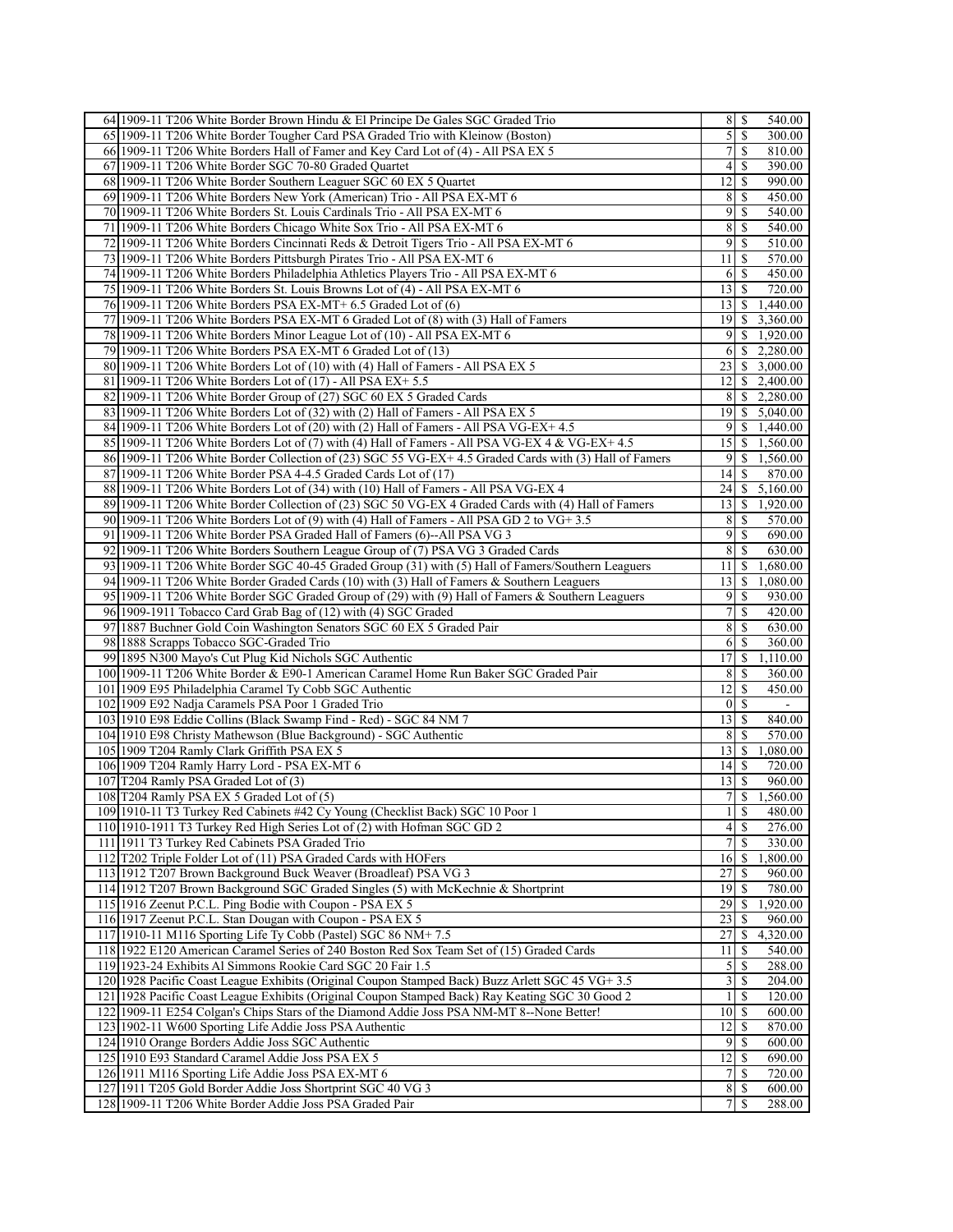| 64 1909-11 T206 White Border Brown Hindu & El Principe De Gales SGC Graded Trio                        | $8 \mid S$                 |               | 540.00                |
|--------------------------------------------------------------------------------------------------------|----------------------------|---------------|-----------------------|
| 65 1909-11 T206 White Border Tougher Card PSA Graded Trio with Kleinow (Boston)                        | $\mathfrak{S}$             | S             | 300.00                |
| 66 1909-11 T206 White Borders Hall of Famer and Key Card Lot of (4) - All PSA EX 5                     | 7                          | \$            | 810.00                |
| 67 1909-11 T206 White Border SGC 70-80 Graded Quartet                                                  | $\left 4\right $           | -S            | 390.00                |
| 68 1909-11 T206 White Border Southern Leaguer SGC 60 EX 5 Quartet                                      | 12                         | \$            | 990.00                |
| 69 1909-11 T206 White Borders New York (American) Trio - All PSA EX-MT 6                               | 8                          | -S            | 450.00                |
| 70 1909-11 T206 White Borders St. Louis Cardinals Trio - All PSA EX-MT 6                               | 9                          | -S            | 540.00                |
| 71 1909-11 T206 White Borders Chicago White Sox Trio - All PSA EX-MT 6                                 | 8                          | \$            | 540.00                |
| 72 1909-11 T206 White Borders Cincinnati Reds & Detroit Tigers Trio - All PSA EX-MT 6                  | 9                          | S             | 510.00                |
| 73 1909-11 T206 White Borders Pittsburgh Pirates Trio - All PSA EX-MT 6                                | 11                         | -S            | 570.00                |
| 74.1909-11 T206 White Borders Philadelphia Athletics Players Trio - All PSA EX-MT 6                    | 6                          | -S            | 450.00                |
| 75 1909-11 T206 White Borders St. Louis Browns Lot of (4) - All PSA EX-MT 6                            | $13$ $\bar{S}$             |               | 720.00                |
| 76 1909-11 T206 White Borders PSA EX-MT+ 6.5 Graded Lot of (6)                                         | $13 \mid S$                |               | 1,440.00              |
| 77 1909-11 T206 White Borders PSA EX-MT 6 Graded Lot of (8) with (3) Hall of Famers                    |                            |               | 19 \$ 3,360.00        |
| 78 1909-11 T206 White Borders Minor League Lot of (10) - All PSA EX-MT 6                               | 9                          |               | \$1,920.00            |
| 79 1909-11 T206 White Borders PSA EX-MT 6 Graded Lot of (13)                                           | 61                         |               | \$2,280.00            |
| 80 1909-11 T206 White Borders Lot of (10) with (4) Hall of Famers - All PSA EX 5                       |                            |               | 23 \ \$ 3,000.00      |
| 81 1909-11 T206 White Borders Lot of (17) - All PSA EX+ 5.5                                            |                            |               | $12 \mid$ \$ 2,400.00 |
| 82 1909-11 T206 White Border Group of (27) SGC 60 EX 5 Graded Cards                                    |                            |               | $8 \mid $2,280.00$    |
| 83 1909-11 T206 White Borders Lot of (32) with (2) Hall of Famers - All PSA EX 5                       |                            |               | $19$   \$ 5,040.00    |
| 84 1909-11 T206 White Borders Lot of (20) with (2) Hall of Famers - All PSA VG-EX+ 4.5                 |                            |               | $9 \mid $1,440.00$    |
| 85 1909-11 T206 White Borders Lot of (7) with (4) Hall of Famers - All PSA VG-EX 4 & VG-EX+ 4.5        | 15 <sup>1</sup>            |               | \$1,560.00            |
| 86 1909-11 T206 White Border Collection of (23) SGC 55 VG-EX+ 4.5 Graded Cards with (3) Hall of Famers |                            |               | $9$ \ \$ 1,560.00     |
| 87 1909-11 T206 White Border PSA 4-4.5 Graded Cards Lot of (17)                                        | 14                         | -S            | 870.00                |
| 88 1909-11 T206 White Borders Lot of (34) with (10) Hall of Famers - All PSA VG-EX 4                   | 24                         | \$            | $5,\overline{160.00}$ |
| 89 1909-11 T206 White Border Collection of (23) SGC 50 VG-EX 4 Graded Cards with (4) Hall of Famers    | 13 <sup>1</sup>            | -S            | 1,920.00              |
| 90 1909-11 T206 White Borders Lot of (9) with (4) Hall of Famers - All PSA GD 2 to VG+3.5              | 8                          | <sup>\$</sup> | 570.00                |
| 91 1909-11 T206 White Border PSA Graded Hall of Famers (6)--All PSA VG 3                               | 9                          | \$            | 690.00                |
| 92 1909-11 T206 White Borders Southern League Group of (7) PSA VG 3 Graded Cards                       | 8                          | <sup>\$</sup> | 630.00                |
| 93 1909-11 T206 White Border SGC 40-45 Graded Group (31) with (5) Hall of Famers/Southern Leaguers     | 11 <sup>1</sup>            | \$            | 1,680.00              |
| 94 1909-11 T206 White Border Graded Cards (10) with (3) Hall of Famers & Southern Leaguers             | 13                         | \$            | 1,080.00              |
| 95 1909-11 T206 White Border SGC Graded Group of (29) with (9) Hall of Famers & Southern Leaguers      | 9                          | S             | 930.00                |
| 96 1909-1911 Tobacco Card Grab Bag of (12) with (4) SGC Graded                                         | $\overline{7}$             | -S            | 420.00                |
| 97 1887 Buchner Gold Coin Washington Senators SGC 60 EX 5 Graded Pair                                  | 8                          | \$            | 630.00                |
| 98 1888 Scrapps Tobacco SGC-Graded Trio                                                                | 6                          | S             | 360.00                |
| 99 1895 N300 Mayo's Cut Plug Kid Nichols SGC Authentic                                                 | 17                         | \$            | 1,110.00              |
| 100 1909-11 T206 White Border & E90-1 American Caramel Home Run Baker SGC Graded Pair                  | 8                          | \$            | 360.00                |
| 101 1909 E95 Philadelphia Caramel Ty Cobb SGC Authentic                                                | 12                         | S             | 450.00                |
| 102 1909 E92 Nadja Caramels PSA Poor 1 Graded Trio                                                     | $\vert 0 \vert$            | -S            |                       |
| 103 1910 E98 Eddie Collins (Black Swamp Find - Red) - SGC 84 NM 7                                      | 13                         | -S            | 840.00                |
| 104 1910 E98 Christy Mathewson (Blue Background) - SGC Authentic                                       | 8                          | -S            | 570.00                |
| 105 1909 T204 Ramly Clark Griffith PSA EX 5                                                            | 13                         | \$            | 1,080.00              |
| 106 1909 T204 Ramly Harry Lord - PSA EX-MT 6                                                           | 14                         | -S            | 720.00                |
| 107 T204 Ramly PSA Graded Lot of (3)                                                                   | 13                         | S             | 960.00                |
| 108 T204 Ramly PSA EX 5 Graded Lot of (5)                                                              | 7                          | \$            | 1,560.00              |
| 109 1910-11 T3 Turkey Red Cabinets #42 Cy Young (Checklist Back) SGC 10 Poor 1                         | $1 \overline{\smash{)}\,}$ |               | 480.00                |
| 110 1910-1911 T3 Turkey Red High Series Lot of (2) with Hofman SGC GD 2                                | $\left 4\right $           | -S            | 276.00                |
| 111 1911 T3 Turkey Red Cabinets PSA Graded Trio                                                        | 7 <sup>1</sup>             | <sup>\$</sup> | 330.00                |
| 112 T202 Triple Folder Lot of (11) PSA Graded Cards with HOFers                                        | 16                         | -S            | 1,800.00              |
| 113 1912 T207 Brown Background Buck Weaver (Broadleaf) PSA VG 3                                        | 27                         | <sup>\$</sup> | 960.00                |
| 114 1912 T207 Brown Background SGC Graded Singles (5) with McKechnie & Shortprint                      | $19$ $\sqrt{S}$            |               | 780.00                |
| 115 1916 Zeenut P.C.L. Ping Bodie with Coupon - PSA EX 5                                               | 29                         | <sup>\$</sup> | 1,920.00              |
| 116 1917 Zeenut P.C.L. Stan Dougan with Coupon - PSA EX 5                                              | 23                         | S             | 960.00                |
| 117 1910-11 M116 Sporting Life Ty Cobb (Pastel) SGC 86 NM+7.5                                          | 27                         | \$.           | 4,320.00              |
| 118 1922 E120 American Caramel Series of 240 Boston Red Sox Team Set of (15) Graded Cards              | 11                         | <sup>\$</sup> | 540.00                |
| 119 1923-24 Exhibits Al Simmons Rookie Card SGC 20 Fair 1.5                                            | $\mathfrak{S}$             | -S            | 288.00                |
| 120 1928 Pacific Coast League Exhibits (Original Coupon Stamped Back) Buzz Arlett SGC 45 VG+ 3.5       | $\overline{\mathbf{3}}$    | <b>S</b>      | 204.00                |
| 121 1928 Pacific Coast League Exhibits (Original Coupon Stamped Back) Ray Keating SGC 30 Good 2        | $\frac{1}{2}$              | <sup>\$</sup> | 120.00                |
| 122 1909-11 E254 Colgan's Chips Stars of the Diamond Addie Joss PSA NM-MT 8--None Better!              | 10 <sup>1</sup>            | \$            | 600.00                |
| 123 1902-11 W600 Sporting Life Addie Joss PSA Authentic                                                | 12                         | S             | 870.00                |
| 124 1910 Orange Borders Addie Joss SGC Authentic                                                       | $\overline{9}$             | <sup>\$</sup> | 600.00                |
| 125 1910 E93 Standard Caramel Addie Joss PSA EX 5                                                      | 12                         | <sup>\$</sup> | 690.00                |
| 126 1911 M116 Sporting Life Addie Joss PSA EX-MT 6                                                     | $\overline{7}$             | <sup>\$</sup> | 720.00                |
| 127 1911 T205 Gold Border Addie Joss Shortprint SGC 40 VG 3                                            |                            |               | 600.00                |
| 128 1909-11 T206 White Border Addie Joss PSA Graded Pair                                               | 7 <sup>1</sup>             | <sup>\$</sup> | 288.00                |
|                                                                                                        |                            |               |                       |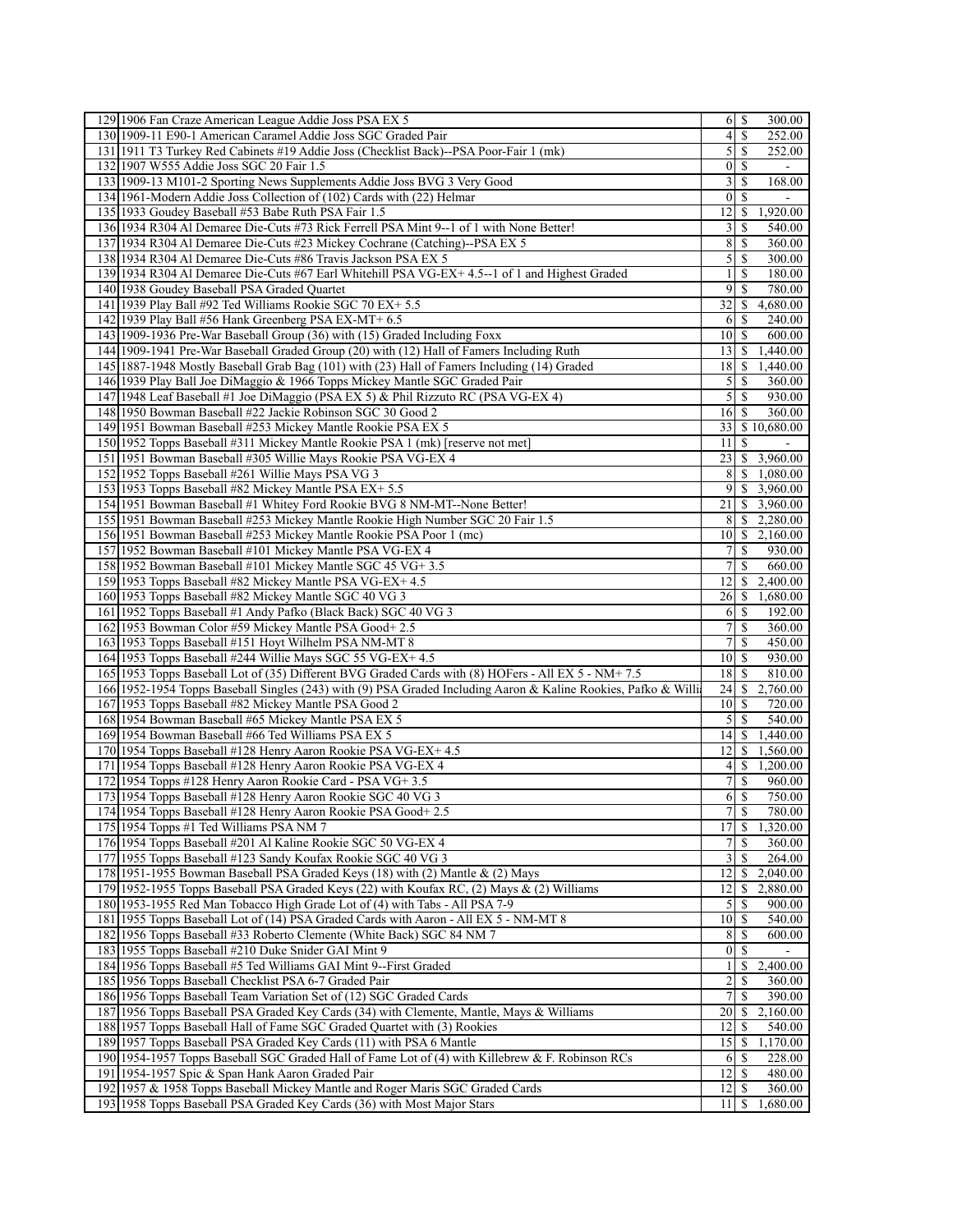| 129 1906 Fan Craze American League Addie Joss PSA EX 5                                                                                                    | 300.00                                          |
|-----------------------------------------------------------------------------------------------------------------------------------------------------------|-------------------------------------------------|
| 130 1909-11 E90-1 American Caramel Addie Joss SGC Graded Pair                                                                                             | $\vert 4 \vert$<br><sup>\$</sup><br>252.00      |
| 131 1911 T3 Turkey Red Cabinets #19 Addie Joss (Checklist Back)--PSA Poor-Fair 1 (mk)                                                                     | 252.00<br>$\mathfrak{z}$<br>-S                  |
| 132 1907 W555 Addie Joss SGC 20 Fair 1.5                                                                                                                  | $\overline{0}$<br>-S                            |
| 133 1909-13 M101-2 Sporting News Supplements Addie Joss BVG 3 Very Good                                                                                   | $\overline{\mathbf{3}}$<br>\$<br>168.00         |
| 134 1961-Modern Addie Joss Collection of (102) Cards with (22) Helmar                                                                                     | $\overline{0}$<br>-S                            |
| 135 1933 Goudey Baseball #53 Babe Ruth PSA Fair 1.5                                                                                                       | 12 <br>1,920.00<br><sup>\$</sup>                |
| 136 1934 R304 Al Demaree Die-Cuts #73 Rick Ferrell PSA Mint 9--1 of 1 with None Better!                                                                   | 3<br><sup>\$</sup><br>540.00                    |
| 137 1934 R304 Al Demaree Die-Cuts #23 Mickey Cochrane (Catching)--PSA EX 5                                                                                | 8<br>360.00<br><b>S</b>                         |
| 138 1934 R304 Al Demaree Die-Cuts #86 Travis Jackson PSA EX 5                                                                                             | 5 <sup>1</sup><br>300.00<br>-S                  |
| 139 1934 R304 Al Demaree Die-Cuts #67 Earl Whitehill PSA VG-EX+ 4.5--1 of 1 and Highest Graded                                                            |                                                 |
|                                                                                                                                                           | $\frac{1}{2}$<br><sup>\$</sup><br>180.00        |
| 140 1938 Goudey Baseball PSA Graded Quartet                                                                                                               | $\overline{9}$<br><sup>\$</sup><br>780.00       |
| 141 1939 Play Ball #92 Ted Williams Rookie SGC 70 EX+ 5.5                                                                                                 | 32<br>4,680.00<br>S.                            |
| 142 1939 Play Ball #56 Hank Greenberg PSA EX-MT+ 6.5                                                                                                      | 240.00<br>6<br>-S                               |
| 143 1909-1936 Pre-War Baseball Group (36) with (15) Graded Including Foxx                                                                                 | 10 <sup>1</sup><br>600.00<br>-S                 |
| 144 1909-1941 Pre-War Baseball Graded Group (20) with (12) Hall of Famers Including Ruth                                                                  | 131<br>\$<br>1,440.00                           |
| 145 1887-1948 Mostly Baseball Grab Bag (101) with (23) Hall of Famers Including (14) Graded                                                               | 18   S<br>1,440.00                              |
| 146 1939 Play Ball Joe DiMaggio & 1966 Topps Mickey Mantle SGC Graded Pair                                                                                | $\mathcal{F}$<br><sup>S</sup><br>360.00         |
| 147 1948 Leaf Baseball #1 Joe DiMaggio (PSA EX 5) & Phil Rizzuto RC (PSA VG-EX 4)                                                                         | $\mathcal{S}$<br><sup>\$</sup><br>930.00        |
| 148 1950 Bowman Baseball #22 Jackie Robinson SGC 30 Good 2                                                                                                | 360.00<br>16 S                                  |
| 149 1951 Bowman Baseball #253 Mickey Mantle Rookie PSA EX 5                                                                                               | 33 I<br>\$10,680.00                             |
| 150 1952 Topps Baseball #311 Mickey Mantle Rookie PSA 1 (mk) [reserve not met]                                                                            | 11<br><sup>\$</sup>                             |
| 151 1951 Bowman Baseball #305 Willie Mays Rookie PSA VG-EX 4                                                                                              | 23 \ \$ 3,960.00                                |
| 152 1952 Topps Baseball #261 Willie Mays PSA VG 3                                                                                                         | $8 \mid $1,080.00$                              |
| 153 1953 Topps Baseball #82 Mickey Mantle PSA EX+ 5.5                                                                                                     | 9<br>3,960.00<br>S.                             |
|                                                                                                                                                           |                                                 |
| 154 1951 Bowman Baseball #1 Whitey Ford Rookie BVG 8 NM-MT--None Better!                                                                                  | 21 <br>\$<br>3,960.00                           |
| 155 1951 Bowman Baseball #253 Mickey Mantle Rookie High Number SGC 20 Fair 1.5                                                                            | 8<br>\$2,280.00                                 |
| 156 1951 Bowman Baseball #253 Mickey Mantle Rookie PSA Poor 1 (mc)                                                                                        | \$2,160.00<br>10                                |
| 157 1952 Bowman Baseball #101 Mickey Mantle PSA VG-EX 4                                                                                                   | 7<br><sup>\$</sup><br>930.00                    |
| 158 1952 Bowman Baseball #101 Mickey Mantle SGC 45 VG+ 3.5                                                                                                | 7 <sup>1</sup><br><sup>\$</sup><br>660.00       |
| 159 1953 Topps Baseball #82 Mickey Mantle PSA VG-EX+ 4.5                                                                                                  | 12<br>2,400.00<br>S.                            |
| 160 1953 Topps Baseball #82 Mickey Mantle SGC 40 VG 3                                                                                                     | 26<br>1,680.00<br>\$                            |
| 161 1952 Topps Baseball #1 Andy Pafko (Black Back) SGC 40 VG 3                                                                                            | 6   S<br>192.00                                 |
| 162 1953 Bowman Color #59 Mickey Mantle PSA Good+ 2.5                                                                                                     | 7<br><sup>\$</sup><br>360.00                    |
| 163 1953 Topps Baseball #151 Hoyt Wilhelm PSA NM-MT 8                                                                                                     | 7<br>-S<br>450.00                               |
| 164 1953 Topps Baseball #244 Willie Mays SGC 55 VG-EX+ 4.5                                                                                                | $10\vert S$<br>930.00                           |
| 165 1953 Topps Baseball Lot of (35) Different BVG Graded Cards with (8) HOFers - All EX 5 - NM+ 7.5                                                       | $18$   $\sqrt{5}$<br>810.00                     |
| 166 1952-1954 Topps Baseball Singles (243) with (9) PSA Graded Including Aaron & Kaline Rookies, Pafko & Willi                                            | 24<br><sup>\$</sup><br>2,760.00                 |
| 167 1953 Topps Baseball #82 Mickey Mantle PSA Good 2                                                                                                      | 10 <sup>1</sup><br>720.00<br><b>S</b>           |
| 168 1954 Bowman Baseball #65 Mickey Mantle PSA EX 5                                                                                                       | 5 <sup>1</sup><br><sup>\$</sup><br>540.00       |
|                                                                                                                                                           |                                                 |
|                                                                                                                                                           |                                                 |
| 169 1954 Bowman Baseball #66 Ted Williams PSA EX 5                                                                                                        | 1,440.00<br>$14 \mid S$                         |
| 170 1954 Topps Baseball #128 Henry Aaron Rookie PSA VG-EX+ 4.5                                                                                            | 2 <br>\$<br>1,560.00                            |
| 171 1954 Topps Baseball #128 Henry Aaron Rookie PSA VG-EX 4                                                                                               | $\left 4\right $<br>S.<br>1,200.00              |
| 172 1954 Topps #128 Henry Aaron Rookie Card - PSA VG+ 3.5                                                                                                 | $\overline{7}$<br><sup>\$</sup><br>960.00       |
| 173 1954 Topps Baseball #128 Henry Aaron Rookie SGC 40 VG 3                                                                                               | <sup>\$</sup><br>6<br>750.00                    |
| 174 1954 Topps Baseball #128 Henry Aaron Rookie PSA Good+2.5                                                                                              | 7s<br>780.00                                    |
| 175 1954 Topps #1 Ted Williams PSA NM 7                                                                                                                   | 17<br>1,320.00<br>-S                            |
| 176 1954 Topps Baseball #201 Al Kaline Rookie SGC 50 VG-EX 4                                                                                              | $\tau$<br>360.00<br>\$.                         |
| 177 1955 Topps Baseball #123 Sandy Koufax Rookie SGC 40 VG 3                                                                                              | 3<br>\$<br>264.00                               |
| 178 1951-1955 Bowman Baseball PSA Graded Keys (18) with (2) Mantle & (2) Mays                                                                             | 12<br>2,040.00<br>\$                            |
| 179 1952-1955 Topps Baseball PSA Graded Keys (22) with Koufax RC, (2) Mays & (2) Williams                                                                 | 12<br>2,880.00<br>S.                            |
| 180 1953-1955 Red Man Tobacco High Grade Lot of (4) with Tabs - All PSA 7-9                                                                               | $\mathfrak{S}$<br>-S<br>900.00                  |
| 181 1955 Topps Baseball Lot of (14) PSA Graded Cards with Aaron - All EX 5 - NM-MT 8                                                                      | $10\vert S$<br>540.00                           |
| 182 1956 Topps Baseball #33 Roberto Clemente (White Back) SGC 84 NM 7                                                                                     | 8<br>600.00<br><sup>\$</sup>                    |
| 183 1955 Topps Baseball #210 Duke Snider GAI Mint 9                                                                                                       | $\overline{0}$<br><sup>\$</sup>                 |
| 184 1956 Topps Baseball #5 Ted Williams GAI Mint 9--First Graded                                                                                          | $\mathbf{1}$<br>\$                              |
|                                                                                                                                                           | 2,400.00                                        |
| 185 1956 Topps Baseball Checklist PSA 6-7 Graded Pair                                                                                                     | $\overline{2}$<br>$\overline{360.00}$<br>-S     |
| 186 1956 Topps Baseball Team Variation Set of (12) SGC Graded Cards                                                                                       | $7\vert$<br><sup>\$</sup><br>390.00             |
| 187 1956 Topps Baseball PSA Graded Key Cards (34) with Clemente, Mantle, Mays & Williams                                                                  | 2,160.00<br>20<br>\$                            |
| 188 1957 Topps Baseball Hall of Fame SGC Graded Quartet with (3) Rookies                                                                                  | 12<br>540.00<br>S                               |
| 189 1957 Topps Baseball PSA Graded Key Cards (11) with PSA 6 Mantle                                                                                       | 1,170.00<br>15<br>\$                            |
| 190 1954-1957 Topps Baseball SGC Graded Hall of Fame Lot of (4) with Killebrew & F. Robinson RCs                                                          | 228.00<br>6<br><b>S</b>                         |
| 191 1954-1957 Spic & Span Hank Aaron Graded Pair                                                                                                          | $12$   $\sqrt{5}$<br>480.00                     |
| 1921 1957 & 1958 Topps Baseball Mickey Mantle and Roger Maris SGC Graded Cards<br>193 1958 Topps Baseball PSA Graded Key Cards (36) with Most Major Stars | $12 \mid$ \$<br>360.00<br>1,680.00<br>S.<br>111 |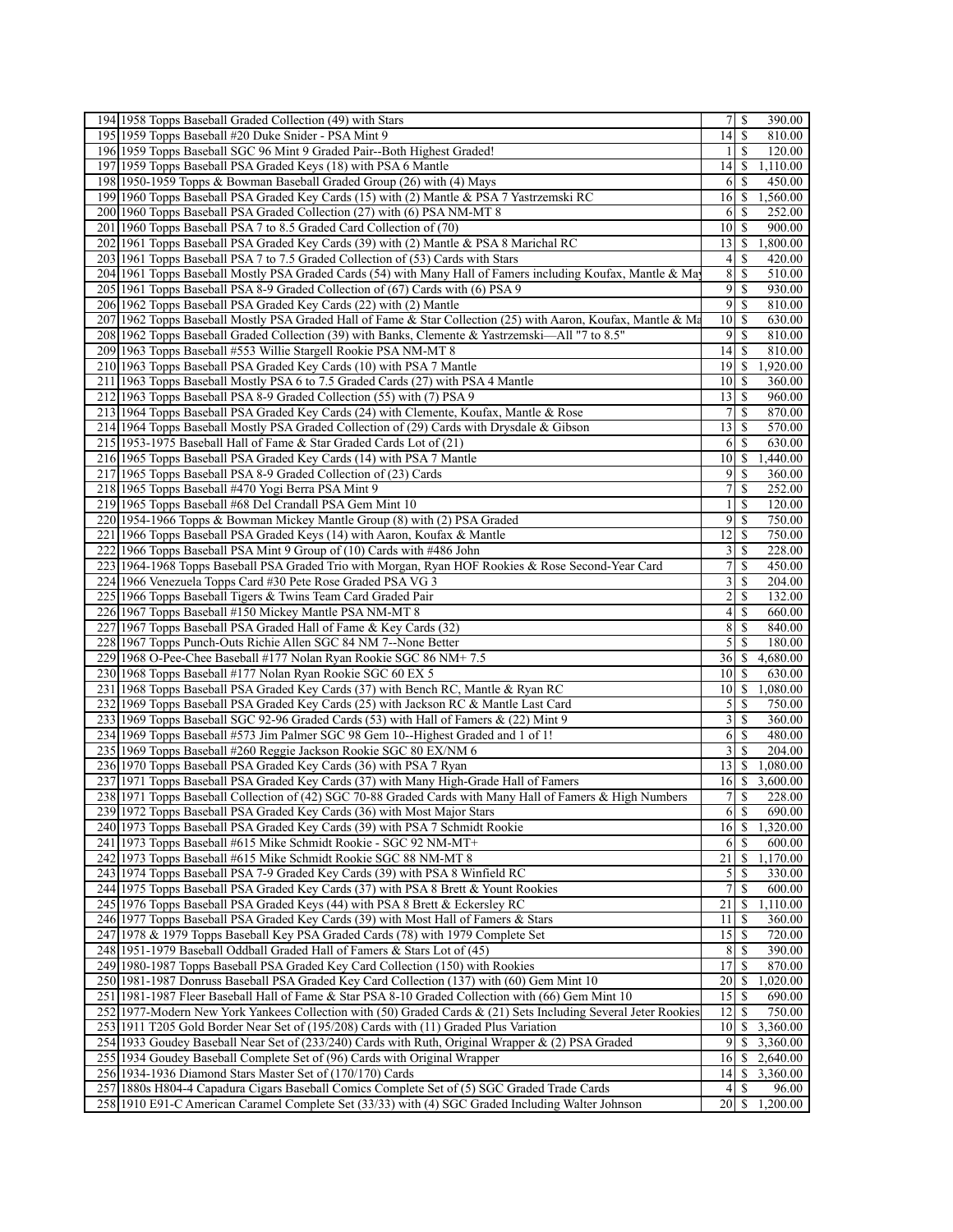| 194 1958 Topps Baseball Graded Collection (49) with Stars                                                                                  | $7$ \ $\sqrt{3}$        |               | 390.00   |
|--------------------------------------------------------------------------------------------------------------------------------------------|-------------------------|---------------|----------|
| 195 1959 Topps Baseball #20 Duke Snider - PSA Mint 9                                                                                       | 14                      | S             | 810.00   |
| 196 1959 Topps Baseball SGC 96 Mint 9 Graded Pair--Both Highest Graded!                                                                    | 1                       | <sup>\$</sup> | 120.00   |
| 197 1959 Topps Baseball PSA Graded Keys (18) with PSA 6 Mantle                                                                             | 4                       | -S            | 1,110.00 |
| 198 1950-1959 Topps & Bowman Baseball Graded Group (26) with (4) Mays                                                                      | 6                       | \$            | 450.00   |
| 199 1960 Topps Baseball PSA Graded Key Cards (15) with (2) Mantle & PSA 7 Yastrzemski RC                                                   |                         |               | 1,560.00 |
| 200 1960 Topps Baseball PSA Graded Collection (27) with (6) PSA NM-MT 8                                                                    | 6                       | <sup>\$</sup> | 252.00   |
| 201   1960 Topps Baseball PSA 7 to 8.5 Graded Card Collection of (70)                                                                      | 10                      | \$            | 900.00   |
| 202 1961 Topps Baseball PSA Graded Key Cards (39) with (2) Mantle & PSA 8 Marichal RC                                                      | 13                      | S             | 1,800.00 |
| 203 1961 Topps Baseball PSA 7 to 7.5 Graded Collection of (53) Cards with Stars                                                            | 4                       | <sup>\$</sup> | 420.00   |
| 204 1961 Topps Baseball Mostly PSA Graded Cards (54) with Many Hall of Famers including Koufax, Mantle & Ma                                | 8                       | S             | 510.00   |
| 205 1961 Topps Baseball PSA 8-9 Graded Collection of (67) Cards with (6) PSA 9                                                             | $\overline{9}$          | <sup>\$</sup> | 930.00   |
| 206 1962 Topps Baseball PSA Graded Key Cards (22) with (2) Mantle                                                                          | 9                       | -S            | 810.00   |
| 207 1962 Topps Baseball Mostly PSA Graded Hall of Fame & Star Collection (25) with Aaron, Koufax, Mantle & Ma                              | 10                      | -S            | 630.00   |
| 208 1962 Topps Baseball Graded Collection (39) with Banks, Clemente & Yastrzemski-All "7 to 8.5"                                           | 9                       | <sup>\$</sup> | 810.00   |
| 209 1963 Topps Baseball #553 Willie Stargell Rookie PSA NM-MT 8                                                                            | 4                       | -S            | 810.00   |
| 210 1963 Topps Baseball PSA Graded Key Cards (10) with PSA 7 Mantle                                                                        | $19$ $\sqrt{5}$         |               | 1,920.00 |
| 211 1963 Topps Baseball Mostly PSA 6 to 7.5 Graded Cards (27) with PSA 4 Mantle                                                            | 10 <sup>1</sup>         | -S            | 360.00   |
| 212 1963 Topps Baseball PSA 8-9 Graded Collection (55) with (7) PSA 9                                                                      | 13                      | -\$           | 960.00   |
| 213 1964 Topps Baseball PSA Graded Key Cards (24) with Clemente, Koufax, Mantle & Rose                                                     | 7                       | \$            | 870.00   |
| 214/1964 Topps Baseball Mostly PSA Graded Collection of (29) Cards with Drysdale & Gibson                                                  | 13                      | -S            | 570.00   |
|                                                                                                                                            |                         | \$            | 630.00   |
| 215 1953-1975 Baseball Hall of Fame & Star Graded Cards Lot of (21)<br>216 1965 Topps Baseball PSA Graded Key Cards (14) with PSA 7 Mantle | 6                       |               |          |
|                                                                                                                                            | $10 \mid S$             |               | 1,440.00 |
| 217 1965 Topps Baseball PSA 8-9 Graded Collection of (23) Cards                                                                            | $\overline{9}$          | -S            | 360.00   |
| 218 1965 Topps Baseball #470 Yogi Berra PSA Mint 9                                                                                         | 7                       | \$            | 252.00   |
| 219 1965 Topps Baseball #68 Del Crandall PSA Gem Mint 10                                                                                   | 1                       | \$            | 120.00   |
| 220 1954-1966 Topps & Bowman Mickey Mantle Group (8) with (2) PSA Graded                                                                   | $\overline{9}$          | <sup>\$</sup> | 750.00   |
| 221 1966 Topps Baseball PSA Graded Keys (14) with Aaron, Koufax & Mantle                                                                   | 12                      | \$            | 750.00   |
| 222 1966 Topps Baseball PSA Mint 9 Group of (10) Cards with #486 John                                                                      | $\overline{\mathbf{3}}$ | \$            | 228.00   |
| 223 1964-1968 Topps Baseball PSA Graded Trio with Morgan, Ryan HOF Rookies & Rose Second-Year Card                                         | 7                       | S             | 450.00   |
| 2241966 Venezuela Topps Card #30 Pete Rose Graded PSA VG 3                                                                                 | 3                       | \$            | 204.00   |
| 225 1966 Topps Baseball Tigers & Twins Team Card Graded Pair                                                                               | 2                       | \$            | 132.00   |
| 226 1967 Topps Baseball #150 Mickey Mantle PSA NM-MT 8                                                                                     | $\left 4\right $        | -S            | 660.00   |
| 227 1967 Topps Baseball PSA Graded Hall of Fame & Key Cards (32)                                                                           | 8                       | S             | 840.00   |
| 228 1967 Topps Punch-Outs Richie Allen SGC 84 NM 7--None Better                                                                            | 5                       | S             | 180.00   |
| 229 1968 O-Pee-Chee Baseball #177 Nolan Ryan Rookie SGC 86 NM+7.5                                                                          | 361                     | \$            | 4,680.00 |
| 230 1968 Topps Baseball #177 Nolan Ryan Rookie SGC 60 EX 5                                                                                 | 10 <sup> </sup>         | -\$           | 630.00   |
| 231 1968 Topps Baseball PSA Graded Key Cards (37) with Bench RC, Mantle & Ryan RC                                                          | 10                      | -S            | 1,080.00 |
| 232 1969 Topps Baseball PSA Graded Key Cards (25) with Jackson RC & Mantle Last Card                                                       | 5                       | <sup>\$</sup> | 750.00   |
| 233 1969 Topps Baseball SGC 92-96 Graded Cards (53) with Hall of Famers & (22) Mint 9                                                      | $\overline{\mathbf{3}}$ | S             | 360.00   |
| 234 1969 Topps Baseball #573 Jim Palmer SGC 98 Gem 10--Highest Graded and 1 of 1!                                                          | 6                       | -S            | 480.00   |
| 235 1969 Topps Baseball #260 Reggie Jackson Rookie SGC 80 EX/NM 6                                                                          | 3                       | \$            | 204.00   |
| 236 1970 Topps Baseball PSA Graded Key Cards (36) with PSA 7 Ryan                                                                          | 13                      | \$            | 1,080.00 |
| 237 1971 Topps Baseball PSA Graded Key Cards (37) with Many High-Grade Hall of Famers                                                      | 16                      | \$            | 3,600.00 |
| 238 1971 Topps Baseball Collection of (42) SGC 70-88 Graded Cards with Many Hall of Famers & High Numbers                                  | 7                       | \$            | 228.00   |
| 239 1972 Topps Baseball PSA Graded Key Cards (36) with Most Major Stars                                                                    | 6s                      |               | 690.00   |
| 240 1973 Topps Baseball PSA Graded Key Cards (39) with PSA 7 Schmidt Rookie                                                                | 16 S                    |               | 1,320.00 |
| 241 1973 Topps Baseball #615 Mike Schmidt Rookie - SGC 92 NM-MT+                                                                           | 6                       | <b>S</b>      | 600.00   |
| 242 1973 Topps Baseball #615 Mike Schmidt Rookie SGC 88 NM-MT 8                                                                            | 21                      | S             | 1,170.00 |
| 243 1974 Topps Baseball PSA 7-9 Graded Key Cards (39) with PSA 8 Winfield RC                                                               | $\mathcal{S}$           | -S            | 330.00   |
| 244 1975 Topps Baseball PSA Graded Key Cards (37) with PSA 8 Brett & Yount Rookies                                                         | 7                       | \$            | 600.00   |
| 245 1976 Topps Baseball PSA Graded Keys (44) with PSA 8 Brett & Eckersley RC                                                               | 21                      | <sup>\$</sup> | 1,110.00 |
| 246 1977 Topps Baseball PSA Graded Key Cards (39) with Most Hall of Famers & Stars                                                         | 11                      | \$            | 360.00   |
| 247 1978 & 1979 Topps Baseball Key PSA Graded Cards (78) with 1979 Complete Set                                                            | 15                      | -S            | 720.00   |
| 248 1951-1979 Baseball Oddball Graded Hall of Famers & Stars Lot of (45)                                                                   | 8                       | -S            | 390.00   |
| 249 1980-1987 Topps Baseball PSA Graded Key Card Collection (150) with Rookies                                                             | 17                      | S             | 870.00   |
| 250 1981-1987 Donruss Baseball PSA Graded Key Card Collection (137) with (60) Gem Mint 10                                                  | 20                      | -S            | 1,020.00 |
| 251 1981-1987 Fleer Baseball Hall of Fame & Star PSA 8-10 Graded Collection with (66) Gem Mint 10                                          | $15$   \$               |               | 690.00   |
| 252 1977-Modern New York Yankees Collection with (50) Graded Cards & (21) Sets Including Several Jeter Rookies                             | 12                      | S             | 750.00   |
| 253 1911 T205 Gold Border Near Set of (195/208) Cards with (11) Graded Plus Variation                                                      | 10 <sup> </sup>         | S.            | 3,360.00 |
| 254 1933 Goudey Baseball Near Set of (233/240) Cards with Ruth, Original Wrapper & (2) PSA Graded                                          | 9                       | \$.           | 3,360.00 |
| 255 1934 Goudey Baseball Complete Set of (96) Cards with Original Wrapper                                                                  | 16                      | <sup>\$</sup> | 2,640.00 |
| 256 1934-1936 Diamond Stars Master Set of (170/170) Cards                                                                                  | 4                       | -S            | 3,360.00 |
| 257 1880s H804-4 Capadura Cigars Baseball Comics Complete Set of (5) SGC Graded Trade Cards                                                | $\vert$                 | <sup>\$</sup> | 96.00    |
| 258 1910 E91-C American Caramel Complete Set (33/33) with (4) SGC Graded Including Walter Johnson                                          | 20                      | <sup>S</sup>  | 1,200.00 |
|                                                                                                                                            |                         |               |          |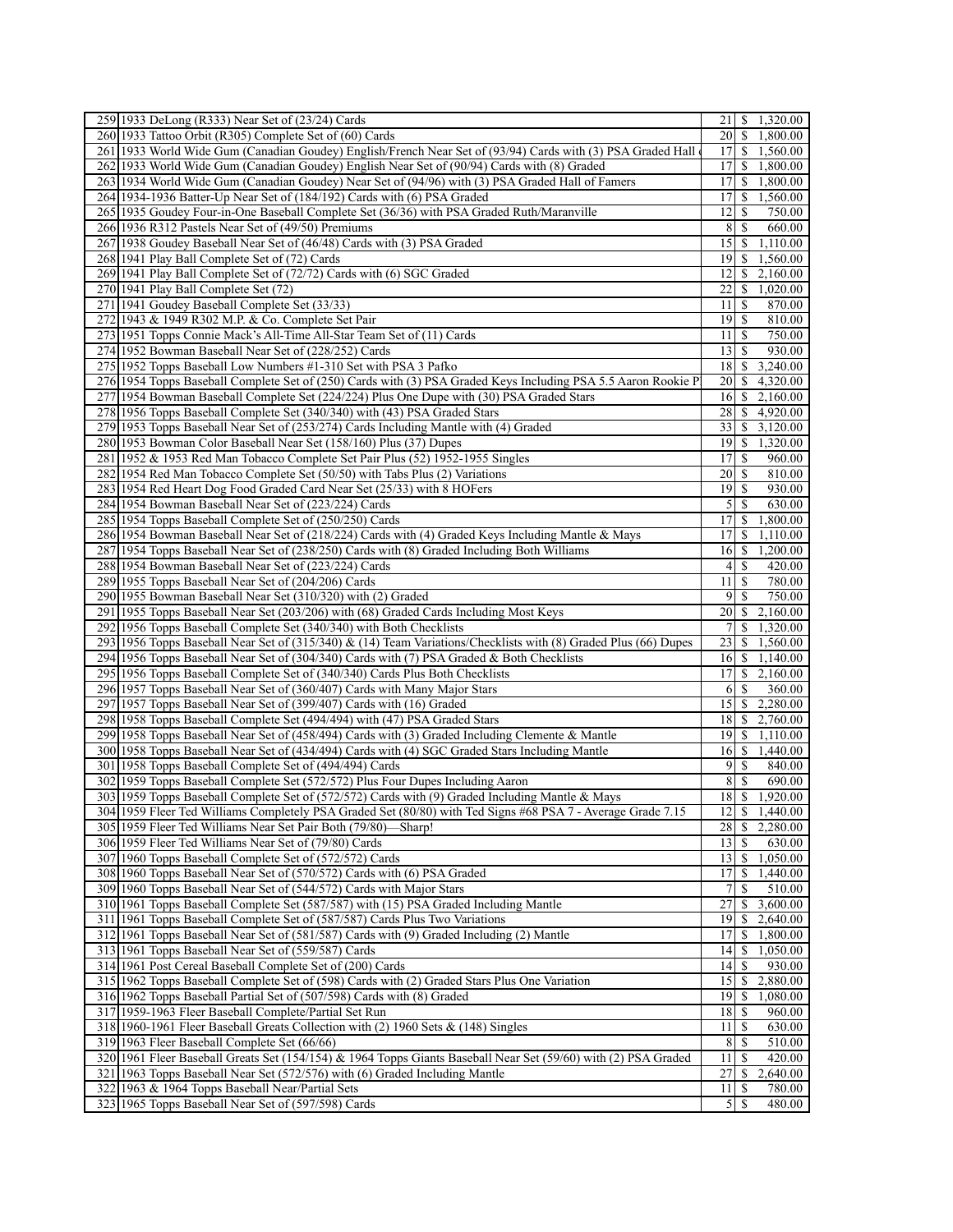| 259 1933 DeLong (R333) Near Set of (23/24) Cards                                                                                                               | 21 \ \$ 1,320.00                          |
|----------------------------------------------------------------------------------------------------------------------------------------------------------------|-------------------------------------------|
| 260 1933 Tattoo Orbit (R305) Complete Set of (60) Cards                                                                                                        | 20<br>-S<br>1,800.00                      |
| 261 1933 World Wide Gum (Canadian Goudey) English/French Near Set of (93/94) Cards with (3) PSA Graded Hall                                                    | 17<br>\$<br>1,560.00                      |
| 262 1933 World Wide Gum (Canadian Goudey) English Near Set of (90/94) Cards with (8) Graded                                                                    | $17$ \$ 1,800.00                          |
| 263 1934 World Wide Gum (Canadian Goudey) Near Set of (94/96) with (3) PSA Graded Hall of Famers                                                               | 17<br>\$<br>1,800.00                      |
| 264 1934-1936 Batter-Up Near Set of (184/192) Cards with (6) PSA Graded                                                                                        | 17<br>\$<br>1,560.00                      |
| 265 1935 Goudey Four-in-One Baseball Complete Set (36/36) with PSA Graded Ruth/Maranville                                                                      | 12<br>750.00<br>-S                        |
| 266 1936 R312 Pastels Near Set of (49/50) Premiums                                                                                                             | 8 <sup>1</sup><br>S<br>660.00             |
| 267 1938 Goudey Baseball Near Set of (46/48) Cards with (3) PSA Graded                                                                                         | 15<br>-S<br>1,110.00                      |
| 268 1941 Play Ball Complete Set of (72) Cards                                                                                                                  | $19$   S<br>1,560.00                      |
| 269 1941 Play Ball Complete Set of (72/72) Cards with (6) SGC Graded                                                                                           | 2,160.00<br>12<br>\$                      |
| 270 1941 Play Ball Complete Set (72)                                                                                                                           | 22<br>\$<br>1,020.00                      |
| 271 1941 Goudey Baseball Complete Set (33/33)                                                                                                                  | 11<br>-S<br>870.00                        |
| 272 1943 & 1949 R302 M.P. & Co. Complete Set Pair                                                                                                              | 19<br>-S<br>810.00                        |
| 273 1951 Topps Connie Mack's All-Time All-Star Team Set of (11) Cards                                                                                          | 750.00<br>11 S                            |
| 274 1952 Bowman Baseball Near Set of (228/252) Cards                                                                                                           | $13$ $\uparrow$<br>930.00                 |
| 275 1952 Topps Baseball Low Numbers #1-310 Set with PSA 3 Pafko                                                                                                | 18<br>-S<br>3,240.00                      |
|                                                                                                                                                                |                                           |
| 276 1954 Topps Baseball Complete Set of (250) Cards with (3) PSA Graded Keys Including PSA 5.5 Aaron Rookie P                                                  | 20 <sup>1</sup><br>4,320.00<br><b>S</b>   |
| 277 1954 Bowman Baseball Complete Set (224/224) Plus One Dupe with (30) PSA Graded Stars                                                                       | 16<br>-S<br>2,160.00                      |
| 278 1956 Topps Baseball Complete Set (340/340) with (43) PSA Graded Stars                                                                                      | 28<br>4,920.00<br>-S                      |
| 279 1953 Topps Baseball Near Set of (253/274) Cards Including Mantle with (4) Graded                                                                           | 33<br>3,120.00<br>-S                      |
| 280 1953 Bowman Color Baseball Near Set (158/160) Plus (37) Dupes                                                                                              | 19<br>\$<br>1,320.00                      |
| 281 1952 & 1953 Red Man Tobacco Complete Set Pair Plus (52) 1952-1955 Singles                                                                                  | 17<br>960.00<br><b>S</b>                  |
| 282 1954 Red Man Tobacco Complete Set (50/50) with Tabs Plus (2) Variations                                                                                    | 20<br>810.00<br>-S                        |
| 283 1954 Red Heart Dog Food Graded Card Near Set (25/33) with 8 HOFers                                                                                         | 19<br>930.00<br>-S                        |
| 284 1954 Bowman Baseball Near Set of (223/224) Cards                                                                                                           | $\mathfrak{S}$<br><sup>\$</sup><br>630.00 |
| 285 1954 Topps Baseball Complete Set of (250/250) Cards                                                                                                        | 17<br><sup>\$</sup><br>1,800.00           |
| 286 1954 Bowman Baseball Near Set of (218/224) Cards with (4) Graded Keys Including Mantle & Mays                                                              | 17<br>1,110.00<br>-S                      |
| 287 1954 Topps Baseball Near Set of (238/250) Cards with (8) Graded Including Both Williams                                                                    | 16<br>\$<br>1,200.00                      |
| 288 1954 Bowman Baseball Near Set of (223/224) Cards                                                                                                           | -S<br>420.00<br>$\frac{4}{ }$             |
| 289 1955 Topps Baseball Near Set of (204/206) Cards                                                                                                            | 11<br>-S<br>780.00                        |
| 29011955 Bowman Baseball Near Set (310/320) with (2) Graded                                                                                                    | 750.00<br>9<br>-S                         |
| 291 1955 Topps Baseball Near Set (203/206) with (68) Graded Cards Including Most Keys                                                                          | 20<br>\$<br>2,160.00                      |
| 292 1956 Topps Baseball Complete Set (340/340) with Both Checklists                                                                                            | <sup>\$</sup><br>1,320.00                 |
| 293 1956 Topps Baseball Near Set of (315/340) & (14) Team Variations/Checklists with (8) Graded Plus (66) Dupes                                                | 23<br>\$<br>1,560.00                      |
| 294 1956 Topps Baseball Near Set of (304/340) Cards with (7) PSA Graded & Both Checklists                                                                      | 16<br>-S<br>1,140.00                      |
| 295 1956 Topps Baseball Complete Set of (340/340) Cards Plus Both Checklists                                                                                   | 17<br>\$<br>2,160.00                      |
| 296 1957 Topps Baseball Near Set of (360/407) Cards with Many Major Stars                                                                                      |                                           |
|                                                                                                                                                                |                                           |
|                                                                                                                                                                | -S<br>360.00<br><sup>6</sup>              |
| 297 1957 Topps Baseball Near Set of (399/407) Cards with (16) Graded                                                                                           | 2,280.00<br>15 <sup>1</sup><br>\$         |
| 298 1958 Topps Baseball Complete Set (494/494) with (47) PSA Graded Stars                                                                                      | 18<br>2,760.00<br>\$                      |
| 299 1958 Topps Baseball Near Set of (458/494) Cards with (3) Graded Including Clemente & Mantle                                                                | 19I<br>1,110.00<br>-S                     |
| 300 1958 Topps Baseball Near Set of (434/494) Cards with (4) SGC Graded Stars Including Mantle                                                                 | 16<br>\$<br>1,440.00                      |
| 301 1958 Topps Baseball Complete Set of (494/494) Cards                                                                                                        | $\overline{9}$<br><sup>\$</sup><br>840.00 |
| 302 1959 Topps Baseball Complete Set (572/572) Plus Four Dupes Including Aaron                                                                                 | <sup>S</sup><br>81<br>690.00              |
| 303 1959 Topps Baseball Complete Set of (572/572) Cards with (9) Graded Including Mantle & Mays                                                                | 18<br>\$<br>1,920.00                      |
| 304 1959 Fleer Ted Williams Completely PSA Graded Set (80/80) with Ted Signs #68 PSA 7 - Average Grade 7.15                                                    | $12 \mid $1,440.00$                       |
| 305 1959 Fleer Ted Williams Near Set Pair Both (79/80)—Sharp!                                                                                                  | $28$   \$<br>2,280.00                     |
| 306 1959 Fleer Ted Williams Near Set of (79/80) Cards                                                                                                          | 13 <sup>1</sup><br>-S<br>630.00           |
| 307 1960 Topps Baseball Complete Set of (572/572) Cards                                                                                                        | $13 \mid S$<br>1,050.00                   |
| 308 1960 Topps Baseball Near Set of (570/572) Cards with (6) PSA Graded                                                                                        | 17<br>-S<br>1,440.00                      |
| 309 1960 Topps Baseball Near Set of (544/572) Cards with Major Stars                                                                                           | <sup>\$</sup><br>510.00                   |
| 310 1961 Topps Baseball Complete Set (587/587) with (15) PSA Graded Including Mantle                                                                           | 27<br>3,600.00<br><sup>\$</sup>           |
| 311 1961 Topps Baseball Complete Set of (587/587) Cards Plus Two Variations                                                                                    | 19<br>-S<br>2,640.00                      |
| 312 1961 Topps Baseball Near Set of (581/587) Cards with (9) Graded Including (2) Mantle                                                                       | 17<br><sup>\$</sup><br>1,800.00           |
| 313 1961 Topps Baseball Near Set of (559/587) Cards                                                                                                            | 4 <br>\$<br>1,050.00                      |
| 314 1961 Post Cereal Baseball Complete Set of (200) Cards                                                                                                      | 4 <br>-S<br>930.00                        |
| 315 1962 Topps Baseball Complete Set of (598) Cards with (2) Graded Stars Plus One Variation                                                                   | 15<br>2,880.00<br>-S                      |
| 316 1962 Topps Baseball Partial Set of (507/598) Cards with (8) Graded                                                                                         | $19$ $S$<br>1,080.00                      |
| 317 1959-1963 Fleer Baseball Complete/Partial Set Run                                                                                                          | 18<br>-S<br>960.00                        |
| 318 1960-1961 Fleer Baseball Greats Collection with (2) 1960 Sets & (148) Singles                                                                              | $11 \mid S$<br>630.00                     |
|                                                                                                                                                                | 8 S<br>510.00                             |
| 319 1963 Fleer Baseball Complete Set (66/66)<br>320 1961 Fleer Baseball Greats Set (154/154) & 1964 Topps Giants Baseball Near Set (59/60) with (2) PSA Graded | 11<br>-S<br>420.00                        |
|                                                                                                                                                                | 27<br>2,640.00<br>-S                      |
| 321 1963 Topps Baseball Near Set (572/576) with (6) Graded Including Mantle<br>322 1963 & 1964 Topps Baseball Near/Partial Sets                                | 11<br>780.00<br>  S                       |
| 323 1965 Topps Baseball Near Set of (597/598) Cards                                                                                                            | -S<br>480.00<br>51                        |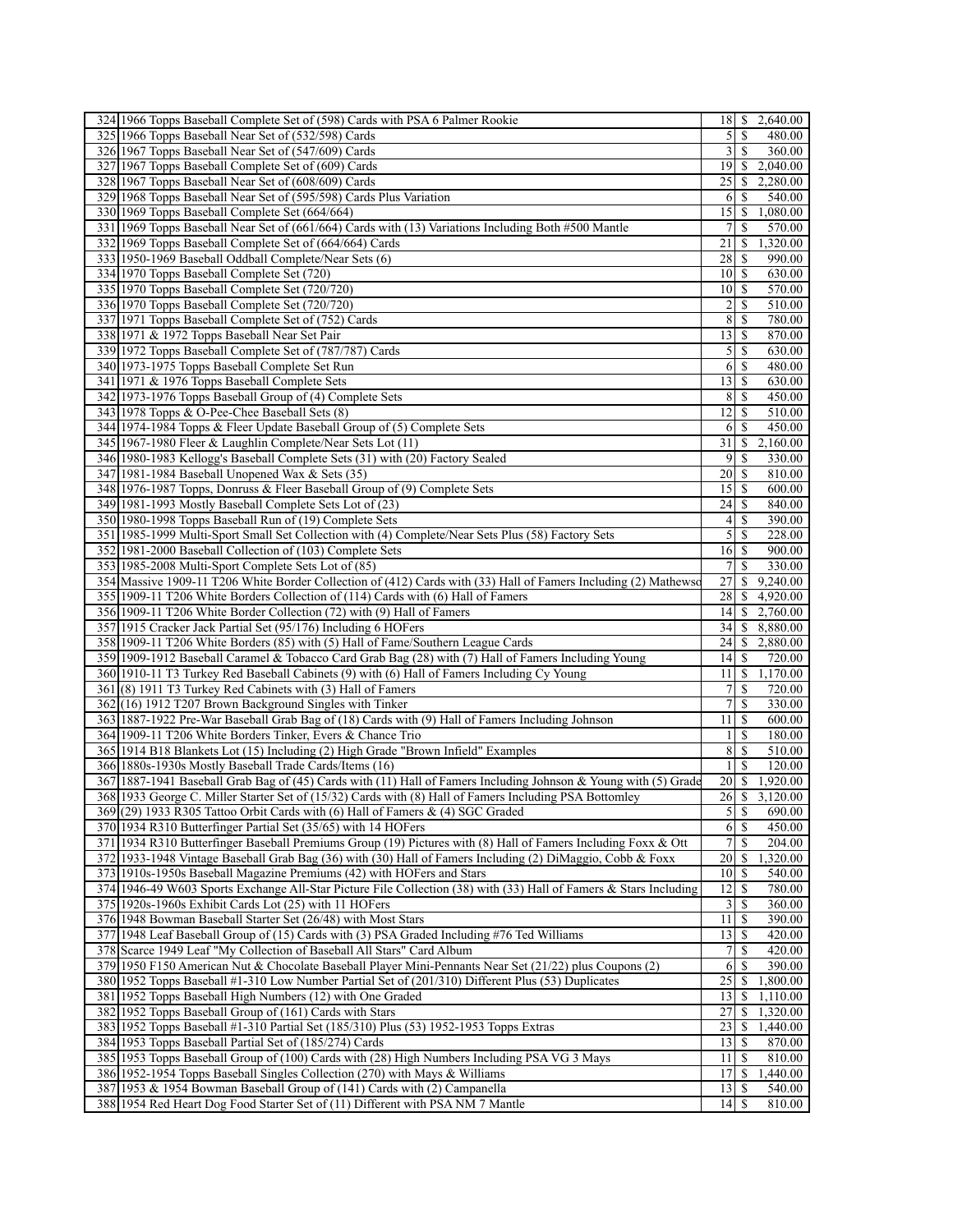| 324 1966 Topps Baseball Complete Set of (598) Cards with PSA 6 Palmer Rookie                                                                                                                                              | 18 \$ 2,640.00                                               |  |
|---------------------------------------------------------------------------------------------------------------------------------------------------------------------------------------------------------------------------|--------------------------------------------------------------|--|
| 325 1966 Topps Baseball Near Set of (532/598) Cards                                                                                                                                                                       | $\mathbb{S}$<br>$\mathcal{S}$<br>480.00                      |  |
| 326 1967 Topps Baseball Near Set of (547/609) Cards                                                                                                                                                                       | $\overline{3}$<br><sup>\$</sup><br>360.00                    |  |
| 327 1967 Topps Baseball Complete Set of (609) Cards                                                                                                                                                                       | \$2,040.00<br>19 <sup> </sup>                                |  |
| 328 1967 Topps Baseball Near Set of (608/609) Cards                                                                                                                                                                       | 25<br><sup>\$</sup><br>2,280.00                              |  |
| 329 1968 Topps Baseball Near Set of (595/598) Cards Plus Variation                                                                                                                                                        | 540.00<br><sup>\$</sup><br>6                                 |  |
| 330 1969 Topps Baseball Complete Set (664/664)                                                                                                                                                                            | 15<br>$\frac{1}{2}$ 1.080.00                                 |  |
| 331 1969 Topps Baseball Near Set of (661/664) Cards with (13) Variations Including Both #500 Mantle                                                                                                                       | S.<br>570.00<br>7                                            |  |
| 332 1969 Topps Baseball Complete Set of (664/664) Cards                                                                                                                                                                   | 21<br>\$<br>1,320.00                                         |  |
| 333 1950-1969 Baseball Oddball Complete/Near Sets (6)                                                                                                                                                                     | 28<br>S.<br>990.00                                           |  |
| 334 1970 Topps Baseball Complete Set (720)                                                                                                                                                                                | 10<br>-S<br>630.00                                           |  |
| 335 1970 Topps Baseball Complete Set (720/720)                                                                                                                                                                            | $10\vert S$<br>570.00                                        |  |
| 336 1970 Topps Baseball Complete Set (720/720)                                                                                                                                                                            | $\overline{2}$<br><sup>\$</sup><br>510.00                    |  |
| 337 1971 Topps Baseball Complete Set of (752) Cards                                                                                                                                                                       | 8<br><sup>\$</sup><br>780.00                                 |  |
| 338 1971 & 1972 Topps Baseball Near Set Pair                                                                                                                                                                              | 13<br>870.00<br>-S                                           |  |
| 339 1972 Topps Baseball Complete Set of (787/787) Cards                                                                                                                                                                   | $5$ $\sqrt{5}$<br>630.00                                     |  |
| 340 1973-1975 Topps Baseball Complete Set Run                                                                                                                                                                             | 6<br><sup>\$</sup><br>480.00                                 |  |
| 341 1971 & 1976 Topps Baseball Complete Sets                                                                                                                                                                              | 13 <sup>1</sup><br><sup>S</sup><br>630.00                    |  |
| 342 1973-1976 Topps Baseball Group of (4) Complete Sets                                                                                                                                                                   | 8<br><sup>\$</sup><br>450.00                                 |  |
| 343 1978 Topps & O-Pee-Chee Baseball Sets (8)                                                                                                                                                                             | 12 <br><sup>\$</sup><br>510.00                               |  |
| 344 1974-1984 Topps & Fleer Update Baseball Group of (5) Complete Sets                                                                                                                                                    | 450.00<br><sup>\$</sup><br>6                                 |  |
| 345 1967-1980 Fleer & Laughlin Complete/Near Sets Lot (11)                                                                                                                                                                | 31<br>\$<br>2,160.00                                         |  |
| 346 1980-1983 Kellogg's Baseball Complete Sets (31) with (20) Factory Sealed                                                                                                                                              | 9<br><sup>\$</sup><br>330.00                                 |  |
| 347 1981-1984 Baseball Unopened Wax & Sets (35)                                                                                                                                                                           | 20<br><sup>\$</sup><br>810.00                                |  |
| 348 1976-1987 Topps, Donruss & Fleer Baseball Group of (9) Complete Sets                                                                                                                                                  | 15<br>600.00<br><sup>S</sup>                                 |  |
| 349 1981-1993 Mostly Baseball Complete Sets Lot of (23)                                                                                                                                                                   | 24<br><sup>\$</sup><br>840.00                                |  |
| 350 1980-1998 Topps Baseball Run of (19) Complete Sets                                                                                                                                                                    | 41S<br>390.00                                                |  |
| 351 1985-1999 Multi-Sport Small Set Collection with (4) Complete/Near Sets Plus (58) Factory Sets                                                                                                                         | $\mathcal{S}$<br><sup>\$</sup><br>228.00                     |  |
| 352 1981-2000 Baseball Collection of (103) Complete Sets                                                                                                                                                                  | $16 \overline{\smash{\big)}\,}$<br>900.00                    |  |
| 353 1985-2008 Multi-Sport Complete Sets Lot of (85)                                                                                                                                                                       | 7 <sup>1</sup><br><sup>\$</sup><br>330.00                    |  |
| 354 Massive 1909-11 T206 White Border Collection of (412) Cards with (33) Hall of Famers Including (2) Mathewso                                                                                                           | 27<br>\$9,240.00<br>28                                       |  |
| 355 1909-11 T206 White Borders Collection of (114) Cards with (6) Hall of Famers<br>356 1909-11 T206 White Border Collection (72) with (9) Hall of Famers                                                                 | \$<br>4,920.00<br>\$2,760.00<br>14                           |  |
| 357 1915 Cracker Jack Partial Set (95/176) Including 6 HOFers                                                                                                                                                             | 34<br>\$8,880.00                                             |  |
| 358 1909-11 T206 White Borders (85) with (5) Hall of Fame/Southern League Cards                                                                                                                                           | 24<br>2,880.00<br>\$                                         |  |
| 359 1909-1912 Baseball Caramel & Tobacco Card Grab Bag (28) with (7) Hall of Famers Including Young                                                                                                                       | $14$ $\sqrt{5}$<br>720.00                                    |  |
|                                                                                                                                                                                                                           |                                                              |  |
|                                                                                                                                                                                                                           |                                                              |  |
| 360 1910-11 T3 Turkey Red Baseball Cabinets (9) with (6) Hall of Famers Including Cy Young                                                                                                                                | \$1,170.00<br>11 <sup>1</sup>                                |  |
| 361(8) 1911 T3 Turkey Red Cabinets with (3) Hall of Famers                                                                                                                                                                | 7 <sup>1</sup><br>-S<br>720.00                               |  |
| 362 (16) 1912 T207 Brown Background Singles with Tinker                                                                                                                                                                   | 7<br>\$<br>330.00                                            |  |
| 363 1887-1922 Pre-War Baseball Grab Bag of (18) Cards with (9) Hall of Famers Including Johnson                                                                                                                           | 11<br>-S<br>600.00                                           |  |
| 364 1909-11 T206 White Borders Tinker, Evers & Chance Trio                                                                                                                                                                | <sup>S</sup><br>180.00<br>11                                 |  |
| 365 1914 B18 Blankets Lot (15) Including (2) High Grade "Brown Infield" Examples<br>366 1880s-1930s Mostly Baseball Trade Cards/Items (16)                                                                                | 8<br>\$<br>510.00<br><sup>\$</sup><br>$\mathbf{1}$<br>120.00 |  |
|                                                                                                                                                                                                                           | 20<br>\$1,920.00                                             |  |
| 367 1887-1941 Baseball Grab Bag of (45) Cards with (11) Hall of Famers Including Johnson & Young with (5) Grade<br>368 1933 George C. Miller Starter Set of (15/32) Cards with (8) Hall of Famers Including PSA Bottomley | 26<br>\$3,120.00                                             |  |
| 369 (29) 1933 R305 Tattoo Orbit Cards with (6) Hall of Famers & (4) SGC Graded                                                                                                                                            | 5S<br>690.00                                                 |  |
| 370 1934 R310 Butterfinger Partial Set (35/65) with 14 HOFers                                                                                                                                                             | 6<br>$\mathbb{S}$<br>450.00                                  |  |
| 371 1934 R310 Butterfinger Baseball Premiums Group (19) Pictures with (8) Hall of Famers Including Foxx & Ott                                                                                                             | 7<br>\$<br>204.00                                            |  |
| 372 1933-1948 Vintage Baseball Grab Bag (36) with (30) Hall of Famers Including (2) DiMaggio, Cobb & Foxx                                                                                                                 | 20<br>1,320.00<br>-S                                         |  |
| 373 1910s-1950s Baseball Magazine Premiums (42) with HOFers and Stars                                                                                                                                                     | 10 <sup>1</sup><br><sup>\$</sup><br>540.00                   |  |
| 374 1946-49 W603 Sports Exchange All-Star Picture File Collection (38) with (33) Hall of Famers & Stars Including                                                                                                         | 12<br>780.00<br><sup>\$</sup>                                |  |
| 375 1920s-1960s Exhibit Cards Lot (25) with 11 HOFers                                                                                                                                                                     | $\overline{\mathbf{3}}$<br><sup>\$</sup><br>360.00           |  |
| 376 1948 Bowman Baseball Starter Set (26/48) with Most Stars                                                                                                                                                              | 11<br><sup>\$</sup><br>390.00                                |  |
| 377   1948 Leaf Baseball Group of (15) Cards with (3) PSA Graded Including #76 Ted Williams                                                                                                                               | $13 \mid S$<br>420.00                                        |  |
| 378 Scarce 1949 Leaf "My Collection of Baseball All Stars" Card Album                                                                                                                                                     | $\overline{7}$<br><sup>\$</sup><br>420.00                    |  |
| 379 1950 F150 American Nut & Chocolate Baseball Player Mini-Pennants Near Set (21/22) plus Coupons (2)                                                                                                                    | 390.00<br>6<br><sup>\$</sup>                                 |  |
| 380 1952 Topps Baseball #1-310 Low Number Partial Set of (201/310) Different Plus (53) Duplicates                                                                                                                         | 25<br>1,800.00<br>\$                                         |  |
| 381 1952 Topps Baseball High Numbers (12) with One Graded                                                                                                                                                                 | 13<br>\$<br>1,110.00                                         |  |
| 382 1952 Topps Baseball Group of (161) Cards with Stars                                                                                                                                                                   | 27<br><sup>\$</sup><br>1,320.00                              |  |
| 383 1952 Topps Baseball #1-310 Partial Set (185/310) Plus (53) 1952-1953 Topps Extras                                                                                                                                     | 23<br><sup>\$</sup><br>1,440.00                              |  |
| 384 1953 Topps Baseball Partial Set of (185/274) Cards                                                                                                                                                                    | 13<br>S.<br>870.00                                           |  |
| 385 1953 Topps Baseball Group of (100) Cards with (28) High Numbers Including PSA VG 3 Mays                                                                                                                               | 11<br>\$<br>810.00                                           |  |
| 386 1952-1954 Topps Baseball Singles Collection (270) with Mays & Williams                                                                                                                                                | 17<br><sup>\$</sup><br>1,440.00                              |  |
| 387 1953 & 1954 Bowman Baseball Group of (141) Cards with (2) Campanella<br>388 1954 Red Heart Dog Food Starter Set of (11) Different with PSA NM 7 Mantle                                                                | $13$ $\sqrt{5}$<br>540.00<br>$14$ $\sqrt{5}$<br>810.00       |  |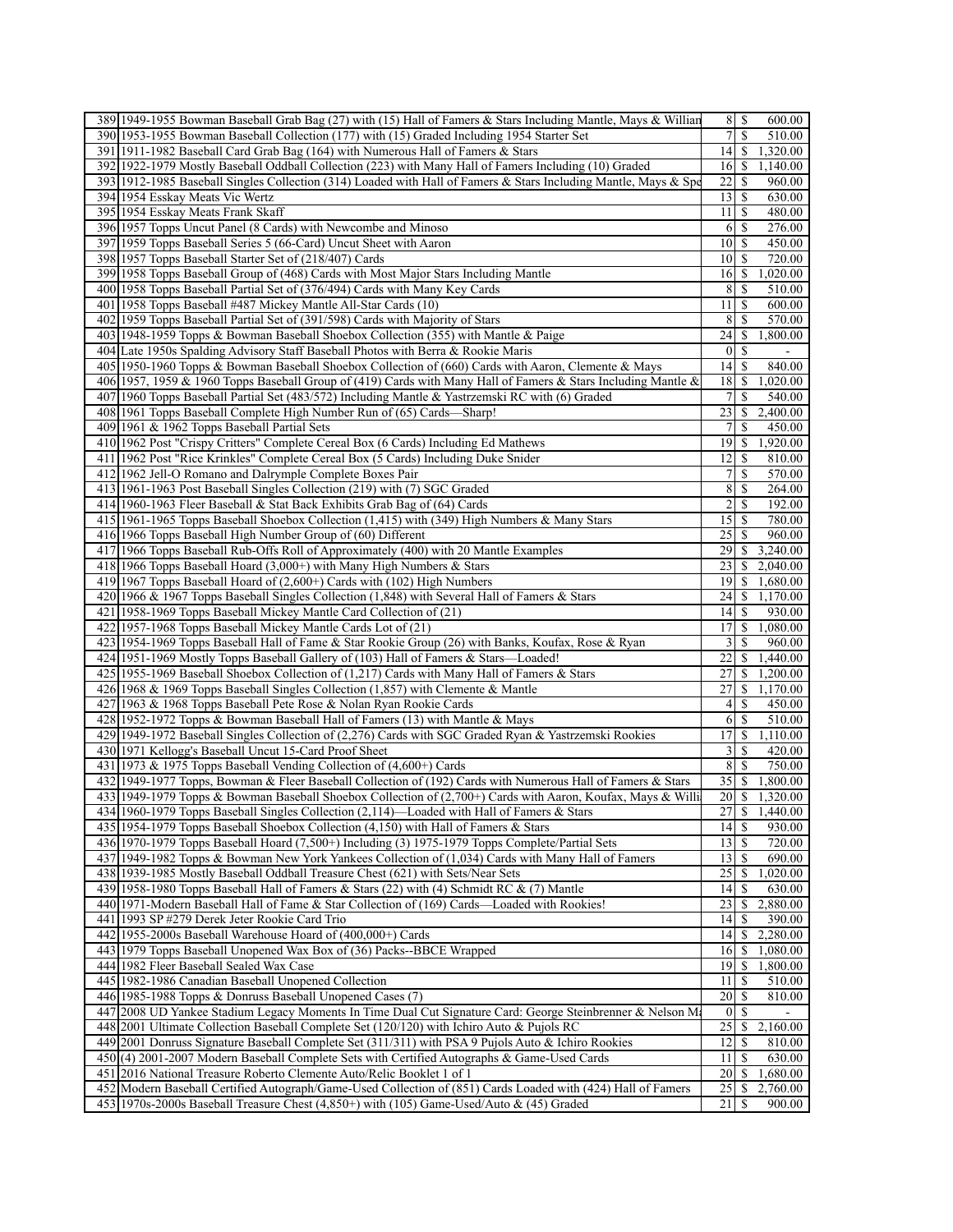|     | 389 1949-1955 Bowman Baseball Grab Bag (27) with (15) Hall of Famers & Stars Including Mantle, Mays & Willian                                                                                            | $8 \mid S$<br>600.00                               |
|-----|----------------------------------------------------------------------------------------------------------------------------------------------------------------------------------------------------------|----------------------------------------------------|
|     | 390 1953-1955 Bowman Baseball Collection (177) with (15) Graded Including 1954 Starter Set                                                                                                               | 7<br>\$<br>510.00                                  |
|     | 391 1911-1982 Baseball Card Grab Bag (164) with Numerous Hall of Famers & Stars                                                                                                                          | 4 <br>1,320.00<br>\$                               |
|     | 392 1922-1979 Mostly Baseball Oddball Collection (223) with Many Hall of Famers Including (10) Graded                                                                                                    | 16<br>\$.<br>1,140.00                              |
|     | 393 1912-1985 Baseball Singles Collection (314) Loaded with Hall of Famers & Stars Including Mantle, Mays & Spe                                                                                          | 22<br>960.00<br>\$                                 |
|     | 394 1954 Esskay Meats Vic Wertz                                                                                                                                                                          | 13<br>S<br>630.00                                  |
|     | 395 1954 Esskay Meats Frank Skaff                                                                                                                                                                        | 11<br>S<br>480.00                                  |
|     | 3961957 Topps Uncut Panel (8 Cards) with Newcombe and Minoso                                                                                                                                             | 276.00<br>6<br>S                                   |
|     | 397 1959 Topps Baseball Series 5 (66-Card) Uncut Sheet with Aaron                                                                                                                                        | 10 <sup>1</sup><br>-S<br>450.00                    |
|     | 398 1957 Topps Baseball Starter Set of (218/407) Cards                                                                                                                                                   | 10 <sup>1</sup><br>-S<br>720.00                    |
|     | 399 1958 Topps Baseball Group of (468) Cards with Most Major Stars Including Mantle                                                                                                                      | \$<br>1,020.00<br>16                               |
|     | 400 1958 Topps Baseball Partial Set of (376/494) Cards with Many Key Cards                                                                                                                               | 8<br>\$<br>510.00                                  |
|     | 401 1958 Topps Baseball #487 Mickey Mantle All-Star Cards (10)                                                                                                                                           | 11<br>$\mathbb{S}$                                 |
|     |                                                                                                                                                                                                          | 600.00<br>570.00                                   |
|     | 402 1959 Topps Baseball Partial Set of (391/598) Cards with Majority of Stars                                                                                                                            | 8<br>\$                                            |
|     | 403 1948-1959 Topps & Bowman Baseball Shoebox Collection (355) with Mantle & Paige                                                                                                                       | 24<br>\$<br>1,800.00                               |
|     | 404 Late 1950s Spalding Advisory Staff Baseball Photos with Berra & Rookie Maris                                                                                                                         | $\vert 0 \vert$<br><sup>\$</sup><br>$\blacksquare$ |
|     | 405 1950-1960 Topps & Bowman Baseball Shoebox Collection of (660) Cards with Aaron, Clemente & Mays                                                                                                      | 14<br><sup>\$</sup><br>840.00                      |
|     | 406 1957, 1959 & 1960 Topps Baseball Group of (419) Cards with Many Hall of Famers & Stars Including Mantle &                                                                                            | 18<br>\$<br>1,020.00                               |
|     | 407 1960 Topps Baseball Partial Set (483/572) Including Mantle & Yastrzemski RC with (6) Graded                                                                                                          | 7<br>S<br>540.00                                   |
|     | 408 1961 Topps Baseball Complete High Number Run of (65) Cards—Sharp!                                                                                                                                    | 23<br>2,400.00<br>\$                               |
|     | 409 1961 & 1962 Topps Baseball Partial Sets                                                                                                                                                              | 7<br>S<br>450.00                                   |
|     | 410 1962 Post "Crispy Critters" Complete Cereal Box (6 Cards) Including Ed Mathews                                                                                                                       | 19<br>1,920.00<br>\$                               |
|     | 411 1962 Post "Rice Krinkles" Complete Cereal Box (5 Cards) Including Duke Snider                                                                                                                        | 12<br>\$<br>810.00                                 |
|     | 412 1962 Jell-O Romano and Dalrymple Complete Boxes Pair                                                                                                                                                 | 7<br>S<br>570.00                                   |
|     | 413 1961-1963 Post Baseball Singles Collection (219) with (7) SGC Graded                                                                                                                                 | 8<br>\$<br>264.00                                  |
|     | 414 1960-1963 Fleer Baseball & Stat Back Exhibits Grab Bag of (64) Cards                                                                                                                                 | $\overline{c}$<br>$\mathbb{S}$<br>192.00           |
|     | 415 1961-1965 Topps Baseball Shoebox Collection (1,415) with (349) High Numbers & Many Stars                                                                                                             | $15$ $\frac{1}{5}$<br>780.00                       |
|     | 416 1966 Topps Baseball High Number Group of (60) Different                                                                                                                                              | 25<br>S<br>960.00                                  |
|     | 417 1966 Topps Baseball Rub-Offs Roll of Approximately (400) with 20 Mantle Examples                                                                                                                     | 29<br>3,240.00<br>S                                |
|     | 418 1966 Topps Baseball Hoard (3,000+) with Many High Numbers & Stars                                                                                                                                    | 2,040.00<br>23<br>S                                |
|     | 419 1967 Topps Baseball Hoard of (2,600+) Cards with (102) High Numbers                                                                                                                                  | 1,680.00<br>19<br>S                                |
|     | 420 1966 & 1967 Topps Baseball Singles Collection (1,848) with Several Hall of Famers & Stars                                                                                                            | 24<br>\$<br>1,170.00                               |
|     | 421 1958-1969 Topps Baseball Mickey Mantle Card Collection of (21)                                                                                                                                       | 930.00<br> 4 <br>\$                                |
|     | 422 1957-1968 Topps Baseball Mickey Mantle Cards Lot of (21)                                                                                                                                             | 1,080.00<br>17<br>\$                               |
|     | 423 1954-1969 Topps Baseball Hall of Fame & Star Rookie Group (26) with Banks, Koufax, Rose & Ryan                                                                                                       | \$<br>3<br>960.00                                  |
|     | 424 1951-1969 Mostly Topps Baseball Gallery of (103) Hall of Famers & Stars—Loaded!                                                                                                                      | 22<br>1,440.00<br>\$                               |
|     | 425 1955-1969 Baseball Shoebox Collection of (1,217) Cards with Many Hall of Famers & Stars                                                                                                              | 27<br>1,200.00<br>\$.                              |
|     | 426 1968 & 1969 Topps Baseball Singles Collection (1,857) with Clemente & Mantle                                                                                                                         | 27<br>1,170.00                                     |
|     |                                                                                                                                                                                                          | \$                                                 |
| 427 | 1963 & 1968 Topps Baseball Pete Rose & Nolan Ryan Rookie Cards                                                                                                                                           | 4<br>\$<br>450.00                                  |
|     | 428 1952-1972 Topps & Bowman Baseball Hall of Famers (13) with Mantle & Mays                                                                                                                             | 6<br>510.00<br>\$                                  |
|     | 429 1949-1972 Baseball Singles Collection of (2,276) Cards with SGC Graded Ryan & Yastrzemski Rookies                                                                                                    | 17<br>\$<br>1,110.00                               |
|     | 430 1971 Kellogg's Baseball Uncut 15-Card Proof Sheet                                                                                                                                                    | 3<br>S<br>420.00                                   |
|     | 431 1973 & 1975 Topps Baseball Vending Collection of (4,600+) Cards                                                                                                                                      | $\bf 8$<br>\$<br>750.00                            |
|     | 432 1949-1977 Topps, Bowman & Fleer Baseball Collection of (192) Cards with Numerous Hall of Famers & Stars                                                                                              | 35<br><sup>\$</sup><br>1,800.00                    |
|     | 433 1949-1979 Topps & Bowman Baseball Shoebox Collection of (2,700+) Cards with Aaron, Koufax, Mays & Willi                                                                                              | $\mathbb{S}$<br>20 <sub>l</sub><br>1,320.00        |
|     | 434 1960-1979 Topps Baseball Singles Collection (2,114)—Loaded with Hall of Famers & Stars                                                                                                               | 1,440.00                                           |
|     | 435 1954-1979 Topps Baseball Shoebox Collection (4,150) with Hall of Famers & Stars                                                                                                                      | 14<br>-\$<br>930.00                                |
|     | 436 1970-1979 Topps Baseball Hoard (7,500+) Including (3) 1975-1979 Topps Complete/Partial Sets                                                                                                          | $13$ $\sqrt{5}$<br>720.00                          |
|     | 437 1949-1982 Topps & Bowman New York Yankees Collection of (1,034) Cards with Many Hall of Famers                                                                                                       | 13 <br>S<br>690.00                                 |
|     | 438 1939-1985 Mostly Baseball Oddball Treasure Chest (621) with Sets/Near Sets                                                                                                                           | 25<br>1,020.00<br>\$                               |
|     | 439 1958-1980 Topps Baseball Hall of Famers & Stars (22) with (4) Schmidt RC & (7) Mantle                                                                                                                | 630.00<br>14<br>-S                                 |
|     | 440 1971-Modern Baseball Hall of Fame & Star Collection of (169) Cards—Loaded with Rookies!                                                                                                              | 23<br>2,880.00<br><sup>\$</sup>                    |
|     | 441 1993 SP #279 Derek Jeter Rookie Card Trio                                                                                                                                                            | 390.00<br>14<br>S                                  |
|     | 442 1955-2000s Baseball Warehouse Hoard of (400,000+) Cards                                                                                                                                              | 2,280.00<br>14<br><sup>\$</sup>                    |
|     | 443 1979 Topps Baseball Unopened Wax Box of (36) Packs--BBCE Wrapped                                                                                                                                     | 1,080.00<br>16<br>\$                               |
|     | 444 1982 Fleer Baseball Sealed Wax Case                                                                                                                                                                  | 1,800.00<br>19<br>\$                               |
|     | 445 1982-1986 Canadian Baseball Unopened Collection                                                                                                                                                      | 11<br>510.00<br>S                                  |
|     | 446 1985-1988 Topps & Donruss Baseball Unopened Cases (7)                                                                                                                                                | 20<br><sup>\$</sup><br>810.00                      |
|     | 447 2008 UD Yankee Stadium Legacy Moments In Time Dual Cut Signature Card: George Steinbrenner & Nelson Ma                                                                                               | $\bf{0}$<br>S                                      |
|     | 448 2001 Ultimate Collection Baseball Complete Set (120/120) with Ichiro Auto & Pujols RC                                                                                                                | 25<br>2,160.00                                     |
|     |                                                                                                                                                                                                          |                                                    |
|     | 449 2001 Donruss Signature Baseball Complete Set (311/311) with PSA 9 Pujols Auto & Ichiro Rookies                                                                                                       | 12 <br>810.00<br>S                                 |
|     | 450 (4) 2001-2007 Modern Baseball Complete Sets with Certified Autographs & Game-Used Cards                                                                                                              | 630.00<br>11<br><b>S</b>                           |
|     |                                                                                                                                                                                                          |                                                    |
|     | 451 2016 National Treasure Roberto Clemente Auto/Relic Booklet 1 of 1                                                                                                                                    | 20<br>1,680.00<br>S                                |
|     | 452 Modern Baseball Certified Autograph/Game-Used Collection of (851) Cards Loaded with (424) Hall of Famers<br>453 1970s-2000s Baseball Treasure Chest (4,850+) with (105) Game-Used/Auto & (45) Graded | 25<br>2,760.00<br>\$<br>21<br>900.00<br>£.         |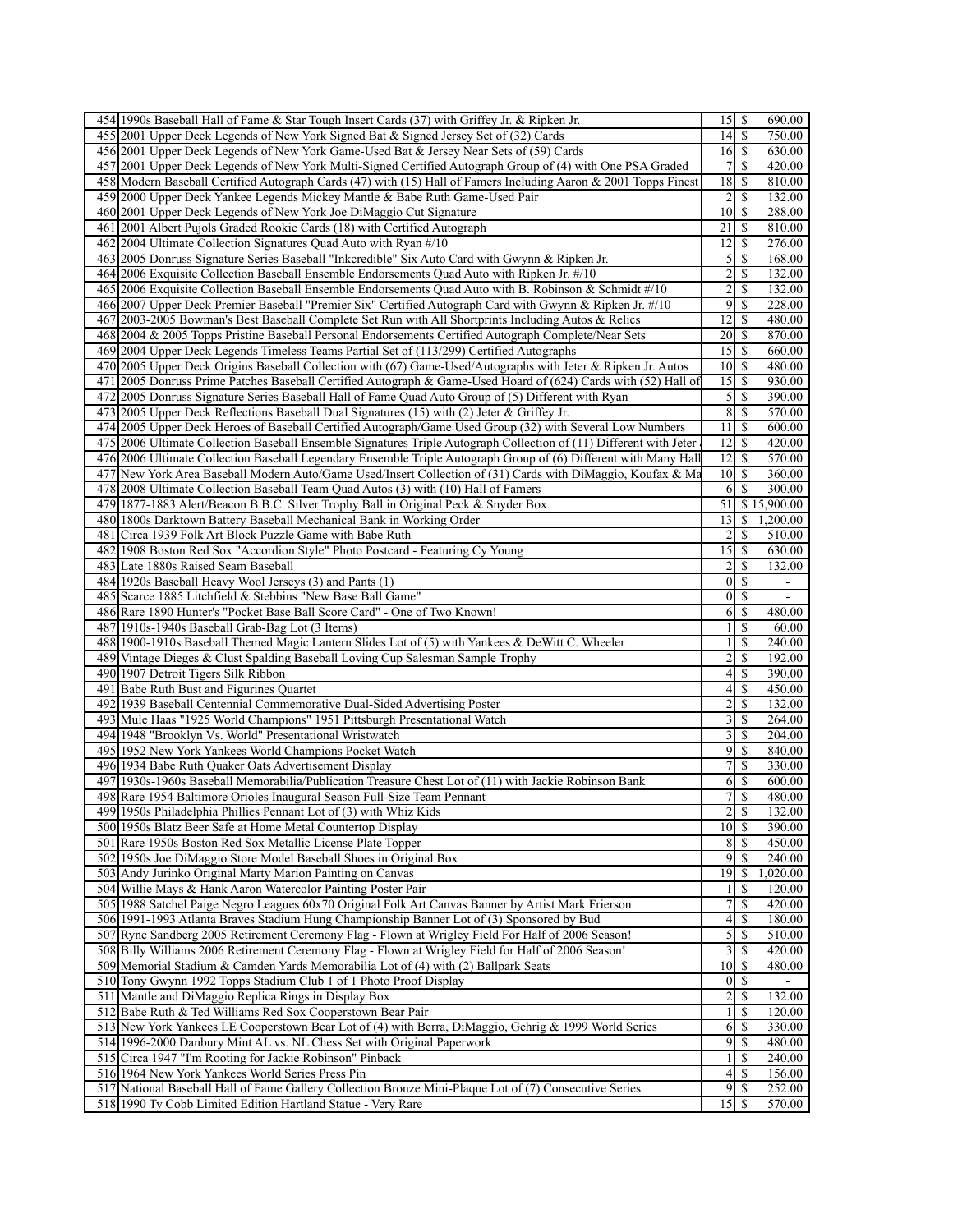| 454 1990s Baseball Hall of Fame & Star Tough Insert Cards (37) with Griffey Jr. & Ripken Jr.                                                                           |                                     |               | 690.00                   |
|------------------------------------------------------------------------------------------------------------------------------------------------------------------------|-------------------------------------|---------------|--------------------------|
| 455 2001 Upper Deck Legends of New York Signed Bat & Signed Jersey Set of (32) Cards                                                                                   |                                     |               | 750.00                   |
| 456 2001 Upper Deck Legends of New York Game-Used Bat & Jersey Near Sets of (59) Cards                                                                                 |                                     |               | 630.00                   |
| 457 2001 Upper Deck Legends of New York Multi-Signed Certified Autograph Group of (4) with One PSA Graded                                                              | $7$ $\sqrt{5}$                      |               | $\overline{420.00}$      |
| 458 Modern Baseball Certified Autograph Cards (47) with (15) Hall of Famers Including Aaron & 2001 Topps Finest                                                        | 18                                  | -S            | 810.00                   |
| 459 2000 Upper Deck Yankee Legends Mickey Mantle & Babe Ruth Game-Used Pair                                                                                            | 2                                   | <sup>\$</sup> | 132.00                   |
|                                                                                                                                                                        |                                     |               |                          |
| 460 2001 Upper Deck Legends of New York Joe DiMaggio Cut Signature                                                                                                     | $10$ $\sqrt{5}$                     |               | 288.00                   |
| 461 2001 Albert Pujols Graded Rookie Cards (18) with Certified Autograph                                                                                               | 21                                  | $\mathbb{S}$  | 810.00                   |
| 462 2004 Ultimate Collection Signatures Quad Auto with Ryan #/10                                                                                                       | 12                                  | $\mathbb{S}$  | 276.00                   |
| 463 2005 Donruss Signature Series Baseball "Inkcredible" Six Auto Card with Gwynn & Ripken Jr.                                                                         | $\overline{5}$                      | $\mathbb{S}$  | 168.00                   |
| 464 2006 Exquisite Collection Baseball Ensemble Endorsements Quad Auto with Ripken Jr. #/10                                                                            | 2                                   | \$            | 132.00                   |
| 465 2006 Exquisite Collection Baseball Ensemble Endorsements Quad Auto with B. Robinson & Schmidt #/10                                                                 | $\overline{\mathbf{c}}$             | <sup>\$</sup> | 132.00                   |
| 466 2007 Upper Deck Premier Baseball "Premier Six" Certified Autograph Card with Gwynn & Ripken Jr. #/10                                                               | 9                                   | \$            | 228.00                   |
| 467 2003-2005 Bowman's Best Baseball Complete Set Run with All Shortprints Including Autos & Relics                                                                    | $\overline{12}$ \$                  |               | 480.00                   |
| 468 2004 & 2005 Topps Pristine Baseball Personal Endorsements Certified Autograph Complete/Near Sets                                                                   | $20$ $\sqrt{5}$                     |               | 870.00                   |
|                                                                                                                                                                        |                                     |               |                          |
| 469 2004 Upper Deck Legends Timeless Teams Partial Set of (113/299) Certified Autographs                                                                               | 15                                  | $\mathbb{S}$  | 660.00                   |
| 470 2005 Upper Deck Origins Baseball Collection with (67) Game-Used/Autographs with Jeter & Ripken Jr. Autos                                                           | $10$ $\sqrt{5}$                     |               | 480.00                   |
| 471 2005 Donruss Prime Patches Baseball Certified Autograph & Game-Used Hoard of (624) Cards with (52) Hall of                                                         |                                     |               | 930.00                   |
| 472 2005 Donruss Signature Series Baseball Hall of Fame Quad Auto Group of (5) Different with Ryan                                                                     | $\mathfrak{S}$                      | -S            | 390.00                   |
| 473 2005 Upper Deck Reflections Baseball Dual Signatures (15) with (2) Jeter & Griffey Jr.                                                                             | 8                                   | $\mathbb{S}$  | 570.00                   |
| 474 2005 Upper Deck Heroes of Baseball Certified Autograph/Game Used Group (32) with Several Low Numbers                                                               | 11                                  | -S            | 600.00                   |
| 475 2006 Ultimate Collection Baseball Ensemble Signatures Triple Autograph Collection of (11) Different with Jeter                                                     | 12                                  | $\mathbb{S}$  | 420.00                   |
| 476 2006 Ultimate Collection Baseball Legendary Ensemble Triple Autograph Group of (6) Different with Many Hall                                                        | 12                                  | -S            | 570.00                   |
| 477<br>New York Area Baseball Modern Auto/Game Used/Insert Collection of (31) Cards with DiMaggio, Koufax & Ma                                                         | $10\vert S$                         |               | 360.00                   |
|                                                                                                                                                                        |                                     |               |                          |
| 478 2008 Ultimate Collection Baseball Team Quad Autos (3) with (10) Hall of Famers                                                                                     | 6                                   | <sup>\$</sup> | 300.00                   |
| 479 1877-1883 Alert/Beacon B.B.C. Silver Trophy Ball in Original Peck & Snyder Box                                                                                     | 51                                  |               | \$15,900.00              |
| 480 1800s Darktown Battery Baseball Mechanical Bank in Working Order                                                                                                   | 13                                  | \$            | 1,200.00                 |
| 481 Circa 1939 Folk Art Block Puzzle Game with Babe Ruth                                                                                                               | 2                                   | S             | 510.00                   |
| 482 1908 Boston Red Sox "Accordion Style" Photo Postcard - Featuring Cy Young                                                                                          | $15$ $\sqrt{5}$                     |               | 630.00                   |
| 483<br>Late 1880s Raised Seam Baseball                                                                                                                                 | 2                                   | \$            | 132.00                   |
| 484 1920s Baseball Heavy Wool Jerseys (3) and Pants (1)                                                                                                                | $\vert$                             | <sup>\$</sup> | $\overline{\phantom{a}}$ |
| 485 Scarce 1885 Litchfield & Stebbins "New Base Ball Game"                                                                                                             | $0 \mid S$                          |               | $\overline{a}$           |
| 486 Rare 1890 Hunter's "Pocket Base Ball Score Card" - One of Two Known!                                                                                               | 6                                   |               | 480.00                   |
|                                                                                                                                                                        |                                     | \$            |                          |
| 487 1910s-1940s Baseball Grab-Bag Lot (3 Items)                                                                                                                        | $\mathbf{1}$                        | <sup>\$</sup> | 60.00                    |
| 488 1900-1910s Baseball Themed Magic Lantern Slides Lot of (5) with Yankees & DeWitt C. Wheeler                                                                        | $\mathbf{1}$                        | <sup>\$</sup> | 240.00                   |
| 489 Vintage Dieges & Clust Spalding Baseball Loving Cup Salesman Sample Trophy                                                                                         | 2                                   | \$            | 192.00                   |
| 490 1907 Detroit Tigers Silk Ribbon                                                                                                                                    | $\vert 4 \vert$                     | $\mathbb{S}$  | 390.00                   |
| 491 Babe Ruth Bust and Figurines Quartet                                                                                                                               | 4                                   | -S            | 450.00                   |
| 492 1939 Baseball Centennial Commemorative Dual-Sided Advertising Poster                                                                                               | $\overline{c}$                      | <sup>\$</sup> | 132.00                   |
| Mule Haas "1925 World Champions" 1951 Pittsburgh Presentational Watch<br>493                                                                                           | $\overline{3}$                      | -S            | 264.00                   |
| 494 1948 "Brooklyn Vs. World" Presentational Wristwatch                                                                                                                | $\overline{3}$                      | -S            | 204.00                   |
|                                                                                                                                                                        | 9                                   | \$            | 840.00                   |
|                                                                                                                                                                        |                                     |               | 330.00                   |
| 495 1952 New York Yankees World Champions Pocket Watch                                                                                                                 |                                     |               | 600.00                   |
| 496 1934 Babe Ruth Quaker Oats Advertisement Display                                                                                                                   | 7S                                  | $\mathcal{S}$ |                          |
| 1930s-1960s Baseball Memorabilia/Publication Treasure Chest Lot of (11) with Jackie Robinson Bank<br>497                                                               | 6                                   |               |                          |
| 498 Rare 1954 Baltimore Orioles Inaugural Season Full-Size Team Pennant                                                                                                | $\boldsymbol{7}$                    | \$            | 480.00                   |
| 499 1950s Philadelphia Phillies Pennant Lot of (3) with Whiz Kids                                                                                                      |                                     | $2 \mid$ \$   | 132.00                   |
| 500 1950s Blatz Beer Safe at Home Metal Countertop Display                                                                                                             | $10 \mid$ \$                        |               | 390.00                   |
| 501 Rare 1950s Boston Red Sox Metallic License Plate Topper                                                                                                            | 8 <sup>l</sup>                      | -S            | 450.00                   |
| 502 1950s Joe DiMaggio Store Model Baseball Shoes in Original Box                                                                                                      | $9 \overline{\smash{)}\, \text{S}}$ |               | 240.00                   |
|                                                                                                                                                                        |                                     |               |                          |
| 503 Andy Jurinko Original Marty Marion Painting on Canvas                                                                                                              | 19                                  | <sup>\$</sup> | 1,020.00                 |
| 504 Willie Mays & Hank Aaron Watercolor Painting Poster Pair                                                                                                           | $\frac{1}{2}$                       | -S            | 120.00                   |
| 505 1988 Satchel Paige Negro Leagues 60x70 Original Folk Art Canvas Banner by Artist Mark Frierson                                                                     | 7                                   | <sup>\$</sup> | 420.00                   |
| 506 1991-1993 Atlanta Braves Stadium Hung Championship Banner Lot of (3) Sponsored by Bud                                                                              | $\overline{4}$                      | -S            | 180.00                   |
| 507 Ryne Sandberg 2005 Retirement Ceremony Flag - Flown at Wrigley Field For Half of 2006 Season!                                                                      | $\mathfrak{S}$                      | -S            | 510.00                   |
| 508 Billy Williams 2006 Retirement Ceremony Flag - Flown at Wrigley Field for Half of 2006 Season!                                                                     | $3$ $\sqrt{3}$                      |               | $\frac{1}{420.00}$       |
| 509 Memorial Stadium & Camden Yards Memorabilia Lot of (4) with (2) Ballpark Seats                                                                                     | $10\vert S$                         |               | 480.00                   |
| 510 Tony Gwynn 1992 Topps Stadium Club 1 of 1 Photo Proof Display                                                                                                      | $\overline{0}$                      | -S            |                          |
| 511 Mantle and DiMaggio Replica Rings in Display Box                                                                                                                   | $2 \overline{\smash{)}\,}$          |               | 132.00                   |
|                                                                                                                                                                        | $\vert$                             | -S            | 120.00                   |
| 512 Babe Ruth & Ted Williams Red Sox Cooperstown Bear Pair                                                                                                             |                                     | -S            |                          |
| 513 New York Yankees LE Cooperstown Bear Lot of (4) with Berra, DiMaggio, Gehrig & 1999 World Series                                                                   | 6                                   |               | 330.00                   |
| 514 1996-2000 Danbury Mint AL vs. NL Chess Set with Original Paperwork                                                                                                 | 9                                   | -S            | 480.00                   |
| 515 Circa 1947 "I'm Rooting for Jackie Robinson" Pinback                                                                                                               | $\mathbf{1}$                        | S             | 240.00                   |
| 516 1964 New York Yankees World Series Press Pin                                                                                                                       | $\vert 4 \vert$                     | -S            | 156.00                   |
| 517 National Baseball Hall of Fame Gallery Collection Bronze Mini-Plaque Lot of (7) Consecutive Series<br>518 1990 Ty Cobb Limited Edition Hartland Statue - Very Rare | 9<br>$15$ $\sqrt{5}$                | <sup>\$</sup> | 252.00<br>570.00         |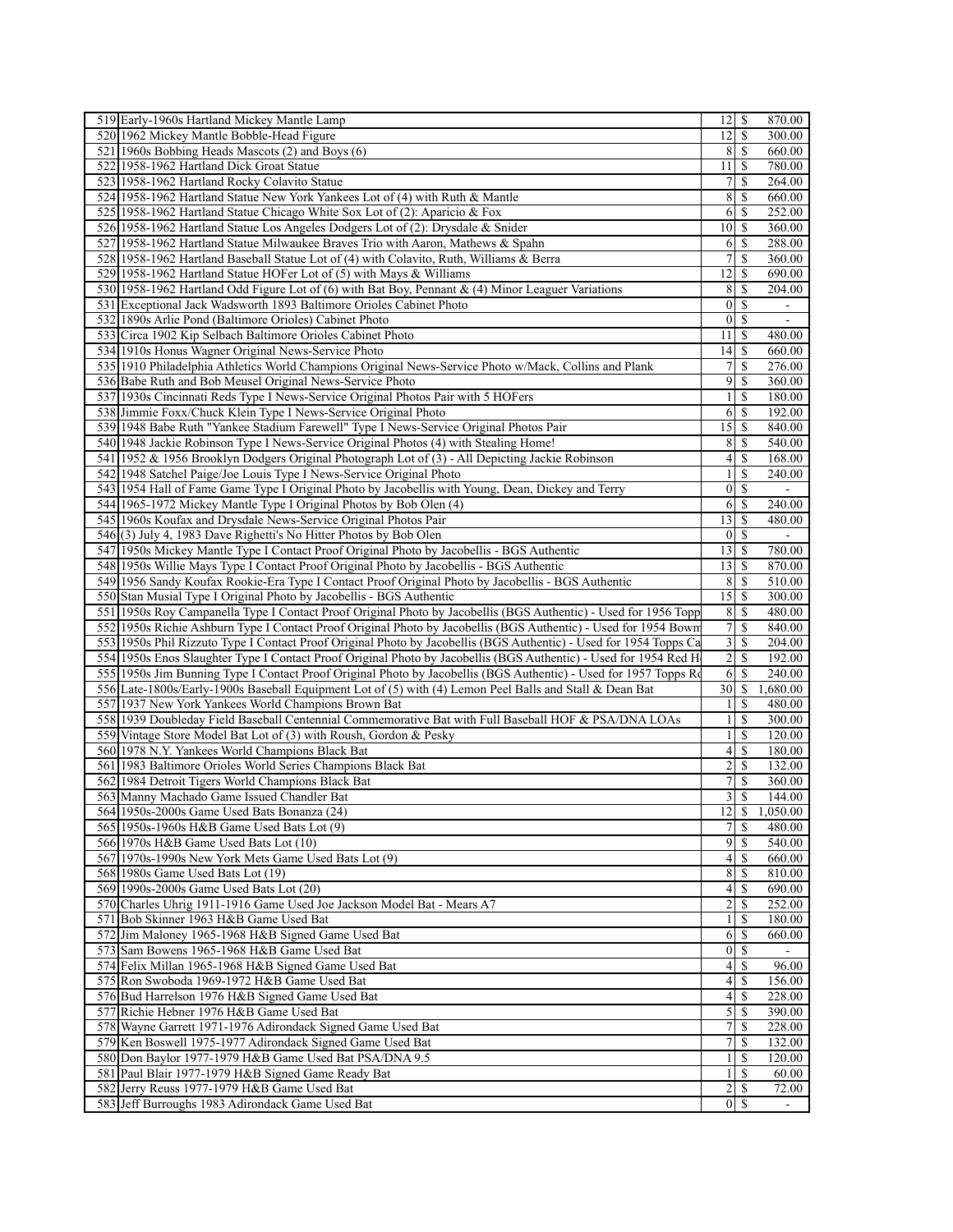| 519 Early-1960s Hartland Mickey Mantle Lamp                                                                          | $12$   \$                    |                     | 870.00                   |
|----------------------------------------------------------------------------------------------------------------------|------------------------------|---------------------|--------------------------|
| 520 1962 Mickey Mantle Bobble-Head Figure                                                                            | 2                            | \$                  | 300.00                   |
| 521 1960s Bobbing Heads Mascots (2) and Boys (6)                                                                     | 8                            | <sup>\$</sup>       | 660.00                   |
| 522 1958-1962 Hartland Dick Groat Statue                                                                             | 11                           | -S                  | 780.00                   |
| 523 1958-1962 Hartland Rocky Colavito Statue                                                                         | 7                            | \$                  | 264.00                   |
| 524 1958-1962 Hartland Statue New York Yankees Lot of (4) with Ruth & Mantle                                         | 8                            | -S                  | 660.00                   |
| 525 1958-1962 Hartland Statue Chicago White Sox Lot of (2): Aparicio & Fox                                           | 6                            | -S                  | 252.00                   |
| 526 1958-1962 Hartland Statue Los Angeles Dodgers Lot of (2): Drysdale & Snider                                      | 10 <sup>1</sup>              | <sup>\$</sup>       | 360.00                   |
| 527 1958-1962 Hartland Statue Milwaukee Braves Trio with Aaron, Mathews & Spahn                                      | 6                            | -S                  | 288.00                   |
| 528 1958-1962 Hartland Baseball Statue Lot of (4) with Colavito, Ruth, Williams & Berra                              | 7                            | $\mathbb{S}$        | 360.00                   |
| 529 1958-1962 Hartland Statue HOFer Lot of (5) with Mays & Williams                                                  | 12                           | -S                  | 690.00                   |
| 530 1958-1962 Hartland Odd Figure Lot of (6) with Bat Boy, Pennant & (4) Minor Leaguer Variations                    | 8                            | <sup>\$</sup>       | 204.00                   |
| 531 Exceptional Jack Wadsworth 1893 Baltimore Orioles Cabinet Photo                                                  | $\overline{0}$               | -S                  | $\blacksquare$           |
| 532 1890s Arlie Pond (Baltimore Orioles) Cabinet Photo                                                               | $\vert$                      | -S                  | $\overline{\phantom{a}}$ |
| 533 Circa 1902 Kip Selbach Baltimore Orioles Cabinet Photo                                                           | 11                           | <sup>\$</sup>       | 480.00                   |
| 534 1910s Honus Wagner Original News-Service Photo                                                                   | 14                           | <sup>\$</sup>       | 660.00                   |
| 535 1910 Philadelphia Athletics World Champions Original News-Service Photo w/Mack, Collins and Plank                | $\tau$                       | $\mathbb{S}$        | 276.00                   |
| 536 Babe Ruth and Bob Meusel Original News-Service Photo                                                             | $\overline{9}$               | <sup>\$</sup>       | 360.00                   |
| 537 1930s Cincinnati Reds Type I News-Service Original Photos Pair with 5 HOFers                                     | $\mathbf{1}$                 | <sup>\$</sup>       | 180.00                   |
| 538 Jimmie Foxx/Chuck Klein Type I News-Service Original Photo                                                       | 6                            | $\mathbb{S}$        | 192.00                   |
| 539 1948 Babe Ruth "Yankee Stadium Farewell" Type I News-Service Original Photos Pair                                | 15 <sup>1</sup>              | -S                  | 840.00                   |
| 540 1948 Jackie Robinson Type I News-Service Original Photos (4) with Stealing Home!                                 | 8                            | \$                  | 540.00                   |
| 541 1952 & 1956 Brooklyn Dodgers Original Photograph Lot of (3) - All Depicting Jackie Robinson                      | $\left 4\right $             | <sup>\$</sup>       | 168.00                   |
| 542 1948 Satchel Paige/Joe Louis Type I News-Service Original Photo                                                  | $\mathbf{1}$                 | <sup>\$</sup>       | 240.00                   |
| 543 1954 Hall of Fame Game Type I Original Photo by Jacobellis with Young, Dean, Dickey and Terry                    | $\boldsymbol{0}$             | <sup>\$</sup>       |                          |
| 544 1965-1972 Mickey Mantle Type I Original Photos by Bob Olen (4)                                                   | 6                            | -S                  | 240.00                   |
| 545 1960s Koufax and Drysdale News-Service Original Photos Pair                                                      | 3                            | -S                  | 480.00                   |
| 546(3) July 4, 1983 Dave Righetti's No Hitter Photos by Bob Olen                                                     | $\vert 0 \vert$              | <sup>\$</sup>       |                          |
| 547 1950s Mickey Mantle Type I Contact Proof Original Photo by Jacobellis - BGS Authentic                            | $13 \mid S$                  |                     | 780.00                   |
| 548 1950s Willie Mays Type I Contact Proof Original Photo by Jacobellis - BGS Authentic                              | 13                           | -S                  | 870.00                   |
| 549[1956 Sandy Koufax Rookie-Era Type I Contact Proof Original Photo by Jacobellis - BGS Authentic                   | 8                            | -S                  | 510.00                   |
| 550 Stan Musial Type I Original Photo by Jacobellis - BGS Authentic                                                  | 15                           | -S                  | 300.00                   |
| 551 1950s Roy Campanella Type I Contact Proof Original Photo by Jacobellis (BGS Authentic) - Used for 1956 Topp      | 8 <sup>1</sup>               | -S                  | 480.00                   |
| 552 1950s Richie Ashburn Type I Contact Proof Original Photo by Jacobellis (BGS Authentic) - Used for 1954 Bown      | 7                            | \$                  | 840.00                   |
| 553 1950s Phil Rizzuto Type I Contact Proof Original Photo by Jacobellis (BGS Authentic) - Used for 1954 Topps Ca    | $\overline{\mathbf{3}}$      | -S                  | 204.00                   |
| 554 1950s Enos Slaughter Type I Contact Proof Original Photo by Jacobellis (BGS Authentic) - Used for 1954 Red H     | $\overline{2}$               | <sup>\$</sup>       | 192.00                   |
| 555 1950s Jim Bunning Type I Contact Proof Original Photo by Jacobellis (BGS Authentic) - Used for 1957 Topps Ro     | 6                            | <sup>\$</sup>       | 240.00                   |
| 556 Late-1800s/Early-1900s Baseball Equipment Lot of (5) with (4) Lemon Peel Balls and Stall & Dean Bat              | 30I                          | -\$                 | 1,680.00                 |
| 557 1937 New York Yankees World Champions Brown Bat                                                                  | $\mathbf{1}$<br>$\mathbf{1}$ | \$<br><sup>\$</sup> | 480.00                   |
| 558 1939 Doubleday Field Baseball Centennial Commemorative Bat with Full Baseball HOF & PSA/DNA LOAs                 | $\mathbf{1}$                 | <sup>\$</sup>       | 300.00<br>120.00         |
| 559 Vintage Store Model Bat Lot of (3) with Roush, Gordon & Pesky<br>560 1978 N.Y. Yankees World Champions Black Bat | 4                            | \$                  | 180.00                   |
| 561 1983 Baltimore Orioles World Series Champions Black Bat                                                          | $\overline{2}$               | \$                  | 132.00                   |
| 562 1984 Detroit Tigers World Champions Black Bat                                                                    | 7                            | <sup>\$</sup>       | 360.00                   |
| 563 Manny Machado Game Issued Chandler Bat                                                                           | 3                            | S                   | 144.00                   |
| 564 1950s-2000s Game Used Bats Bonanza (24)                                                                          | $\overline{12}$ \$           |                     | 1,050.00                 |
| 565 1950s-1960s H&B Game Used Bats Lot (9)                                                                           | 7                            | -S                  | 480.00                   |
| 566 1970s H&B Game Used Bats Lot (10)                                                                                |                              |                     | 540.00                   |
| 567 1970s-1990s New York Mets Game Used Bats Lot (9)                                                                 | $\left 4\right $             | -S                  | 660.00                   |
| 568 1980s Game Used Bats Lot (19)                                                                                    |                              |                     | 810.00                   |
| 569 1990s-2000s Game Used Bats Lot (20)                                                                              | 4                            | <sup>\$</sup>       | 690.00                   |
| 570 Charles Uhrig 1911-1916 Game Used Joe Jackson Model Bat - Mears A7                                               | $\overline{2}$               | -S                  | 252.00                   |
| 571 Bob Skinner 1963 H&B Game Used Bat                                                                               | 1 <sup>1</sup>               | <sup>\$</sup>       | 180.00                   |
| 572 Jim Maloney 1965-1968 H&B Signed Game Used Bat                                                                   | 6                            | -S                  | 660.00                   |
| 573 Sam Bowens 1965-1968 H&B Game Used Bat                                                                           | 01S                          |                     |                          |
| 574 Felix Millan 1965-1968 H&B Signed Game Used Bat                                                                  | $\vert 4 \vert$              |                     | 96.00                    |
| 575 Ron Swoboda 1969-1972 H&B Game Used Bat                                                                          | 4 <sup>1</sup>               | -S                  | 156.00                   |
| 576 Bud Harrelson 1976 H&B Signed Game Used Bat                                                                      | 4                            | -S                  | 228.00                   |
| 577 Richie Hebner 1976 H&B Game Used Bat                                                                             | 5                            | <sup>\$</sup>       | 390.00                   |
| 578 Wayne Garrett 1971-1976 Adirondack Signed Game Used Bat                                                          | 7                            | S                   | 228.00                   |
| 579 Ken Boswell 1975-1977 Adirondack Signed Game Used Bat                                                            | 7                            | <sup>S</sup>        | 132.00                   |
| 580 Don Baylor 1977-1979 H&B Game Used Bat PSA/DNA 9.5                                                               | $\frac{1}{2}$                | -S                  | 120.00                   |
| 581 Paul Blair 1977-1979 H&B Signed Game Ready Bat                                                                   |                              | 11S                 | 60.00                    |
| 582 Jerry Reuss 1977-1979 H&B Game Used Bat                                                                          |                              |                     | 72.00                    |
| 583 Jeff Burroughs 1983 Adirondack Game Used Bat                                                                     |                              | 01S                 |                          |
|                                                                                                                      |                              |                     |                          |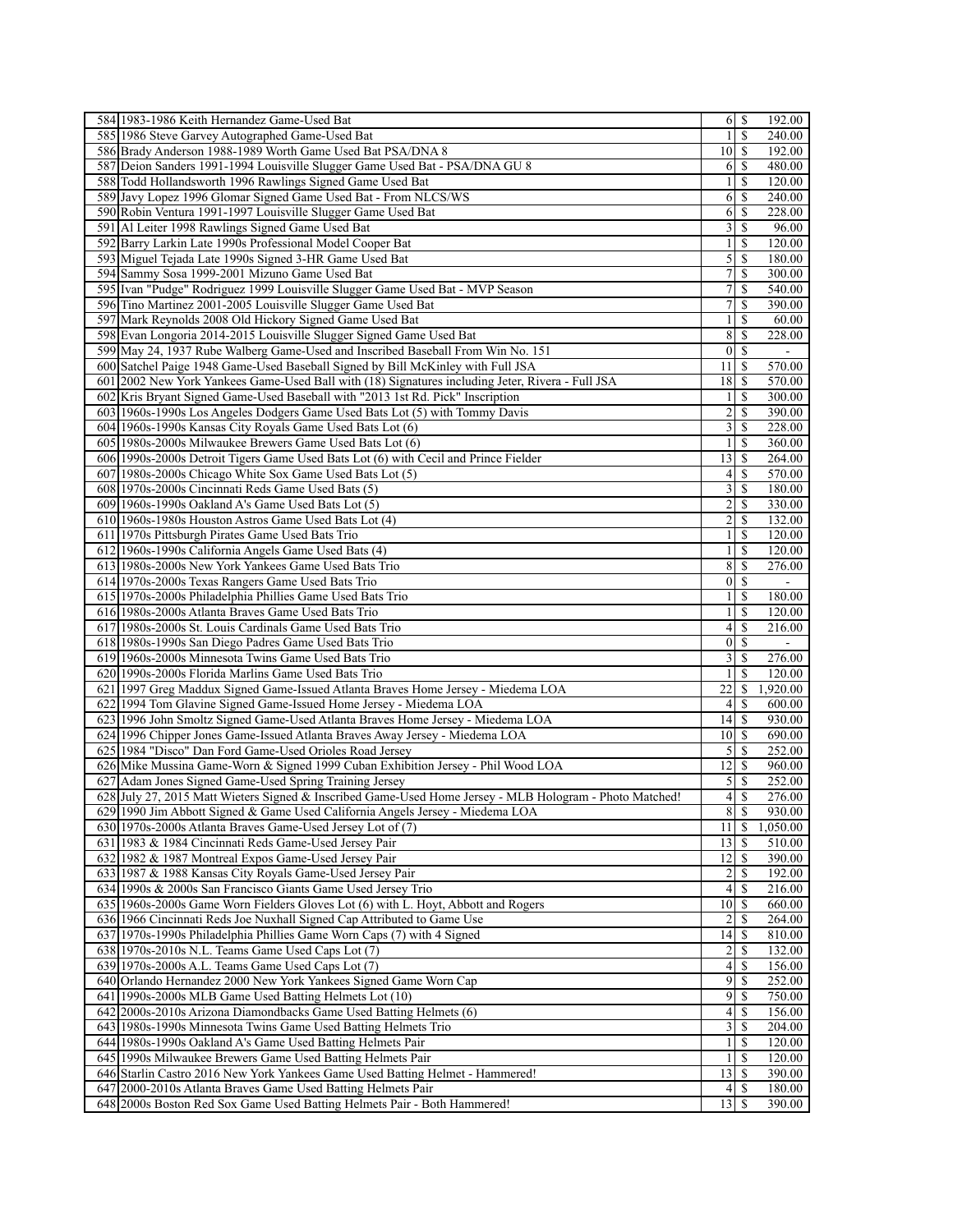| 58411983-1986 Keith Hernandez Game-Used Bat                                                                                              |                         | 192.00                               |
|------------------------------------------------------------------------------------------------------------------------------------------|-------------------------|--------------------------------------|
| 585 1986 Steve Garvey Autographed Game-Used Bat                                                                                          | $\mathbf{1}$            | <sup>\$</sup><br>240.00              |
| 586 Brady Anderson 1988-1989 Worth Game Used Bat PSA/DNA 8                                                                               | $10\vert S$             | 192.00                               |
| 587 Deion Sanders 1991-1994 Louisville Slugger Game Used Bat - PSA/DNA GU 8                                                              | $6$   $\sqrt{5}$        | 480.00                               |
| 588 Todd Hollandsworth 1996 Rawlings Signed Game Used Bat                                                                                | $\mathbf{1}$            | \$<br>120.00                         |
| 589 Javy Lopez 1996 Glomar Signed Game Used Bat - From NLCS/WS                                                                           | 6                       | -S<br>240.00                         |
| 590 Robin Ventura 1991-1997 Louisville Slugger Game Used Bat                                                                             | 6                       | 228.00<br>-S                         |
| 591 Al Leiter 1998 Rawlings Signed Game Used Bat                                                                                         | 3                       | <sup>\$</sup><br>96.00               |
| 592 Barry Larkin Late 1990s Professional Model Cooper Bat                                                                                | $\mathbf{1}$            | -S<br>120.00                         |
| 593 Miguel Tejada Late 1990s Signed 3-HR Game Used Bat                                                                                   |                         | 180.00                               |
| 594 Sammy Sosa 1999-2001 Mizuno Game Used Bat                                                                                            | $\overline{7}$          | -S<br>300.00                         |
| 595 Ivan "Pudge" Rodriguez 1999 Louisville Slugger Game Used Bat - MVP Season                                                            | $\overline{7}$          | <sup>\$</sup><br>$\overline{540.00}$ |
| 596 Tino Martinez 2001-2005 Louisville Slugger Game Used Bat                                                                             | 7 <sup>1</sup>          | <sup>\$</sup><br>390.00              |
| 597 Mark Reynolds 2008 Old Hickory Signed Game Used Bat                                                                                  | $\frac{1}{2}$           | -S<br>60.00                          |
| 598 Evan Longoria 2014-2015 Louisville Slugger Signed Game Used Bat                                                                      | 8                       | 228.00<br>-S                         |
| 599 May 24, 1937 Rube Walberg Game-Used and Inscribed Baseball From Win No. 151                                                          | $0 \mid S$              | $\blacksquare$                       |
|                                                                                                                                          | $11 \mid S$             |                                      |
| 600 Satchel Paige 1948 Game-Used Baseball Signed by Bill McKinley with Full JSA                                                          |                         | 570.00                               |
| 601 2002 New York Yankees Game-Used Ball with (18) Signatures including Jeter, Rivera - Full JSA                                         | $18$   $\sqrt{5}$       | 570.00                               |
| 602 Kris Bryant Signed Game-Used Baseball with "2013 1st Rd. Pick" Inscription                                                           | $\frac{1}{2}$           | <sup>\$</sup><br>300.00              |
| 603 1960s-1990s Los Angeles Dodgers Game Used Bats Lot (5) with Tommy Davis                                                              | 2                       | <sup>\$</sup><br>390.00              |
| 604 1960s-1990s Kansas City Royals Game Used Bats Lot (6)                                                                                | $\overline{3}$          | -S<br>228.00                         |
| 605 1980s-2000s Milwaukee Brewers Game Used Bats Lot (6)                                                                                 | $\mathbf{1}$            | \$<br>360.00                         |
| 606 1990s-2000s Detroit Tigers Game Used Bats Lot (6) with Cecil and Prince Fielder                                                      | $13 \mid S$             | 264.00                               |
| 607 1980s-2000s Chicago White Sox Game Used Bats Lot (5)                                                                                 |                         | 570.00                               |
| 608 1970s-2000s Cincinnati Reds Game Used Bats (5)                                                                                       | 3                       | \$<br>180.00                         |
| 609 1960s-1990s Oakland A's Game Used Bats Lot (5)                                                                                       | $\overline{2}$          | <sup>\$</sup><br>330.00              |
| 610 1960s-1980s Houston Astros Game Used Bats Lot (4)                                                                                    | $\overline{2}$          | -S<br>132.00                         |
| 611 1970s Pittsburgh Pirates Game Used Bats Trio                                                                                         | $\frac{1}{2}$           | \$<br>120.00                         |
| 612 1960s-1990s California Angels Game Used Bats (4)                                                                                     | $\frac{1}{2}$           | -S<br>120.00                         |
| 613 1980s-2000s New York Yankees Game Used Bats Trio                                                                                     | 8 <sup>l</sup>          | -S<br>276.00                         |
| 614 1970s-2000s Texas Rangers Game Used Bats Trio                                                                                        | 01S                     |                                      |
| 615 1970s-2000s Philadelphia Phillies Game Used Bats Trio                                                                                | 1                       | -S<br>180.00                         |
| 616 1980s-2000s Atlanta Braves Game Used Bats Trio                                                                                       | $\left  \right $        | \$<br>120.00                         |
| 617 1980s-2000s St. Louis Cardinals Game Used Bats Trio                                                                                  | 4 <sup>1</sup>          | \$<br>216.00                         |
| 618 1980s-1990s San Diego Padres Game Used Bats Trio                                                                                     | 01S                     |                                      |
| 619 1960s-2000s Minnesota Twins Game Used Bats Trio                                                                                      | $\frac{3}{2}$           | -S<br>276.00                         |
| 620 1990s-2000s Florida Marlins Game Used Bats Trio                                                                                      | $\mathbf{1}$            | S<br>120.00                          |
| 621 1997 Greg Maddux Signed Game-Issued Atlanta Braves Home Jersey - Miedema LOA                                                         | 22                      | \$<br>1,920.00                       |
| 622 1994 Tom Glavine Signed Game-Issued Home Jersey - Miedema LOA                                                                        | 4 <sup>1</sup>          | \$<br>600.00                         |
| 623 1996 John Smoltz Signed Game-Used Atlanta Braves Home Jersey - Miedema LOA                                                           |                         | 930.00                               |
|                                                                                                                                          |                         |                                      |
| 624 1996 Chipper Jones Game-Issued Atlanta Braves Away Jersey - Miedema LOA                                                              | 10 S                    | 690.00                               |
| 625 1984 "Disco" Dan Ford Game-Used Orioles Road Jersey                                                                                  | $\mathfrak{S}$          | -S<br>252.00                         |
| 626 Mike Mussina Game-Worn & Signed 1999 Cuban Exhibition Jersey - Phil Wood LOA                                                         | $12 \mid$ \$            | 960.00                               |
| 627 Adam Jones Signed Game-Used Spring Training Jersey                                                                                   |                         | 252.00                               |
| 628 July 27, 2015 Matt Wieters Signed & Inscribed Game-Used Home Jersey - MLB Hologram - Photo Matched!                                  | 4                       | <sup>\$</sup><br>276.00              |
| 629 1990 Jim Abbott Signed & Game Used California Angels Jersey - Miedema LOA                                                            | 8S                      | 930.00                               |
| 630 1970s-2000s Atlanta Braves Game-Used Jersey Lot of (7)                                                                               | 111S                    | 1,050.00                             |
| 631 1983 & 1984 Cincinnati Reds Game-Used Jersey Pair                                                                                    | $13$ $\sqrt{5}$         | 510.00                               |
| 632 1982 & 1987 Montreal Expos Game-Used Jersey Pair                                                                                     | $12$ $\sqrt{5}$         | 390.00                               |
| 633 1987 & 1988 Kansas City Royals Game-Used Jersey Pair                                                                                 | $2\vert$ \$             | 192.00                               |
| 634 1990s & 2000s San Francisco Giants Game Used Jersey Trio                                                                             | 4 <sup>1</sup>          | 216.00<br>-S                         |
| 635 1960s-2000s Game Worn Fielders Gloves Lot (6) with L. Hoyt, Abbott and Rogers                                                        | $10\vert S$             | 660.00                               |
| 636 1966 Cincinnati Reds Joe Nuxhall Signed Cap Attributed to Game Use                                                                   | 2 <sup>1</sup>          | -S<br>264.00                         |
| 637 1970s-1990s Philadelphia Phillies Game Worn Caps (7) with 4 Signed                                                                   |                         | 810.00                               |
| 638 1970s-2010s N.L. Teams Game Used Caps Lot (7)                                                                                        | $\overline{2}$          | 132.00<br>-S                         |
| 639 1970s-2000s A.L. Teams Game Used Caps Lot (7)                                                                                        | $\vert$                 | 156.00                               |
| 640 Orlando Hernandez 2000 New York Yankees Signed Game Worn Cap                                                                         | 9                       | 252.00<br>-S                         |
| 641 1990s-2000s MLB Game Used Batting Helmets Lot (10)                                                                                   |                         | 750.00                               |
| 642 2000s-2010s Arizona Diamondbacks Game Used Batting Helmets (6)                                                                       | $\vert 4 \vert$         | 156.00<br><sup>\$</sup>              |
| 643 1980s-1990s Minnesota Twins Game Used Batting Helmets Trio                                                                           | $\overline{\mathbf{3}}$ | 204.00<br>-S                         |
| 644 1980s-1990s Oakland A's Game Used Batting Helmets Pair                                                                               | $\mathbf{1}$            | <sup>\$</sup><br>120.00              |
| 645 1990s Milwaukee Brewers Game Used Batting Helmets Pair                                                                               |                         | -S<br>120.00                         |
|                                                                                                                                          |                         |                                      |
|                                                                                                                                          | $\frac{1}{2}$           |                                      |
| 646 Starlin Castro 2016 New York Yankees Game Used Batting Helmet - Hammered!                                                            | $13 \mid S$             | 390.00                               |
| 647 2000-2010s Atlanta Braves Game Used Batting Helmets Pair<br>648 2000s Boston Red Sox Game Used Batting Helmets Pair - Both Hammered! | $13$ $\sqrt{5}$         | 180.00<br>390.00                     |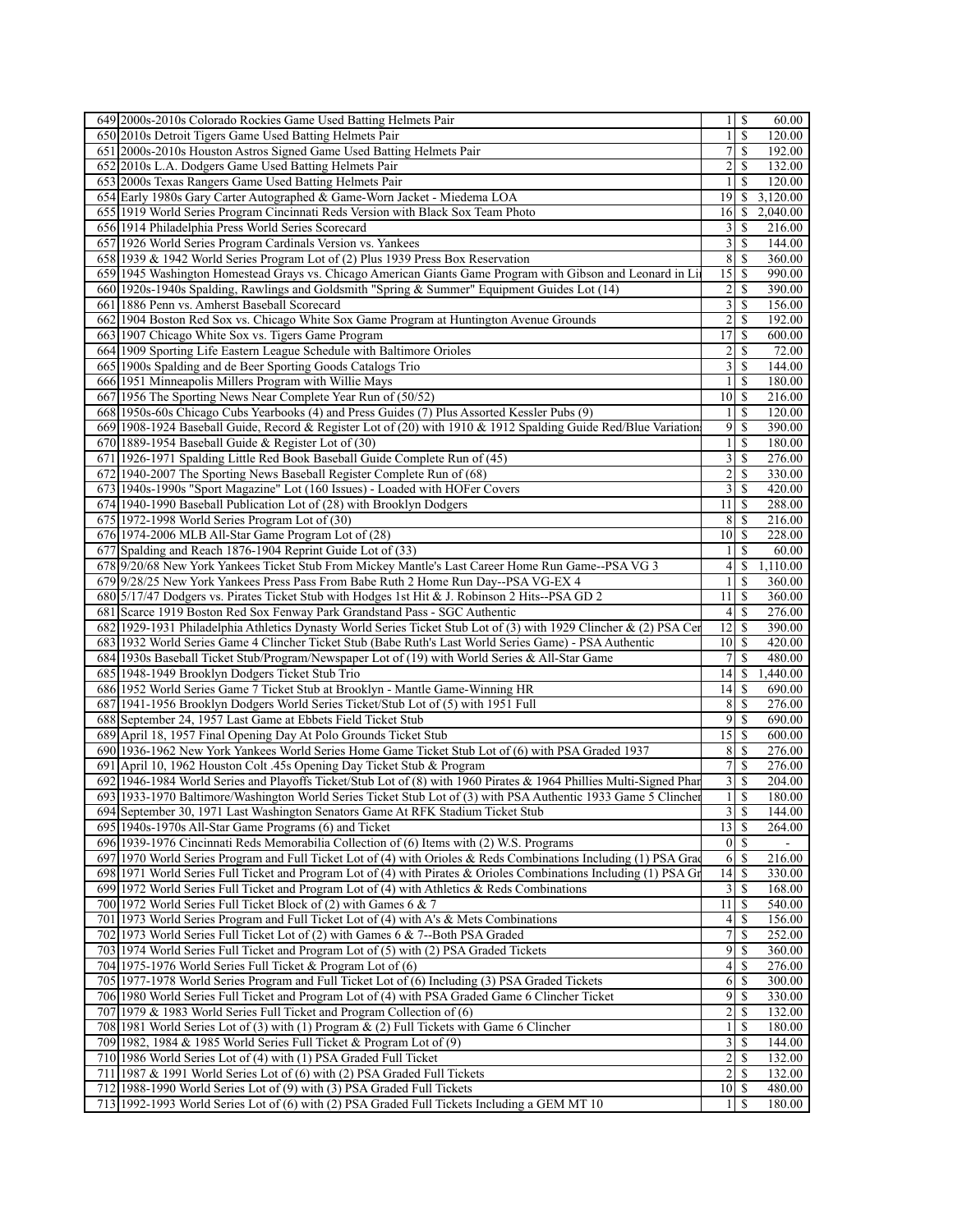| 649 2000s-2010s Colorado Rockies Game Used Batting Helmets Pair                                                                                                                                   | $1 \mid S$                                         | 60.00              |
|---------------------------------------------------------------------------------------------------------------------------------------------------------------------------------------------------|----------------------------------------------------|--------------------|
| 650 2010s Detroit Tigers Game Used Batting Helmets Pair                                                                                                                                           | $\mathbf{1}$<br>S                                  | 120.00             |
| 651 2000s-2010s Houston Astros Signed Game Used Batting Helmets Pair                                                                                                                              | 7<br>\$                                            | 192.00             |
| 652 2010s L.A. Dodgers Game Used Batting Helmets Pair                                                                                                                                             | $\overline{2}$<br>-S                               | 132.00             |
| 653 2000s Texas Rangers Game Used Batting Helmets Pair                                                                                                                                            | $\mathbf{1}$<br>\$                                 | 120.00             |
| 654 Early 1980s Gary Carter Autographed & Game-Worn Jacket - Miedema LOA                                                                                                                          | 19<br>S.                                           | 3,120.00           |
| 655 1919 World Series Program Cincinnati Reds Version with Black Sox Team Photo                                                                                                                   | 16<br>\$                                           | 2,040.00           |
| 656 1914 Philadelphia Press World Series Scorecard                                                                                                                                                | 3<br>\$                                            | 216.00             |
| 657 1926 World Series Program Cardinals Version vs. Yankees                                                                                                                                       | $\overline{\mathbf{3}}$<br>\$                      | 144.00             |
| 658 1939 & 1942 World Series Program Lot of (2) Plus 1939 Press Box Reservation                                                                                                                   | 8 <sup>l</sup><br>-S                               | 360.00             |
| 659 1945 Washington Homestead Grays vs. Chicago American Giants Game Program with Gibson and Leonard in Li                                                                                        | 15<br>\$                                           | 990.00             |
| 660 1920s-1940s Spalding, Rawlings and Goldsmith "Spring & Summer" Equipment Guides Lot (14)                                                                                                      | $\overline{2}$<br><sup>\$</sup>                    | 390.00             |
| 661 1886 Penn vs. Amherst Baseball Scorecard                                                                                                                                                      | $\frac{3}{3}$<br>$\mathbb{S}$                      | 156.00             |
| 662 1904 Boston Red Sox vs. Chicago White Sox Game Program at Huntington Avenue Grounds                                                                                                           | 2<br>\$                                            | 192.00             |
| 663 1907 Chicago White Sox vs. Tigers Game Program                                                                                                                                                | 17<br>\$                                           | 600.00             |
| 664 1909 Sporting Life Eastern League Schedule with Baltimore Orioles                                                                                                                             | $\overline{2}$<br><sup>\$</sup>                    | 72.00              |
| 665 1900s Spalding and de Beer Sporting Goods Catalogs Trio                                                                                                                                       | $\overline{\mathbf{3}}$<br>$\mathbb{S}$            | 144.00             |
| 666 1951 Minneapolis Millers Program with Willie Mays                                                                                                                                             | $\frac{1}{2}$<br><sup>\$</sup>                     | 180.00             |
| 667 1956 The Sporting News Near Complete Year Run of (50/52)                                                                                                                                      | $10$ $\sqrt{5}$                                    | 216.00             |
| 668 1950s-60s Chicago Cubs Yearbooks (4) and Press Guides (7) Plus Assorted Kessler Pubs (9)                                                                                                      | S<br>$\frac{1}{2}$                                 | 120.00             |
| 669 1908-1924 Baseball Guide, Record & Register Lot of (20) with 1910 & 1912 Spalding Guide Red/Blue Variation                                                                                    | $\overline{9}$<br>-S                               | 390.00             |
| 670   1889-1954 Baseball Guide & Register Lot of $(30)$                                                                                                                                           | $\mathbf{1}$<br>\$                                 | 180.00             |
| 671 1926-1971 Spalding Little Red Book Baseball Guide Complete Run of (45)                                                                                                                        | $\overline{\mathbf{3}}$<br>\$                      | 276.00             |
| 672 1940-2007 The Sporting News Baseball Register Complete Run of (68)                                                                                                                            | $\overline{2}$<br><sup>\$</sup>                    | 330.00             |
| 673 1940s-1990s "Sport Magazine" Lot (160 Issues) - Loaded with HOFer Covers                                                                                                                      | 3<br>\$                                            | 420.00             |
| 674 1940-1990 Baseball Publication Lot of (28) with Brooklyn Dodgers                                                                                                                              | 11<br>$\mathbb{S}$                                 | 288.00             |
| 675 1972-1998 World Series Program Lot of (30)                                                                                                                                                    | 8<br>-S                                            | 216.00             |
| 676 1974-2006 MLB All-Star Game Program Lot of (28)                                                                                                                                               | 10<br>\$<br>\$                                     | 228.00             |
| 677 Spalding and Reach 1876-1904 Reprint Guide Lot of (33)                                                                                                                                        | $\frac{1}{2}$                                      | 60.00              |
| 678 9/20/68 New York Yankees Ticket Stub From Mickey Mantle's Last Career Home Run Game--PSA VG 3<br>679 9/28/25 New York Yankees Press Pass From Babe Ruth 2 Home Run Day--PSA VG-EX 4           | $\vert 4 \vert$<br>\$<br>$\frac{1}{2}$<br>\$       | 1,110.00<br>360.00 |
| 680 5/17/47 Dodgers vs. Pirates Ticket Stub with Hodges 1st Hit & J. Robinson 2 Hits--PSA GD 2                                                                                                    | 11<br>\$                                           | 360.00             |
| 681 Scarce 1919 Boston Red Sox Fenway Park Grandstand Pass - SGC Authentic                                                                                                                        | 4<br><sup>\$</sup>                                 | 276.00             |
| 682 1929-1931 Philadelphia Athletics Dynasty World Series Ticket Stub Lot of (3) with 1929 Clincher & (2) PSA Cer                                                                                 | 12<br><sup>\$</sup>                                | 390.00             |
| 683 1932 World Series Game 4 Clincher Ticket Stub (Babe Ruth's Last World Series Game) - PSA Authentic                                                                                            | 101S                                               | 420.00             |
| 684 1930s Baseball Ticket Stub/Program/Newspaper Lot of (19) with World Series & All-Star Game                                                                                                    | $7\vert$<br>S                                      | 480.00             |
| 685 1948-1949 Brooklyn Dodgers Ticket Stub Trio                                                                                                                                                   | 14<br>\$                                           | 1,440.00           |
| 686 1952 World Series Game 7 Ticket Stub at Brooklyn - Mantle Game-Winning HR                                                                                                                     | 14<br>-S                                           | 690.00             |
| 687 1941-1956 Brooklyn Dodgers World Series Ticket/Stub Lot of (5) with 1951 Full                                                                                                                 | 8<br>\$                                            | 276.00             |
| 688 September 24, 1957 Last Game at Ebbets Field Ticket Stub                                                                                                                                      | $\overline{9}$<br>\$                               | 690.00             |
| 689 April 18, 1957 Final Opening Day At Polo Grounds Ticket Stub                                                                                                                                  |                                                    | 600.00             |
| 690 1936-1962 New York Yankees World Series Home Game Ticket Stub Lot of (6) with PSA Graded 1937                                                                                                 | 8<br>$\mathbb{S}$                                  | 276.00             |
| 691 April 10, 1962 Houston Colt .45s Opening Day Ticket Stub & Program                                                                                                                            | $\sqrt{ }$<br>S                                    | 276.00             |
| 692 1946-1984 World Series and Playoffs Ticket/Stub Lot of (8) with 1960 Pirates & 1964 Phillies Multi-Signed Phar                                                                                | $\overline{3}$<br>-S                               | 204.00             |
| 693 1933-1970 Baltimore/Washington World Series Ticket Stub Lot of (3) with PSA Authentic 1933 Game 5 Clincher                                                                                    | $\mathbf{1}$<br><sup>\$</sup>                      | 180.00             |
| 694 September 30, 1971 Last Washington Senators Game At RFK Stadium Ticket Stub                                                                                                                   | 3s                                                 | 144.00             |
| 695 1940s-1970s All-Star Game Programs (6) and Ticket                                                                                                                                             | $\overline{13}$<br>-\$                             | 264.00             |
| 696 1939-1976 Cincinnati Reds Memorabilia Collection of (6) Items with $(2)$ W.S. Programs                                                                                                        | $0\vert S$                                         |                    |
| 697 1970 World Series Program and Full Ticket Lot of (4) with Orioles & Reds Combinations Including (1) PSA Grad                                                                                  | 6<br><sup>\$</sup>                                 | 216.00             |
| 698 1971 World Series Full Ticket and Program Lot of (4) with Pirates & Orioles Combinations Including (1) PSA Gr                                                                                 | $\overline{14}$<br><sup>\$</sup>                   | 330.00             |
| 699 1972 World Series Full Ticket and Program Lot of $(4)$ with Athletics & Reds Combinations                                                                                                     | $\overline{\mathbf{3}}$<br>$\mathbb{S}$            | 168.00             |
| 700 1972 World Series Full Ticket Block of (2) with Games 6 & 7                                                                                                                                   | 11<br>-S                                           | 540.00             |
| 701 1973 World Series Program and Full Ticket Lot of (4) with A's & Mets Combinations                                                                                                             | $\left 4\right $<br>S                              | 156.00             |
| 702 1973 World Series Full Ticket Lot of (2) with Games 6 & 7--Both PSA Graded                                                                                                                    | 7<br>S                                             | 252.00             |
| 703 1974 World Series Full Ticket and Program Lot of (5) with (2) PSA Graded Tickets                                                                                                              | $\overline{9}$<br><sup>\$</sup>                    | 360.00             |
| 704 1975-1976 World Series Full Ticket & Program Lot of (6)                                                                                                                                       | 4<br>S                                             | 276.00             |
| 705 1977-1978 World Series Program and Full Ticket Lot of (6) Including (3) PSA Graded Tickets<br>706 1980 World Series Full Ticket and Program Lot of (4) with PSA Graded Game 6 Clincher Ticket | 6<br>\$                                            | 300.00             |
|                                                                                                                                                                                                   |                                                    | 330.00<br>132.00   |
| 707 1979 & 1983 World Series Full Ticket and Program Collection of (6)<br>708   1981 World Series Lot of (3) with (1) Program & (2) Full Tickets with Game 6 Clincher                             | $\overline{\mathbf{c}}$<br>\$<br>$\mathbf{1}$<br>S | 180.00             |
| 709 1982, 1984 & 1985 World Series Full Ticket & Program Lot of (9)                                                                                                                               | $\overline{3}$<br><sup>\$</sup>                    | 144.00             |
| 710 1986 World Series Lot of (4) with (1) PSA Graded Full Ticket                                                                                                                                  | 2<br>\$                                            | 132.00             |
| 711 1987 & 1991 World Series Lot of (6) with (2) PSA Graded Full Tickets                                                                                                                          | $\overline{2}$<br>$\mathbb{S}$                     | 132.00             |
| 712 1988-1990 World Series Lot of (9) with (3) PSA Graded Full Tickets                                                                                                                            | $10 \mid$ \$                                       | 480.00             |
| 713 1992-1993 World Series Lot of (6) with (2) PSA Graded Full Tickets Including a GEM MT 10                                                                                                      | <sup>\$</sup><br>1                                 | 180.00             |
|                                                                                                                                                                                                   |                                                    |                    |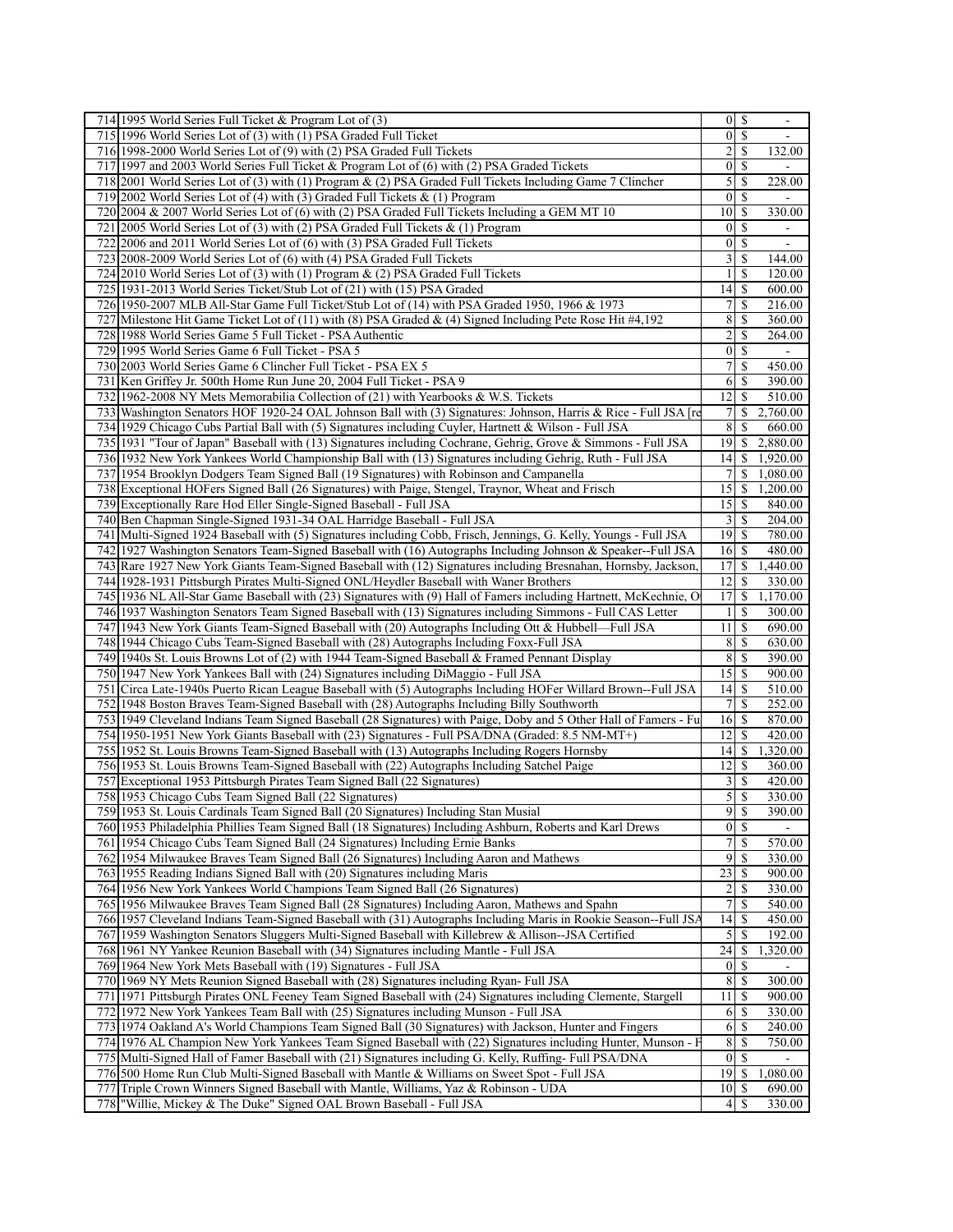| \$<br>715 1996 World Series Lot of (3) with (1) PSA Graded Full Ticket<br>$\boldsymbol{0}$<br>$\blacksquare$<br>2<br><sup>\$</sup><br>716 1998-2000 World Series Lot of (9) with (2) PSA Graded Full Tickets<br>132.00<br>$\mathbf{0}$<br><sup>\$</sup><br>717 1997 and 2003 World Series Full Ticket & Program Lot of (6) with (2) PSA Graded Tickets<br>5<br><sup>\$</sup><br>718 2001 World Series Lot of (3) with (1) Program & (2) PSA Graded Full Tickets Including Game 7 Clincher<br>228.00<br>$\boldsymbol{0}$<br>\$<br>719 2002 World Series Lot of (4) with (3) Graded Full Tickets $\&$ (1) Program<br>720 2004 & 2007 World Series Lot of (6) with (2) PSA Graded Full Tickets Including a GEM MT 10<br>10<br><sup>\$</sup><br>330.00<br>\$<br>$\boldsymbol{0}$<br>721 2005 World Series Lot of (3) with (2) PSA Graded Full Tickets $\&$ (1) Program<br>$\blacksquare$<br>$\boldsymbol{0}$<br>\$<br>722 2006 and 2011 World Series Lot of (6) with (3) PSA Graded Full Tickets<br>$\blacksquare$<br>3<br>723 2008-2009 World Series Lot of (6) with (4) PSA Graded Full Tickets<br><sup>\$</sup><br>144.00<br>\$<br>724 2010 World Series Lot of (3) with (1) Program & (2) PSA Graded Full Tickets<br>1<br>120.00<br>\$<br>725 1931-2013 World Series Ticket/Stub Lot of (21) with (15) PSA Graded<br>14<br>600.00<br>726 1950-2007 MLB All-Star Game Full Ticket/Stub Lot of (14) with PSA Graded 1950, 1966 & 1973<br>7<br><sup>\$</sup><br>216.00<br>Milestone Hit Game Ticket Lot of (11) with (8) PSA Graded & (4) Signed Including Pete Rose Hit #4,192<br>8<br>\$<br>360.00<br>727 <br>\$<br>2<br>264.00<br>728 1988 World Series Game 5 Full Ticket - PSA Authentic<br>\$<br>729 1995 World Series Game 6 Full Ticket - PSA 5<br>$\boldsymbol{0}$<br>730 2003 World Series Game 6 Clincher Full Ticket - PSA EX 5<br>7<br><sup>\$</sup><br>450.00<br>731 Ken Griffey Jr. 500th Home Run June 20, 2004 Full Ticket - PSA 9<br>6<br>\$<br>390.00<br>732 1962-2008 NY Mets Memorabilia Collection of (21) with Yearbooks & W.S. Tickets<br>12<br>\$<br>510.00<br>7<br>\$<br>2,760.00<br>733 Washington Senators HOF 1920-24 OAL Johnson Ball with (3) Signatures: Johnson, Harris & Rice - Full JSA [re<br>8<br>734 1929 Chicago Cubs Partial Ball with (5) Signatures including Cuyler, Hartnett & Wilson - Full JSA<br>\$<br>660.00<br>735 [1931 "Tour of Japan" Baseball with (13) Signatures including Cochrane, Gehrig, Grove & Simmons - Full JSA<br>19<br>\$<br>2,880.00<br>736 1932 New York Yankees World Championship Ball with (13) Signatures including Gehrig, Ruth - Full JSA<br>14<br>\$<br>1,920.00<br>737 1954 Brooklyn Dodgers Team Signed Ball (19 Signatures) with Robinson and Campanella<br>7<br>\$<br>1,080.00<br>15<br>\$<br>1,200.00<br>738 Exceptional HOFers Signed Ball (26 Signatures) with Paige, Stengel, Traynor, Wheat and Frisch<br>739 Exceptionally Rare Hod Eller Single-Signed Baseball - Full JSA<br>15<br>\$<br>840.00<br><sup>\$</sup><br>740 Ben Chapman Single-Signed 1931-34 OAL Harridge Baseball - Full JSA<br>3<br>204.00<br>19<br>Multi-Signed 1924 Baseball with (5) Signatures including Cobb, Frisch, Jennings, G. Kelly, Youngs - Full JSA<br>\$<br>780.00<br>741 <br>742 1927 Washington Senators Team-Signed Baseball with (16) Autographs Including Johnson & Speaker--Full JSA<br>16<br>-S<br>480.00<br>743 Rare 1927 New York Giants Team-Signed Baseball with (12) Signatures including Bresnahan, Hornsby, Jackson<br>17<br><sup>\$</sup><br>1,440.00<br>744 1928-1931 Pittsburgh Pirates Multi-Signed ONL/Heydler Baseball with Waner Brothers<br>12<br>330.00<br>S<br>17<br>745 1936 NL All-Star Game Baseball with (23) Signatures with (9) Hall of Famers including Hartnett, McKechnie, O<br>\$<br>1,170.00<br>746 1937 Washington Senators Team Signed Baseball with (13) Signatures including Simmons - Full CAS Letter<br><sup>\$</sup><br>300.00<br>\$<br>747 1943 New York Giants Team-Signed Baseball with (20) Autographs Including Ott & Hubbell—Full JSA<br>11<br>690.00<br>8<br>\$<br>630.00<br>748 1944 Chicago Cubs Team-Signed Baseball with (28) Autographs Including Foxx-Full JSA<br>8<br><sup>\$</sup><br>390.00<br>749 1940s St. Louis Browns Lot of (2) with 1944 Team-Signed Baseball & Framed Pennant Display<br>15<br>750 1947 New York Yankees Ball with (24) Signatures including DiMaggio - Full JSA<br><sup>\$</sup><br>900.00<br>751 Circa Late-1940s Puerto Rican League Baseball with (5) Autographs Including HOFer Willard Brown--Full JSA<br>14<br><sup>\$</sup><br>510.00<br>$\overline{7}$<br>\$<br>252.00<br>752 1948 Boston Braves Team-Signed Baseball with (28) Autographs Including Billy Southworth<br>870.00<br>753 1949 Cleveland Indians Team Signed Baseball (28 Signatures) with Paige, Doby and 5 Other Hall of Famers - Fu<br>16<br>-S<br>754 1950-1951 New York Giants Baseball with (23) Signatures - Full PSA/DNA (Graded: 8.5 NM-MT+)<br>12<br>420.00<br>S<br>\$<br>1,320.00<br>755 1952 St. Louis Browns Team-Signed Baseball with (13) Autographs Including Rogers Hornsby<br>14<br>756 1953 St. Louis Browns Team-Signed Baseball with (22) Autographs Including Satchel Paige<br>12<br>360.00<br>S<br><sup>\$</sup><br>757 Exceptional 1953 Pittsburgh Pirates Team Signed Ball (22 Signatures)<br>3<br>420.00<br>5<br>\$<br>758 1953 Chicago Cubs Team Signed Ball (22 Signatures)<br>330.00<br>759 1953 St. Louis Cardinals Team Signed Ball (20 Signatures) Including Stan Musial<br>$9$ \$<br>390.00<br>$\vert 0 \vert$<br>$\mathcal{S}$<br>760 1953 Philadelphia Phillies Team Signed Ball (18 Signatures) Including Ashburn, Roberts and Karl Drews<br>761 1954 Chicago Cubs Team Signed Ball (24 Signatures) Including Ernie Banks<br>7<br>\$<br>570.00<br>9<br>\$<br>330.00<br>762 1954 Milwaukee Braves Team Signed Ball (26 Signatures) Including Aaron and Mathews<br>$\overline{23}$<br>763 1955 Reading Indians Signed Ball with (20) Signatures including Maris<br>\$<br>900.00<br>764 1956 New York Yankees World Champions Team Signed Ball (26 Signatures)<br>2<br>\$<br>330.00<br>$\overline{7}$<br>\$<br>765 1956 Milwaukee Braves Team Signed Ball (28 Signatures) Including Aaron, Mathews and Spahn<br>540.00<br>766 1957 Cleveland Indians Team-Signed Baseball with (31) Autographs Including Maris in Rookie Season--Full JSA<br>14<br>\$<br>450.00<br>5<br>767 1959 Washington Senators Sluggers Multi-Signed Baseball with Killebrew & Allison--JSA Certified<br>\$<br>192.00<br>768 1961 NY Yankee Reunion Baseball with (34) Signatures including Mantle - Full JSA<br>24<br>1,320.00<br>S<br>\$<br>76911964 New York Mets Baseball with (19) Signatures - Full JSA<br>0<br>770 1969 NY Mets Reunion Signed Baseball with (28) Signatures including Ryan- Full JSA<br>8<br>\$<br>300.00<br>771 1971 Pittsburgh Pirates ONL Feeney Team Signed Baseball with (24) Signatures including Clemente, Stargell<br>11<br>\$<br>900.00<br>772 1972 New York Yankees Team Ball with (25) Signatures including Munson - Full JSA<br>6<br>\$<br>330.00<br>773 1974 Oakland A's World Champions Team Signed Ball (30 Signatures) with Jackson, Hunter and Fingers<br>6<br>\$<br>240.00<br>8<br>\$<br>750.00<br>774 1976 AL Champion New York Yankees Team Signed Baseball with (22) Signatures including Hunter, Munson - F<br>775 Multi-Signed Hall of Famer Baseball with (21) Signatures including G. Kelly, Ruffing-Full PSA/DNA<br>$\boldsymbol{0}$<br>\$<br>19<br>776 500 Home Run Club Multi-Signed Baseball with Mantle & Williams on Sweet Spot - Full JSA<br>-S<br>1,080.00<br>777 Triple Crown Winners Signed Baseball with Mantle, Williams, Yaz & Robinson - UDA<br>10<br>-S<br>690.00<br>778 Willie, Mickey & The Duke" Signed OAL Brown Baseball - Full JSA<br>\$<br>330.00<br>4 | 714 1995 World Series Full Ticket & Program Lot of (3) | $\overline{0}$ | $\sqrt{s}$ | $\blacksquare$ |
|-------------------------------------------------------------------------------------------------------------------------------------------------------------------------------------------------------------------------------------------------------------------------------------------------------------------------------------------------------------------------------------------------------------------------------------------------------------------------------------------------------------------------------------------------------------------------------------------------------------------------------------------------------------------------------------------------------------------------------------------------------------------------------------------------------------------------------------------------------------------------------------------------------------------------------------------------------------------------------------------------------------------------------------------------------------------------------------------------------------------------------------------------------------------------------------------------------------------------------------------------------------------------------------------------------------------------------------------------------------------------------------------------------------------------------------------------------------------------------------------------------------------------------------------------------------------------------------------------------------------------------------------------------------------------------------------------------------------------------------------------------------------------------------------------------------------------------------------------------------------------------------------------------------------------------------------------------------------------------------------------------------------------------------------------------------------------------------------------------------------------------------------------------------------------------------------------------------------------------------------------------------------------------------------------------------------------------------------------------------------------------------------------------------------------------------------------------------------------------------------------------------------------------------------------------------------------------------------------------------------------------------------------------------------------------------------------------------------------------------------------------------------------------------------------------------------------------------------------------------------------------------------------------------------------------------------------------------------------------------------------------------------------------------------------------------------------------------------------------------------------------------------------------------------------------------------------------------------------------------------------------------------------------------------------------------------------------------------------------------------------------------------------------------------------------------------------------------------------------------------------------------------------------------------------------------------------------------------------------------------------------------------------------------------------------------------------------------------------------------------------------------------------------------------------------------------------------------------------------------------------------------------------------------------------------------------------------------------------------------------------------------------------------------------------------------------------------------------------------------------------------------------------------------------------------------------------------------------------------------------------------------------------------------------------------------------------------------------------------------------------------------------------------------------------------------------------------------------------------------------------------------------------------------------------------------------------------------------------------------------------------------------------------------------------------------------------------------------------------------------------------------------------------------------------------------------------------------------------------------------------------------------------------------------------------------------------------------------------------------------------------------------------------------------------------------------------------------------------------------------------------------------------------------------------------------------------------------------------------------------------------------------------------------------------------------------------------------------------------------------------------------------------------------------------------------------------------------------------------------------------------------------------------------------------------------------------------------------------------------------------------------------------------------------------------------------------------------------------------------------------------------------------------------------------------------------------------------------------------------------------------------------------------------------------------------------------------------------------------------------------------------------------------------------------------------------------------------------------------------------------------------------------------------------------------------------------------------------------------------------------------------------------------------------------------------------------------------------------------------------------------------------------------------------------------------------------------------------------------------------------------------------------------------------------------------------------------------------------------------------------------------------------------------------------------------------------------------------------------------------------------------------------------------------------------------------------------------------------------------------------------------------------------------------------------------------------------------------------------------------------------------------------------------------------------------------------------------------------------------------------------------------------------------------------------------------------------------------------------------------------------------------------------------------------------------------------------------------------------------------------------------------------------------------------------------------------------------------------------------------------------------------------------------------------------------------------------------------------------------------------------------------------------------------------------------------------------------------------------------------------------------------------------------------------------------------------------------------------------------|--------------------------------------------------------|----------------|------------|----------------|
|                                                                                                                                                                                                                                                                                                                                                                                                                                                                                                                                                                                                                                                                                                                                                                                                                                                                                                                                                                                                                                                                                                                                                                                                                                                                                                                                                                                                                                                                                                                                                                                                                                                                                                                                                                                                                                                                                                                                                                                                                                                                                                                                                                                                                                                                                                                                                                                                                                                                                                                                                                                                                                                                                                                                                                                                                                                                                                                                                                                                                                                                                                                                                                                                                                                                                                                                                                                                                                                                                                                                                                                                                                                                                                                                                                                                                                                                                                                                                                                                                                                                                                                                                                                                                                                                                                                                                                                                                                                                                                                                                                                                                                                                                                                                                                                                                                                                                                                                                                                                                                                                                                                                                                                                                                                                                                                                                                                                                                                                                                                                                                                                                                                                                                                                                                                                                                                                                                                                                                                                                                                                                                                                                                                                                                                                                                                                                                                                                                                                                                                                                                                                                                                                                                                                                                                                                                                                                                                                                                                                                                                                                                                                                                                                                                                                                                                                                                                                                                                                                                                                                                                                                                                                                                                                                                                                                                                             |                                                        |                |            |                |
|                                                                                                                                                                                                                                                                                                                                                                                                                                                                                                                                                                                                                                                                                                                                                                                                                                                                                                                                                                                                                                                                                                                                                                                                                                                                                                                                                                                                                                                                                                                                                                                                                                                                                                                                                                                                                                                                                                                                                                                                                                                                                                                                                                                                                                                                                                                                                                                                                                                                                                                                                                                                                                                                                                                                                                                                                                                                                                                                                                                                                                                                                                                                                                                                                                                                                                                                                                                                                                                                                                                                                                                                                                                                                                                                                                                                                                                                                                                                                                                                                                                                                                                                                                                                                                                                                                                                                                                                                                                                                                                                                                                                                                                                                                                                                                                                                                                                                                                                                                                                                                                                                                                                                                                                                                                                                                                                                                                                                                                                                                                                                                                                                                                                                                                                                                                                                                                                                                                                                                                                                                                                                                                                                                                                                                                                                                                                                                                                                                                                                                                                                                                                                                                                                                                                                                                                                                                                                                                                                                                                                                                                                                                                                                                                                                                                                                                                                                                                                                                                                                                                                                                                                                                                                                                                                                                                                                                             |                                                        |                |            |                |
|                                                                                                                                                                                                                                                                                                                                                                                                                                                                                                                                                                                                                                                                                                                                                                                                                                                                                                                                                                                                                                                                                                                                                                                                                                                                                                                                                                                                                                                                                                                                                                                                                                                                                                                                                                                                                                                                                                                                                                                                                                                                                                                                                                                                                                                                                                                                                                                                                                                                                                                                                                                                                                                                                                                                                                                                                                                                                                                                                                                                                                                                                                                                                                                                                                                                                                                                                                                                                                                                                                                                                                                                                                                                                                                                                                                                                                                                                                                                                                                                                                                                                                                                                                                                                                                                                                                                                                                                                                                                                                                                                                                                                                                                                                                                                                                                                                                                                                                                                                                                                                                                                                                                                                                                                                                                                                                                                                                                                                                                                                                                                                                                                                                                                                                                                                                                                                                                                                                                                                                                                                                                                                                                                                                                                                                                                                                                                                                                                                                                                                                                                                                                                                                                                                                                                                                                                                                                                                                                                                                                                                                                                                                                                                                                                                                                                                                                                                                                                                                                                                                                                                                                                                                                                                                                                                                                                                                             |                                                        |                |            |                |
|                                                                                                                                                                                                                                                                                                                                                                                                                                                                                                                                                                                                                                                                                                                                                                                                                                                                                                                                                                                                                                                                                                                                                                                                                                                                                                                                                                                                                                                                                                                                                                                                                                                                                                                                                                                                                                                                                                                                                                                                                                                                                                                                                                                                                                                                                                                                                                                                                                                                                                                                                                                                                                                                                                                                                                                                                                                                                                                                                                                                                                                                                                                                                                                                                                                                                                                                                                                                                                                                                                                                                                                                                                                                                                                                                                                                                                                                                                                                                                                                                                                                                                                                                                                                                                                                                                                                                                                                                                                                                                                                                                                                                                                                                                                                                                                                                                                                                                                                                                                                                                                                                                                                                                                                                                                                                                                                                                                                                                                                                                                                                                                                                                                                                                                                                                                                                                                                                                                                                                                                                                                                                                                                                                                                                                                                                                                                                                                                                                                                                                                                                                                                                                                                                                                                                                                                                                                                                                                                                                                                                                                                                                                                                                                                                                                                                                                                                                                                                                                                                                                                                                                                                                                                                                                                                                                                                                                             |                                                        |                |            |                |
|                                                                                                                                                                                                                                                                                                                                                                                                                                                                                                                                                                                                                                                                                                                                                                                                                                                                                                                                                                                                                                                                                                                                                                                                                                                                                                                                                                                                                                                                                                                                                                                                                                                                                                                                                                                                                                                                                                                                                                                                                                                                                                                                                                                                                                                                                                                                                                                                                                                                                                                                                                                                                                                                                                                                                                                                                                                                                                                                                                                                                                                                                                                                                                                                                                                                                                                                                                                                                                                                                                                                                                                                                                                                                                                                                                                                                                                                                                                                                                                                                                                                                                                                                                                                                                                                                                                                                                                                                                                                                                                                                                                                                                                                                                                                                                                                                                                                                                                                                                                                                                                                                                                                                                                                                                                                                                                                                                                                                                                                                                                                                                                                                                                                                                                                                                                                                                                                                                                                                                                                                                                                                                                                                                                                                                                                                                                                                                                                                                                                                                                                                                                                                                                                                                                                                                                                                                                                                                                                                                                                                                                                                                                                                                                                                                                                                                                                                                                                                                                                                                                                                                                                                                                                                                                                                                                                                                                             |                                                        |                |            |                |
|                                                                                                                                                                                                                                                                                                                                                                                                                                                                                                                                                                                                                                                                                                                                                                                                                                                                                                                                                                                                                                                                                                                                                                                                                                                                                                                                                                                                                                                                                                                                                                                                                                                                                                                                                                                                                                                                                                                                                                                                                                                                                                                                                                                                                                                                                                                                                                                                                                                                                                                                                                                                                                                                                                                                                                                                                                                                                                                                                                                                                                                                                                                                                                                                                                                                                                                                                                                                                                                                                                                                                                                                                                                                                                                                                                                                                                                                                                                                                                                                                                                                                                                                                                                                                                                                                                                                                                                                                                                                                                                                                                                                                                                                                                                                                                                                                                                                                                                                                                                                                                                                                                                                                                                                                                                                                                                                                                                                                                                                                                                                                                                                                                                                                                                                                                                                                                                                                                                                                                                                                                                                                                                                                                                                                                                                                                                                                                                                                                                                                                                                                                                                                                                                                                                                                                                                                                                                                                                                                                                                                                                                                                                                                                                                                                                                                                                                                                                                                                                                                                                                                                                                                                                                                                                                                                                                                                                             |                                                        |                |            |                |
|                                                                                                                                                                                                                                                                                                                                                                                                                                                                                                                                                                                                                                                                                                                                                                                                                                                                                                                                                                                                                                                                                                                                                                                                                                                                                                                                                                                                                                                                                                                                                                                                                                                                                                                                                                                                                                                                                                                                                                                                                                                                                                                                                                                                                                                                                                                                                                                                                                                                                                                                                                                                                                                                                                                                                                                                                                                                                                                                                                                                                                                                                                                                                                                                                                                                                                                                                                                                                                                                                                                                                                                                                                                                                                                                                                                                                                                                                                                                                                                                                                                                                                                                                                                                                                                                                                                                                                                                                                                                                                                                                                                                                                                                                                                                                                                                                                                                                                                                                                                                                                                                                                                                                                                                                                                                                                                                                                                                                                                                                                                                                                                                                                                                                                                                                                                                                                                                                                                                                                                                                                                                                                                                                                                                                                                                                                                                                                                                                                                                                                                                                                                                                                                                                                                                                                                                                                                                                                                                                                                                                                                                                                                                                                                                                                                                                                                                                                                                                                                                                                                                                                                                                                                                                                                                                                                                                                                             |                                                        |                |            |                |
|                                                                                                                                                                                                                                                                                                                                                                                                                                                                                                                                                                                                                                                                                                                                                                                                                                                                                                                                                                                                                                                                                                                                                                                                                                                                                                                                                                                                                                                                                                                                                                                                                                                                                                                                                                                                                                                                                                                                                                                                                                                                                                                                                                                                                                                                                                                                                                                                                                                                                                                                                                                                                                                                                                                                                                                                                                                                                                                                                                                                                                                                                                                                                                                                                                                                                                                                                                                                                                                                                                                                                                                                                                                                                                                                                                                                                                                                                                                                                                                                                                                                                                                                                                                                                                                                                                                                                                                                                                                                                                                                                                                                                                                                                                                                                                                                                                                                                                                                                                                                                                                                                                                                                                                                                                                                                                                                                                                                                                                                                                                                                                                                                                                                                                                                                                                                                                                                                                                                                                                                                                                                                                                                                                                                                                                                                                                                                                                                                                                                                                                                                                                                                                                                                                                                                                                                                                                                                                                                                                                                                                                                                                                                                                                                                                                                                                                                                                                                                                                                                                                                                                                                                                                                                                                                                                                                                                                             |                                                        |                |            |                |
|                                                                                                                                                                                                                                                                                                                                                                                                                                                                                                                                                                                                                                                                                                                                                                                                                                                                                                                                                                                                                                                                                                                                                                                                                                                                                                                                                                                                                                                                                                                                                                                                                                                                                                                                                                                                                                                                                                                                                                                                                                                                                                                                                                                                                                                                                                                                                                                                                                                                                                                                                                                                                                                                                                                                                                                                                                                                                                                                                                                                                                                                                                                                                                                                                                                                                                                                                                                                                                                                                                                                                                                                                                                                                                                                                                                                                                                                                                                                                                                                                                                                                                                                                                                                                                                                                                                                                                                                                                                                                                                                                                                                                                                                                                                                                                                                                                                                                                                                                                                                                                                                                                                                                                                                                                                                                                                                                                                                                                                                                                                                                                                                                                                                                                                                                                                                                                                                                                                                                                                                                                                                                                                                                                                                                                                                                                                                                                                                                                                                                                                                                                                                                                                                                                                                                                                                                                                                                                                                                                                                                                                                                                                                                                                                                                                                                                                                                                                                                                                                                                                                                                                                                                                                                                                                                                                                                                                             |                                                        |                |            |                |
|                                                                                                                                                                                                                                                                                                                                                                                                                                                                                                                                                                                                                                                                                                                                                                                                                                                                                                                                                                                                                                                                                                                                                                                                                                                                                                                                                                                                                                                                                                                                                                                                                                                                                                                                                                                                                                                                                                                                                                                                                                                                                                                                                                                                                                                                                                                                                                                                                                                                                                                                                                                                                                                                                                                                                                                                                                                                                                                                                                                                                                                                                                                                                                                                                                                                                                                                                                                                                                                                                                                                                                                                                                                                                                                                                                                                                                                                                                                                                                                                                                                                                                                                                                                                                                                                                                                                                                                                                                                                                                                                                                                                                                                                                                                                                                                                                                                                                                                                                                                                                                                                                                                                                                                                                                                                                                                                                                                                                                                                                                                                                                                                                                                                                                                                                                                                                                                                                                                                                                                                                                                                                                                                                                                                                                                                                                                                                                                                                                                                                                                                                                                                                                                                                                                                                                                                                                                                                                                                                                                                                                                                                                                                                                                                                                                                                                                                                                                                                                                                                                                                                                                                                                                                                                                                                                                                                                                             |                                                        |                |            |                |
|                                                                                                                                                                                                                                                                                                                                                                                                                                                                                                                                                                                                                                                                                                                                                                                                                                                                                                                                                                                                                                                                                                                                                                                                                                                                                                                                                                                                                                                                                                                                                                                                                                                                                                                                                                                                                                                                                                                                                                                                                                                                                                                                                                                                                                                                                                                                                                                                                                                                                                                                                                                                                                                                                                                                                                                                                                                                                                                                                                                                                                                                                                                                                                                                                                                                                                                                                                                                                                                                                                                                                                                                                                                                                                                                                                                                                                                                                                                                                                                                                                                                                                                                                                                                                                                                                                                                                                                                                                                                                                                                                                                                                                                                                                                                                                                                                                                                                                                                                                                                                                                                                                                                                                                                                                                                                                                                                                                                                                                                                                                                                                                                                                                                                                                                                                                                                                                                                                                                                                                                                                                                                                                                                                                                                                                                                                                                                                                                                                                                                                                                                                                                                                                                                                                                                                                                                                                                                                                                                                                                                                                                                                                                                                                                                                                                                                                                                                                                                                                                                                                                                                                                                                                                                                                                                                                                                                                             |                                                        |                |            |                |
|                                                                                                                                                                                                                                                                                                                                                                                                                                                                                                                                                                                                                                                                                                                                                                                                                                                                                                                                                                                                                                                                                                                                                                                                                                                                                                                                                                                                                                                                                                                                                                                                                                                                                                                                                                                                                                                                                                                                                                                                                                                                                                                                                                                                                                                                                                                                                                                                                                                                                                                                                                                                                                                                                                                                                                                                                                                                                                                                                                                                                                                                                                                                                                                                                                                                                                                                                                                                                                                                                                                                                                                                                                                                                                                                                                                                                                                                                                                                                                                                                                                                                                                                                                                                                                                                                                                                                                                                                                                                                                                                                                                                                                                                                                                                                                                                                                                                                                                                                                                                                                                                                                                                                                                                                                                                                                                                                                                                                                                                                                                                                                                                                                                                                                                                                                                                                                                                                                                                                                                                                                                                                                                                                                                                                                                                                                                                                                                                                                                                                                                                                                                                                                                                                                                                                                                                                                                                                                                                                                                                                                                                                                                                                                                                                                                                                                                                                                                                                                                                                                                                                                                                                                                                                                                                                                                                                                                             |                                                        |                |            |                |
|                                                                                                                                                                                                                                                                                                                                                                                                                                                                                                                                                                                                                                                                                                                                                                                                                                                                                                                                                                                                                                                                                                                                                                                                                                                                                                                                                                                                                                                                                                                                                                                                                                                                                                                                                                                                                                                                                                                                                                                                                                                                                                                                                                                                                                                                                                                                                                                                                                                                                                                                                                                                                                                                                                                                                                                                                                                                                                                                                                                                                                                                                                                                                                                                                                                                                                                                                                                                                                                                                                                                                                                                                                                                                                                                                                                                                                                                                                                                                                                                                                                                                                                                                                                                                                                                                                                                                                                                                                                                                                                                                                                                                                                                                                                                                                                                                                                                                                                                                                                                                                                                                                                                                                                                                                                                                                                                                                                                                                                                                                                                                                                                                                                                                                                                                                                                                                                                                                                                                                                                                                                                                                                                                                                                                                                                                                                                                                                                                                                                                                                                                                                                                                                                                                                                                                                                                                                                                                                                                                                                                                                                                                                                                                                                                                                                                                                                                                                                                                                                                                                                                                                                                                                                                                                                                                                                                                                             |                                                        |                |            |                |
|                                                                                                                                                                                                                                                                                                                                                                                                                                                                                                                                                                                                                                                                                                                                                                                                                                                                                                                                                                                                                                                                                                                                                                                                                                                                                                                                                                                                                                                                                                                                                                                                                                                                                                                                                                                                                                                                                                                                                                                                                                                                                                                                                                                                                                                                                                                                                                                                                                                                                                                                                                                                                                                                                                                                                                                                                                                                                                                                                                                                                                                                                                                                                                                                                                                                                                                                                                                                                                                                                                                                                                                                                                                                                                                                                                                                                                                                                                                                                                                                                                                                                                                                                                                                                                                                                                                                                                                                                                                                                                                                                                                                                                                                                                                                                                                                                                                                                                                                                                                                                                                                                                                                                                                                                                                                                                                                                                                                                                                                                                                                                                                                                                                                                                                                                                                                                                                                                                                                                                                                                                                                                                                                                                                                                                                                                                                                                                                                                                                                                                                                                                                                                                                                                                                                                                                                                                                                                                                                                                                                                                                                                                                                                                                                                                                                                                                                                                                                                                                                                                                                                                                                                                                                                                                                                                                                                                                             |                                                        |                |            |                |
|                                                                                                                                                                                                                                                                                                                                                                                                                                                                                                                                                                                                                                                                                                                                                                                                                                                                                                                                                                                                                                                                                                                                                                                                                                                                                                                                                                                                                                                                                                                                                                                                                                                                                                                                                                                                                                                                                                                                                                                                                                                                                                                                                                                                                                                                                                                                                                                                                                                                                                                                                                                                                                                                                                                                                                                                                                                                                                                                                                                                                                                                                                                                                                                                                                                                                                                                                                                                                                                                                                                                                                                                                                                                                                                                                                                                                                                                                                                                                                                                                                                                                                                                                                                                                                                                                                                                                                                                                                                                                                                                                                                                                                                                                                                                                                                                                                                                                                                                                                                                                                                                                                                                                                                                                                                                                                                                                                                                                                                                                                                                                                                                                                                                                                                                                                                                                                                                                                                                                                                                                                                                                                                                                                                                                                                                                                                                                                                                                                                                                                                                                                                                                                                                                                                                                                                                                                                                                                                                                                                                                                                                                                                                                                                                                                                                                                                                                                                                                                                                                                                                                                                                                                                                                                                                                                                                                                                             |                                                        |                |            |                |
|                                                                                                                                                                                                                                                                                                                                                                                                                                                                                                                                                                                                                                                                                                                                                                                                                                                                                                                                                                                                                                                                                                                                                                                                                                                                                                                                                                                                                                                                                                                                                                                                                                                                                                                                                                                                                                                                                                                                                                                                                                                                                                                                                                                                                                                                                                                                                                                                                                                                                                                                                                                                                                                                                                                                                                                                                                                                                                                                                                                                                                                                                                                                                                                                                                                                                                                                                                                                                                                                                                                                                                                                                                                                                                                                                                                                                                                                                                                                                                                                                                                                                                                                                                                                                                                                                                                                                                                                                                                                                                                                                                                                                                                                                                                                                                                                                                                                                                                                                                                                                                                                                                                                                                                                                                                                                                                                                                                                                                                                                                                                                                                                                                                                                                                                                                                                                                                                                                                                                                                                                                                                                                                                                                                                                                                                                                                                                                                                                                                                                                                                                                                                                                                                                                                                                                                                                                                                                                                                                                                                                                                                                                                                                                                                                                                                                                                                                                                                                                                                                                                                                                                                                                                                                                                                                                                                                                                             |                                                        |                |            |                |
|                                                                                                                                                                                                                                                                                                                                                                                                                                                                                                                                                                                                                                                                                                                                                                                                                                                                                                                                                                                                                                                                                                                                                                                                                                                                                                                                                                                                                                                                                                                                                                                                                                                                                                                                                                                                                                                                                                                                                                                                                                                                                                                                                                                                                                                                                                                                                                                                                                                                                                                                                                                                                                                                                                                                                                                                                                                                                                                                                                                                                                                                                                                                                                                                                                                                                                                                                                                                                                                                                                                                                                                                                                                                                                                                                                                                                                                                                                                                                                                                                                                                                                                                                                                                                                                                                                                                                                                                                                                                                                                                                                                                                                                                                                                                                                                                                                                                                                                                                                                                                                                                                                                                                                                                                                                                                                                                                                                                                                                                                                                                                                                                                                                                                                                                                                                                                                                                                                                                                                                                                                                                                                                                                                                                                                                                                                                                                                                                                                                                                                                                                                                                                                                                                                                                                                                                                                                                                                                                                                                                                                                                                                                                                                                                                                                                                                                                                                                                                                                                                                                                                                                                                                                                                                                                                                                                                                                             |                                                        |                |            |                |
|                                                                                                                                                                                                                                                                                                                                                                                                                                                                                                                                                                                                                                                                                                                                                                                                                                                                                                                                                                                                                                                                                                                                                                                                                                                                                                                                                                                                                                                                                                                                                                                                                                                                                                                                                                                                                                                                                                                                                                                                                                                                                                                                                                                                                                                                                                                                                                                                                                                                                                                                                                                                                                                                                                                                                                                                                                                                                                                                                                                                                                                                                                                                                                                                                                                                                                                                                                                                                                                                                                                                                                                                                                                                                                                                                                                                                                                                                                                                                                                                                                                                                                                                                                                                                                                                                                                                                                                                                                                                                                                                                                                                                                                                                                                                                                                                                                                                                                                                                                                                                                                                                                                                                                                                                                                                                                                                                                                                                                                                                                                                                                                                                                                                                                                                                                                                                                                                                                                                                                                                                                                                                                                                                                                                                                                                                                                                                                                                                                                                                                                                                                                                                                                                                                                                                                                                                                                                                                                                                                                                                                                                                                                                                                                                                                                                                                                                                                                                                                                                                                                                                                                                                                                                                                                                                                                                                                                             |                                                        |                |            |                |
|                                                                                                                                                                                                                                                                                                                                                                                                                                                                                                                                                                                                                                                                                                                                                                                                                                                                                                                                                                                                                                                                                                                                                                                                                                                                                                                                                                                                                                                                                                                                                                                                                                                                                                                                                                                                                                                                                                                                                                                                                                                                                                                                                                                                                                                                                                                                                                                                                                                                                                                                                                                                                                                                                                                                                                                                                                                                                                                                                                                                                                                                                                                                                                                                                                                                                                                                                                                                                                                                                                                                                                                                                                                                                                                                                                                                                                                                                                                                                                                                                                                                                                                                                                                                                                                                                                                                                                                                                                                                                                                                                                                                                                                                                                                                                                                                                                                                                                                                                                                                                                                                                                                                                                                                                                                                                                                                                                                                                                                                                                                                                                                                                                                                                                                                                                                                                                                                                                                                                                                                                                                                                                                                                                                                                                                                                                                                                                                                                                                                                                                                                                                                                                                                                                                                                                                                                                                                                                                                                                                                                                                                                                                                                                                                                                                                                                                                                                                                                                                                                                                                                                                                                                                                                                                                                                                                                                                             |                                                        |                |            |                |
|                                                                                                                                                                                                                                                                                                                                                                                                                                                                                                                                                                                                                                                                                                                                                                                                                                                                                                                                                                                                                                                                                                                                                                                                                                                                                                                                                                                                                                                                                                                                                                                                                                                                                                                                                                                                                                                                                                                                                                                                                                                                                                                                                                                                                                                                                                                                                                                                                                                                                                                                                                                                                                                                                                                                                                                                                                                                                                                                                                                                                                                                                                                                                                                                                                                                                                                                                                                                                                                                                                                                                                                                                                                                                                                                                                                                                                                                                                                                                                                                                                                                                                                                                                                                                                                                                                                                                                                                                                                                                                                                                                                                                                                                                                                                                                                                                                                                                                                                                                                                                                                                                                                                                                                                                                                                                                                                                                                                                                                                                                                                                                                                                                                                                                                                                                                                                                                                                                                                                                                                                                                                                                                                                                                                                                                                                                                                                                                                                                                                                                                                                                                                                                                                                                                                                                                                                                                                                                                                                                                                                                                                                                                                                                                                                                                                                                                                                                                                                                                                                                                                                                                                                                                                                                                                                                                                                                                             |                                                        |                |            |                |
|                                                                                                                                                                                                                                                                                                                                                                                                                                                                                                                                                                                                                                                                                                                                                                                                                                                                                                                                                                                                                                                                                                                                                                                                                                                                                                                                                                                                                                                                                                                                                                                                                                                                                                                                                                                                                                                                                                                                                                                                                                                                                                                                                                                                                                                                                                                                                                                                                                                                                                                                                                                                                                                                                                                                                                                                                                                                                                                                                                                                                                                                                                                                                                                                                                                                                                                                                                                                                                                                                                                                                                                                                                                                                                                                                                                                                                                                                                                                                                                                                                                                                                                                                                                                                                                                                                                                                                                                                                                                                                                                                                                                                                                                                                                                                                                                                                                                                                                                                                                                                                                                                                                                                                                                                                                                                                                                                                                                                                                                                                                                                                                                                                                                                                                                                                                                                                                                                                                                                                                                                                                                                                                                                                                                                                                                                                                                                                                                                                                                                                                                                                                                                                                                                                                                                                                                                                                                                                                                                                                                                                                                                                                                                                                                                                                                                                                                                                                                                                                                                                                                                                                                                                                                                                                                                                                                                                                             |                                                        |                |            |                |
|                                                                                                                                                                                                                                                                                                                                                                                                                                                                                                                                                                                                                                                                                                                                                                                                                                                                                                                                                                                                                                                                                                                                                                                                                                                                                                                                                                                                                                                                                                                                                                                                                                                                                                                                                                                                                                                                                                                                                                                                                                                                                                                                                                                                                                                                                                                                                                                                                                                                                                                                                                                                                                                                                                                                                                                                                                                                                                                                                                                                                                                                                                                                                                                                                                                                                                                                                                                                                                                                                                                                                                                                                                                                                                                                                                                                                                                                                                                                                                                                                                                                                                                                                                                                                                                                                                                                                                                                                                                                                                                                                                                                                                                                                                                                                                                                                                                                                                                                                                                                                                                                                                                                                                                                                                                                                                                                                                                                                                                                                                                                                                                                                                                                                                                                                                                                                                                                                                                                                                                                                                                                                                                                                                                                                                                                                                                                                                                                                                                                                                                                                                                                                                                                                                                                                                                                                                                                                                                                                                                                                                                                                                                                                                                                                                                                                                                                                                                                                                                                                                                                                                                                                                                                                                                                                                                                                                                             |                                                        |                |            |                |
|                                                                                                                                                                                                                                                                                                                                                                                                                                                                                                                                                                                                                                                                                                                                                                                                                                                                                                                                                                                                                                                                                                                                                                                                                                                                                                                                                                                                                                                                                                                                                                                                                                                                                                                                                                                                                                                                                                                                                                                                                                                                                                                                                                                                                                                                                                                                                                                                                                                                                                                                                                                                                                                                                                                                                                                                                                                                                                                                                                                                                                                                                                                                                                                                                                                                                                                                                                                                                                                                                                                                                                                                                                                                                                                                                                                                                                                                                                                                                                                                                                                                                                                                                                                                                                                                                                                                                                                                                                                                                                                                                                                                                                                                                                                                                                                                                                                                                                                                                                                                                                                                                                                                                                                                                                                                                                                                                                                                                                                                                                                                                                                                                                                                                                                                                                                                                                                                                                                                                                                                                                                                                                                                                                                                                                                                                                                                                                                                                                                                                                                                                                                                                                                                                                                                                                                                                                                                                                                                                                                                                                                                                                                                                                                                                                                                                                                                                                                                                                                                                                                                                                                                                                                                                                                                                                                                                                                             |                                                        |                |            |                |
|                                                                                                                                                                                                                                                                                                                                                                                                                                                                                                                                                                                                                                                                                                                                                                                                                                                                                                                                                                                                                                                                                                                                                                                                                                                                                                                                                                                                                                                                                                                                                                                                                                                                                                                                                                                                                                                                                                                                                                                                                                                                                                                                                                                                                                                                                                                                                                                                                                                                                                                                                                                                                                                                                                                                                                                                                                                                                                                                                                                                                                                                                                                                                                                                                                                                                                                                                                                                                                                                                                                                                                                                                                                                                                                                                                                                                                                                                                                                                                                                                                                                                                                                                                                                                                                                                                                                                                                                                                                                                                                                                                                                                                                                                                                                                                                                                                                                                                                                                                                                                                                                                                                                                                                                                                                                                                                                                                                                                                                                                                                                                                                                                                                                                                                                                                                                                                                                                                                                                                                                                                                                                                                                                                                                                                                                                                                                                                                                                                                                                                                                                                                                                                                                                                                                                                                                                                                                                                                                                                                                                                                                                                                                                                                                                                                                                                                                                                                                                                                                                                                                                                                                                                                                                                                                                                                                                                                             |                                                        |                |            |                |
|                                                                                                                                                                                                                                                                                                                                                                                                                                                                                                                                                                                                                                                                                                                                                                                                                                                                                                                                                                                                                                                                                                                                                                                                                                                                                                                                                                                                                                                                                                                                                                                                                                                                                                                                                                                                                                                                                                                                                                                                                                                                                                                                                                                                                                                                                                                                                                                                                                                                                                                                                                                                                                                                                                                                                                                                                                                                                                                                                                                                                                                                                                                                                                                                                                                                                                                                                                                                                                                                                                                                                                                                                                                                                                                                                                                                                                                                                                                                                                                                                                                                                                                                                                                                                                                                                                                                                                                                                                                                                                                                                                                                                                                                                                                                                                                                                                                                                                                                                                                                                                                                                                                                                                                                                                                                                                                                                                                                                                                                                                                                                                                                                                                                                                                                                                                                                                                                                                                                                                                                                                                                                                                                                                                                                                                                                                                                                                                                                                                                                                                                                                                                                                                                                                                                                                                                                                                                                                                                                                                                                                                                                                                                                                                                                                                                                                                                                                                                                                                                                                                                                                                                                                                                                                                                                                                                                                                             |                                                        |                |            |                |
|                                                                                                                                                                                                                                                                                                                                                                                                                                                                                                                                                                                                                                                                                                                                                                                                                                                                                                                                                                                                                                                                                                                                                                                                                                                                                                                                                                                                                                                                                                                                                                                                                                                                                                                                                                                                                                                                                                                                                                                                                                                                                                                                                                                                                                                                                                                                                                                                                                                                                                                                                                                                                                                                                                                                                                                                                                                                                                                                                                                                                                                                                                                                                                                                                                                                                                                                                                                                                                                                                                                                                                                                                                                                                                                                                                                                                                                                                                                                                                                                                                                                                                                                                                                                                                                                                                                                                                                                                                                                                                                                                                                                                                                                                                                                                                                                                                                                                                                                                                                                                                                                                                                                                                                                                                                                                                                                                                                                                                                                                                                                                                                                                                                                                                                                                                                                                                                                                                                                                                                                                                                                                                                                                                                                                                                                                                                                                                                                                                                                                                                                                                                                                                                                                                                                                                                                                                                                                                                                                                                                                                                                                                                                                                                                                                                                                                                                                                                                                                                                                                                                                                                                                                                                                                                                                                                                                                                             |                                                        |                |            |                |
|                                                                                                                                                                                                                                                                                                                                                                                                                                                                                                                                                                                                                                                                                                                                                                                                                                                                                                                                                                                                                                                                                                                                                                                                                                                                                                                                                                                                                                                                                                                                                                                                                                                                                                                                                                                                                                                                                                                                                                                                                                                                                                                                                                                                                                                                                                                                                                                                                                                                                                                                                                                                                                                                                                                                                                                                                                                                                                                                                                                                                                                                                                                                                                                                                                                                                                                                                                                                                                                                                                                                                                                                                                                                                                                                                                                                                                                                                                                                                                                                                                                                                                                                                                                                                                                                                                                                                                                                                                                                                                                                                                                                                                                                                                                                                                                                                                                                                                                                                                                                                                                                                                                                                                                                                                                                                                                                                                                                                                                                                                                                                                                                                                                                                                                                                                                                                                                                                                                                                                                                                                                                                                                                                                                                                                                                                                                                                                                                                                                                                                                                                                                                                                                                                                                                                                                                                                                                                                                                                                                                                                                                                                                                                                                                                                                                                                                                                                                                                                                                                                                                                                                                                                                                                                                                                                                                                                                             |                                                        |                |            |                |
|                                                                                                                                                                                                                                                                                                                                                                                                                                                                                                                                                                                                                                                                                                                                                                                                                                                                                                                                                                                                                                                                                                                                                                                                                                                                                                                                                                                                                                                                                                                                                                                                                                                                                                                                                                                                                                                                                                                                                                                                                                                                                                                                                                                                                                                                                                                                                                                                                                                                                                                                                                                                                                                                                                                                                                                                                                                                                                                                                                                                                                                                                                                                                                                                                                                                                                                                                                                                                                                                                                                                                                                                                                                                                                                                                                                                                                                                                                                                                                                                                                                                                                                                                                                                                                                                                                                                                                                                                                                                                                                                                                                                                                                                                                                                                                                                                                                                                                                                                                                                                                                                                                                                                                                                                                                                                                                                                                                                                                                                                                                                                                                                                                                                                                                                                                                                                                                                                                                                                                                                                                                                                                                                                                                                                                                                                                                                                                                                                                                                                                                                                                                                                                                                                                                                                                                                                                                                                                                                                                                                                                                                                                                                                                                                                                                                                                                                                                                                                                                                                                                                                                                                                                                                                                                                                                                                                                                             |                                                        |                |            |                |
|                                                                                                                                                                                                                                                                                                                                                                                                                                                                                                                                                                                                                                                                                                                                                                                                                                                                                                                                                                                                                                                                                                                                                                                                                                                                                                                                                                                                                                                                                                                                                                                                                                                                                                                                                                                                                                                                                                                                                                                                                                                                                                                                                                                                                                                                                                                                                                                                                                                                                                                                                                                                                                                                                                                                                                                                                                                                                                                                                                                                                                                                                                                                                                                                                                                                                                                                                                                                                                                                                                                                                                                                                                                                                                                                                                                                                                                                                                                                                                                                                                                                                                                                                                                                                                                                                                                                                                                                                                                                                                                                                                                                                                                                                                                                                                                                                                                                                                                                                                                                                                                                                                                                                                                                                                                                                                                                                                                                                                                                                                                                                                                                                                                                                                                                                                                                                                                                                                                                                                                                                                                                                                                                                                                                                                                                                                                                                                                                                                                                                                                                                                                                                                                                                                                                                                                                                                                                                                                                                                                                                                                                                                                                                                                                                                                                                                                                                                                                                                                                                                                                                                                                                                                                                                                                                                                                                                                             |                                                        |                |            |                |
|                                                                                                                                                                                                                                                                                                                                                                                                                                                                                                                                                                                                                                                                                                                                                                                                                                                                                                                                                                                                                                                                                                                                                                                                                                                                                                                                                                                                                                                                                                                                                                                                                                                                                                                                                                                                                                                                                                                                                                                                                                                                                                                                                                                                                                                                                                                                                                                                                                                                                                                                                                                                                                                                                                                                                                                                                                                                                                                                                                                                                                                                                                                                                                                                                                                                                                                                                                                                                                                                                                                                                                                                                                                                                                                                                                                                                                                                                                                                                                                                                                                                                                                                                                                                                                                                                                                                                                                                                                                                                                                                                                                                                                                                                                                                                                                                                                                                                                                                                                                                                                                                                                                                                                                                                                                                                                                                                                                                                                                                                                                                                                                                                                                                                                                                                                                                                                                                                                                                                                                                                                                                                                                                                                                                                                                                                                                                                                                                                                                                                                                                                                                                                                                                                                                                                                                                                                                                                                                                                                                                                                                                                                                                                                                                                                                                                                                                                                                                                                                                                                                                                                                                                                                                                                                                                                                                                                                             |                                                        |                |            |                |
|                                                                                                                                                                                                                                                                                                                                                                                                                                                                                                                                                                                                                                                                                                                                                                                                                                                                                                                                                                                                                                                                                                                                                                                                                                                                                                                                                                                                                                                                                                                                                                                                                                                                                                                                                                                                                                                                                                                                                                                                                                                                                                                                                                                                                                                                                                                                                                                                                                                                                                                                                                                                                                                                                                                                                                                                                                                                                                                                                                                                                                                                                                                                                                                                                                                                                                                                                                                                                                                                                                                                                                                                                                                                                                                                                                                                                                                                                                                                                                                                                                                                                                                                                                                                                                                                                                                                                                                                                                                                                                                                                                                                                                                                                                                                                                                                                                                                                                                                                                                                                                                                                                                                                                                                                                                                                                                                                                                                                                                                                                                                                                                                                                                                                                                                                                                                                                                                                                                                                                                                                                                                                                                                                                                                                                                                                                                                                                                                                                                                                                                                                                                                                                                                                                                                                                                                                                                                                                                                                                                                                                                                                                                                                                                                                                                                                                                                                                                                                                                                                                                                                                                                                                                                                                                                                                                                                                                             |                                                        |                |            |                |
|                                                                                                                                                                                                                                                                                                                                                                                                                                                                                                                                                                                                                                                                                                                                                                                                                                                                                                                                                                                                                                                                                                                                                                                                                                                                                                                                                                                                                                                                                                                                                                                                                                                                                                                                                                                                                                                                                                                                                                                                                                                                                                                                                                                                                                                                                                                                                                                                                                                                                                                                                                                                                                                                                                                                                                                                                                                                                                                                                                                                                                                                                                                                                                                                                                                                                                                                                                                                                                                                                                                                                                                                                                                                                                                                                                                                                                                                                                                                                                                                                                                                                                                                                                                                                                                                                                                                                                                                                                                                                                                                                                                                                                                                                                                                                                                                                                                                                                                                                                                                                                                                                                                                                                                                                                                                                                                                                                                                                                                                                                                                                                                                                                                                                                                                                                                                                                                                                                                                                                                                                                                                                                                                                                                                                                                                                                                                                                                                                                                                                                                                                                                                                                                                                                                                                                                                                                                                                                                                                                                                                                                                                                                                                                                                                                                                                                                                                                                                                                                                                                                                                                                                                                                                                                                                                                                                                                                             |                                                        |                |            |                |
|                                                                                                                                                                                                                                                                                                                                                                                                                                                                                                                                                                                                                                                                                                                                                                                                                                                                                                                                                                                                                                                                                                                                                                                                                                                                                                                                                                                                                                                                                                                                                                                                                                                                                                                                                                                                                                                                                                                                                                                                                                                                                                                                                                                                                                                                                                                                                                                                                                                                                                                                                                                                                                                                                                                                                                                                                                                                                                                                                                                                                                                                                                                                                                                                                                                                                                                                                                                                                                                                                                                                                                                                                                                                                                                                                                                                                                                                                                                                                                                                                                                                                                                                                                                                                                                                                                                                                                                                                                                                                                                                                                                                                                                                                                                                                                                                                                                                                                                                                                                                                                                                                                                                                                                                                                                                                                                                                                                                                                                                                                                                                                                                                                                                                                                                                                                                                                                                                                                                                                                                                                                                                                                                                                                                                                                                                                                                                                                                                                                                                                                                                                                                                                                                                                                                                                                                                                                                                                                                                                                                                                                                                                                                                                                                                                                                                                                                                                                                                                                                                                                                                                                                                                                                                                                                                                                                                                                             |                                                        |                |            |                |
|                                                                                                                                                                                                                                                                                                                                                                                                                                                                                                                                                                                                                                                                                                                                                                                                                                                                                                                                                                                                                                                                                                                                                                                                                                                                                                                                                                                                                                                                                                                                                                                                                                                                                                                                                                                                                                                                                                                                                                                                                                                                                                                                                                                                                                                                                                                                                                                                                                                                                                                                                                                                                                                                                                                                                                                                                                                                                                                                                                                                                                                                                                                                                                                                                                                                                                                                                                                                                                                                                                                                                                                                                                                                                                                                                                                                                                                                                                                                                                                                                                                                                                                                                                                                                                                                                                                                                                                                                                                                                                                                                                                                                                                                                                                                                                                                                                                                                                                                                                                                                                                                                                                                                                                                                                                                                                                                                                                                                                                                                                                                                                                                                                                                                                                                                                                                                                                                                                                                                                                                                                                                                                                                                                                                                                                                                                                                                                                                                                                                                                                                                                                                                                                                                                                                                                                                                                                                                                                                                                                                                                                                                                                                                                                                                                                                                                                                                                                                                                                                                                                                                                                                                                                                                                                                                                                                                                                             |                                                        |                |            |                |
|                                                                                                                                                                                                                                                                                                                                                                                                                                                                                                                                                                                                                                                                                                                                                                                                                                                                                                                                                                                                                                                                                                                                                                                                                                                                                                                                                                                                                                                                                                                                                                                                                                                                                                                                                                                                                                                                                                                                                                                                                                                                                                                                                                                                                                                                                                                                                                                                                                                                                                                                                                                                                                                                                                                                                                                                                                                                                                                                                                                                                                                                                                                                                                                                                                                                                                                                                                                                                                                                                                                                                                                                                                                                                                                                                                                                                                                                                                                                                                                                                                                                                                                                                                                                                                                                                                                                                                                                                                                                                                                                                                                                                                                                                                                                                                                                                                                                                                                                                                                                                                                                                                                                                                                                                                                                                                                                                                                                                                                                                                                                                                                                                                                                                                                                                                                                                                                                                                                                                                                                                                                                                                                                                                                                                                                                                                                                                                                                                                                                                                                                                                                                                                                                                                                                                                                                                                                                                                                                                                                                                                                                                                                                                                                                                                                                                                                                                                                                                                                                                                                                                                                                                                                                                                                                                                                                                                                             |                                                        |                |            |                |
|                                                                                                                                                                                                                                                                                                                                                                                                                                                                                                                                                                                                                                                                                                                                                                                                                                                                                                                                                                                                                                                                                                                                                                                                                                                                                                                                                                                                                                                                                                                                                                                                                                                                                                                                                                                                                                                                                                                                                                                                                                                                                                                                                                                                                                                                                                                                                                                                                                                                                                                                                                                                                                                                                                                                                                                                                                                                                                                                                                                                                                                                                                                                                                                                                                                                                                                                                                                                                                                                                                                                                                                                                                                                                                                                                                                                                                                                                                                                                                                                                                                                                                                                                                                                                                                                                                                                                                                                                                                                                                                                                                                                                                                                                                                                                                                                                                                                                                                                                                                                                                                                                                                                                                                                                                                                                                                                                                                                                                                                                                                                                                                                                                                                                                                                                                                                                                                                                                                                                                                                                                                                                                                                                                                                                                                                                                                                                                                                                                                                                                                                                                                                                                                                                                                                                                                                                                                                                                                                                                                                                                                                                                                                                                                                                                                                                                                                                                                                                                                                                                                                                                                                                                                                                                                                                                                                                                                             |                                                        |                |            |                |
|                                                                                                                                                                                                                                                                                                                                                                                                                                                                                                                                                                                                                                                                                                                                                                                                                                                                                                                                                                                                                                                                                                                                                                                                                                                                                                                                                                                                                                                                                                                                                                                                                                                                                                                                                                                                                                                                                                                                                                                                                                                                                                                                                                                                                                                                                                                                                                                                                                                                                                                                                                                                                                                                                                                                                                                                                                                                                                                                                                                                                                                                                                                                                                                                                                                                                                                                                                                                                                                                                                                                                                                                                                                                                                                                                                                                                                                                                                                                                                                                                                                                                                                                                                                                                                                                                                                                                                                                                                                                                                                                                                                                                                                                                                                                                                                                                                                                                                                                                                                                                                                                                                                                                                                                                                                                                                                                                                                                                                                                                                                                                                                                                                                                                                                                                                                                                                                                                                                                                                                                                                                                                                                                                                                                                                                                                                                                                                                                                                                                                                                                                                                                                                                                                                                                                                                                                                                                                                                                                                                                                                                                                                                                                                                                                                                                                                                                                                                                                                                                                                                                                                                                                                                                                                                                                                                                                                                             |                                                        |                |            |                |
|                                                                                                                                                                                                                                                                                                                                                                                                                                                                                                                                                                                                                                                                                                                                                                                                                                                                                                                                                                                                                                                                                                                                                                                                                                                                                                                                                                                                                                                                                                                                                                                                                                                                                                                                                                                                                                                                                                                                                                                                                                                                                                                                                                                                                                                                                                                                                                                                                                                                                                                                                                                                                                                                                                                                                                                                                                                                                                                                                                                                                                                                                                                                                                                                                                                                                                                                                                                                                                                                                                                                                                                                                                                                                                                                                                                                                                                                                                                                                                                                                                                                                                                                                                                                                                                                                                                                                                                                                                                                                                                                                                                                                                                                                                                                                                                                                                                                                                                                                                                                                                                                                                                                                                                                                                                                                                                                                                                                                                                                                                                                                                                                                                                                                                                                                                                                                                                                                                                                                                                                                                                                                                                                                                                                                                                                                                                                                                                                                                                                                                                                                                                                                                                                                                                                                                                                                                                                                                                                                                                                                                                                                                                                                                                                                                                                                                                                                                                                                                                                                                                                                                                                                                                                                                                                                                                                                                                             |                                                        |                |            |                |
|                                                                                                                                                                                                                                                                                                                                                                                                                                                                                                                                                                                                                                                                                                                                                                                                                                                                                                                                                                                                                                                                                                                                                                                                                                                                                                                                                                                                                                                                                                                                                                                                                                                                                                                                                                                                                                                                                                                                                                                                                                                                                                                                                                                                                                                                                                                                                                                                                                                                                                                                                                                                                                                                                                                                                                                                                                                                                                                                                                                                                                                                                                                                                                                                                                                                                                                                                                                                                                                                                                                                                                                                                                                                                                                                                                                                                                                                                                                                                                                                                                                                                                                                                                                                                                                                                                                                                                                                                                                                                                                                                                                                                                                                                                                                                                                                                                                                                                                                                                                                                                                                                                                                                                                                                                                                                                                                                                                                                                                                                                                                                                                                                                                                                                                                                                                                                                                                                                                                                                                                                                                                                                                                                                                                                                                                                                                                                                                                                                                                                                                                                                                                                                                                                                                                                                                                                                                                                                                                                                                                                                                                                                                                                                                                                                                                                                                                                                                                                                                                                                                                                                                                                                                                                                                                                                                                                                                             |                                                        |                |            |                |
|                                                                                                                                                                                                                                                                                                                                                                                                                                                                                                                                                                                                                                                                                                                                                                                                                                                                                                                                                                                                                                                                                                                                                                                                                                                                                                                                                                                                                                                                                                                                                                                                                                                                                                                                                                                                                                                                                                                                                                                                                                                                                                                                                                                                                                                                                                                                                                                                                                                                                                                                                                                                                                                                                                                                                                                                                                                                                                                                                                                                                                                                                                                                                                                                                                                                                                                                                                                                                                                                                                                                                                                                                                                                                                                                                                                                                                                                                                                                                                                                                                                                                                                                                                                                                                                                                                                                                                                                                                                                                                                                                                                                                                                                                                                                                                                                                                                                                                                                                                                                                                                                                                                                                                                                                                                                                                                                                                                                                                                                                                                                                                                                                                                                                                                                                                                                                                                                                                                                                                                                                                                                                                                                                                                                                                                                                                                                                                                                                                                                                                                                                                                                                                                                                                                                                                                                                                                                                                                                                                                                                                                                                                                                                                                                                                                                                                                                                                                                                                                                                                                                                                                                                                                                                                                                                                                                                                                             |                                                        |                |            |                |
|                                                                                                                                                                                                                                                                                                                                                                                                                                                                                                                                                                                                                                                                                                                                                                                                                                                                                                                                                                                                                                                                                                                                                                                                                                                                                                                                                                                                                                                                                                                                                                                                                                                                                                                                                                                                                                                                                                                                                                                                                                                                                                                                                                                                                                                                                                                                                                                                                                                                                                                                                                                                                                                                                                                                                                                                                                                                                                                                                                                                                                                                                                                                                                                                                                                                                                                                                                                                                                                                                                                                                                                                                                                                                                                                                                                                                                                                                                                                                                                                                                                                                                                                                                                                                                                                                                                                                                                                                                                                                                                                                                                                                                                                                                                                                                                                                                                                                                                                                                                                                                                                                                                                                                                                                                                                                                                                                                                                                                                                                                                                                                                                                                                                                                                                                                                                                                                                                                                                                                                                                                                                                                                                                                                                                                                                                                                                                                                                                                                                                                                                                                                                                                                                                                                                                                                                                                                                                                                                                                                                                                                                                                                                                                                                                                                                                                                                                                                                                                                                                                                                                                                                                                                                                                                                                                                                                                                             |                                                        |                |            |                |
|                                                                                                                                                                                                                                                                                                                                                                                                                                                                                                                                                                                                                                                                                                                                                                                                                                                                                                                                                                                                                                                                                                                                                                                                                                                                                                                                                                                                                                                                                                                                                                                                                                                                                                                                                                                                                                                                                                                                                                                                                                                                                                                                                                                                                                                                                                                                                                                                                                                                                                                                                                                                                                                                                                                                                                                                                                                                                                                                                                                                                                                                                                                                                                                                                                                                                                                                                                                                                                                                                                                                                                                                                                                                                                                                                                                                                                                                                                                                                                                                                                                                                                                                                                                                                                                                                                                                                                                                                                                                                                                                                                                                                                                                                                                                                                                                                                                                                                                                                                                                                                                                                                                                                                                                                                                                                                                                                                                                                                                                                                                                                                                                                                                                                                                                                                                                                                                                                                                                                                                                                                                                                                                                                                                                                                                                                                                                                                                                                                                                                                                                                                                                                                                                                                                                                                                                                                                                                                                                                                                                                                                                                                                                                                                                                                                                                                                                                                                                                                                                                                                                                                                                                                                                                                                                                                                                                                                             |                                                        |                |            |                |
|                                                                                                                                                                                                                                                                                                                                                                                                                                                                                                                                                                                                                                                                                                                                                                                                                                                                                                                                                                                                                                                                                                                                                                                                                                                                                                                                                                                                                                                                                                                                                                                                                                                                                                                                                                                                                                                                                                                                                                                                                                                                                                                                                                                                                                                                                                                                                                                                                                                                                                                                                                                                                                                                                                                                                                                                                                                                                                                                                                                                                                                                                                                                                                                                                                                                                                                                                                                                                                                                                                                                                                                                                                                                                                                                                                                                                                                                                                                                                                                                                                                                                                                                                                                                                                                                                                                                                                                                                                                                                                                                                                                                                                                                                                                                                                                                                                                                                                                                                                                                                                                                                                                                                                                                                                                                                                                                                                                                                                                                                                                                                                                                                                                                                                                                                                                                                                                                                                                                                                                                                                                                                                                                                                                                                                                                                                                                                                                                                                                                                                                                                                                                                                                                                                                                                                                                                                                                                                                                                                                                                                                                                                                                                                                                                                                                                                                                                                                                                                                                                                                                                                                                                                                                                                                                                                                                                                                             |                                                        |                |            |                |
|                                                                                                                                                                                                                                                                                                                                                                                                                                                                                                                                                                                                                                                                                                                                                                                                                                                                                                                                                                                                                                                                                                                                                                                                                                                                                                                                                                                                                                                                                                                                                                                                                                                                                                                                                                                                                                                                                                                                                                                                                                                                                                                                                                                                                                                                                                                                                                                                                                                                                                                                                                                                                                                                                                                                                                                                                                                                                                                                                                                                                                                                                                                                                                                                                                                                                                                                                                                                                                                                                                                                                                                                                                                                                                                                                                                                                                                                                                                                                                                                                                                                                                                                                                                                                                                                                                                                                                                                                                                                                                                                                                                                                                                                                                                                                                                                                                                                                                                                                                                                                                                                                                                                                                                                                                                                                                                                                                                                                                                                                                                                                                                                                                                                                                                                                                                                                                                                                                                                                                                                                                                                                                                                                                                                                                                                                                                                                                                                                                                                                                                                                                                                                                                                                                                                                                                                                                                                                                                                                                                                                                                                                                                                                                                                                                                                                                                                                                                                                                                                                                                                                                                                                                                                                                                                                                                                                                                             |                                                        |                |            |                |
|                                                                                                                                                                                                                                                                                                                                                                                                                                                                                                                                                                                                                                                                                                                                                                                                                                                                                                                                                                                                                                                                                                                                                                                                                                                                                                                                                                                                                                                                                                                                                                                                                                                                                                                                                                                                                                                                                                                                                                                                                                                                                                                                                                                                                                                                                                                                                                                                                                                                                                                                                                                                                                                                                                                                                                                                                                                                                                                                                                                                                                                                                                                                                                                                                                                                                                                                                                                                                                                                                                                                                                                                                                                                                                                                                                                                                                                                                                                                                                                                                                                                                                                                                                                                                                                                                                                                                                                                                                                                                                                                                                                                                                                                                                                                                                                                                                                                                                                                                                                                                                                                                                                                                                                                                                                                                                                                                                                                                                                                                                                                                                                                                                                                                                                                                                                                                                                                                                                                                                                                                                                                                                                                                                                                                                                                                                                                                                                                                                                                                                                                                                                                                                                                                                                                                                                                                                                                                                                                                                                                                                                                                                                                                                                                                                                                                                                                                                                                                                                                                                                                                                                                                                                                                                                                                                                                                                                             |                                                        |                |            |                |
|                                                                                                                                                                                                                                                                                                                                                                                                                                                                                                                                                                                                                                                                                                                                                                                                                                                                                                                                                                                                                                                                                                                                                                                                                                                                                                                                                                                                                                                                                                                                                                                                                                                                                                                                                                                                                                                                                                                                                                                                                                                                                                                                                                                                                                                                                                                                                                                                                                                                                                                                                                                                                                                                                                                                                                                                                                                                                                                                                                                                                                                                                                                                                                                                                                                                                                                                                                                                                                                                                                                                                                                                                                                                                                                                                                                                                                                                                                                                                                                                                                                                                                                                                                                                                                                                                                                                                                                                                                                                                                                                                                                                                                                                                                                                                                                                                                                                                                                                                                                                                                                                                                                                                                                                                                                                                                                                                                                                                                                                                                                                                                                                                                                                                                                                                                                                                                                                                                                                                                                                                                                                                                                                                                                                                                                                                                                                                                                                                                                                                                                                                                                                                                                                                                                                                                                                                                                                                                                                                                                                                                                                                                                                                                                                                                                                                                                                                                                                                                                                                                                                                                                                                                                                                                                                                                                                                                                             |                                                        |                |            |                |
|                                                                                                                                                                                                                                                                                                                                                                                                                                                                                                                                                                                                                                                                                                                                                                                                                                                                                                                                                                                                                                                                                                                                                                                                                                                                                                                                                                                                                                                                                                                                                                                                                                                                                                                                                                                                                                                                                                                                                                                                                                                                                                                                                                                                                                                                                                                                                                                                                                                                                                                                                                                                                                                                                                                                                                                                                                                                                                                                                                                                                                                                                                                                                                                                                                                                                                                                                                                                                                                                                                                                                                                                                                                                                                                                                                                                                                                                                                                                                                                                                                                                                                                                                                                                                                                                                                                                                                                                                                                                                                                                                                                                                                                                                                                                                                                                                                                                                                                                                                                                                                                                                                                                                                                                                                                                                                                                                                                                                                                                                                                                                                                                                                                                                                                                                                                                                                                                                                                                                                                                                                                                                                                                                                                                                                                                                                                                                                                                                                                                                                                                                                                                                                                                                                                                                                                                                                                                                                                                                                                                                                                                                                                                                                                                                                                                                                                                                                                                                                                                                                                                                                                                                                                                                                                                                                                                                                                             |                                                        |                |            |                |
|                                                                                                                                                                                                                                                                                                                                                                                                                                                                                                                                                                                                                                                                                                                                                                                                                                                                                                                                                                                                                                                                                                                                                                                                                                                                                                                                                                                                                                                                                                                                                                                                                                                                                                                                                                                                                                                                                                                                                                                                                                                                                                                                                                                                                                                                                                                                                                                                                                                                                                                                                                                                                                                                                                                                                                                                                                                                                                                                                                                                                                                                                                                                                                                                                                                                                                                                                                                                                                                                                                                                                                                                                                                                                                                                                                                                                                                                                                                                                                                                                                                                                                                                                                                                                                                                                                                                                                                                                                                                                                                                                                                                                                                                                                                                                                                                                                                                                                                                                                                                                                                                                                                                                                                                                                                                                                                                                                                                                                                                                                                                                                                                                                                                                                                                                                                                                                                                                                                                                                                                                                                                                                                                                                                                                                                                                                                                                                                                                                                                                                                                                                                                                                                                                                                                                                                                                                                                                                                                                                                                                                                                                                                                                                                                                                                                                                                                                                                                                                                                                                                                                                                                                                                                                                                                                                                                                                                             |                                                        |                |            |                |
|                                                                                                                                                                                                                                                                                                                                                                                                                                                                                                                                                                                                                                                                                                                                                                                                                                                                                                                                                                                                                                                                                                                                                                                                                                                                                                                                                                                                                                                                                                                                                                                                                                                                                                                                                                                                                                                                                                                                                                                                                                                                                                                                                                                                                                                                                                                                                                                                                                                                                                                                                                                                                                                                                                                                                                                                                                                                                                                                                                                                                                                                                                                                                                                                                                                                                                                                                                                                                                                                                                                                                                                                                                                                                                                                                                                                                                                                                                                                                                                                                                                                                                                                                                                                                                                                                                                                                                                                                                                                                                                                                                                                                                                                                                                                                                                                                                                                                                                                                                                                                                                                                                                                                                                                                                                                                                                                                                                                                                                                                                                                                                                                                                                                                                                                                                                                                                                                                                                                                                                                                                                                                                                                                                                                                                                                                                                                                                                                                                                                                                                                                                                                                                                                                                                                                                                                                                                                                                                                                                                                                                                                                                                                                                                                                                                                                                                                                                                                                                                                                                                                                                                                                                                                                                                                                                                                                                                             |                                                        |                |            |                |
|                                                                                                                                                                                                                                                                                                                                                                                                                                                                                                                                                                                                                                                                                                                                                                                                                                                                                                                                                                                                                                                                                                                                                                                                                                                                                                                                                                                                                                                                                                                                                                                                                                                                                                                                                                                                                                                                                                                                                                                                                                                                                                                                                                                                                                                                                                                                                                                                                                                                                                                                                                                                                                                                                                                                                                                                                                                                                                                                                                                                                                                                                                                                                                                                                                                                                                                                                                                                                                                                                                                                                                                                                                                                                                                                                                                                                                                                                                                                                                                                                                                                                                                                                                                                                                                                                                                                                                                                                                                                                                                                                                                                                                                                                                                                                                                                                                                                                                                                                                                                                                                                                                                                                                                                                                                                                                                                                                                                                                                                                                                                                                                                                                                                                                                                                                                                                                                                                                                                                                                                                                                                                                                                                                                                                                                                                                                                                                                                                                                                                                                                                                                                                                                                                                                                                                                                                                                                                                                                                                                                                                                                                                                                                                                                                                                                                                                                                                                                                                                                                                                                                                                                                                                                                                                                                                                                                                                             |                                                        |                |            |                |
|                                                                                                                                                                                                                                                                                                                                                                                                                                                                                                                                                                                                                                                                                                                                                                                                                                                                                                                                                                                                                                                                                                                                                                                                                                                                                                                                                                                                                                                                                                                                                                                                                                                                                                                                                                                                                                                                                                                                                                                                                                                                                                                                                                                                                                                                                                                                                                                                                                                                                                                                                                                                                                                                                                                                                                                                                                                                                                                                                                                                                                                                                                                                                                                                                                                                                                                                                                                                                                                                                                                                                                                                                                                                                                                                                                                                                                                                                                                                                                                                                                                                                                                                                                                                                                                                                                                                                                                                                                                                                                                                                                                                                                                                                                                                                                                                                                                                                                                                                                                                                                                                                                                                                                                                                                                                                                                                                                                                                                                                                                                                                                                                                                                                                                                                                                                                                                                                                                                                                                                                                                                                                                                                                                                                                                                                                                                                                                                                                                                                                                                                                                                                                                                                                                                                                                                                                                                                                                                                                                                                                                                                                                                                                                                                                                                                                                                                                                                                                                                                                                                                                                                                                                                                                                                                                                                                                                                             |                                                        |                |            |                |
|                                                                                                                                                                                                                                                                                                                                                                                                                                                                                                                                                                                                                                                                                                                                                                                                                                                                                                                                                                                                                                                                                                                                                                                                                                                                                                                                                                                                                                                                                                                                                                                                                                                                                                                                                                                                                                                                                                                                                                                                                                                                                                                                                                                                                                                                                                                                                                                                                                                                                                                                                                                                                                                                                                                                                                                                                                                                                                                                                                                                                                                                                                                                                                                                                                                                                                                                                                                                                                                                                                                                                                                                                                                                                                                                                                                                                                                                                                                                                                                                                                                                                                                                                                                                                                                                                                                                                                                                                                                                                                                                                                                                                                                                                                                                                                                                                                                                                                                                                                                                                                                                                                                                                                                                                                                                                                                                                                                                                                                                                                                                                                                                                                                                                                                                                                                                                                                                                                                                                                                                                                                                                                                                                                                                                                                                                                                                                                                                                                                                                                                                                                                                                                                                                                                                                                                                                                                                                                                                                                                                                                                                                                                                                                                                                                                                                                                                                                                                                                                                                                                                                                                                                                                                                                                                                                                                                                                             |                                                        |                |            |                |
|                                                                                                                                                                                                                                                                                                                                                                                                                                                                                                                                                                                                                                                                                                                                                                                                                                                                                                                                                                                                                                                                                                                                                                                                                                                                                                                                                                                                                                                                                                                                                                                                                                                                                                                                                                                                                                                                                                                                                                                                                                                                                                                                                                                                                                                                                                                                                                                                                                                                                                                                                                                                                                                                                                                                                                                                                                                                                                                                                                                                                                                                                                                                                                                                                                                                                                                                                                                                                                                                                                                                                                                                                                                                                                                                                                                                                                                                                                                                                                                                                                                                                                                                                                                                                                                                                                                                                                                                                                                                                                                                                                                                                                                                                                                                                                                                                                                                                                                                                                                                                                                                                                                                                                                                                                                                                                                                                                                                                                                                                                                                                                                                                                                                                                                                                                                                                                                                                                                                                                                                                                                                                                                                                                                                                                                                                                                                                                                                                                                                                                                                                                                                                                                                                                                                                                                                                                                                                                                                                                                                                                                                                                                                                                                                                                                                                                                                                                                                                                                                                                                                                                                                                                                                                                                                                                                                                                                             |                                                        |                |            |                |
|                                                                                                                                                                                                                                                                                                                                                                                                                                                                                                                                                                                                                                                                                                                                                                                                                                                                                                                                                                                                                                                                                                                                                                                                                                                                                                                                                                                                                                                                                                                                                                                                                                                                                                                                                                                                                                                                                                                                                                                                                                                                                                                                                                                                                                                                                                                                                                                                                                                                                                                                                                                                                                                                                                                                                                                                                                                                                                                                                                                                                                                                                                                                                                                                                                                                                                                                                                                                                                                                                                                                                                                                                                                                                                                                                                                                                                                                                                                                                                                                                                                                                                                                                                                                                                                                                                                                                                                                                                                                                                                                                                                                                                                                                                                                                                                                                                                                                                                                                                                                                                                                                                                                                                                                                                                                                                                                                                                                                                                                                                                                                                                                                                                                                                                                                                                                                                                                                                                                                                                                                                                                                                                                                                                                                                                                                                                                                                                                                                                                                                                                                                                                                                                                                                                                                                                                                                                                                                                                                                                                                                                                                                                                                                                                                                                                                                                                                                                                                                                                                                                                                                                                                                                                                                                                                                                                                                                             |                                                        |                |            |                |
|                                                                                                                                                                                                                                                                                                                                                                                                                                                                                                                                                                                                                                                                                                                                                                                                                                                                                                                                                                                                                                                                                                                                                                                                                                                                                                                                                                                                                                                                                                                                                                                                                                                                                                                                                                                                                                                                                                                                                                                                                                                                                                                                                                                                                                                                                                                                                                                                                                                                                                                                                                                                                                                                                                                                                                                                                                                                                                                                                                                                                                                                                                                                                                                                                                                                                                                                                                                                                                                                                                                                                                                                                                                                                                                                                                                                                                                                                                                                                                                                                                                                                                                                                                                                                                                                                                                                                                                                                                                                                                                                                                                                                                                                                                                                                                                                                                                                                                                                                                                                                                                                                                                                                                                                                                                                                                                                                                                                                                                                                                                                                                                                                                                                                                                                                                                                                                                                                                                                                                                                                                                                                                                                                                                                                                                                                                                                                                                                                                                                                                                                                                                                                                                                                                                                                                                                                                                                                                                                                                                                                                                                                                                                                                                                                                                                                                                                                                                                                                                                                                                                                                                                                                                                                                                                                                                                                                                             |                                                        |                |            |                |
|                                                                                                                                                                                                                                                                                                                                                                                                                                                                                                                                                                                                                                                                                                                                                                                                                                                                                                                                                                                                                                                                                                                                                                                                                                                                                                                                                                                                                                                                                                                                                                                                                                                                                                                                                                                                                                                                                                                                                                                                                                                                                                                                                                                                                                                                                                                                                                                                                                                                                                                                                                                                                                                                                                                                                                                                                                                                                                                                                                                                                                                                                                                                                                                                                                                                                                                                                                                                                                                                                                                                                                                                                                                                                                                                                                                                                                                                                                                                                                                                                                                                                                                                                                                                                                                                                                                                                                                                                                                                                                                                                                                                                                                                                                                                                                                                                                                                                                                                                                                                                                                                                                                                                                                                                                                                                                                                                                                                                                                                                                                                                                                                                                                                                                                                                                                                                                                                                                                                                                                                                                                                                                                                                                                                                                                                                                                                                                                                                                                                                                                                                                                                                                                                                                                                                                                                                                                                                                                                                                                                                                                                                                                                                                                                                                                                                                                                                                                                                                                                                                                                                                                                                                                                                                                                                                                                                                                             |                                                        |                |            |                |
|                                                                                                                                                                                                                                                                                                                                                                                                                                                                                                                                                                                                                                                                                                                                                                                                                                                                                                                                                                                                                                                                                                                                                                                                                                                                                                                                                                                                                                                                                                                                                                                                                                                                                                                                                                                                                                                                                                                                                                                                                                                                                                                                                                                                                                                                                                                                                                                                                                                                                                                                                                                                                                                                                                                                                                                                                                                                                                                                                                                                                                                                                                                                                                                                                                                                                                                                                                                                                                                                                                                                                                                                                                                                                                                                                                                                                                                                                                                                                                                                                                                                                                                                                                                                                                                                                                                                                                                                                                                                                                                                                                                                                                                                                                                                                                                                                                                                                                                                                                                                                                                                                                                                                                                                                                                                                                                                                                                                                                                                                                                                                                                                                                                                                                                                                                                                                                                                                                                                                                                                                                                                                                                                                                                                                                                                                                                                                                                                                                                                                                                                                                                                                                                                                                                                                                                                                                                                                                                                                                                                                                                                                                                                                                                                                                                                                                                                                                                                                                                                                                                                                                                                                                                                                                                                                                                                                                                             |                                                        |                |            |                |
|                                                                                                                                                                                                                                                                                                                                                                                                                                                                                                                                                                                                                                                                                                                                                                                                                                                                                                                                                                                                                                                                                                                                                                                                                                                                                                                                                                                                                                                                                                                                                                                                                                                                                                                                                                                                                                                                                                                                                                                                                                                                                                                                                                                                                                                                                                                                                                                                                                                                                                                                                                                                                                                                                                                                                                                                                                                                                                                                                                                                                                                                                                                                                                                                                                                                                                                                                                                                                                                                                                                                                                                                                                                                                                                                                                                                                                                                                                                                                                                                                                                                                                                                                                                                                                                                                                                                                                                                                                                                                                                                                                                                                                                                                                                                                                                                                                                                                                                                                                                                                                                                                                                                                                                                                                                                                                                                                                                                                                                                                                                                                                                                                                                                                                                                                                                                                                                                                                                                                                                                                                                                                                                                                                                                                                                                                                                                                                                                                                                                                                                                                                                                                                                                                                                                                                                                                                                                                                                                                                                                                                                                                                                                                                                                                                                                                                                                                                                                                                                                                                                                                                                                                                                                                                                                                                                                                                                             |                                                        |                |            |                |
|                                                                                                                                                                                                                                                                                                                                                                                                                                                                                                                                                                                                                                                                                                                                                                                                                                                                                                                                                                                                                                                                                                                                                                                                                                                                                                                                                                                                                                                                                                                                                                                                                                                                                                                                                                                                                                                                                                                                                                                                                                                                                                                                                                                                                                                                                                                                                                                                                                                                                                                                                                                                                                                                                                                                                                                                                                                                                                                                                                                                                                                                                                                                                                                                                                                                                                                                                                                                                                                                                                                                                                                                                                                                                                                                                                                                                                                                                                                                                                                                                                                                                                                                                                                                                                                                                                                                                                                                                                                                                                                                                                                                                                                                                                                                                                                                                                                                                                                                                                                                                                                                                                                                                                                                                                                                                                                                                                                                                                                                                                                                                                                                                                                                                                                                                                                                                                                                                                                                                                                                                                                                                                                                                                                                                                                                                                                                                                                                                                                                                                                                                                                                                                                                                                                                                                                                                                                                                                                                                                                                                                                                                                                                                                                                                                                                                                                                                                                                                                                                                                                                                                                                                                                                                                                                                                                                                                                             |                                                        |                |            |                |
|                                                                                                                                                                                                                                                                                                                                                                                                                                                                                                                                                                                                                                                                                                                                                                                                                                                                                                                                                                                                                                                                                                                                                                                                                                                                                                                                                                                                                                                                                                                                                                                                                                                                                                                                                                                                                                                                                                                                                                                                                                                                                                                                                                                                                                                                                                                                                                                                                                                                                                                                                                                                                                                                                                                                                                                                                                                                                                                                                                                                                                                                                                                                                                                                                                                                                                                                                                                                                                                                                                                                                                                                                                                                                                                                                                                                                                                                                                                                                                                                                                                                                                                                                                                                                                                                                                                                                                                                                                                                                                                                                                                                                                                                                                                                                                                                                                                                                                                                                                                                                                                                                                                                                                                                                                                                                                                                                                                                                                                                                                                                                                                                                                                                                                                                                                                                                                                                                                                                                                                                                                                                                                                                                                                                                                                                                                                                                                                                                                                                                                                                                                                                                                                                                                                                                                                                                                                                                                                                                                                                                                                                                                                                                                                                                                                                                                                                                                                                                                                                                                                                                                                                                                                                                                                                                                                                                                                             |                                                        |                |            |                |
|                                                                                                                                                                                                                                                                                                                                                                                                                                                                                                                                                                                                                                                                                                                                                                                                                                                                                                                                                                                                                                                                                                                                                                                                                                                                                                                                                                                                                                                                                                                                                                                                                                                                                                                                                                                                                                                                                                                                                                                                                                                                                                                                                                                                                                                                                                                                                                                                                                                                                                                                                                                                                                                                                                                                                                                                                                                                                                                                                                                                                                                                                                                                                                                                                                                                                                                                                                                                                                                                                                                                                                                                                                                                                                                                                                                                                                                                                                                                                                                                                                                                                                                                                                                                                                                                                                                                                                                                                                                                                                                                                                                                                                                                                                                                                                                                                                                                                                                                                                                                                                                                                                                                                                                                                                                                                                                                                                                                                                                                                                                                                                                                                                                                                                                                                                                                                                                                                                                                                                                                                                                                                                                                                                                                                                                                                                                                                                                                                                                                                                                                                                                                                                                                                                                                                                                                                                                                                                                                                                                                                                                                                                                                                                                                                                                                                                                                                                                                                                                                                                                                                                                                                                                                                                                                                                                                                                                             |                                                        |                |            |                |
|                                                                                                                                                                                                                                                                                                                                                                                                                                                                                                                                                                                                                                                                                                                                                                                                                                                                                                                                                                                                                                                                                                                                                                                                                                                                                                                                                                                                                                                                                                                                                                                                                                                                                                                                                                                                                                                                                                                                                                                                                                                                                                                                                                                                                                                                                                                                                                                                                                                                                                                                                                                                                                                                                                                                                                                                                                                                                                                                                                                                                                                                                                                                                                                                                                                                                                                                                                                                                                                                                                                                                                                                                                                                                                                                                                                                                                                                                                                                                                                                                                                                                                                                                                                                                                                                                                                                                                                                                                                                                                                                                                                                                                                                                                                                                                                                                                                                                                                                                                                                                                                                                                                                                                                                                                                                                                                                                                                                                                                                                                                                                                                                                                                                                                                                                                                                                                                                                                                                                                                                                                                                                                                                                                                                                                                                                                                                                                                                                                                                                                                                                                                                                                                                                                                                                                                                                                                                                                                                                                                                                                                                                                                                                                                                                                                                                                                                                                                                                                                                                                                                                                                                                                                                                                                                                                                                                                                             |                                                        |                |            |                |
|                                                                                                                                                                                                                                                                                                                                                                                                                                                                                                                                                                                                                                                                                                                                                                                                                                                                                                                                                                                                                                                                                                                                                                                                                                                                                                                                                                                                                                                                                                                                                                                                                                                                                                                                                                                                                                                                                                                                                                                                                                                                                                                                                                                                                                                                                                                                                                                                                                                                                                                                                                                                                                                                                                                                                                                                                                                                                                                                                                                                                                                                                                                                                                                                                                                                                                                                                                                                                                                                                                                                                                                                                                                                                                                                                                                                                                                                                                                                                                                                                                                                                                                                                                                                                                                                                                                                                                                                                                                                                                                                                                                                                                                                                                                                                                                                                                                                                                                                                                                                                                                                                                                                                                                                                                                                                                                                                                                                                                                                                                                                                                                                                                                                                                                                                                                                                                                                                                                                                                                                                                                                                                                                                                                                                                                                                                                                                                                                                                                                                                                                                                                                                                                                                                                                                                                                                                                                                                                                                                                                                                                                                                                                                                                                                                                                                                                                                                                                                                                                                                                                                                                                                                                                                                                                                                                                                                                             |                                                        |                |            |                |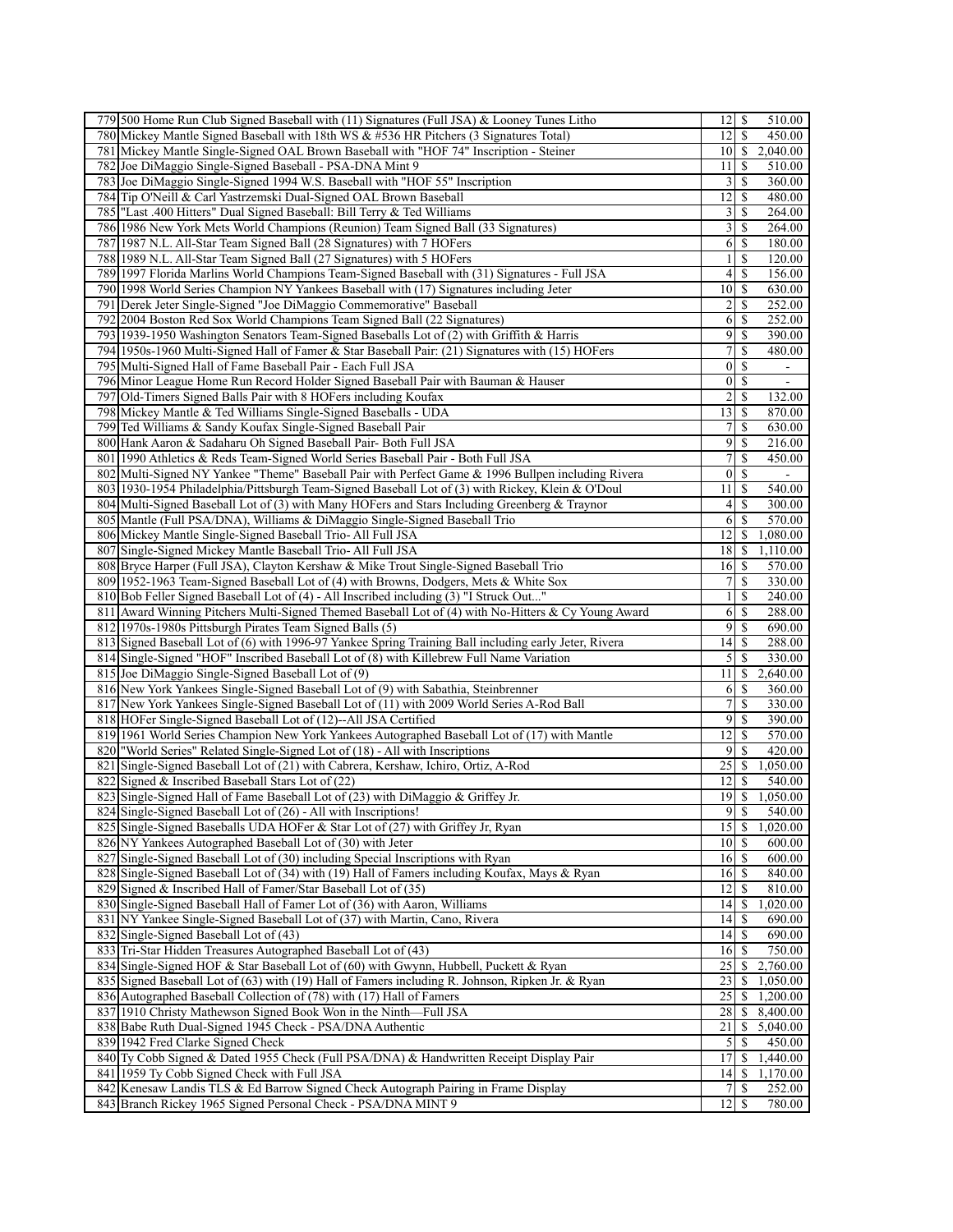| 779 500 Home Run Club Signed Baseball with (11) Signatures (Full JSA) & Looney Tunes Litho            | $12 \mid$ \$<br>510.00                             |
|-------------------------------------------------------------------------------------------------------|----------------------------------------------------|
| 780 Mickey Mantle Signed Baseball with 18th WS & #536 HR Pitchers (3 Signatures Total)                | 12<br>\$<br>450.00                                 |
| 781 Mickey Mantle Single-Signed OAL Brown Baseball with "HOF 74" Inscription - Steiner                | 2,040.00<br>$10$   \$                              |
| 782 Joe DiMaggio Single-Signed Baseball - PSA-DNA Mint 9                                              | 510.00<br>11 <br>-S                                |
| 783 Joe DiMaggio Single-Signed 1994 W.S. Baseball with "HOF 55" Inscription                           | 3<br>360.00<br>\$                                  |
| 784 Tip O'Neill & Carl Yastrzemski Dual-Signed OAL Brown Baseball                                     | 12<br>480.00<br>S                                  |
| 785  "Last .400 Hitters" Dual Signed Baseball: Bill Terry & Ted Williams                              | $\overline{\mathbf{3}}$<br>S<br>264.00             |
| 786 1986 New York Mets World Champions (Reunion) Team Signed Ball (33 Signatures)                     | 3<br>\$<br>264.00                                  |
| 787 1987 N.L. All-Star Team Signed Ball (28 Signatures) with 7 HOFers                                 | 6<br><sup>\$</sup><br>180.00                       |
| 788 1989 N.L. All-Star Team Signed Ball (27 Signatures) with 5 HOFers                                 | \$<br>120.00<br>1                                  |
| 789 1997 Florida Marlins World Champions Team-Signed Baseball with (31) Signatures - Full JSA         | 4<br>\$<br>156.00                                  |
| 790 1998 World Series Champion NY Yankees Baseball with (17) Signatures including Jeter               | 10<br>\$<br>630.00                                 |
|                                                                                                       |                                                    |
| 791<br>Derek Jeter Single-Signed "Joe DiMaggio Commemorative" Baseball                                | 2<br>$\mathbb{S}$<br>252.00                        |
| 792 2004 Boston Red Sox World Champions Team Signed Ball (22 Signatures)                              | 6<br>$\mathbb{S}$<br>252.00                        |
| 793 1939-1950 Washington Senators Team-Signed Baseballs Lot of (2) with Griffith & Harris             | 9<br><sup>\$</sup><br>390.00                       |
| 794 1950s-1960 Multi-Signed Hall of Famer & Star Baseball Pair: (21) Signatures with (15) HOFers      | 7<br>\$<br>480.00                                  |
| 795 Multi-Signed Hall of Fame Baseball Pair - Each Full JSA                                           | $\vert 0 \vert$<br>\$<br>$\blacksquare$            |
| 796 Minor League Home Run Record Holder Signed Baseball Pair with Bauman & Hauser                     | $\vert 0 \vert$<br><sup>\$</sup><br>$\blacksquare$ |
| Old-Timers Signed Balls Pair with 8 HOFers including Koufax<br>797                                    | 2<br>\$<br>132.00                                  |
| 798 Mickey Mantle & Ted Williams Single-Signed Baseballs - UDA                                        | 13<br><sup>\$</sup><br>870.00                      |
| 799 Ted Williams & Sandy Koufax Single-Signed Baseball Pair                                           | $7\vert$<br><sup>\$</sup><br>630.00                |
| 800 Hank Aaron & Sadaharu Oh Signed Baseball Pair- Both Full JSA                                      | 9<br>\$<br>216.00                                  |
| 801 1990 Athletics & Reds Team-Signed World Series Baseball Pair - Both Full JSA                      | $\overline{7}$<br>\$<br>450.00                     |
| 802 Multi-Signed NY Yankee "Theme" Baseball Pair with Perfect Game & 1996 Bullpen including Rivera    | <sup>\$</sup><br>$\boldsymbol{0}$                  |
| 803 1930-1954 Philadelphia/Pittsburgh Team-Signed Baseball Lot of (3) with Rickey, Klein & O'Doul     | 11<br>\$<br>540.00                                 |
| 804 Multi-Signed Baseball Lot of (3) with Many HOFers and Stars Including Greenberg & Traynor         | S<br>300.00<br>4                                   |
| 805 Mantle (Full PSA/DNA), Williams & DiMaggio Single-Signed Baseball Trio                            | 6<br><sup>\$</sup><br>570.00                       |
| 806 Mickey Mantle Single-Signed Baseball Trio-All Full JSA                                            | \$<br>1,080.00<br>12                               |
| 807 Single-Signed Mickey Mantle Baseball Trio-All Full JSA                                            | 18<br>1,110.00<br>\$                               |
| 808 Bryce Harper (Full JSA), Clayton Kershaw & Mike Trout Single-Signed Baseball Trio                 | $16$ $\sqrt{5}$<br>570.00                          |
| 809 1952-1963 Team-Signed Baseball Lot of (4) with Browns, Dodgers, Mets & White Sox                  | 7<br>\$<br>330.00                                  |
| 810 Bob Feller Signed Baseball Lot of (4) - All Inscribed including (3) "I Struck Out"                | 240.00<br>$\frac{1}{2}$<br>S                       |
| 811 Award Winning Pitchers Multi-Signed Themed Baseball Lot of (4) with No-Hitters & Cy Young Award   | 6<br>-\$<br>288.00                                 |
| 812 1970s-1980s Pittsburgh Pirates Team Signed Balls (5)                                              | $\overline{9}$<br>$\mathbb{S}$<br>690.00           |
| 813 Signed Baseball Lot of (6) with 1996-97 Yankee Spring Training Ball including early Jeter, Rivera | 14<br>-S<br>288.00                                 |
| 814 Single-Signed "HOF" Inscribed Baseball Lot of (8) with Killebrew Full Name Variation              | 5<br>\$<br>330.00                                  |
| 815 Joe DiMaggio Single-Signed Baseball Lot of (9)                                                    | 2,640.00<br>11<br>\$                               |
| 816 New York Yankees Single-Signed Baseball Lot of (9) with Sabathia, Steinbrenner                    | 6<br>360.00<br>-S                                  |
|                                                                                                       | 330.00                                             |
| 817 New York Yankees Single-Signed Baseball Lot of (11) with 2009 World Series A-Rod Ball             | 7<br>\$                                            |
| 818 HOFer Single-Signed Baseball Lot of (12)--All JSA Certified                                       | 9<br>\$<br>390.00                                  |
| 819 1961 World Series Champion New York Yankees Autographed Baseball Lot of (17) with Mantle          | 12<br>570.00<br>S                                  |
| 820 World Series" Related Single-Signed Lot of (18) - All with Inscriptions                           | 9<br>\$<br>420.00                                  |
| 821 Single-Signed Baseball Lot of (21) with Cabrera, Kershaw, Ichiro, Ortiz, A-Rod                    | 25<br><sup>\$</sup><br>1,050.00                    |
| 822 Signed & Inscribed Baseball Stars Lot of (22)                                                     | 12<br>\$<br>540.00                                 |
| 823 Single-Signed Hall of Fame Baseball Lot of (23) with DiMaggio & Griffey Jr.                       | \$<br>19<br>1,050.00                               |
| 824 Single-Signed Baseball Lot of (26) - All with Inscriptions!                                       | 9S<br>540.00                                       |
| 825 Single-Signed Baseballs UDA HOFer & Star Lot of (27) with Griffey Jr, Ryan                        | $15$ $\sqrt{5}$<br>1,020.00                        |
|                                                                                                       |                                                    |
| 826 NY Yankees Autographed Baseball Lot of (30) with Jeter                                            | $10$ $\sqrt{5}$<br>600.00                          |
| 827 Single-Signed Baseball Lot of (30) including Special Inscriptions with Ryan                       | 16<br>-S<br>600.00                                 |
| 828 Single-Signed Baseball Lot of (34) with (19) Hall of Famers including Koufax, Mays & Ryan         | $16 \mid S$<br>840.00                              |
| 829 Signed & Inscribed Hall of Famer/Star Baseball Lot of (35)                                        | 12<br>810.00<br><sup>\$</sup>                      |
| 830 Single-Signed Baseball Hall of Famer Lot of (36) with Aaron, Williams                             | 14<br>1,020.00<br>-S                               |
| 831 NY Yankee Single-Signed Baseball Lot of (37) with Martin, Cano, Rivera                            | 14<br>690.00<br>S                                  |
| 832 Single-Signed Baseball Lot of (43)                                                                | 690.00<br>$14$ $\bar{\text{s}}$                    |
| 833 Tri-Star Hidden Treasures Autographed Baseball Lot of (43)                                        | 750.00<br>$16$ $\bar{s}$                           |
| 834 Single-Signed HOF & Star Baseball Lot of (60) with Gwynn, Hubbell, Puckett & Ryan                 | 25<br>2,760.00<br>\$                               |
| 835 Signed Baseball Lot of (63) with (19) Hall of Famers including R. Johnson, Ripken Jr. & Ryan      | $23 \mid$ \$<br>1,050.00                           |
| 836 Autographed Baseball Collection of (78) with (17) Hall of Famers                                  | 25<br><sup>\$</sup><br>1,200.00                    |
| 837 1910 Christy Mathewson Signed Book Won in the Ninth-Full JSA                                      | 8,400.00<br>28<br>S.                               |
| 838 Babe Ruth Dual-Signed 1945 Check - PSA/DNA Authentic                                              | 21<br><sup>\$</sup><br>5,040.00                    |
| 839 1942 Fred Clarke Signed Check                                                                     | 450.00                                             |
| 840 Ty Cobb Signed & Dated 1955 Check (Full PSA/DNA) & Handwritten Receipt Display Pair               | 1,440.00<br><sup>17</sup><br><sup>\$</sup>         |
| 841 1959 Ty Cobb Signed Check with Full JSA                                                           | 14<br>1,170.00<br>S                                |
| 842 Kenesaw Landis TLS & Ed Barrow Signed Check Autograph Pairing in Frame Display                    | 7 <sup>1</sup><br>-S<br>252.00                     |
| 843 Branch Rickey 1965 Signed Personal Check - PSA/DNA MINT 9                                         | 12<br>-S<br>780.00                                 |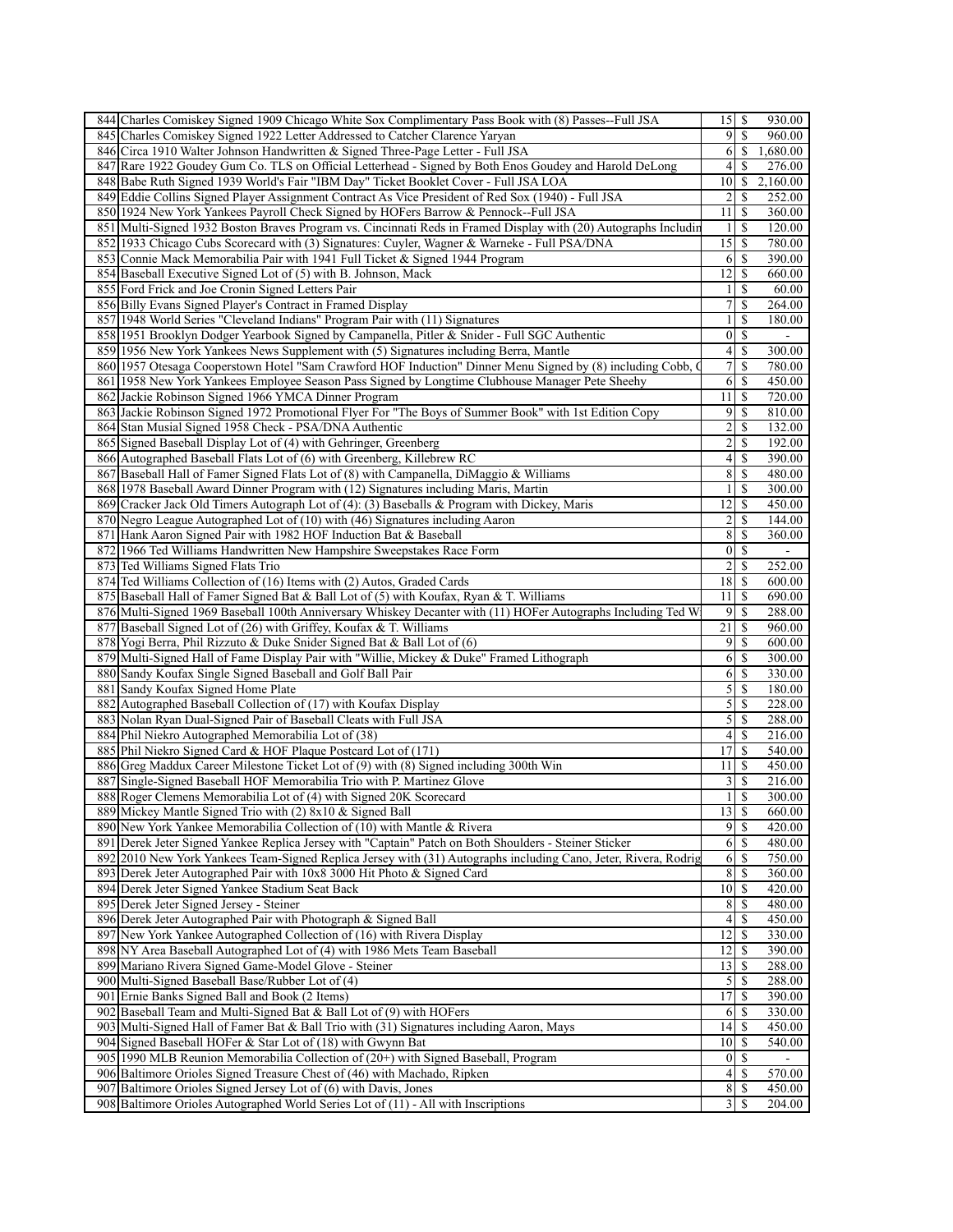| 844 Charles Comiskey Signed 1909 Chicago White Sox Complimentary Pass Book with (8) Passes--Full JSA                                                   | $15$ $\frac{1}{5}$    |                            | 930.00           |
|--------------------------------------------------------------------------------------------------------------------------------------------------------|-----------------------|----------------------------|------------------|
| 845 Charles Comiskey Signed 1922 Letter Addressed to Catcher Clarence Yaryan                                                                           |                       | 9 IS                       | 960.00           |
| 846 Circa 1910 Walter Johnson Handwritten & Signed Three-Page Letter - Full JSA                                                                        |                       | $6$   \$                   | 1,680.00         |
| 847 Rare 1922 Goudey Gum Co. TLS on Official Letterhead - Signed by Both Enos Goudey and Harold DeLong                                                 |                       | $4\overline{3}$            | 276.00           |
| 848 Babe Ruth Signed 1939 World's Fair "IBM Day" Ticket Booklet Cover - Full JSA LOA                                                                   | 10 <sup> </sup>       | \$                         | 2,160.00         |
| 849 Eddie Collins Signed Player Assignment Contract As Vice President of Red Sox (1940) - Full JSA                                                     | $2\vert$              | \$                         | 252.00           |
| 850 1924 New York Yankees Payroll Check Signed by HOFers Barrow & Pennock--Full JSA                                                                    | $11$ $\frac{1}{3}$    |                            | 360.00           |
| 851 Multi-Signed 1932 Boston Braves Program vs. Cincinnati Reds in Framed Display with (20) Autographs Includin                                        |                       | 11S                        | 120.00           |
| 852 1933 Chicago Cubs Scorecard with (3) Signatures: Cuyler, Wagner & Warneke - Full PSA/DNA                                                           | $15 \mid$ \$          |                            | 780.00           |
| 853 Connie Mack Memorabilia Pair with 1941 Full Ticket & Signed 1944 Program                                                                           |                       | 6 S                        | 390.00           |
|                                                                                                                                                        |                       |                            |                  |
| 854 Baseball Executive Signed Lot of (5) with B. Johnson, Mack                                                                                         | 12                    | <sup>\$</sup>              | 660.00           |
| 855 Ford Frick and Joe Cronin Signed Letters Pair                                                                                                      | $\frac{1}{2}$         | <sup>\$</sup>              | 60.00            |
| 856 Billy Evans Signed Player's Contract in Framed Display                                                                                             | 7                     | <sup>\$</sup>              | 264.00           |
| 857 1948 World Series "Cleveland Indians" Program Pair with (11) Signatures                                                                            | 11                    | S                          | 180.00           |
| 858 1951 Brooklyn Dodger Yearbook Signed by Campanella, Pitler & Snider - Full SGC Authentic                                                           |                       | $0\sqrt{s}$                |                  |
| 859 1956 New York Yankees News Supplement with (5) Signatures including Berra, Mantle                                                                  | 4 <sup>1</sup>        | \$                         | 300.00           |
| 860 1957 Otesaga Cooperstown Hotel "Sam Crawford HOF Induction" Dinner Menu Signed by (8) including Cobb,                                              | 7 <sup>1</sup>        | <sup>\$</sup>              | 780.00           |
| 861 1958 New York Yankees Employee Season Pass Signed by Longtime Clubhouse Manager Pete Sheehy                                                        | 6                     | <sup>\$</sup>              | 450.00           |
| 862 Jackie Robinson Signed 1966 YMCA Dinner Program                                                                                                    | 11                    | \$                         | 720.00           |
| 863 Jackie Robinson Signed 1972 Promotional Flyer For "The Boys of Summer Book" with 1st Edition Copy                                                  |                       | 95                         | 810.00           |
| 864 Stan Musial Signed 1958 Check - PSA/DNA Authentic                                                                                                  | $2\vert$              | \$                         | 132.00           |
| 865 Signed Baseball Display Lot of (4) with Gehringer, Greenberg                                                                                       | $\overline{2}$        | \$                         | 192.00           |
|                                                                                                                                                        | 4                     | $\boldsymbol{\mathsf{S}}$  |                  |
| 866 Autographed Baseball Flats Lot of (6) with Greenberg, Killebrew RC                                                                                 |                       |                            | 390.00           |
| 867 Baseball Hall of Famer Signed Flats Lot of (8) with Campanella, DiMaggio & Williams                                                                | 8                     | <sup>\$</sup>              | 480.00           |
| 868 1978 Baseball Award Dinner Program with (12) Signatures including Maris, Martin                                                                    | $\frac{1}{2}$         | <sup>\$</sup>              | 300.00           |
| 869 Cracker Jack Old Timers Autograph Lot of (4): (3) Baseballs & Program with Dickey, Maris                                                           | $12 \mid$ \$          |                            | 450.00           |
| 870 Negro League Autographed Lot of (10) with (46) Signatures including Aaron                                                                          | $\overline{2}$        | <sup>\$</sup>              | 144.00           |
| 871 Hank Aaron Signed Pair with 1982 HOF Induction Bat & Baseball                                                                                      | 8                     | <sup>\$</sup>              | 360.00           |
| 872 1966 Ted Williams Handwritten New Hampshire Sweepstakes Race Form                                                                                  | 0 <sup>1</sup>        | \$                         |                  |
| 873 Ted Williams Signed Flats Trio                                                                                                                     | $2\vert$              | <sup>\$</sup>              | 252.00           |
| 874 Ted Williams Collection of (16) Items with (2) Autos, Graded Cards                                                                                 | $18$   \$             |                            | 600.00           |
| 875 Baseball Hall of Famer Signed Bat & Ball Lot of (5) with Koufax, Ryan & T. Williams                                                                | $11 \mid$ \$          |                            | 690.00           |
| 876 Multi-Signed 1969 Baseball 100th Anniversary Whiskey Decanter with (11) HOFer Autographs Including Ted W                                           |                       | $9$ \ $\frac{1}{2}$        | 288.00           |
| 877 Baseball Signed Lot of (26) with Griffey, Koufax & T. Williams                                                                                     |                       |                            | 960.00           |
| 878 Yogi Berra, Phil Rizzuto & Duke Snider Signed Bat & Ball Lot of (6)                                                                                | 91                    | <sup>\$</sup>              | 600.00           |
|                                                                                                                                                        | 6                     | \$                         |                  |
| 879 Multi-Signed Hall of Fame Display Pair with "Willie, Mickey & Duke" Framed Lithograph                                                              |                       |                            | 300.00           |
| 880 Sandy Koufax Single Signed Baseball and Golf Ball Pair                                                                                             | <sup>6</sup>          | \$                         | 330.00           |
| 881 Sandy Koufax Signed Home Plate                                                                                                                     | 5                     | <sup>\$</sup>              | 180.00           |
| 882 Autographed Baseball Collection of (17) with Koufax Display                                                                                        | $\mathcal{S}$         | \$                         | 228.00           |
| 883 Nolan Ryan Dual-Signed Pair of Baseball Cleats with Full JSA                                                                                       | $5\vert$              | $\boldsymbol{\mathsf{S}}$  | 288.00           |
| 884 Phil Niekro Autographed Memorabilia Lot of (38)                                                                                                    |                       | 4 S                        | 216.00           |
| 885 Phil Niekro Signed Card & HOF Plaque Postcard Lot of (171)                                                                                         | $17$ $\bar{\text{s}}$ |                            | 540.00           |
| 886 Greg Maddux Career Milestone Ticket Lot of (9) with (8) Signed including 300th Win                                                                 | $11$ $\frac{1}{3}$    |                            | 450.00           |
| 887 Single-Signed Baseball HOF Memorabilia Trio with P. Martinez Glove                                                                                 | 3 <sup>1</sup>        | <sup>\$</sup>              | 216.00           |
| 888 Roger Clemens Memorabilia Lot of (4) with Signed 20K Scorecard                                                                                     | $\frac{1}{2}$         | <sup>\$</sup>              | 300.00           |
| 889 Mickey Mantle Signed Trio with (2) 8x10 & Signed Ball                                                                                              | 13S                   |                            | 660.00           |
| 890 New York Yankee Memorabilia Collection of (10) with Mantle & Rivera                                                                                |                       |                            | 420.00           |
| 891 Derek Jeter Signed Yankee Replica Jersey with "Captain" Patch on Both Shoulders - Steiner Sticker                                                  |                       | 6S                         | 480.00           |
| 892 2010 New York Yankees Team-Signed Replica Jersey with (31) Autographs including Cano, Jeter, Rivera, Rodrig                                        |                       | $6 \overline{\smash{)}\,}$ | 750.00           |
| 893 Derek Jeter Autographed Pair with 10x8 3000 Hit Photo & Signed Card                                                                                |                       | 8 S                        | 360.00           |
|                                                                                                                                                        |                       |                            |                  |
| 894 Derek Jeter Signed Yankee Stadium Seat Back                                                                                                        | $10\vert S$           |                            | 420.00           |
| 895 Derek Jeter Signed Jersey - Steiner                                                                                                                | 8                     | <sup>\$</sup>              | 480.00           |
| 896 Derek Jeter Autographed Pair with Photograph & Signed Ball                                                                                         | 4 <sup>1</sup>        | <sup>\$</sup>              | 450.00           |
|                                                                                                                                                        |                       | $12$ $\sqrt{5}$            | 330.00           |
| 897 New York Yankee Autographed Collection of (16) with Rivera Display                                                                                 |                       |                            |                  |
| 898 NY Area Baseball Autographed Lot of (4) with 1986 Mets Team Baseball                                                                               | $12$ $\frac{12}{3}$   |                            | 390.00           |
| 899 Mariano Rivera Signed Game-Model Glove - Steiner                                                                                                   | 13                    | <sup>\$</sup>              | 288.00           |
| 900 Multi-Signed Baseball Base/Rubber Lot of (4)                                                                                                       |                       |                            | 288.00           |
| 901 Ernie Banks Signed Ball and Book (2 Items)                                                                                                         | $17$ $S$              |                            | 390.00           |
| 902 Baseball Team and Multi-Signed Bat & Ball Lot of (9) with HOFers                                                                                   |                       | 6   S                      | 330.00           |
|                                                                                                                                                        | $14$ $\frac{1}{3}$    |                            | 450.00           |
| 903 Multi-Signed Hall of Famer Bat & Ball Trio with (31) Signatures including Aaron, Mays                                                              | $10$ $\sqrt{5}$       |                            |                  |
| 904 Signed Baseball HOFer & Star Lot of (18) with Gwynn Bat                                                                                            |                       |                            | 540.00           |
| 905 1990 MLB Reunion Memorabilia Collection of (20+) with Signed Baseball, Program                                                                     |                       | 01S                        |                  |
| 906 Baltimore Orioles Signed Treasure Chest of (46) with Machado, Ripken                                                                               | 4                     | <sup>\$</sup>              | 570.00           |
| 907 Baltimore Orioles Signed Jersey Lot of (6) with Davis, Jones<br>908 Baltimore Orioles Autographed World Series Lot of (11) - All with Inscriptions |                       | $3 \mid S$                 | 450.00<br>204.00 |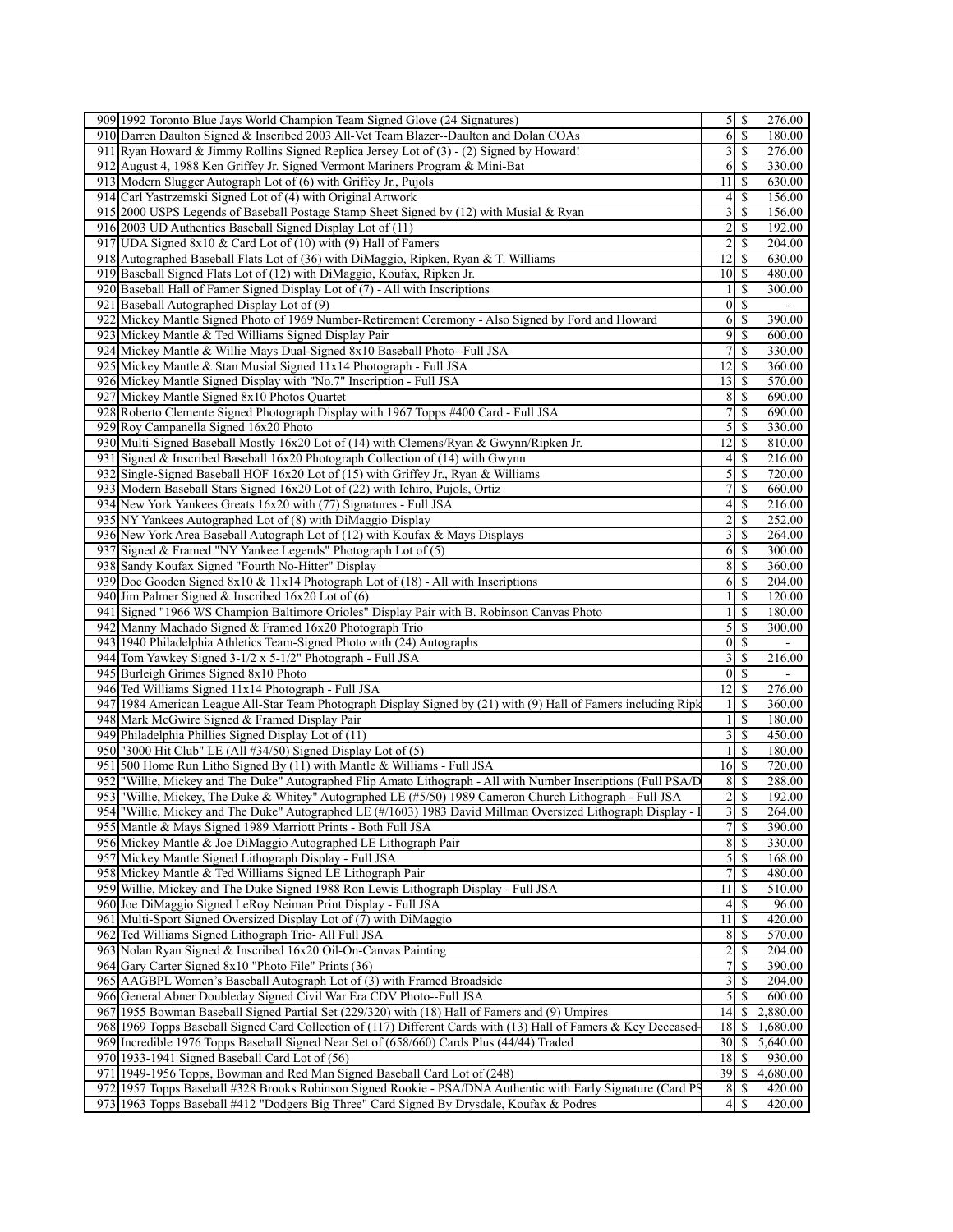| 909 1992 Toronto Blue Jays World Champion Team Signed Glove (24 Signatures)                                                                                                                               |                             |               | 276.00                   |
|-----------------------------------------------------------------------------------------------------------------------------------------------------------------------------------------------------------|-----------------------------|---------------|--------------------------|
| 910 Darren Daulton Signed & Inscribed 2003 All-Vet Team Blazer--Daulton and Dolan COAs                                                                                                                    | $6 \mid$                    | -S            | 180.00                   |
| 911 Ryan Howard & Jimmy Rollins Signed Replica Jersey Lot of $(3)$ - $(2)$ Signed by Howard!                                                                                                              | $\frac{3}{2}$               | -S            | 276.00                   |
| 912 August 4, 1988 Ken Griffey Jr. Signed Vermont Mariners Program & Mini-Bat                                                                                                                             | 6                           | -S            | 330.00                   |
| 913 Modern Slugger Autograph Lot of (6) with Griffey Jr., Pujols                                                                                                                                          | 11                          | -S            | 630.00                   |
| 914 Carl Yastrzemski Signed Lot of (4) with Original Artwork                                                                                                                                              | 4                           | \$            | 156.00                   |
|                                                                                                                                                                                                           |                             |               |                          |
| 915 2000 USPS Legends of Baseball Postage Stamp Sheet Signed by (12) with Musial & Ryan                                                                                                                   | 3                           | <sup>\$</sup> | 156.00                   |
| 916 2003 UD Authentics Baseball Signed Display Lot of (11)                                                                                                                                                | 2                           | <sup>\$</sup> | 192.00                   |
| 917 UDA Signed 8x10 & Card Lot of (10) with (9) Hall of Famers                                                                                                                                            | $\overline{c}$              | -S            | 204.00                   |
| 918 Autographed Baseball Flats Lot of (36) with DiMaggio, Ripken, Ryan & T. Williams                                                                                                                      | 12                          | <sup>\$</sup> | 630.00                   |
| 919 Baseball Signed Flats Lot of (12) with DiMaggio, Koufax, Ripken Jr.                                                                                                                                   | 10 <sup>1</sup>             | -S            | 480.00                   |
| 920 Baseball Hall of Famer Signed Display Lot of (7) - All with Inscriptions                                                                                                                              |                             | S             | 300.00                   |
| 921 Baseball Autographed Display Lot of (9)                                                                                                                                                               | $\vert 0 \vert$             | $\mathbb{S}$  | $\overline{\phantom{a}}$ |
| 922 Mickey Mantle Signed Photo of 1969 Number-Retirement Ceremony - Also Signed by Ford and Howard                                                                                                        | 6                           | -S            | 390.00                   |
| 923 Mickey Mantle & Ted Williams Signed Display Pair                                                                                                                                                      | $\overline{9}$              | -S            | 600.00                   |
|                                                                                                                                                                                                           |                             |               |                          |
| 924 Mickey Mantle & Willie Mays Dual-Signed 8x10 Baseball Photo--Full JSA                                                                                                                                 | 7                           | <sup>\$</sup> | 330.00                   |
| 925 Mickey Mantle & Stan Musial Signed 11x14 Photograph - Full JSA                                                                                                                                        | 12                          | -S            | 360.00                   |
| 926 Mickey Mantle Signed Display with "No.7" Inscription - Full JSA                                                                                                                                       | 13                          | -S            | 570.00                   |
| 927 Mickey Mantle Signed 8x10 Photos Quartet                                                                                                                                                              | 8                           | <sup>\$</sup> | 690.00                   |
| 928 Roberto Clemente Signed Photograph Display with 1967 Topps #400 Card - Full JSA                                                                                                                       | 7                           | \$            | 690.00                   |
| 929 Roy Campanella Signed 16x20 Photo                                                                                                                                                                     | 5                           | -S            | 330.00                   |
| 930 Multi-Signed Baseball Mostly 16x20 Lot of (14) with Clemens/Ryan & Gwynn/Ripken Jr.                                                                                                                   | 12                          | -S            | 810.00                   |
| 931 Signed & Inscribed Baseball 16x20 Photograph Collection of (14) with Gwynn                                                                                                                            | 4                           | -S            | 216.00                   |
|                                                                                                                                                                                                           |                             |               |                          |
| 932 Single-Signed Baseball HOF 16x20 Lot of (15) with Griffey Jr., Ryan & Williams                                                                                                                        | $\mathfrak{S}$              | -S            | 720.00                   |
| 933 Modern Baseball Stars Signed 16x20 Lot of (22) with Ichiro, Pujols, Ortiz                                                                                                                             | 7                           | \$            | 660.00                   |
| 934 New York Yankees Greats 16x20 with (77) Signatures - Full JSA                                                                                                                                         | 4                           | <sup>\$</sup> | 216.00                   |
| 935 NY Yankees Autographed Lot of (8) with DiMaggio Display                                                                                                                                               | 2                           | <sup>\$</sup> | 252.00                   |
| 936 New York Area Baseball Autograph Lot of (12) with Koufax & Mays Displays                                                                                                                              | 3                           | <sup>\$</sup> | 264.00                   |
| 937 Signed & Framed "NY Yankee Legends" Photograph Lot of (5)                                                                                                                                             | 6                           | -S            | 300.00                   |
| 938 Sandy Koufax Signed "Fourth No-Hitter" Display                                                                                                                                                        | 8                           | -S            | 360.00                   |
| 939 Doc Gooden Signed $8x10 \& 11x14$ Photograph Lot of (18) - All with Inscriptions                                                                                                                      | 6                           | -S            | 204.00                   |
| 940 Jim Palmer Signed & Inscribed $16x20$ Lot of (6)                                                                                                                                                      | $\frac{1}{2}$               | -S            | 120.00                   |
|                                                                                                                                                                                                           |                             |               |                          |
| 941 Signed "1966 WS Champion Baltimore Orioles" Display Pair with B. Robinson Canvas Photo                                                                                                                | 1                           | -S            | 180.00                   |
| 942 Manny Machado Signed & Framed 16x20 Photograph Trio                                                                                                                                                   | 5                           |               |                          |
|                                                                                                                                                                                                           |                             | \$            | 300.00                   |
| 943 1940 Philadelphia Athletics Team-Signed Photo with (24) Autographs                                                                                                                                    | $\vert 0 \vert$             | -S            |                          |
| 944 Tom Yawkey Signed 3-1/2 x 5-1/2" Photograph - Full JSA                                                                                                                                                | 3                           | <sup>\$</sup> | 216.00                   |
| 945 Burleigh Grimes Signed 8x10 Photo                                                                                                                                                                     | $\vert$                     | -S            | $\sim$                   |
|                                                                                                                                                                                                           |                             |               |                          |
| 946 Ted Williams Signed 11x14 Photograph - Full JSA                                                                                                                                                       | 12                          | <sup>\$</sup> | 276.00                   |
| 947 1984 American League All-Star Team Photograph Display Signed by (21) with (9) Hall of Famers including Ripk                                                                                           |                             | <sup>\$</sup> | 360.00                   |
| 948 Mark McGwire Signed & Framed Display Pair                                                                                                                                                             |                             | <sup>\$</sup> | 180.00                   |
| 949 Philadelphia Phillies Signed Display Lot of (11)                                                                                                                                                      | $\overline{\mathbf{3}}$     | -S            | 450.00                   |
| 950 ["3000 Hit Club" LE (All #34/50) Signed Display Lot of (5)                                                                                                                                            | 1                           | <sup>\$</sup> | 180.00                   |
| 951 500 Home Run Litho Signed By (11) with Mantle & Williams - Full JSA                                                                                                                                   | 16                          | -S            | 720.00                   |
| 952 Willie, Mickey and The Duke" Autographed Flip Amato Lithograph - All with Number Inscriptions (Full PSA/D                                                                                             | 8                           | -S            | 288.00                   |
| 953 Willie, Mickey, The Duke & Whitey" Autographed LE (#5/50) 1989 Cameron Church Lithograph - Full JSA                                                                                                   | 2                           | <sup>\$</sup> | 192.00                   |
|                                                                                                                                                                                                           |                             |               |                          |
| 954 Willie, Mickey and The Duke" Autographed LE (#/1603) 1983 David Millman Oversized Lithograph Display - 1                                                                                              |                             | 3s            | 264.00                   |
| 955 Mantle & Mays Signed 1989 Marriott Prints - Both Full JSA                                                                                                                                             | $\overline{7}$              | $\mathsf{\$}$ | 390.00                   |
| 956 Mickey Mantle & Joe DiMaggio Autographed LE Lithograph Pair                                                                                                                                           | 8                           | -S            | 330.00                   |
| 957 Mickey Mantle Signed Lithograph Display - Full JSA                                                                                                                                                    | $\mathfrak{z}$              | -S            | 168.00                   |
| 958 Mickey Mantle & Ted Williams Signed LE Lithograph Pair                                                                                                                                                | 7                           | -S            | 480.00                   |
| 959 Willie, Mickey and The Duke Signed 1988 Ron Lewis Lithograph Display - Full JSA                                                                                                                       | 11                          | -S            | 510.00                   |
| 960 Joe DiMaggio Signed LeRoy Neiman Print Display - Full JSA                                                                                                                                             | 4 <sup>1</sup>              | -S            | 96.00                    |
| 961 Multi-Sport Signed Oversized Display Lot of (7) with DiMaggio                                                                                                                                         | 11                          | <sup>\$</sup> | 420.00                   |
| 962 Ted Williams Signed Lithograph Trio-All Full JSA                                                                                                                                                      | 8                           | -S            | 570.00                   |
| 963 Nolan Ryan Signed & Inscribed 16x20 Oil-On-Canvas Painting                                                                                                                                            | $\overline{2}$              | -S            | 204.00                   |
|                                                                                                                                                                                                           |                             |               |                          |
| 964 Gary Carter Signed 8x10 "Photo File" Prints (36)                                                                                                                                                      | 7                           | <sup>\$</sup> | 390.00                   |
| 965 AAGBPL Women's Baseball Autograph Lot of (3) with Framed Broadside                                                                                                                                    | $\overline{\mathbf{3}}$     | -S            | 204.00                   |
| 966 General Abner Doubleday Signed Civil War Era CDV Photo--Full JSA                                                                                                                                      | $\mathfrak{S}$              | $\mathbb{S}$  | 600.00                   |
| 967 1955 Bowman Baseball Signed Partial Set (229/320) with (18) Hall of Famers and (9) Umpires                                                                                                            | 14                          | -S            | 2,880.00                 |
| 968 1969 Topps Baseball Signed Card Collection of (117) Different Cards with (13) Hall of Famers & Key Deceased-                                                                                          | 18                          | -S            | 1,680.00                 |
| 969 Incredible 1976 Topps Baseball Signed Near Set of (658/660) Cards Plus (44/44) Traded                                                                                                                 | 30 <sup>1</sup>             | -S            | 5,640.00                 |
| 970 1933-1941 Signed Baseball Card Lot of (56)                                                                                                                                                            | 18                          | -S            | 930.00                   |
|                                                                                                                                                                                                           | 39                          | -S            | 4,680.00                 |
| 971 1949-1956 Topps, Bowman and Red Man Signed Baseball Card Lot of (248)                                                                                                                                 |                             |               |                          |
| 972 1957 Topps Baseball #328 Brooks Robinson Signed Rookie - PSA/DNA Authentic with Early Signature (Card PS<br>973 1963 Topps Baseball #412 "Dodgers Big Three" Card Signed By Drysdale, Koufax & Podres | $8$   \$<br>$\vert 4 \vert$ | <sup>\$</sup> | 420.00<br>420.00         |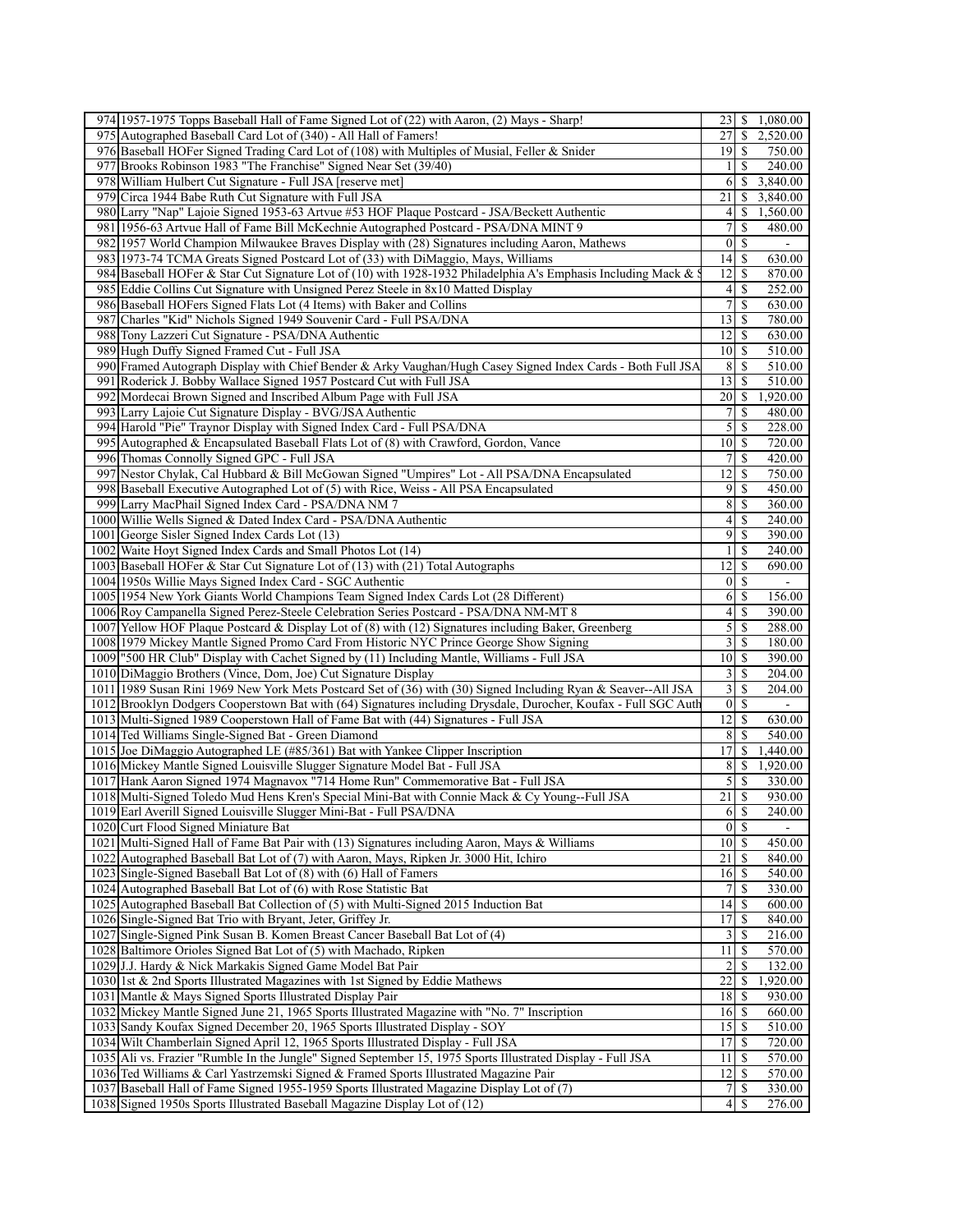|     | 974 1957-1975 Topps Baseball Hall of Fame Signed Lot of (22) with Aaron, (2) Mays - Sharp!                      |                        |                            | 23 \ \$ 1,080.00         |
|-----|-----------------------------------------------------------------------------------------------------------------|------------------------|----------------------------|--------------------------|
|     | 975 Autographed Baseball Card Lot of (340) - All Hall of Famers!                                                | 27                     | \$                         | 2,520.00                 |
|     | 976 Baseball HOFer Signed Trading Card Lot of (108) with Multiples of Musial, Feller & Snider                   | 19   S                 |                            | 750.00                   |
|     | 977 Brooks Robinson 1983 "The Franchise" Signed Near Set (39/40)                                                | 11                     | <sup>\$</sup>              | 240.00                   |
|     | 978 William Hulbert Cut Signature - Full JSA [reserve met]                                                      | 6                      | \$                         | 3,840.00                 |
|     | 979 Circa 1944 Babe Ruth Cut Signature with Full JSA                                                            | 21                     | S                          | 3,840.00                 |
|     | 980 Larry "Nap" Lajoie Signed 1953-63 Artvue #53 HOF Plaque Postcard - JSA/Beckett Authentic                    | $\vert 4 \vert$        | \$                         | 1,560.00                 |
|     | 981 1956-63 Artvue Hall of Fame Bill McKechnie Autographed Postcard - PSA/DNA MINT 9                            | 7                      | S                          | 480.00                   |
|     | 982 1957 World Champion Milwaukee Braves Display with (28) Signatures including Aaron, Mathews                  | $\vert 0 \vert$        | \$                         | $\overline{\phantom{a}}$ |
|     | 983 1973-74 TCMA Greats Signed Postcard Lot of (33) with DiMaggio, Mays, Williams                               | 14                     | \$                         | 630.00                   |
|     | 984 Baseball HOFer & Star Cut Signature Lot of (10) with 1928-1932 Philadelphia A's Emphasis Including Mack &   | 12                     | \$                         | 870.00                   |
|     |                                                                                                                 |                        |                            |                          |
|     | 985 Eddie Collins Cut Signature with Unsigned Perez Steele in 8x10 Matted Display                               | 4                      | S                          | 252.00                   |
|     | 986 Baseball HOFers Signed Flats Lot (4 Items) with Baker and Collins                                           | $\boldsymbol{7}$       | \$                         | 630.00                   |
|     | 987 Charles "Kid" Nichols Signed 1949 Souvenir Card - Full PSA/DNA                                              | 13                     | \$                         | 780.00                   |
|     | 988 Tony Lazzeri Cut Signature - PSA/DNA Authentic                                                              | 12                     | $\mathbb{S}$               | 630.00                   |
|     | 989 Hugh Duffy Signed Framed Cut - Full JSA                                                                     | 10 <sup> </sup>        | <sup>\$</sup>              | 510.00                   |
|     | 990 Framed Autograph Display with Chief Bender & Arky Vaughan/Hugh Casey Signed Index Cards - Both Full JSA     | 8                      | S                          | 510.00                   |
|     | 991 Roderick J. Bobby Wallace Signed 1957 Postcard Cut with Full JSA                                            | 13 <sup>1</sup>        | -S                         | 510.00                   |
| 992 | Mordecai Brown Signed and Inscribed Album Page with Full JSA                                                    | 20                     | \$                         | 1,920.00                 |
|     | 993 Larry Lajoie Cut Signature Display - BVG/JSA Authentic                                                      | 7                      | \$                         | 480.00                   |
|     | 994 Harold "Pie" Traynor Display with Signed Index Card - Full PSA/DNA                                          | $\mathcal{S}$          | $\mathbb{S}$               | 228.00                   |
|     | 995 Autographed & Encapsulated Baseball Flats Lot of (8) with Crawford, Gordon, Vance                           | 10 <sup>1</sup>        | \$                         | 720.00                   |
|     | 996 Thomas Connolly Signed GPC - Full JSA                                                                       | 7                      | \$                         | 420.00                   |
| 997 | Nestor Chylak, Cal Hubbard & Bill McGowan Signed "Umpires" Lot - All PSA/DNA Encapsulated                       | 2                      | <sup>\$</sup>              | 750.00                   |
| 998 | Baseball Executive Autographed Lot of (5) with Rice, Weiss - All PSA Encapsulated                               | $\overline{9}$         | \$                         | 450.00                   |
|     | 999 Larry MacPhail Signed Index Card - PSA/DNA NM 7                                                             | 8                      | $\mathbb{S}$               | 360.00                   |
|     | 1000 Willie Wells Signed & Dated Index Card - PSA/DNA Authentic                                                 | $\vert 4 \vert$        | \$                         | 240.00                   |
|     | 1001 George Sisler Signed Index Cards Lot (13)                                                                  | $\overline{9}$         | $\mathbb{S}$               | 390.00                   |
|     | 1002 Waite Hoyt Signed Index Cards and Small Photos Lot (14)                                                    | $\mathbf{1}$           | \$                         | 240.00                   |
|     | 1003 Baseball HOFer & Star Cut Signature Lot of (13) with (21) Total Autographs                                 | 12                     | $\mathbb{S}$               | 690.00                   |
|     | 1004 1950s Willie Mays Signed Index Card - SGC Authentic                                                        | $\overline{0}$         | -\$                        | $\mathbf{r}$             |
|     | 1005 1954 New York Giants World Champions Team Signed Index Cards Lot (28 Different)                            | 6                      | -S                         | 156.00                   |
|     | 1006 Roy Campanella Signed Perez-Steele Celebration Series Postcard - PSA/DNA NM-MT 8                           | $\left 4\right $       | $\mathbb{S}$               | 390.00                   |
|     | 1007 Yellow HOF Plaque Postcard & Display Lot of (8) with (12) Signatures including Baker, Greenberg            | $\mathfrak{S}$         | $\mathbb{S}$               | 288.00                   |
|     | 1008 1979 Mickey Mantle Signed Promo Card From Historic NYC Prince George Show Signing                          | $\overline{3}$         | <sup>\$</sup>              | 180.00                   |
|     | 1009 "500 HR Club" Display with Cachet Signed by (11) Including Mantle, Williams - Full JSA                     | 10                     | $\mathbb{S}$               | 390.00                   |
|     |                                                                                                                 | $\overline{3}$         | \$                         | 204.00                   |
|     | 1010 DiMaggio Brothers (Vince, Dom, Joe) Cut Signature Display                                                  | $\overline{3}$         |                            |                          |
|     | 1011 1989 Susan Rini 1969 New York Mets Postcard Set of (36) with (30) Signed Including Ryan & Seaver--All JSA  |                        | -S                         | 204.00                   |
|     | 1012 Brooklyn Dodgers Cooperstown Bat with (64) Signatures including Drysdale, Durocher, Koufax - Full SGC Auth | $\vert 0 \vert$<br> 12 | \$                         |                          |
|     | 1013 Multi-Signed 1989 Cooperstown Hall of Fame Bat with (44) Signatures - Full JSA                             |                        | <sup>\$</sup>              | 630.00                   |
|     | 1014 Ted Williams Single-Signed Bat - Green Diamond                                                             | $8\,$                  | S                          | 540.00                   |
|     | 1015 Joe DiMaggio Autographed LE (#85/361) Bat with Yankee Clipper Inscription                                  | 17                     | \$                         | 1,440.00                 |
|     | 1016 Mickey Mantle Signed Louisville Slugger Signature Model Bat - Full JSA                                     | 8                      | S.                         | 1,920.00                 |
|     | 1017 Hank Aaron Signed 1974 Magnavox "714 Home Run" Commemorative Bat - Full JSA                                | $\mathcal{S}$          | -S                         | 330.00                   |
|     | 1018 Multi-Signed Toledo Mud Hens Kren's Special Mini-Bat with Connie Mack & Cy Young--Full JSA                 | 21                     | <sup>\$</sup>              | 930.00                   |
|     | 1019 Earl Averill Signed Louisville Slugger Mini-Bat - Full PSA/DNA                                             |                        | $6 \overline{\smash{)}\,}$ | 240.00                   |
|     | 1020 Curt Flood Signed Miniature Bat                                                                            | $\overline{0}$         | $\mathcal{S}$              |                          |
|     | 1021 Multi-Signed Hall of Fame Bat Pair with (13) Signatures including Aaron, Mays & Williams                   | $10 \mid$ \$           |                            | 450.00                   |
|     | 1022 Autographed Baseball Bat Lot of (7) with Aaron, Mays, Ripken Jr. 3000 Hit, Ichiro                          | 21                     | -S                         | 840.00                   |
|     | 1023 Single-Signed Baseball Bat Lot of (8) with (6) Hall of Famers                                              | $16$ $\sqrt{5}$        |                            | 540.00                   |
|     | 1024 Autographed Baseball Bat Lot of (6) with Rose Statistic Bat                                                | 7                      | \$                         | 330.00                   |
|     | 1025 Autographed Baseball Bat Collection of (5) with Multi-Signed 2015 Induction Bat                            | 14                     | -S                         | 600.00                   |
|     | 1026 Single-Signed Bat Trio with Bryant, Jeter, Griffey Jr.                                                     | 17                     | \$                         | 840.00                   |
|     | 1027 Single-Signed Pink Susan B. Komen Breast Cancer Baseball Bat Lot of (4)                                    | $\overline{3}$         | S                          | 216.00                   |
|     | 1028 Baltimore Orioles Signed Bat Lot of (5) with Machado, Ripken                                               | 11                     | -S                         | 570.00                   |
|     | 1029 J.J. Hardy & Nick Markakis Signed Game Model Bat Pair                                                      | $\overline{c}$         | S                          | 132.00                   |
|     | 1030 1st & 2nd Sports Illustrated Magazines with 1st Signed by Eddie Mathews                                    | 22                     | \$                         | 1,920.00                 |
|     | 1031 Mantle & Mays Signed Sports Illustrated Display Pair                                                       | 18                     | <sup>\$</sup>              | 930.00                   |
|     | 1032 Mickey Mantle Signed June 21, 1965 Sports Illustrated Magazine with "No. 7" Inscription                    | 16                     | -S                         | 660.00                   |
|     | 1033 Sandy Koufax Signed December 20, 1965 Sports Illustrated Display - SOY                                     | 15                     | $\mathcal{S}$              | 510.00                   |
|     | 1034 Wilt Chamberlain Signed April 12, 1965 Sports Illustrated Display - Full JSA                               | 17                     | -S                         | 720.00                   |
|     | 1035 Ali vs. Frazier "Rumble In the Jungle" Signed September 15, 1975 Sports Illustrated Display - Full JSA     | 11                     | -S                         | 570.00                   |
|     | 1036 Ted Williams & Carl Yastrzemski Signed & Framed Sports Illustrated Magazine Pair                           | 12                     | S                          | 570.00                   |
|     | 1037 Baseball Hall of Fame Signed 1955-1959 Sports Illustrated Magazine Display Lot of (7)                      | $7\overline{ }$        | S                          | 330.00                   |
|     | 1038 Signed 1950s Sports Illustrated Baseball Magazine Display Lot of (12)                                      | $\vert 4 \vert$        | S                          | 276.00                   |
|     |                                                                                                                 |                        |                            |                          |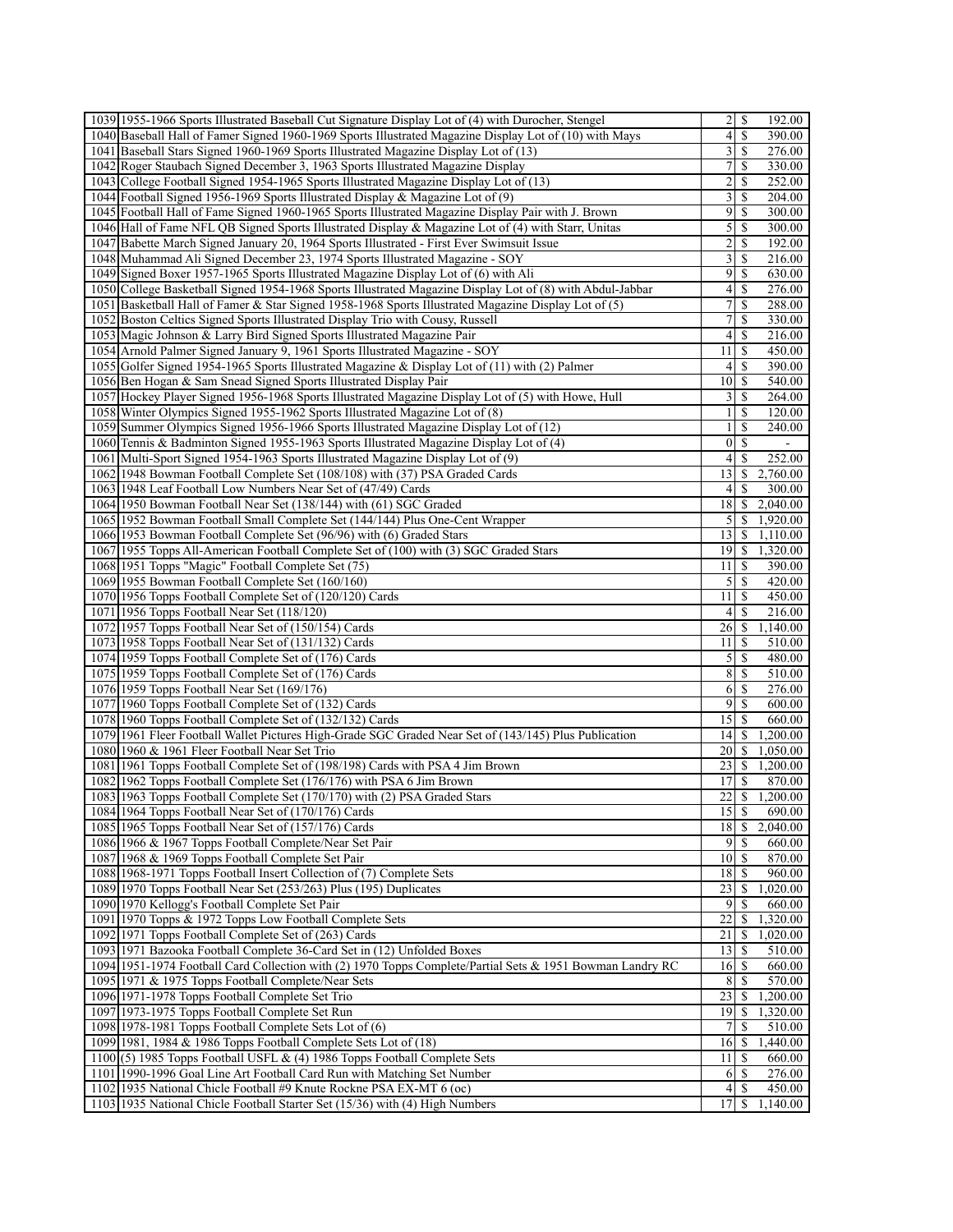| 1039 1955-1966 Sports Illustrated Baseball Cut Signature Display Lot of (4) with Durocher, Stengel                                                  | 192.00                                                                       |
|-----------------------------------------------------------------------------------------------------------------------------------------------------|------------------------------------------------------------------------------|
| 1040 Baseball Hall of Famer Signed 1960-1969 Sports Illustrated Magazine Display Lot of (10) with Mays                                              | $\overline{\mathbf{4}}$<br>\$<br>390.00                                      |
| 1041 Baseball Stars Signed 1960-1969 Sports Illustrated Magazine Display Lot of (13)                                                                | 3<br>276.00<br>S                                                             |
| 1042 Roger Staubach Signed December 3, 1963 Sports Illustrated Magazine Display                                                                     | $7\vert$<br><sup>\$</sup><br>330.00                                          |
| 1043 College Football Signed 1954-1965 Sports Illustrated Magazine Display Lot of (13)                                                              | 2<br>S<br>252.00                                                             |
| 1044 Football Signed 1956-1969 Sports Illustrated Display & Magazine Lot of (9)                                                                     | $\overline{\mathbf{3}}$<br>S<br>204.00                                       |
|                                                                                                                                                     |                                                                              |
| 1045 Football Hall of Fame Signed 1960-1965 Sports Illustrated Magazine Display Pair with J. Brown                                                  | $\overline{9}$<br>-S<br>300.00                                               |
| 1046 Hall of Fame NFL QB Signed Sports Illustrated Display & Magazine Lot of (4) with Starr, Unitas                                                 | 5<br>S<br>300.00                                                             |
| 1047 Babette March Signed January 20, 1964 Sports Illustrated - First Ever Swimsuit Issue                                                           | $\overline{c}$<br>S<br>192.00                                                |
| 1048 Muhammad Ali Signed December 23, 1974 Sports Illustrated Magazine - SOY                                                                        | $\overline{3}$<br><sup>\$</sup><br>216.00                                    |
| 1049 Signed Boxer 1957-1965 Sports Illustrated Magazine Display Lot of (6) with Ali                                                                 | $\overline{9}$<br>\$<br>630.00                                               |
| 1050 College Basketball Signed 1954-1968 Sports Illustrated Magazine Display Lot of (8) with Abdul-Jabbar                                           | $\overline{\mathcal{A}}$<br><sup>\$</sup><br>276.00                          |
| 1051 Basketball Hall of Famer & Star Signed 1958-1968 Sports Illustrated Magazine Display Lot of (5)                                                | $\boldsymbol{7}$<br>S<br>288.00                                              |
| 1052 Boston Celtics Signed Sports Illustrated Display Trio with Cousy, Russell                                                                      | 7<br>\$<br>330.00                                                            |
| 1053 Magic Johnson & Larry Bird Signed Sports Illustrated Magazine Pair                                                                             | $\overline{4}$<br>S<br>216.00                                                |
| 1054 Arnold Palmer Signed January 9, 1961 Sports Illustrated Magazine - SOY                                                                         | 11<br>\$<br>450.00                                                           |
| 1055 Golfer Signed 1954-1965 Sports Illustrated Magazine & Display Lot of (11) with (2) Palmer                                                      | $\left 4\right $<br>S<br>390.00                                              |
|                                                                                                                                                     |                                                                              |
| 1056 Ben Hogan & Sam Snead Signed Sports Illustrated Display Pair                                                                                   | -S<br>10<br>540.00                                                           |
| 1057 Hockey Player Signed 1956-1968 Sports Illustrated Magazine Display Lot of (5) with Howe, Hull                                                  | 3<br>\$<br>264.00                                                            |
| 1058 Winter Olympics Signed 1955-1962 Sports Illustrated Magazine Lot of (8)                                                                        | $\mathbf{1}$<br>\$<br>120.00                                                 |
| 1059 Summer Olympics Signed 1956-1966 Sports Illustrated Magazine Display Lot of (12)                                                               | \$<br>$\mathbf{1}$<br>240.00                                                 |
| 1060 Tennis & Badminton Signed 1955-1963 Sports Illustrated Magazine Display Lot of (4)                                                             | <sup>\$</sup><br>$\bf{0}$                                                    |
| 1061 Multi-Sport Signed 1954-1963 Sports Illustrated Magazine Display Lot of (9)                                                                    | $\overline{4}$<br><sup>\$</sup><br>252.00                                    |
| 1062 1948 Bowman Football Complete Set (108/108) with (37) PSA Graded Cards                                                                         | 13<br>2,760.00<br>\$                                                         |
| 1063 1948 Leaf Football Low Numbers Near Set of (47/49) Cards                                                                                       | $\left 4\right $<br>300.00<br>S                                              |
| 1064 1950 Bowman Football Near Set (138/144) with (61) SGC Graded                                                                                   | 18<br>2,040.00<br>\$.                                                        |
| 1065 1952 Bowman Football Small Complete Set (144/144) Plus One-Cent Wrapper                                                                        | $\mathfrak{S}$<br>1,920.00<br>\$                                             |
| 1066 1953 Bowman Football Complete Set (96/96) with (6) Graded Stars                                                                                | 1,110.00<br> 3 <br>S.                                                        |
| 1067 1955 Topps All-American Football Complete Set of (100) with (3) SGC Graded Stars                                                               | 19<br><sup>\$</sup><br>1,320.00                                              |
|                                                                                                                                                     |                                                                              |
| 1068 1951 Topps "Magic" Football Complete Set (75)                                                                                                  | 11<br>\$<br>390.00                                                           |
| 1069 1955 Bowman Football Complete Set (160/160)                                                                                                    | $\mathfrak{S}$<br>420.00<br><sup>\$</sup>                                    |
| 1070 1956 Topps Football Complete Set of (120/120) Cards                                                                                            | 11<br><sup>\$</sup><br>450.00                                                |
| 1071 1956 Topps Football Near Set (118/120)                                                                                                         | 4<br>\$<br>216.00                                                            |
| 1072 1957 Topps Football Near Set of (150/154) Cards                                                                                                | 26<br>$\mathbb{S}$<br>1,140.00                                               |
| 1073 1958 Topps Football Near Set of (131/132) Cards                                                                                                | <sup>\$</sup><br>510.00<br>11                                                |
| 1074 1959 Topps Football Complete Set of (176) Cards                                                                                                | 5<br>\$<br>480.00                                                            |
| 1075 1959 Topps Football Complete Set of (176) Cards                                                                                                | 8 <sup>1</sup><br>510.00<br>\$                                               |
| 1076 1959 Topps Football Near Set (169/176)                                                                                                         | 6<br><sup>\$</sup><br>276.00                                                 |
| 1077 1960 Topps Football Complete Set of (132) Cards                                                                                                | $\overline{9}$<br><sup>\$</sup><br>600.00                                    |
| 1078 1960 Topps Football Complete Set of (132/132) Cards                                                                                            | 15<br>$\mathcal{S}$<br>660.00                                                |
|                                                                                                                                                     |                                                                              |
|                                                                                                                                                     |                                                                              |
| 1079 1961 Fleer Football Wallet Pictures High-Grade SGC Graded Near Set of (143/145) Plus Publication                                               | 14<br><sup>\$</sup><br>1,200.00                                              |
| 1080 1960 & 1961 Fleer Football Near Set Trio                                                                                                       | 20<br>1,050.00<br>S.                                                         |
| 1081 1961 Topps Football Complete Set of (198/198) Cards with PSA 4 Jim Brown                                                                       | 23<br>\$<br>1,200.00                                                         |
| 1082 1962 Topps Football Complete Set (176/176) with PSA 6 Jim Brown                                                                                | 17<br>\$<br>870.00                                                           |
| 1083 1963 Topps Football Complete Set (170/170) with (2) PSA Graded Stars                                                                           | 22<br>$\mathbb{S}$<br>1,200.00                                               |
| 1084 1964 Topps Football Near Set of (170/176) Cards                                                                                                | 15S<br>690.00                                                                |
| 1085 1965 Topps Football Near Set of (157/176) Cards                                                                                                | $18$ $\sqrt{5}$<br>2,040.00                                                  |
| 1086 1966 & 1967 Topps Football Complete/Near Set Pair                                                                                              | 9<br>660.00<br>-S                                                            |
| 1087 1968 & 1969 Topps Football Complete Set Pair                                                                                                   | $10\vert S$<br>870.00                                                        |
|                                                                                                                                                     | 18 <sup> </sup><br>960.00                                                    |
| 1088 1968-1971 Topps Football Insert Collection of (7) Complete Sets                                                                                | \$                                                                           |
| 1089 1970 Topps Football Near Set (253/263) Plus (195) Duplicates                                                                                   | 23<br>1,020.00                                                               |
| 1090 1970 Kellogg's Football Complete Set Pair                                                                                                      | 9<br><sup>\$</sup><br>660.00                                                 |
| 1091 1970 Topps & 1972 Topps Low Football Complete Sets                                                                                             | 22<br>\$<br>1,320.00                                                         |
| 1092 1971 Topps Football Complete Set of (263) Cards                                                                                                | 21<br>1,020.00<br>\$.                                                        |
| 1093 1971 Bazooka Football Complete 36-Card Set in (12) Unfolded Boxes                                                                              | 13<br>510.00<br><sup>\$</sup>                                                |
| 1094 1951-1974 Football Card Collection with (2) 1970 Topps Complete/Partial Sets & 1951 Bowman Landry RC                                           | 16<br>-S<br>660.00                                                           |
| 1095 1971 & 1975 Topps Football Complete/Near Sets                                                                                                  | 8 <sup>l</sup><br>570.00                                                     |
| 1096 1971-1978 Topps Football Complete Set Trio                                                                                                     | 23<br>1,200.00<br><sup>S</sup>                                               |
| 1097 1973-1975 Topps Football Complete Set Run                                                                                                      | 1,320.00<br>19 IS                                                            |
| 1098 1978-1981 Topps Football Complete Sets Lot of (6)                                                                                              | 510.00<br>7<br>S                                                             |
| 1099 1981, 1984 & 1986 Topps Football Complete Sets Lot of (18)                                                                                     | 16<br>1,440.00<br><sup>\$</sup>                                              |
| 1100 $(5)$ 1985 Topps Football USFL & (4) 1986 Topps Football Complete Sets                                                                         | 660.00<br>11<br>-S                                                           |
|                                                                                                                                                     | 276.00<br>6<br>-S                                                            |
| 1101 1990-1996 Goal Line Art Football Card Run with Matching Set Number                                                                             |                                                                              |
| 1102 1935 National Chicle Football #9 Knute Rockne PSA EX-MT 6 (oc)<br>1103 1935 National Chicle Football Starter Set (15/36) with (4) High Numbers | 4 <sup>1</sup><br><sup>\$</sup><br>450.00<br>17<br>1,140.00<br><sup>\$</sup> |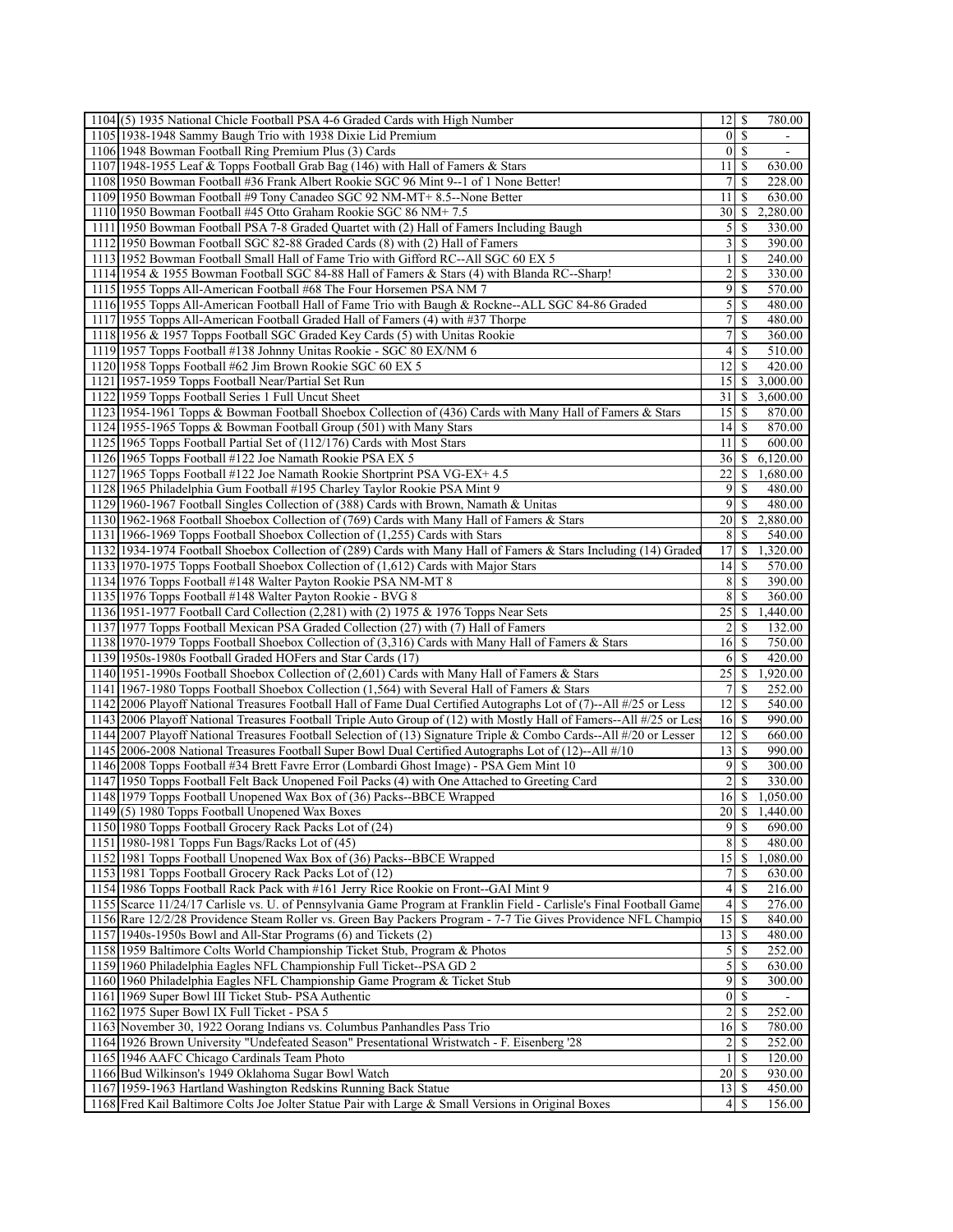| $1104(5)$ 1935 National Chicle Football PSA 4-6 Graded Cards with High Number                                        | 12                  | -\$           | 780.00                   |
|----------------------------------------------------------------------------------------------------------------------|---------------------|---------------|--------------------------|
| 1105 1938-1948 Sammy Baugh Trio with 1938 Dixie Lid Premium                                                          | $\vert$             | <sup>\$</sup> | ۰                        |
| 1106 1948 Bowman Football Ring Premium Plus (3) Cards                                                                | $\overline{0}$      | -S            | $\overline{\phantom{a}}$ |
| 1107 1948-1955 Leaf & Topps Football Grab Bag (146) with Hall of Famers & Stars                                      | 11                  | -S            | 630.00                   |
| 1108 1950 Bowman Football #36 Frank Albert Rookie SGC 96 Mint 9--1 of 1 None Better!                                 | 7                   | S             | 228.00                   |
| 1109 1950 Bowman Football #9 Tony Canadeo SGC 92 NM-MT+ 8.5--None Better                                             | 11                  | -S            | 630.00                   |
| 1110 1950 Bowman Football #45 Otto Graham Rookie SGC 86 NM+7.5                                                       | 30                  | <sup>\$</sup> | 2,280.00                 |
| 1111 1950 Bowman Football PSA 7-8 Graded Quartet with (2) Hall of Famers Including Baugh                             | 5                   | S             | 330.00                   |
| 1112 1950 Bowman Football SGC 82-88 Graded Cards (8) with (2) Hall of Famers                                         | 3                   | S             | 390.00                   |
| 1113 1952 Bowman Football Small Hall of Fame Trio with Gifford RC--All SGC 60 EX 5                                   | $\mathbf{1}$        | <sup>\$</sup> | 240.00                   |
| 1114 1954 & 1955 Bowman Football SGC 84-88 Hall of Famers & Stars (4) with Blanda RC--Sharp!                         | 2                   | \$            | 330.00                   |
| 1115 1955 Topps All-American Football #68 The Four Horsemen PSA NM 7                                                 | 9                   | <sup>\$</sup> | 570.00                   |
| 1116 1955 Topps All-American Football Hall of Fame Trio with Baugh & Rockne--ALL SGC 84-86 Graded                    | $\mathcal{S}$       | -S            | 480.00                   |
| 1117 1955 Topps All-American Football Graded Hall of Famers (4) with #37 Thorpe                                      | 7                   | <sup>\$</sup> | 480.00                   |
| 1118 1956 & 1957 Topps Football SGC Graded Key Cards (5) with Unitas Rookie                                          | 7                   | S             | 360.00                   |
| 1119 1957 Topps Football #138 Johnny Unitas Rookie - SGC 80 EX/NM 6                                                  | $\left 4\right $    | -S            | 510.00                   |
| 1120 1958 Topps Football #62 Jim Brown Rookie SGC 60 EX 5                                                            | 12                  | -S            | 420.00                   |
| 1121 1957-1959 Topps Football Near/Partial Set Run                                                                   | 15                  | <sup>\$</sup> | 3,000.00                 |
| 1122 1959 Topps Football Series 1 Full Uncut Sheet                                                                   | 31                  | \$            | 3,600.00                 |
| 1123 1954-1961 Topps & Bowman Football Shoebox Collection of (436) Cards with Many Hall of Famers & Stars            | 15                  | -S            | 870.00                   |
| 1124 1955-1965 Topps & Bowman Football Group (501) with Many Stars                                                   | 4                   | -S            | 870.00                   |
| 1125 1965 Topps Football Partial Set of (112/176) Cards with Most Stars                                              | 11                  | S             | 600.00                   |
| 1126 1965 Topps Football #122 Joe Namath Rookie PSA EX 5                                                             | 361                 | S.            | 6,120.00                 |
| 1127 1965 Topps Football #122 Joe Namath Rookie Shortprint PSA VG-EX+ 4.5                                            | 22                  | \$            |                          |
|                                                                                                                      |                     |               | 1,680.00                 |
| 1128 1965 Philadelphia Gum Football #195 Charley Taylor Rookie PSA Mint 9                                            | 9                   | S             | 480.00                   |
| 1129 1960-1967 Football Singles Collection of (388) Cards with Brown, Namath & Unitas                                | 9                   | S             | 480.00                   |
| 1130 1962-1968 Football Shoebox Collection of (769) Cards with Many Hall of Famers & Stars                           | 20 <sup>1</sup>     | <sup>\$</sup> | 2,880.00                 |
| 1131 1966-1969 Topps Football Shoebox Collection of (1,255) Cards with Stars                                         | 8 <sup>1</sup>      | <sup>\$</sup> | 540.00                   |
| 1132 1934-1974 Football Shoebox Collection of (289) Cards with Many Hall of Famers & Stars Including (14) Graded     | 17                  | <sup>\$</sup> | 1,320.00                 |
| 1133 1970-1975 Topps Football Shoebox Collection of (1,612) Cards with Major Stars                                   | 14                  | -S            | 570.00                   |
| 11341976 Topps Football #148 Walter Payton Rookie PSA NM-MT 8                                                        | 8                   | <b>S</b>      | 390.00                   |
| 1135 1976 Topps Football #148 Walter Payton Rookie - BVG 8                                                           | 8                   | S             | 360.00                   |
| 1136 1951-1977 Football Card Collection (2,281) with (2) 1975 & 1976 Topps Near Sets                                 | 25                  | \$            | 1,440.00                 |
| 1137 1977 Topps Football Mexican PSA Graded Collection (27) with (7) Hall of Famers                                  | 2                   | S             | 132.00                   |
| 1138 1970-1979 Topps Football Shoebox Collection of (3,316) Cards with Many Hall of Famers & Stars                   | 16                  | -S            | 750.00                   |
| 1139 1950s-1980s Football Graded HOFers and Star Cards (17)                                                          | 6                   | -S            | 420.00                   |
| 1140 1951-1990s Football Shoebox Collection of (2,601) Cards with Many Hall of Famers & Stars                        | 25                  | \$            | 1,920.00                 |
| 1141 1967-1980 Topps Football Shoebox Collection (1,564) with Several Hall of Famers & Stars                         | 7                   | <sup>\$</sup> | 252.00                   |
| 1142 2006 Playoff National Treasures Football Hall of Fame Dual Certified Autographs Lot of (7)--All #/25 or Less    | 12                  | \$            | 540.00                   |
| 1143 2006 Playoff National Treasures Football Triple Auto Group of (12) with Mostly Hall of Famers--All #/25 or Les  | $16$ $\bar{s}$      |               | 990.00                   |
| 1144 2007 Playoff National Treasures Football Selection of (13) Signature Triple & Combo Cards--All #/20 or Lesser   | 12                  | -S            | 660.00                   |
| 1145 2006-2008 National Treasures Football Super Bowl Dual Certified Autographs Lot of (12)--All #/10                | 13                  | S             | 990.00                   |
| 1146 2008 Topps Football #34 Brett Favre Error (Lombardi Ghost Image) - PSA Gem Mint 10                              | $\overline{9}$      | -S            | 300.00                   |
| 1147 1950 Topps Football Felt Back Unopened Foil Packs (4) with One Attached to Greeting Card                        | $\overline{2}$      | S             | 330.00                   |
| 1148 1979 Topps Football Unopened Wax Box of (36) Packs--BBCE Wrapped                                                | 16                  | <sup>\$</sup> | 1,050.00                 |
| 1149 (5) 1980 Topps Football Unopened Wax Boxes                                                                      | $20 \mid \text{\$}$ |               | 1,440.00                 |
| 1150 1980 Topps Football Grocery Rack Packs Lot of (24)                                                              | $\overline{9}$      | $\mathbb{S}$  | 690.00                   |
| 1151 1980-1981 Topps Fun Bags/Racks Lot of (45)                                                                      | 8                   | <sup>\$</sup> | 480.00                   |
| 1152 1981 Topps Football Unopened Wax Box of (36) Packs--BBCE Wrapped                                                | 15                  | -S            | 1,080.00                 |
| 1153 1981 Topps Football Grocery Rack Packs Lot of (12)                                                              | $7\vert$            | -S            | 630.00                   |
| 1154 1986 Topps Football Rack Pack with #161 Jerry Rice Rookie on Front--GAI Mint 9                                  | $\vert 4 \vert$     | <sup>\$</sup> | 216.00                   |
| 1155 Scarce 11/24/17 Carlisle vs. U. of Pennsylvania Game Program at Franklin Field - Carlisle's Final Football Game | $\left 4\right $    | -S            | 276.00                   |
| 1156 Rare 12/2/28 Providence Steam Roller vs. Green Bay Packers Program - 7-7 Tie Gives Providence NFL Champio       | 15                  | S             | 840.00                   |
| 1157 1940s-1950s Bowl and All-Star Programs (6) and Tickets (2)                                                      | 13                  | -S            | 480.00                   |
| 1158 1959 Baltimore Colts World Championship Ticket Stub, Program & Photos                                           | $\mathfrak{S}$      | -S            | 252.00                   |
| 1159 1960 Philadelphia Eagles NFL Championship Full Ticket--PSA GD 2                                                 | 5                   | S             | 630.00                   |
| 1160 1960 Philadelphia Eagles NFL Championship Game Program & Ticket Stub                                            | $\overline{9}$      | <sup>\$</sup> | 300.00                   |
| 1161 1969 Super Bowl III Ticket Stub- PSA Authentic                                                                  | $0 \mid S$          |               |                          |
| 1162 1975 Super Bowl IX Full Ticket - PSA 5                                                                          | 2                   | \$.           | 252.00                   |
| 1163 November 30, 1922 Oorang Indians vs. Columbus Panhandles Pass Trio                                              | $16 \mid S$         |               | 780.00                   |
| 1164 1926 Brown University "Undefeated Season" Presentational Wristwatch - F. Eisenberg '28                          | $\overline{2}$      | -S            | 252.00                   |
| 1165 1946 AAFC Chicago Cardinals Team Photo                                                                          | $\frac{1}{2}$       | <sup>\$</sup> | 120.00                   |
| 1166 Bud Wilkinson's 1949 Oklahoma Sugar Bowl Watch                                                                  |                     |               | 930.00                   |
| 1167 1959-1963 Hartland Washington Redskins Running Back Statue                                                      | 13                  | -S            | 450.00                   |
| 1168 Fred Kail Baltimore Colts Joe Jolter Statue Pair with Large & Small Versions in Original Boxes                  | $\left 4\right $    | <sup>\$</sup> | 156.00                   |
|                                                                                                                      |                     |               |                          |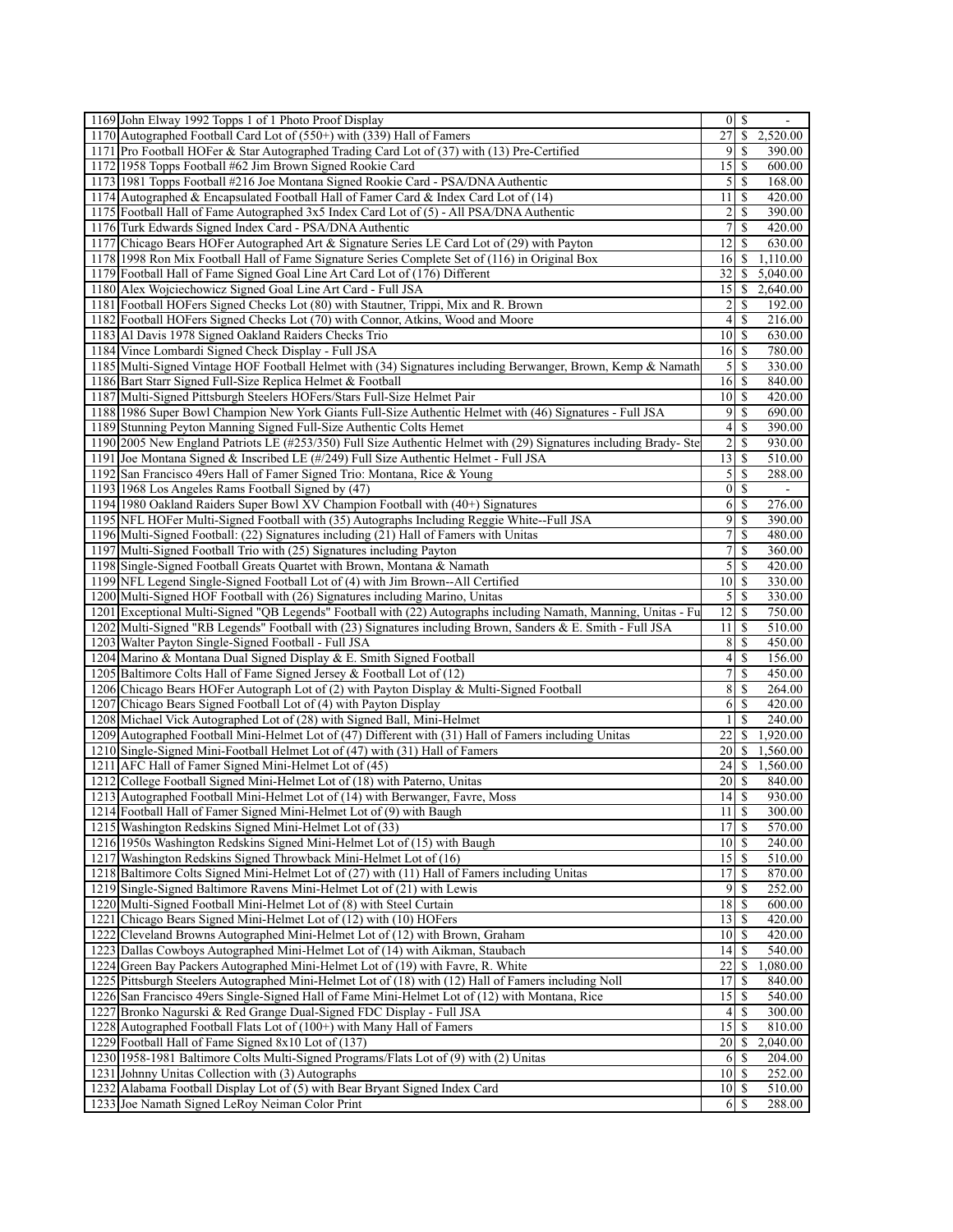|      | 1169 John Elway 1992 Topps 1 of 1 Photo Proof Display                                                            |                       | $0 \mid \mathcal{S}$     | $\overline{\phantom{a}}$ |
|------|------------------------------------------------------------------------------------------------------------------|-----------------------|--------------------------|--------------------------|
|      | 1170 Autographed Football Card Lot of (550+) with (339) Hall of Famers                                           | 27                    | \$                       | 2,520.00                 |
|      | 1171 Pro Football HOFer & Star Autographed Trading Card Lot of (37) with (13) Pre-Certified                      | 9                     | S                        | 390.00                   |
|      | 1172 1958 Topps Football #62 Jim Brown Signed Rookie Card                                                        | 15                    | -S                       | 600.00                   |
|      | 1173 1981 Topps Football #216 Joe Montana Signed Rookie Card - PSA/DNA Authentic                                 |                       |                          | 168.00                   |
|      | 1174 Autographed & Encapsulated Football Hall of Famer Card & Index Card Lot of $(14)$                           | 11                    | -S                       | 420.00                   |
|      | 1175 Football Hall of Fame Autographed 3x5 Index Card Lot of (5) - All PSA/DNA Authentic                         | $\overline{2}$        | S                        | 390.00                   |
|      | 1176 Turk Edwards Signed Index Card - PSA/DNA Authentic                                                          | 7                     | \$                       | 420.00                   |
|      | 1177 Chicago Bears HOFer Autographed Art & Signature Series LE Card Lot of (29) with Payton                      | 12                    | S                        | 630.00                   |
|      | 1178 1998 Ron Mix Football Hall of Fame Signature Series Complete Set of (116) in Original Box                   | 16                    | S.                       | 1,110.00                 |
|      | 1179 Football Hall of Fame Signed Goal Line Art Card Lot of (176) Different                                      | 32                    | \$                       | 5,040.00                 |
|      | 1180 Alex Wojciechowicz Signed Goal Line Art Card - Full JSA                                                     | 15 <sup>1</sup>       | \$                       | 2,640.00                 |
|      | 1181 Football HOFers Signed Checks Lot (80) with Stautner, Trippi, Mix and R. Brown                              | $\overline{2}$        | \$                       | 192.00                   |
|      | 1182 Football HOFers Signed Checks Lot (70) with Connor, Atkins, Wood and Moore                                  | $\left 4\right $      | \$                       | 216.00                   |
|      | 1183 Al Davis 1978 Signed Oakland Raiders Checks Trio                                                            | $10$ $\sqrt{5}$       |                          | 630.00                   |
|      | 1184 Vince Lombardi Signed Check Display - Full JSA                                                              | $16$ $\bar{\text{s}}$ |                          | 780.00                   |
|      | 1185 Multi-Signed Vintage HOF Football Helmet with (34) Signatures including Berwanger, Brown, Kemp & Namath     | $\mathfrak{S}$        | \$                       | 330.00                   |
|      | 1186 Bart Starr Signed Full-Size Replica Helmet & Football                                                       | 16                    | -S                       | 840.00                   |
|      | 1187 Multi-Signed Pittsburgh Steelers HOFers/Stars Full-Size Helmet Pair                                         | 10 <sup>1</sup>       | -S                       | 420.00                   |
|      | 1188 1986 Super Bowl Champion New York Giants Full-Size Authentic Helmet with (46) Signatures - Full JSA         | 9                     | \$                       | 690.00                   |
|      | 1189 Stunning Peyton Manning Signed Full-Size Authentic Colts Hemet                                              | $\left 4\right $      | <sup>\$</sup>            | 390.00                   |
|      | 1190 2005 New England Patriots LE (#253/350) Full Size Authentic Helmet with (29) Signatures including Brady-Ste | $\frac{2}{ }$         | \$                       | 930.00                   |
|      | 1191 Joe Montana Signed & Inscribed LE (#/249) Full Size Authentic Helmet - Full JSA                             | 13                    | -S                       | 510.00                   |
|      | 1192 San Francisco 49ers Hall of Famer Signed Trio: Montana, Rice & Young                                        | $\mathcal{S}$         | -S                       | 288.00                   |
|      | 1193 1968 Los Angeles Rams Football Signed by (47)                                                               | $\vert 0 \vert$       | \$                       | $\overline{\phantom{a}}$ |
|      | 1194 1980 Oakland Raiders Super Bowl XV Champion Football with (40+) Signatures                                  | 6                     | -S                       | 276.00                   |
|      | 1195 NFL HOFer Multi-Signed Football with (35) Autographs Including Reggie White-Full JSA                        |                       | $9$ \ $\frac{1}{3}$      | 390.00                   |
|      | 1196 Multi-Signed Football: (22) Signatures including (21) Hall of Famers with Unitas                            | 7                     | \$                       | 480.00                   |
|      | 1197 Multi-Signed Football Trio with (25) Signatures including Payton                                            | $\overline{7}$        | \$                       | 360.00                   |
|      | 1198 Single-Signed Football Greats Quartet with Brown, Montana & Namath                                          | $\mathfrak{S}$        | <sup>\$</sup>            | 420.00                   |
|      | 1199 NFL Legend Single-Signed Football Lot of (4) with Jim Brown--All Certified                                  | 10                    | \$                       | 330.00                   |
|      | 1200 Multi-Signed HOF Football with (26) Signatures including Marino, Unitas                                     | $\overline{5}$        | $\overline{\mathcal{S}}$ | 330.00                   |
|      | 1201 Exceptional Multi-Signed "QB Legends" Football with (22) Autographs including Namath, Manning, Unitas - Fu  | 12                    | -S                       | 750.00                   |
|      | 1202 Multi-Signed "RB Legends" Football with (23) Signatures including Brown, Sanders & E. Smith - Full JSA      | 11                    | -S                       | 510.00                   |
|      | 1203 Walter Payton Single-Signed Football - Full JSA                                                             | 8                     | \$                       | 450.00                   |
|      | 1204 Marino & Montana Dual Signed Display & E. Smith Signed Football                                             | 4                     | -S                       | 156.00                   |
|      | 1205 Baltimore Colts Hall of Fame Signed Jersey & Football Lot of (12)                                           | $\overline{7}$        | \$                       | 450.00                   |
|      | 1206 Chicago Bears HOFer Autograph Lot of (2) with Payton Display & Multi-Signed Football                        | 8                     | -S                       | 264.00                   |
| 1207 | Chicago Bears Signed Football Lot of (4) with Payton Display                                                     | 61                    | <sup>\$</sup>            | 420.00                   |
|      | 1208 Michael Vick Autographed Lot of (28) with Signed Ball, Mini-Helmet                                          | $\frac{1}{2}$         | \$                       | 240.00                   |
|      | 1209 Autographed Football Mini-Helmet Lot of (47) Different with (31) Hall of Famers including Unitas            | 22                    | \$.                      | 1,920.00                 |
|      | 1210 Single-Signed Mini-Football Helmet Lot of (47) with (31) Hall of Famers                                     | 20                    | \$                       | 1,560.00                 |
|      | 1211 AFC Hall of Famer Signed Mini-Helmet Lot of (45)                                                            | 24                    | \$                       | 1,560.00                 |
|      | 1212 College Football Signed Mini-Helmet Lot of (18) with Paterno, Unitas                                        | 20 <sup>1</sup>       | \$                       | 840.00                   |
|      | 1213 Autographed Football Mini-Helmet Lot of (14) with Berwanger, Favre, Moss                                    | 14                    | \$                       | 930.00                   |
|      | 1214 Football Hall of Famer Signed Mini-Helmet Lot of (9) with Baugh                                             | 11S                   |                          | 300.00                   |
|      | 1215 Washington Redskins Signed Mini-Helmet Lot of (33)                                                          | 17                    | $\mathbb{S}$             | 570.00                   |
|      | 1216 1950s Washington Redskins Signed Mini-Helmet Lot of (15) with Baugh                                         | 10                    | \$                       | 240.00                   |
|      | 1217 Washington Redskins Signed Throwback Mini-Helmet Lot of (16)                                                | $15$ $\sqrt{5}$       |                          | 510.00                   |
|      | 1218 Baltimore Colts Signed Mini-Helmet Lot of (27) with (11) Hall of Famers including Unitas                    | 17                    | <sup>\$</sup>            | 870.00                   |
|      | 1219 Single-Signed Baltimore Ravens Mini-Helmet Lot of (21) with Lewis                                           | $\overline{9}$        | <b>S</b>                 | 252.00                   |
|      | 1220 Multi-Signed Football Mini-Helmet Lot of (8) with Steel Curtain                                             | 18                    | -S                       | 600.00                   |
|      | 1221 Chicago Bears Signed Mini-Helmet Lot of (12) with (10) HOFers                                               | 13                    | -S                       | 420.00                   |
|      | 1222 Cleveland Browns Autographed Mini-Helmet Lot of (12) with Brown, Graham                                     | 10                    | -S                       | 420.00                   |
|      | 1223 Dallas Cowboys Autographed Mini-Helmet Lot of (14) with Aikman, Staubach                                    | 4                     | S                        | 540.00                   |
|      | 1224 Green Bay Packers Autographed Mini-Helmet Lot of (19) with Favre, R. White                                  | 22                    | \$                       | 1,080.00                 |
|      | 1225 Pittsburgh Steelers Autographed Mini-Helmet Lot of (18) with (12) Hall of Famers including Noll             | 17                    | -S                       | 840.00                   |
|      | 1226 San Francisco 49ers Single-Signed Hall of Fame Mini-Helmet Lot of (12) with Montana, Rice                   | 15                    | <sup>S</sup>             | 540.00                   |
| 1227 | Bronko Nagurski & Red Grange Dual-Signed FDC Display - Full JSA                                                  | 4                     | S                        | 300.00                   |
|      | 1228 Autographed Football Flats Lot of (100+) with Many Hall of Famers                                           | 15                    | \$.                      | 810.00                   |
|      | 1229 Football Hall of Fame Signed 8x10 Lot of (137)                                                              | 20                    | \$.                      | 2,040.00                 |
|      | 1230 1958-1981 Baltimore Colts Multi-Signed Programs/Flats Lot of (9) with (2) Unitas                            | 6                     | S                        | 204.00                   |
|      | 1231 Johnny Unitas Collection with (3) Autographs                                                                | 10 <sup> </sup>       | -S                       | 252.00                   |
|      | 1232 Alabama Football Display Lot of (5) with Bear Bryant Signed Index Card                                      | 10 <sup>1</sup>       | <sup>\$</sup>            | 510.00                   |
|      | 1233 Joe Namath Signed LeRoy Neiman Color Print                                                                  | 6                     | S                        | 288.00                   |
|      |                                                                                                                  |                       |                          |                          |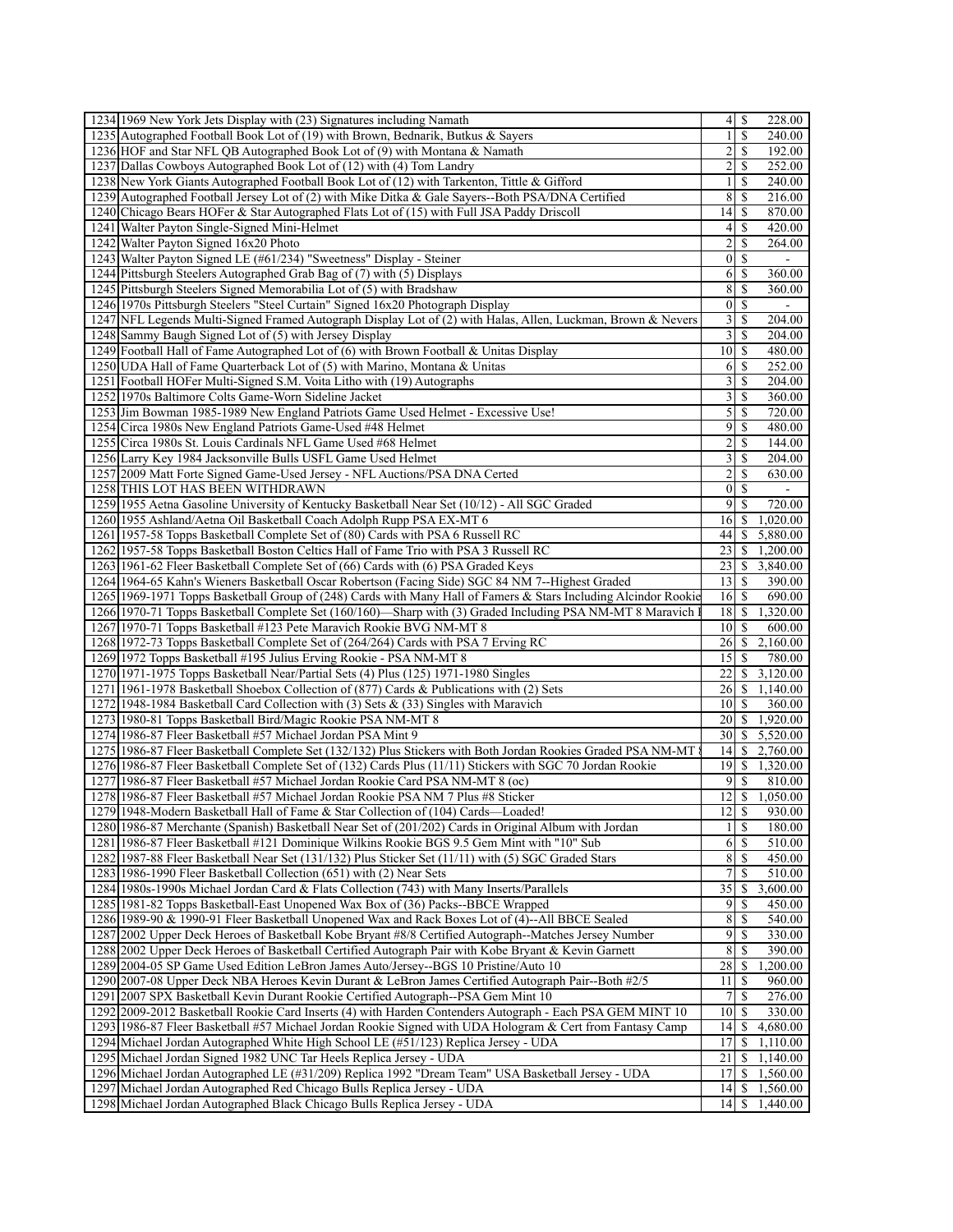| 1234 1969 New York Jets Display with (23) Signatures including Namath                                                                                    | 4                       | -S                        | 228.00              |
|----------------------------------------------------------------------------------------------------------------------------------------------------------|-------------------------|---------------------------|---------------------|
| 1235 Autographed Football Book Lot of (19) with Brown, Bednarik, Butkus & Sayers                                                                         | $\mathbf{1}$            | \$                        | 240.00              |
| 1236 HOF and Star NFL QB Autographed Book Lot of (9) with Montana & Namath                                                                               | $\overline{2}$          | <sup>\$</sup>             | 192.00              |
| 1237 Dallas Cowboys Autographed Book Lot of (12) with (4) Tom Landry                                                                                     | $\overline{2}$          | -S                        | 252.00              |
| 1238 New York Giants Autographed Football Book Lot of (12) with Tarkenton, Tittle & Gifford                                                              | $\frac{1}{2}$           | \$                        | 240.00              |
| 1239 Autographed Football Jersey Lot of (2) with Mike Ditka & Gale Sayers--Both PSA/DNA Certified                                                        | 8                       | \$.                       | 216.00              |
| 1240 Chicago Bears HOFer & Star Autographed Flats Lot of (15) with Full JSA Paddy Driscoll                                                               | 14                      | -\$                       | 870.00              |
| 1241 Walter Payton Single-Signed Mini-Helmet                                                                                                             | $\left 4\right $        | \$                        | 420.00              |
| 1242 Walter Payton Signed 16x20 Photo                                                                                                                    | $\overline{2}$          | S                         | 264.00              |
| 1243 Walter Payton Signed LE (#61/234) "Sweetness" Display - Steiner                                                                                     | $\vert$                 | $\mathbb{S}$              |                     |
| 1244 Pittsburgh Steelers Autographed Grab Bag of (7) with (5) Displays                                                                                   | 6                       | \$                        | 360.00              |
| 1245 Pittsburgh Steelers Signed Memorabilia Lot of (5) with Bradshaw                                                                                     | 8                       | \$                        | 360.00              |
| 1246 1970s Pittsburgh Steelers "Steel Curtain" Signed 16x20 Photograph Display                                                                           | $\overline{0}$          | <sup>\$</sup>             | ÷.                  |
| 1247 NFL Legends Multi-Signed Framed Autograph Display Lot of (2) with Halas, Allen, Luckman, Brown & Nevers                                             | $\overline{\mathbf{3}}$ | \$.                       | 204.00              |
| 1248 Sammy Baugh Signed Lot of (5) with Jersey Display                                                                                                   |                         | $3 \overline{\smash{)}8}$ | 204.00              |
| 1249 Football Hall of Fame Autographed Lot of (6) with Brown Football & Unitas Display                                                                   | 10 <sup>1</sup>         | <sup>\$</sup>             | 480.00              |
| 1250 UDA Hall of Fame Quarterback Lot of (5) with Marino, Montana & Unitas                                                                               | 6                       | \$                        | 252.00              |
| 1251 Football HOFer Multi-Signed S.M. Voita Litho with (19) Autographs                                                                                   | 3                       | \$                        | 204.00              |
| 1252 1970s Baltimore Colts Game-Worn Sideline Jacket                                                                                                     | $\overline{3}$          | $\mathcal{S}$             | 360.00              |
| 1253 Jim Bowman 1985-1989 New England Patriots Game Used Helmet - Excessive Use!                                                                         | $\mathfrak{S}$          | \$                        | 720.00              |
| 1254 Circa 1980s New England Patriots Game-Used #48 Helmet                                                                                               | $\overline{9}$          | -S                        | 480.00              |
| 1255 Circa 1980s St. Louis Cardinals NFL Game Used #68 Helmet                                                                                            | $\frac{2}{ }$           | \$                        | 144.00              |
| 1256 Larry Key 1984 Jacksonville Bulls USFL Game Used Helmet                                                                                             | $\overline{\mathbf{3}}$ | \$.                       | 204.00              |
| 1257 2009 Matt Forte Signed Game-Used Jersey - NFL Auctions/PSA DNA Certed                                                                               | $\overline{2}$          | \$                        | 630.00              |
| 1258 THIS LOT HAS BEEN WITHDRAWN                                                                                                                         | $\vert 0 \vert$         | <sup>\$</sup>             |                     |
| 1259 1955 Aetna Gasoline University of Kentucky Basketball Near Set (10/12) - All SGC Graded                                                             | 9                       | <sup>\$</sup>             | 720.00              |
| 1260 1955 Ashland/Aetna Oil Basketball Coach Adolph Rupp PSA EX-MT 6                                                                                     | 16                      | <sup>\$</sup>             | 1.020.00            |
| 1261 1957-58 Topps Basketball Complete Set of (80) Cards with PSA 6 Russell RC                                                                           | 44                      | \$                        | 5,880.00            |
| 1262 1957-58 Topps Basketball Boston Celtics Hall of Fame Trio with PSA 3 Russell RC                                                                     | 23                      | \$                        | 1,200.00            |
| 1263 1961-62 Fleer Basketball Complete Set of (66) Cards with (6) PSA Graded Keys                                                                        | 23                      | \$                        | 3,840.00            |
| 1264 1964-65 Kahn's Wieners Basketball Oscar Robertson (Facing Side) SGC 84 NM 7--Highest Graded                                                         | 13                      | <sup>\$</sup>             | 390.00              |
| 1265 1969-1971 Topps Basketball Group of (248) Cards with Many Hall of Famers & Stars Including Alcindor Rookie                                          | $16 \mid S$             |                           | 690.00              |
| 1266 1970-71 Topps Basketball Complete Set (160/160)—Sharp with (3) Graded Including PSA NM-MT 8 Maravich                                                | $18$   $\sqrt{5}$       |                           | 1,320.00            |
| 1267 1970-71 Topps Basketball #123 Pete Maravich Rookie BVG NM-MT 8                                                                                      | 10<br>26                | \$<br>S                   | 600.00<br>2,160.00  |
| 1268 1972-73 Topps Basketball Complete Set of (264/264) Cards with PSA 7 Erving RC<br>1269 1972 Topps Basketball #195 Julius Erving Rookie - PSA NM-MT 8 | 15                      | <sup>\$</sup>             | 780.00              |
| 1270 1971-1975 Topps Basketball Near/Partial Sets (4) Plus (125) 1971-1980 Singles                                                                       | 22                      | \$                        | 3,120.00            |
| 1271 1961-1978 Basketball Shoebox Collection of (877) Cards & Publications with (2) Sets                                                                 | 26                      | \$                        | 1,140.00            |
| 1272 1948-1984 Basketball Card Collection with (3) Sets & (33) Singles with Maravich                                                                     | 10 S                    |                           | 360.00              |
| 1273 1980-81 Topps Basketball Bird/Magic Rookie PSA NM-MT 8                                                                                              | $20$   \$               |                           | 1,920.00            |
| 1274 1986-87 Fleer Basketball #57 Michael Jordan PSA Mint 9                                                                                              | 30                      | S.                        | 5,520.00            |
| 1275 1986-87 Fleer Basketball Complete Set (132/132) Plus Stickers with Both Jordan Rookies Graded PSA NM-MT                                             | 4                       | \$                        | 2,760.00            |
| 1276 1986-87 Fleer Basketball Complete Set of (132) Cards Plus (11/11) Stickers with SGC 70 Jordan Rookie                                                |                         |                           | 1,320.00            |
| 1277 1986-87 Fleer Basketball #57 Michael Jordan Rookie Card PSA NM-MT 8 (oc)                                                                            | $\overline{9}$          | <sup>\$</sup>             | 810.00              |
| 1278 1986-87 Fleer Basketball #57 Michael Jordan Rookie PSA NM 7 Plus #8 Sticker                                                                         | 2                       | \$                        | 1,050.00            |
| 1279 1948-Modern Basketball Hall of Fame & Star Collection of (104) Cards-Loaded!                                                                        | $\overline{12}$ \$      |                           | 930.00              |
| 1280 1986-87 Merchante (Spanish) Basketball Near Set of (201/202) Cards in Original Album with Jordan                                                    | $\frac{1}{2}$           | $\mathbb{S}$              | 180.00              |
| 1281 1986-87 Fleer Basketball #121 Dominique Wilkins Rookie BGS 9.5 Gem Mint with "10" Sub                                                               | 6                       | \$                        | 510.00              |
| 1282 1987-88 Fleer Basketball Near Set (131/132) Plus Sticker Set (11/11) with (5) SGC Graded Stars                                                      | 8                       | <sup>\$</sup>             | 450.00              |
| 1283 1986-1990 Fleer Basketball Collection (651) with (2) Near Sets                                                                                      | $\overline{7}$          | S                         | $\overline{510.00}$ |
| 1284 1980s-1990s Michael Jordan Card & Flats Collection (743) with Many Inserts/Parallels                                                                | $35$                    | S.                        | 3,600.00            |
| 1285 1981-82 Topps Basketball-East Unopened Wax Box of (36) Packs--BBCE Wrapped                                                                          | $\overline{9}$          | \$                        | 450.00              |
| 1286 1989-90 & 1990-91 Fleer Basketball Unopened Wax and Rack Boxes Lot of (4)--All BBCE Sealed                                                          | 8                       | -S                        | 540.00              |
| 1287 2002 Upper Deck Heroes of Basketball Kobe Bryant #8/8 Certified Autograph--Matches Jersey Number                                                    | $\overline{9}$          | \$                        | 330.00              |
| 1288 2002 Upper Deck Heroes of Basketball Certified Autograph Pair with Kobe Bryant & Kevin Garnett                                                      | 8                       | \$.                       | 390.00              |
| 1289 2004-05 SP Game Used Edition LeBron James Auto/Jersey--BGS 10 Pristine/Auto 10                                                                      | 28                      | \$.                       | 1,200.00            |
| 1290 2007-08 Upper Deck NBA Heroes Kevin Durant & LeBron James Certified Autograph Pair--Both #2/5                                                       | 11                      | -S                        | 960.00              |
| 1291 2007 SPX Basketball Kevin Durant Rookie Certified Autograph--PSA Gem Mint 10                                                                        | 7 <sup>1</sup>          | <sup>\$</sup>             | 276.00              |
| 1292 2009-2012 Basketball Rookie Card Inserts (4) with Harden Contenders Autograph - Each PSA GEM MINT 10                                                | 10 <sup>1</sup>         | \$                        | 330.00              |
| 1293 1986-87 Fleer Basketball #57 Michael Jordan Rookie Signed with UDA Hologram & Cert from Fantasy Camp                                                | 14                      | S.                        | 4,680.00            |
| 1294 Michael Jordan Autographed White High School LE (#51/123) Replica Jersey - UDA                                                                      | 17                      | \$                        | 1,110.00            |
| 1295 Michael Jordan Signed 1982 UNC Tar Heels Replica Jersey - UDA                                                                                       | 21                      | \$                        | 1,140.00            |
| 1296 Michael Jordan Autographed LE (#31/209) Replica 1992 "Dream Team" USA Basketball Jersey - UDA                                                       | 17                      | \$                        | 1,560.00            |
| 1297 Michael Jordan Autographed Red Chicago Bulls Replica Jersey - UDA                                                                                   | 4                       | \$                        | 1,560.00            |
| 1298 Michael Jordan Autographed Black Chicago Bulls Replica Jersey - UDA                                                                                 | 14 <sup>1</sup>         |                           | \$1,440.00          |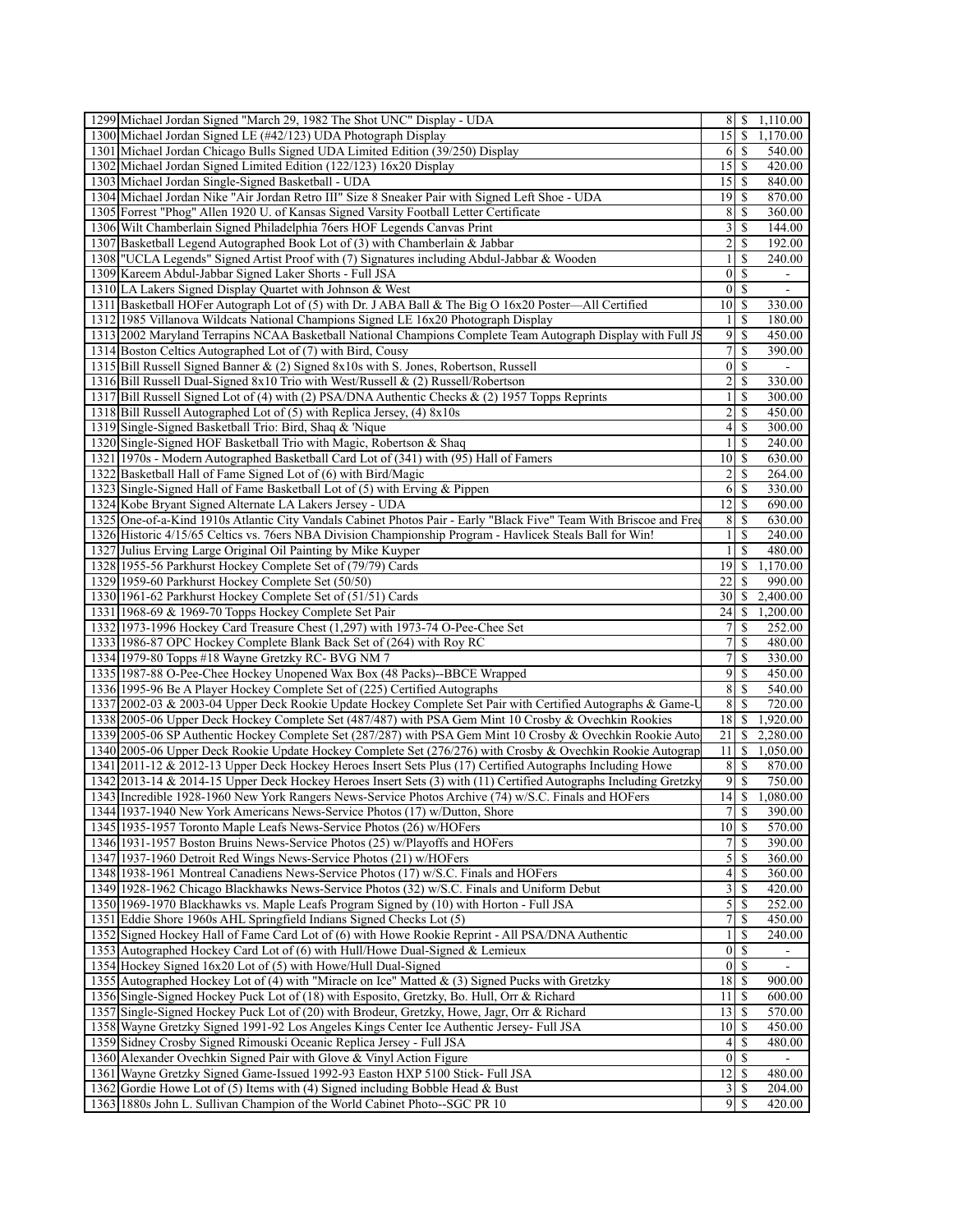| 1299 Michael Jordan Signed "March 29, 1982 The Shot UNC" Display - UDA                                             |                         | $8 \mid S$    | 1,110.00 |
|--------------------------------------------------------------------------------------------------------------------|-------------------------|---------------|----------|
| 1300 Michael Jordan Signed LE (#42/123) UDA Photograph Display                                                     | 15                      | -S            | 1,170.00 |
| 1301 Michael Jordan Chicago Bulls Signed UDA Limited Edition (39/250) Display                                      | 6                       | -S            | 540.00   |
| 1302 Michael Jordan Signed Limited Edition (122/123) 16x20 Display                                                 | 15                      | -S            | 420.00   |
| 1303 Michael Jordan Single-Signed Basketball - UDA                                                                 | 15                      | -S            | 840.00   |
| 1304 Michael Jordan Nike "Air Jordan Retro III" Size 8 Sneaker Pair with Signed Left Shoe - UDA                    | 19                      | -S            | 870.00   |
| 1305 Forrest "Phog" Allen 1920 U. of Kansas Signed Varsity Football Letter Certificate                             | 8                       | <sup>\$</sup> | 360.00   |
| 1306 Wilt Chamberlain Signed Philadelphia 76ers HOF Legends Canvas Print                                           | 3                       | \$            | 144.00   |
| 1307 Basketball Legend Autographed Book Lot of (3) with Chamberlain & Jabbar                                       | $\overline{\mathbf{c}}$ | \$            | 192.00   |
| 1308 "UCLA Legends" Signed Artist Proof with (7) Signatures including Abdul-Jabbar & Wooden                        |                         | <sup>\$</sup> | 240.00   |
| 1309 Kareem Abdul-Jabbar Signed Laker Shorts - Full JSA                                                            | $\vert 0 \vert$         | S             |          |
| 1310 LA Lakers Signed Display Quartet with Johnson & West                                                          | 0                       | <sup>\$</sup> |          |
| 1311 Basketball HOFer Autograph Lot of (5) with Dr. J ABA Ball & The Big O 16x20 Poster—All Certified              | 10                      | <sup>\$</sup> | 330.00   |
| 1312 1985 Villanova Wildcats National Champions Signed LE 16x20 Photograph Display                                 |                         | S             | 180.00   |
| 1313 2002 Maryland Terrapins NCAA Basketball National Champions Complete Team Autograph Display with Full JS       | 9                       | <sup>\$</sup> | 450.00   |
| 1314 Boston Celtics Autographed Lot of (7) with Bird, Cousy                                                        | 7                       | \$            | 390.00   |
| 1315 Bill Russell Signed Banner & (2) Signed 8x10s with S. Jones, Robertson, Russell                               | 0                       | \$            | ÷.       |
| 1316 Bill Russell Dual-Signed 8x10 Trio with West/Russell & (2) Russell/Robertson                                  | $\overline{2}$          | <sup>\$</sup> | 330.00   |
| 1317 Bill Russell Signed Lot of (4) with (2) PSA/DNA Authentic Checks & (2) 1957 Topps Reprints                    |                         | \$            | 300.00   |
| 1318 Bill Russell Autographed Lot of (5) with Replica Jersey, (4) 8x10s                                            | 2                       | S             | 450.00   |
| 1319 Single-Signed Basketball Trio: Bird, Shaq & 'Nique                                                            | 4                       | -S            | 300.00   |
| 1320 Single-Signed HOF Basketball Trio with Magic, Robertson & Shaq                                                | 1                       | \$            | 240.00   |
| 1321 1970s - Modern Autographed Basketball Card Lot of (341) with (95) Hall of Famers                              | 10 <sup>1</sup>         | -S            | 630.00   |
| 1322 Basketball Hall of Fame Signed Lot of (6) with Bird/Magic                                                     | 2                       | <sup>\$</sup> | 264.00   |
| 1323 Single-Signed Hall of Fame Basketball Lot of (5) with Erving & Pippen                                         | 6                       | \$            | 330.00   |
| 1324 Kobe Bryant Signed Alternate LA Lakers Jersey - UDA                                                           | 12                      | S             | 690.00   |
|                                                                                                                    |                         |               |          |
| 1325 One-of-a-Kind 1910s Atlantic City Vandals Cabinet Photos Pair - Early "Black Five" Team With Briscoe and Free | 8                       | <sup>\$</sup> | 630.00   |
| 1326 Historic 4/15/65 Celtics vs. 76ers NBA Division Championship Program - Havlicek Steals Ball for Win!          | 1<br>1                  | S             | 240.00   |
| 1327 Julius Erving Large Original Oil Painting by Mike Kuyper                                                      |                         | <sup>\$</sup> | 480.00   |
| 1328 1955-56 Parkhurst Hockey Complete Set of (79/79) Cards                                                        | 19                      | \$            | 1,170.00 |
| 1329 1959-60 Parkhurst Hockey Complete Set (50/50)                                                                 | 22                      | \$            | 990.00   |
| 1330 1961-62 Parkhurst Hockey Complete Set of (51/51) Cards                                                        | 30                      | \$            | 2,400.00 |
| 1331 1968-69 & 1969-70 Topps Hockey Complete Set Pair                                                              | 24                      | -S            | 1,200.00 |
| 1332 1973-1996 Hockey Card Treasure Chest (1,297) with 1973-74 O-Pee-Chee Set                                      | 7                       | \$<br>S       | 252.00   |
| 1333 1986-87 OPC Hockey Complete Blank Back Set of (264) with Roy RC                                               | 7                       |               | 480.00   |
|                                                                                                                    |                         |               |          |
| 1334 1979-80 Topps #18 Wayne Gretzky RC- BVG NM 7                                                                  | 7                       | \$            | 330.00   |
| 1335 1987-88 O-Pee-Chee Hockey Unopened Wax Box (48 Packs)--BBCE Wrapped                                           | 9                       | S             | 450.00   |
| 1336 1995-96 Be A Player Hockey Complete Set of (225) Certified Autographs                                         | 8 <sup>1</sup>          | -S            | 540.00   |
| 1337 2002-03 & 2003-04 Upper Deck Rookie Update Hockey Complete Set Pair with Certified Autographs & Game-U        | 8                       | <sup>\$</sup> | 720.00   |
| 1338 2005-06 Upper Deck Hockey Complete Set (487/487) with PSA Gem Mint 10 Crosby & Ovechkin Rookies               | 18                      | -S            | 1,920.00 |
| 1339 2005-06 SP Authentic Hockey Complete Set (287/287) with PSA Gem Mint 10 Crosby & Ovechkin Rookie Auto         | 21                      | \$            | 2,280.00 |
| 1340 2005-06 Upper Deck Rookie Update Hockey Complete Set (276/276) with Crosby & Ovechkin Rookie Autograp         | 11                      | \$            | 1,050.00 |
| 1341 2011-12 & 2012-13 Upper Deck Hockey Heroes Insert Sets Plus (17) Certified Autographs Including Howe          | 8                       | S             | 870.00   |
| 1342 2013-14 & 2014-15 Upper Deck Hockey Heroes Insert Sets (3) with (11) Certified Autographs Including Gretzky   | $\overline{9}$          | <sup>\$</sup> | 750.00   |
| 1343 Incredible 1928-1960 New York Rangers News-Service Photos Archive (74) w/S.C. Finals and HOFers               | 4                       | S             | 1,080.00 |
| 1344 1937-1940 New York Americans News-Service Photos (17) w/Dutton, Shore                                         |                         | 7s            | 390.00   |
| 1345 1935-1957 Toronto Maple Leafs News-Service Photos (26) w/HOFers                                               | 10                      | -S            | 570.00   |
| 1346 1931-1957 Boston Bruins News-Service Photos (25) w/Playoffs and HOFers                                        | 7                       | -S            | 390.00   |
| 1347 1937-1960 Detroit Red Wings News-Service Photos (21) w/HOFers                                                 | 5                       | S             | 360.00   |
| 1348 1938-1961 Montreal Canadiens News-Service Photos (17) w/S.C. Finals and HOFers                                | 4                       | -S            | 360.00   |
| 1349 1928-1962 Chicago Blackhawks News-Service Photos (32) w/S.C. Finals and Uniform Debut                         | 3                       | \$            | 420.00   |
| 1350 1969-1970 Blackhawks vs. Maple Leafs Program Signed by (10) with Horton - Full JSA                            | $\mathfrak{z}$          | -S            | 252.00   |
| 1351 Eddie Shore 1960s AHL Springfield Indians Signed Checks Lot (5)                                               | 7                       | S             | 450.00   |
| 1352 Signed Hockey Hall of Fame Card Lot of (6) with Howe Rookie Reprint - All PSA/DNA Authentic                   |                         | S             | 240.00   |
| 1353 Autographed Hockey Card Lot of (6) with Hull/Howe Dual-Signed & Lemieux                                       | 0                       | S             |          |
| 1354 Hockey Signed 16x20 Lot of (5) with Howe/Hull Dual-Signed                                                     | 0                       | <sup>\$</sup> |          |
| 1355 Autographed Hockey Lot of (4) with "Miracle on Ice" Matted & (3) Signed Pucks with Gretzky                    | 18                      | -S            | 900.00   |
| 1356 Single-Signed Hockey Puck Lot of (18) with Esposito, Gretzky, Bo. Hull, Orr & Richard                         | 11                      | -S            | 600.00   |
| 1357 Single-Signed Hockey Puck Lot of (20) with Brodeur, Gretzky, Howe, Jagr, Orr & Richard                        | 13                      | -S            | 570.00   |
| 1358 Wayne Gretzky Signed 1991-92 Los Angeles Kings Center Ice Authentic Jersey- Full JSA                          | 10                      | -S            | 450.00   |
| 1359 Sidney Crosby Signed Rimouski Oceanic Replica Jersey - Full JSA                                               | 4                       | <sup>\$</sup> | 480.00   |
| 1360 Alexander Ovechkin Signed Pair with Glove & Vinyl Action Figure                                               | 0                       | -S            |          |
| 1361 Wayne Gretzky Signed Game-Issued 1992-93 Easton HXP 5100 Stick- Full JSA                                      | 12                      | -S            | 480.00   |
| 1362 Gordie Howe Lot of (5) Items with (4) Signed including Bobble Head & Bust                                     | $\frac{3}{3}$           | -S            | 204.00   |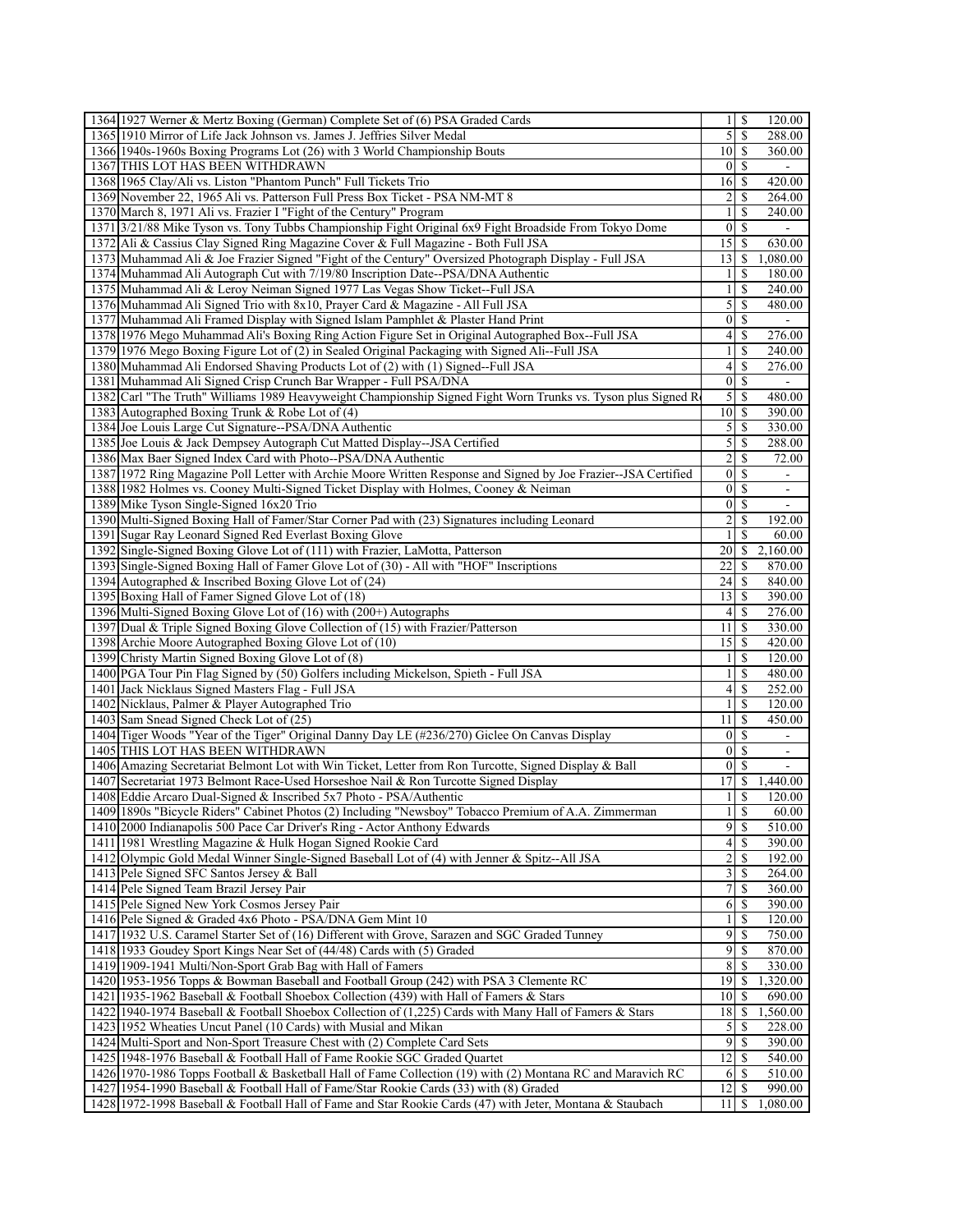| 1364 1927 Werner & Mertz Boxing (German) Complete Set of (6) PSA Graded Cards                                                                                 |                   | $1 \mid S$                 | 120.00                       |
|---------------------------------------------------------------------------------------------------------------------------------------------------------------|-------------------|----------------------------|------------------------------|
| 1365 1910 Mirror of Life Jack Johnson vs. James J. Jeffries Silver Medal                                                                                      | 5 <sub>l</sub>    | $\mathbb{S}$               | 288.00                       |
| 1366 1940s-1960s Boxing Programs Lot (26) with 3 World Championship Bouts                                                                                     | $10\vert S$       |                            | 360.00                       |
| 1367 THIS LOT HAS BEEN WITHDRAWN                                                                                                                              |                   | 01S                        |                              |
| 1368 1965 Clay/Ali vs. Liston "Phantom Punch" Full Tickets Trio                                                                                               |                   |                            | 420.00                       |
| 1369 November 22, 1965 Ali vs. Patterson Full Press Box Ticket - PSA NM-MT 8                                                                                  | $\overline{2}$    | $\mathbb{S}$               | 264.00                       |
| 1370 March 8, 1971 Ali vs. Frazier I "Fight of the Century" Program                                                                                           | $\left  \right $  | <sup>\$</sup>              | 240.00                       |
| 1371 3/21/88 Mike Tyson vs. Tony Tubbs Championship Fight Original 6x9 Fight Broadside From Tokyo Dome                                                        | $\overline{0}$    | <sup>\$</sup>              |                              |
| 1372 Ali & Cassius Clay Signed Ring Magazine Cover & Full Magazine - Both Full JSA                                                                            | $15 \mid$ \$      |                            | 630.00                       |
| 1373 Muhammad Ali & Joe Frazier Signed "Fight of the Century" Oversized Photograph Display - Full JSA                                                         | $13$ $\uparrow$   |                            | 1,080.00                     |
| 1374 Muhammad Ali Autograph Cut with 7/19/80 Inscription Date--PSA/DNA Authentic                                                                              | $\frac{1}{2}$     | -S                         | 180.00                       |
| 1375 Muhammad Ali & Leroy Neiman Signed 1977 Las Vegas Show Ticket--Full JSA                                                                                  | $\overline{1}$    | $\overline{\mathbf{s}}$    | 240.00                       |
| 1376 Muhammad Ali Signed Trio with 8x10, Prayer Card & Magazine - All Full JSA                                                                                | 5 <sup>1</sup>    | - \$                       | 480.00                       |
| 1377 Muhammad Ali Framed Display with Signed Islam Pamphlet & Plaster Hand Print                                                                              |                   | 01S                        |                              |
| 1378 1976 Mego Muhammad Ali's Boxing Ring Action Figure Set in Original Autographed Box--Full JSA                                                             | $\vert$           | -\$                        | $\overline{276.00}$          |
| 1379 1976 Mego Boxing Figure Lot of (2) in Sealed Original Packaging with Signed Ali--Full JSA                                                                | $\mathbf{1}$      | \$                         | 240.00                       |
| 1380 Muhammad Ali Endorsed Shaving Products Lot of (2) with (1) Signed--Full JSA                                                                              | $\vert 4 \vert$   | \$                         | 276.00                       |
| 1381 Muhammad Ali Signed Crisp Crunch Bar Wrapper - Full PSA/DNA                                                                                              | $\vert$           | $\mathbf S$                |                              |
| 1382 Carl "The Truth" Williams 1989 Heavyweight Championship Signed Fight Worn Trunks vs. Tyson plus Signed Re                                                | $\mathfrak{S}$    | <sup>\$</sup>              | 480.00                       |
| 1383 Autographed Boxing Trunk & Robe Lot of (4)                                                                                                               | $10\vert S$       |                            | 390.00                       |
| 1384 Joe Louis Large Cut Signature--PSA/DNA Authentic                                                                                                         |                   |                            | 330.00                       |
| 1385 Joe Louis & Jack Dempsey Autograph Cut Matted Display--JSA Certified                                                                                     | 5                 | \$                         | 288.00                       |
| 1386 Max Baer Signed Index Card with Photo--PSA/DNA Authentic                                                                                                 | $\overline{c}$    | <sup>\$</sup>              | 72.00                        |
| 1387 1972 Ring Magazine Poll Letter with Archie Moore Written Response and Signed by Joe Frazier--JSA Certified                                               | $\overline{0}$    | $\mathcal{S}$              |                              |
| 1388 1982 Holmes vs. Cooney Multi-Signed Ticket Display with Holmes, Cooney & Neiman                                                                          | $\vert 0 \vert$   | -S                         | $\qquad \qquad \blacksquare$ |
| 1389 Mike Tyson Single-Signed 16x20 Trio                                                                                                                      |                   | $0 \mid S$                 | $\overline{\phantom{a}}$     |
| 1390 Multi-Signed Boxing Hall of Famer/Star Corner Pad with (23) Signatures including Leonard                                                                 | $\overline{2}$    | $\mathbf S$                | 192.00                       |
| 1391 Sugar Ray Leonard Signed Red Everlast Boxing Glove                                                                                                       | $\frac{1}{2}$     | <sup>\$</sup>              | 60.00                        |
| 1392 Single-Signed Boxing Glove Lot of (111) with Frazier, LaMotta, Patterson                                                                                 | 20I               | -S                         | 2,160.00                     |
| 1393 Single-Signed Boxing Hall of Famer Glove Lot of (30) - All with "HOF" Inscriptions                                                                       | 22                | <sup>\$</sup>              | 870.00                       |
| 1394 Autographed & Inscribed Boxing Glove Lot of $(24)$                                                                                                       | 24                | -S                         | 840.00                       |
| 1395 Boxing Hall of Famer Signed Glove Lot of (18)                                                                                                            | 13                | -S                         | 390.00                       |
| 1396 Multi-Signed Boxing Glove Lot of (16) with (200+) Autographs                                                                                             |                   | $4$   \$                   | 276.00                       |
| 1397 Dual & Triple Signed Boxing Glove Collection of (15) with Frazier/Patterson                                                                              | 11                | -S                         | 330.00                       |
| 1398 Archie Moore Autographed Boxing Glove Lot of (10)                                                                                                        | 15 <sup>1</sup>   | - \$                       | 420.00                       |
| 1399 Christy Martin Signed Boxing Glove Lot of (8)                                                                                                            | $\left  \right $  | <sup>\$</sup>              | 120.00                       |
| 1400 PGA Tour Pin Flag Signed by (50) Golfers including Mickelson, Spieth - Full JSA                                                                          | 1                 | \$                         | 480.00                       |
| 1401 Jack Nicklaus Signed Masters Flag - Full JSA                                                                                                             | $\vert 4 \vert$   | - \$                       | 252.00                       |
| 1402 Nicklaus, Palmer & Player Autographed Trio                                                                                                               | $\mathbf{1}$      | \$                         | 120.00                       |
| 1403 Sam Snead Signed Check Lot of (25)                                                                                                                       | 11                | <sup>\$</sup>              | 450.00                       |
| 1404 Tiger Woods "Year of the Tiger" Original Danny Day LE (#236/270) Giclee On Canvas Display                                                                |                   | $0 \mid S$                 |                              |
| 1405 THIS LOT HAS BEEN WITHDRAWN                                                                                                                              | $\mathbf{0}$      | <sup>\$</sup>              |                              |
| 1406 Amazing Secretariat Belmont Lot with Win Ticket, Letter from Ron Turcotte, Signed Display & Ball                                                         | $\overline{0}$    | <sup>\$</sup>              | ۰                            |
| 1407 Secretariat 1973 Belmont Race-Used Horseshoe Nail & Ron Turcotte Signed Display                                                                          | 17                | <sup>\$</sup>              | ۰<br>1,440.00                |
| 1408 Eddie Arcaro Dual-Signed & Inscribed 5x7 Photo - PSA/Authentic                                                                                           |                   | <sup>\$</sup>              |                              |
| 1409 1890s "Bicycle Riders" Cabinet Photos (2) Including "Newsboy" Tobacco Premium of A.A. Zimmerman                                                          | $\mathbf{1}$      | $\overline{1}$ s           | 120.00<br>60.00              |
|                                                                                                                                                               |                   | $9 \overline{\smash{)}\,}$ | 510.00                       |
| 1410 2000 Indianapolis 500 Pace Car Driver's Ring - Actor Anthony Edwards                                                                                     | $\left 4\right $  | -S                         |                              |
| 1411 1981 Wrestling Magazine & Hulk Hogan Signed Rookie Card<br>1412 Olympic Gold Medal Winner Single-Signed Baseball Lot of (4) with Jenner & Spitz--All JSA | 2                 | -S                         | 390.00<br>192.00             |
|                                                                                                                                                               |                   |                            |                              |
| 1413 Pele Signed SFC Santos Jersey & Ball<br>1414 Pele Signed Team Brazil Jersey Pair                                                                         | $7\overline{ }$   | <sup>\$</sup>              | 264.00<br>360.00             |
|                                                                                                                                                               |                   |                            |                              |
| 1415 Pele Signed New York Cosmos Jersey Pair<br>1416 Pele Signed & Graded 4x6 Photo - PSA/DNA Gem Mint 10                                                     | 6<br>$\mathbf{1}$ | -S<br><sup>\$</sup>        | 390.00<br>120.00             |
|                                                                                                                                                               |                   |                            |                              |
| 1417 1932 U.S. Caramel Starter Set of (16) Different with Grove, Sarazen and SGC Graded Tunney                                                                | $\overline{9}$    | -S<br>$9$ $\sqrt{5}$       | 750.00                       |
| 1418 1933 Goudey Sport Kings Near Set of (44/48) Cards with (5) Graded                                                                                        |                   |                            | 870.00                       |
| 1419 1909-1941 Multi/Non-Sport Grab Bag with Hall of Famers                                                                                                   | 8                 |                            | 330.00<br>1,320.00           |
| 1420 1953-1956 Topps & Bowman Baseball and Football Group (242) with PSA 3 Clemente RC                                                                        |                   |                            |                              |
| 1421 1935-1962 Baseball & Football Shoebox Collection (439) with Hall of Famers & Stars                                                                       | 10                | -S                         | 690.00                       |
| 1422   1940-1974 Baseball & Football Shoebox Collection of (1,225) Cards with Many Hall of Famers & Stars                                                     | 18                | <sup>\$</sup>              | 1,560.00                     |
| 1423 1952 Wheaties Uncut Panel (10 Cards) with Musial and Mikan                                                                                               | $\mathfrak{S}$    | -S                         | 228.00                       |
| 1424 Multi-Sport and Non-Sport Treasure Chest with (2) Complete Card Sets                                                                                     |                   | $9$ \ $\frac{1}{3}$        | 390.00                       |
| 1425 1948-1976 Baseball & Football Hall of Fame Rookie SGC Graded Quartet                                                                                     | 12                | -S                         | 540.00                       |
| 1426 1970-1986 Topps Football & Basketball Hall of Fame Collection (19) with (2) Montana RC and Maravich RC                                                   |                   | 6   S                      | 510.00                       |
| 1427 1954-1990 Baseball & Football Hall of Fame/Star Rookie Cards (33) with (8) Graded                                                                        | $12$ $\sqrt{5}$   |                            | 990.00                       |
| 1428 1972-1998 Baseball & Football Hall of Fame and Star Rookie Cards (47) with Jeter, Montana & Staubach                                                     | 11                | <sup>\$</sup>              | 1,080.00                     |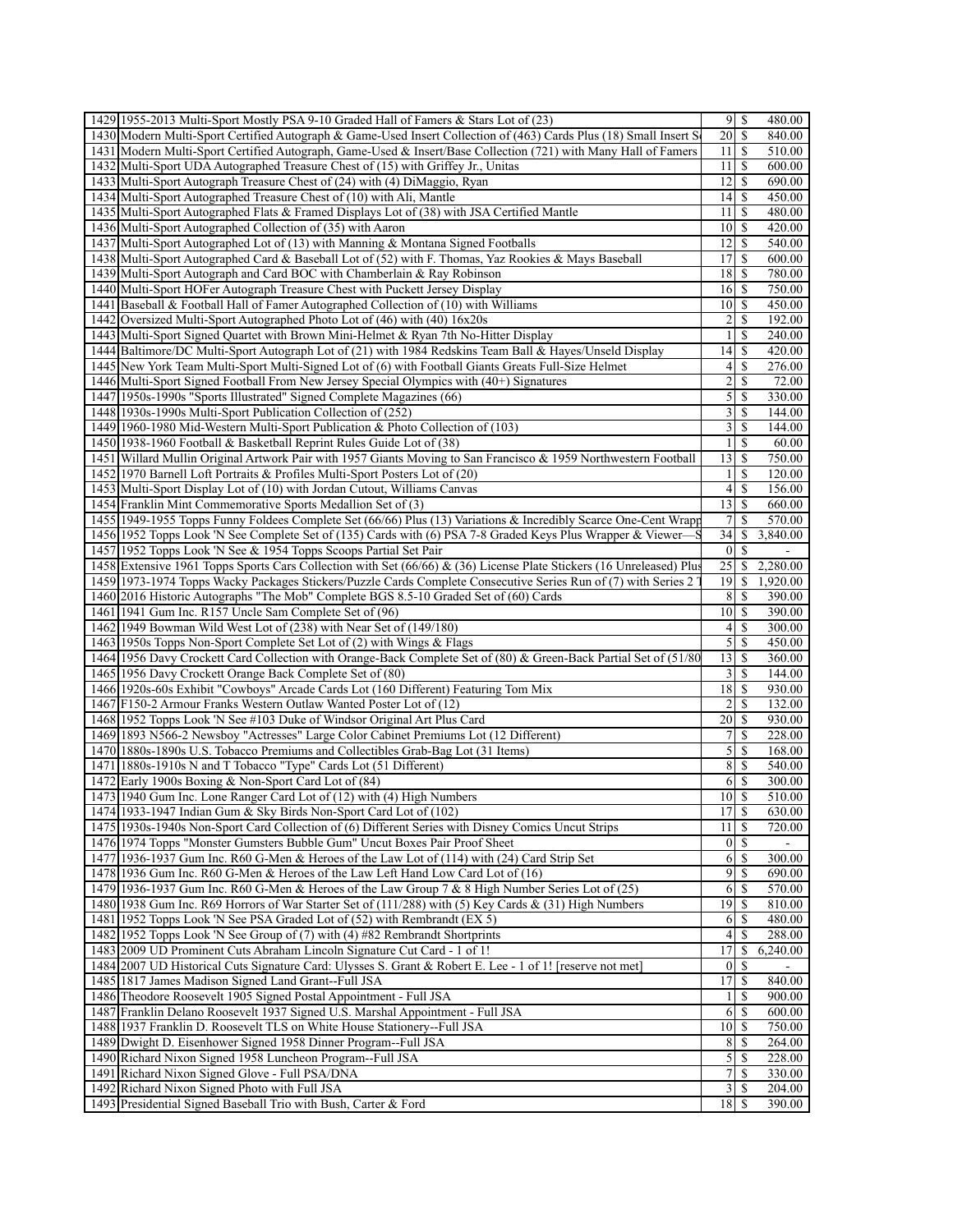| 1429 1955-2013 Multi-Sport Mostly PSA 9-10 Graded Hall of Famers & Stars Lot of (23)                                                                   |                            |               | 480.00           |
|--------------------------------------------------------------------------------------------------------------------------------------------------------|----------------------------|---------------|------------------|
| 1430 Modern Multi-Sport Certified Autograph & Game-Used Insert Collection of (463) Cards Plus (18) Small Insert S                                      | 20                         | \$            | 840.00           |
| 1431   Modern Multi-Sport Certified Autograph, Game-Used & Insert/Base Collection (721) with Many Hall of Famers                                       | 11                         | -S            | 510.00           |
| 1432 Multi-Sport UDA Autographed Treasure Chest of (15) with Griffey Jr., Unitas                                                                       | $11 \mid S$                |               | 600.00           |
| 1433 Multi-Sport Autograph Treasure Chest of (24) with (4) DiMaggio, Ryan                                                                              | 12                         | \$            | 690.00           |
| 1434 Multi-Sport Autographed Treasure Chest of (10) with Ali, Mantle                                                                                   | 4                          | S             | 450.00           |
| 1435 Multi-Sport Autographed Flats & Framed Displays Lot of (38) with JSA Certified Mantle                                                             | 11                         | \$            | 480.00           |
| 1436 Multi-Sport Autographed Collection of (35) with Aaron                                                                                             | 10 <sup>1</sup>            | <sup>\$</sup> | 420.00           |
| 1437 Multi-Sport Autographed Lot of (13) with Manning & Montana Signed Footballs                                                                       | 12                         | <sup>\$</sup> | 540.00           |
| 1438 Multi-Sport Autographed Card & Baseball Lot of (52) with F. Thomas, Yaz Rookies & Mays Baseball                                                   | 17                         | -S            | 600.00           |
|                                                                                                                                                        | 18                         |               |                  |
| 1439 Multi-Sport Autograph and Card BOC with Chamberlain & Ray Robinson<br>1440 Multi-Sport HOFer Autograph Treasure Chest with Puckett Jersey Display |                            | -S<br>S       | 780.00<br>750.00 |
|                                                                                                                                                        | 16                         |               |                  |
| Baseball & Football Hall of Famer Autographed Collection of $(10)$ with Williams<br>1441                                                               | $10$ $\sqrt{5}$            |               | 450.00           |
| 1442 Oversized Multi-Sport Autographed Photo Lot of (46) with (40) 16x20s                                                                              | 2                          | \$            | 192.00           |
| 1443 Multi-Sport Signed Quartet with Brown Mini-Helmet & Ryan 7th No-Hitter Display                                                                    | $\mathbf{1}$               | -S            | 240.00           |
| 1444 Baltimore/DC Multi-Sport Autograph Lot of (21) with 1984 Redskins Team Ball & Hayes/Unseld Display                                                | 14                         | \$            | 420.00           |
| 1445 New York Team Multi-Sport Multi-Signed Lot of (6) with Football Giants Greats Full-Size Helmet                                                    | 4                          | \$            | 276.00           |
| $1446$ Multi-Sport Signed Football From New Jersey Special Olympics with $(40+)$ Signatures                                                            | $\overline{c}$             | <sup>\$</sup> | 72.00            |
| 1447 1950s-1990s "Sports Illustrated" Signed Complete Magazines (66)                                                                                   | 5                          | \$            | 330.00           |
| 1448 1930s-1990s Multi-Sport Publication Collection of (252)                                                                                           | $\overline{3}$             | <sup>\$</sup> | 144.00           |
| 1449 1960-1980 Mid-Western Multi-Sport Publication & Photo Collection of (103)                                                                         | $\overline{3}$             | $\mathbf S$   | 144.00           |
| 1450 1938-1960 Football & Basketball Reprint Rules Guide Lot of (38)                                                                                   | $\mathbf{1}$               | \$            | 60.00            |
| 1451 Willard Mullin Original Artwork Pair with 1957 Giants Moving to San Francisco & 1959 Northwestern Football                                        | 13                         | -S            | 750.00           |
| 1452 1970 Barnell Loft Portraits & Profiles Multi-Sport Posters Lot of (20)                                                                            | $\mathbf{1}$               | <sup>\$</sup> | 120.00           |
| 1453 Multi-Sport Display Lot of (10) with Jordan Cutout, Williams Canvas                                                                               | 4                          | \$            | 156.00           |
| 1454 Franklin Mint Commemorative Sports Medallion Set of (3)                                                                                           | 13                         | -S            | 660.00           |
| 1455 1949-1955 Topps Funny Foldees Complete Set (66/66) Plus (13) Variations & Incredibly Scarce One-Cent Wrapp                                        | 7                          | <sup>\$</sup> | 570.00           |
| 1456 1952 Topps Look 'N See Complete Set of (135) Cards with (6) PSA 7-8 Graded Keys Plus Wrapper & Viewer-                                            | 34                         | \$            | 3,840.00         |
| 1457 1952 Topps Look 'N See & 1954 Topps Scoops Partial Set Pair                                                                                       | $\mathbf{0}$               | <sup>\$</sup> |                  |
| 1458 Extensive 1961 Topps Sports Cars Collection with Set (66/66) & (36) License Plate Stickers (16 Unreleased) Plus                                   | 25                         | \$            | 2,280.00         |
| 1459 1973-1974 Topps Wacky Packages Stickers/Puzzle Cards Complete Consecutive Series Run of (7) with Series 2                                         | 19                         | -S            | 1,920.00         |
| 1460 2016 Historic Autographs "The Mob" Complete BGS 8.5-10 Graded Set of (60) Cards                                                                   | 8 <sup>1</sup>             | -S            | 390.00           |
| 1461 1941 Gum Inc. R157 Uncle Sam Complete Set of (96)                                                                                                 | $10$   \$                  |               | 390.00           |
| 1462 1949 Bowman Wild West Lot of (238) with Near Set of (149/180)                                                                                     | 4                          | S             | 300.00           |
| 1463 1950s Topps Non-Sport Complete Set Lot of (2) with Wings & Flags                                                                                  | 5                          | <sup>\$</sup> | 450.00           |
| 1464 1956 Davy Crockett Card Collection with Orange-Back Complete Set of (80) & Green-Back Partial Set of (51/80)                                      | 13                         | \$            | 360.00           |
| 1465 1956 Davy Crockett Orange Back Complete Set of (80)                                                                                               | $\overline{3}$             | <sup>\$</sup> | 144.00           |
| 1466 1920s-60s Exhibit "Cowboys" Arcade Cards Lot (160 Different) Featuring Tom Mix                                                                    | $18$ $\sqrt{5}$            |               | 930.00           |
| 1467 F150-2 Armour Franks Western Outlaw Wanted Poster Lot of (12)                                                                                     | 2                          | \$            | 132.00           |
| 1468 1952 Topps Look 'N See #103 Duke of Windsor Original Art Plus Card                                                                                | 20                         | -S            | 930.00           |
|                                                                                                                                                        | $7\overline{ }$            | <sup>\$</sup> | 228.00           |
|                                                                                                                                                        |                            | -S            | 168.00           |
| 1469 1893 N566-2 Newsboy "Actresses" Large Color Cabinet Premiums Lot (12 Different)                                                                   |                            | -S            | 540.00           |
| 1470 1880s-1890s U.S. Tobacco Premiums and Collectibles Grab-Bag Lot (31 Items)                                                                        | $\mathfrak{S}$             | -S            | 300.00           |
| 1471   1880s-1910s N and T Tobacco "Type" Cards Lot (51 Different)                                                                                     | 8 <sup>1</sup>             |               |                  |
| 1472 Early 1900s Boxing & Non-Sport Card Lot of (84)                                                                                                   | 6                          |               |                  |
| 1473 1940 Gum Inc. Lone Ranger Card Lot of (12) with (4) High Numbers                                                                                  | 10 <sup>1</sup>            | $\mathbb{S}$  | 510.00           |
| 1474 1933-1947 Indian Gum & Sky Birds Non-Sport Card Lot of (102)                                                                                      | 17S                        |               | 630.00           |
| 1475 1930s-1940s Non-Sport Card Collection of (6) Different Series with Disney Comics Uncut Strips                                                     | 11                         | -S            | 720.00           |
| 1476 1974 Topps "Monster Gumsters Bubble Gum" Uncut Boxes Pair Proof Sheet                                                                             | $\overline{0}$             | -S            |                  |
| 1477 1936-1937 Gum Inc. R60 G-Men & Heroes of the Law Lot of (114) with (24) Card Strip Set                                                            | 6                          | -S            | 300.00           |
| 1478 1936 Gum Inc. R60 G-Men & Heroes of the Law Left Hand Low Card Lot of (16)                                                                        | $\overline{9}$             | -S            | 690.00           |
| 1479 1936-1937 Gum Inc. R60 G-Men & Heroes of the Law Group 7 & 8 High Number Series Lot of (25)                                                       | 6                          | -S            | 570.00           |
| 1480 1938 Gum Inc. R69 Horrors of War Starter Set of (111/288) with (5) Key Cards & (31) High Numbers                                                  | 19 IS                      |               | 810.00           |
| 1481 1952 Topps Look 'N See PSA Graded Lot of (52) with Rembrandt (EX 5)                                                                               | 6                          |               | 480.00           |
| 1482 1952 Topps Look 'N See Group of (7) with (4) #82 Rembrandt Shortprints                                                                            | $\left 4\right $           | <sup>S</sup>  | 288.00           |
| 1483 2009 UD Prominent Cuts Abraham Lincoln Signature Cut Card - 1 of 1!                                                                               | 17                         | S             | 6,240.00         |
| 1484 2007 UD Historical Cuts Signature Card: Ulysses S. Grant & Robert E. Lee - 1 of 1! [reserve not met]                                              | $\vert 0 \vert$            | -S            |                  |
| 1485 1817 James Madison Signed Land Grant--Full JSA                                                                                                    | 17                         |               | 840.00           |
| 1486 Theodore Roosevelt 1905 Signed Postal Appointment - Full JSA                                                                                      | 1                          | <sup>\$</sup> | 900.00           |
| 1487 Franklin Delano Roosevelt 1937 Signed U.S. Marshal Appointment - Full JSA                                                                         | 6                          | -S            | 600.00           |
| 1488 1937 Franklin D. Roosevelt TLS on White House Stationery--Full JSA                                                                                | $10$ $\sqrt{5}$            |               | 750.00           |
| 1489 Dwight D. Eisenhower Signed 1958 Dinner Program--Full JSA                                                                                         | 8                          |               | 264.00           |
| 1490 Richard Nixon Signed 1958 Luncheon Program--Full JSA                                                                                              | $\mathfrak{S}$             | -S            | 228.00           |
| 1491 Richard Nixon Signed Glove - Full PSA/DNA                                                                                                         | 7                          | <sup>\$</sup> | 330.00           |
| 1492 Richard Nixon Signed Photo with Full JSA<br>1493 Presidential Signed Baseball Trio with Bush, Carter & Ford                                       | $\frac{3}{2}$<br>$18$   \$ | -S            | 204.00<br>390.00 |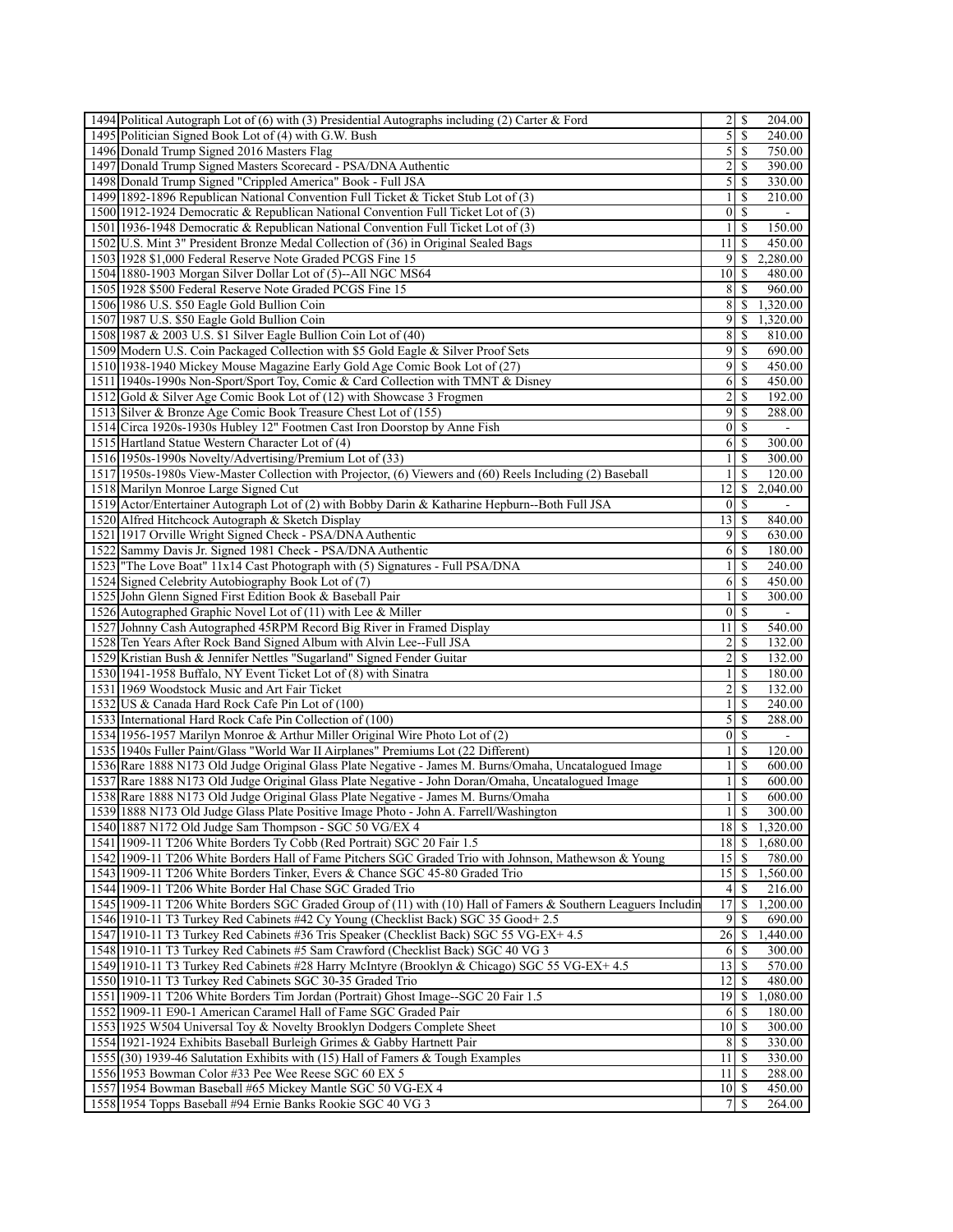| 1494 Political Autograph Lot of (6) with (3) Presidential Autographs including (2) Carter & Ford                                                    |                                   |                          | 204.00             |
|-----------------------------------------------------------------------------------------------------------------------------------------------------|-----------------------------------|--------------------------|--------------------|
| 1495 Politician Signed Book Lot of (4) with G.W. Bush                                                                                               | $\overline{5}$                    | -S                       | 240.00             |
| 1496 Donald Trump Signed 2016 Masters Flag                                                                                                          | $\mathcal{S}$                     | <sup>\$</sup>            | 750.00             |
| 1497 Donald Trump Signed Masters Scorecard - PSA/DNA Authentic                                                                                      | $\overline{2}$                    | <sup>\$</sup>            | 390.00             |
| 1498 Donald Trump Signed "Crippled America" Book - Full JSA                                                                                         | $\mathcal{S}$                     | $\mathbb{S}$             | 330.00             |
| 1499 1892-1896 Republican National Convention Full Ticket & Ticket Stub Lot of (3)                                                                  | $\frac{1}{2}$                     | S                        | 210.00             |
| 1500 1912-1924 Democratic & Republican National Convention Full Ticket Lot of (3)                                                                   | $\vert$                           | <sup>\$</sup>            |                    |
| 1501 1936-1948 Democratic & Republican National Convention Full Ticket Lot of (3)                                                                   | $\frac{1}{2}$                     | \$                       | 150.00             |
| 1502 U.S. Mint 3" President Bronze Medal Collection of (36) in Original Sealed Bags                                                                 | 11                                | -S                       | 450.00             |
| 1503 1928 \$1,000 Federal Reserve Note Graded PCGS Fine 15                                                                                          | $\overline{9}$                    | <sup>\$</sup>            | 2,280.00           |
| 1504 1880-1903 Morgan Silver Dollar Lot of (5)--All NGC MS64                                                                                        | 10 <sup>1</sup>                   | S                        | 480.00             |
| 1505 1928 \$500 Federal Reserve Note Graded PCGS Fine 15                                                                                            | 8                                 | S                        | 960.00             |
| 1506 1986 U.S. \$50 Eagle Gold Bullion Coin                                                                                                         | 8                                 | <sup>\$</sup>            | 1,320.00           |
| 1507 1987 U.S. \$50 Eagle Gold Bullion Coin                                                                                                         | $\overline{9}$                    | \$.                      | 1,320.00           |
| 1508 1987 & 2003 U.S. \$1 Silver Eagle Bullion Coin Lot of (40)                                                                                     | 8                                 | -S                       | 810.00             |
| 1509 Modern U.S. Coin Packaged Collection with \$5 Gold Eagle & Silver Proof Sets                                                                   | 9                                 | <sup>\$</sup>            | 690.00             |
| 1510 1938-1940 Mickey Mouse Magazine Early Gold Age Comic Book Lot of (27)                                                                          | 9                                 | <sup>\$</sup>            | 450.00             |
| 1511 1940s-1990s Non-Sport/Sport Toy, Comic & Card Collection with TMNT & Disney                                                                    | 6                                 | <sup>\$</sup>            | 450.00             |
| 1512 Gold & Silver Age Comic Book Lot of (12) with Showcase 3 Frogmen                                                                               | $\overline{2}$                    | \$                       | 192.00             |
| 1513 Silver & Bronze Age Comic Book Treasure Chest Lot of (155)                                                                                     | 9                                 | \$                       | 288.00             |
| 1514 Circa 1920s-1930s Hubley 12" Footmen Cast Iron Doorstop by Anne Fish                                                                           | $\vert$                           | $\mathbb{S}$             |                    |
| 1515 Hartland Statue Western Character Lot of (4)                                                                                                   |                                   |                          | 300.00             |
| 1516 1950s-1990s Novelty/Advertising/Premium Lot of (33)                                                                                            | $\frac{1}{2}$                     | S                        | 300.00             |
| 1517 1950s-1980s View-Master Collection with Projector, (6) Viewers and (60) Reels Including (2) Baseball                                           | $\frac{1}{2}$                     | <sup>\$</sup>            | 120.00<br>2.040.00 |
| 1518 Marilyn Monroe Large Signed Cut                                                                                                                | 12                                | \$                       |                    |
| 1519 Actor/Entertainer Autograph Lot of (2) with Bobby Darin & Katharine Hepburn--Both Full JSA<br>1520 Alfred Hitchcock Autograph & Sketch Display | $\overline{0}$<br>$13$ $\sqrt{5}$ | -\$                      | $\blacksquare$     |
| 1521 1917 Orville Wright Signed Check - PSA/DNA Authentic                                                                                           | $\overline{9}$                    |                          | 840.00<br>630.00   |
| 1522 Sammy Davis Jr. Signed 1981 Check - PSA/DNA Authentic                                                                                          | 6                                 | \$<br><sup>\$</sup>      | 180.00             |
| 1523 The Love Boat" 11x14 Cast Photograph with (5) Signatures - Full PSA/DNA                                                                        | $\frac{1}{2}$                     | \$                       | 240.00             |
| 1524 Signed Celebrity Autobiography Book Lot of (7)                                                                                                 | 6                                 | -S                       | 450.00             |
| 1525 John Glenn Signed First Edition Book & Baseball Pair                                                                                           | $\frac{1}{2}$                     | $\overline{\mathcal{S}}$ | 300.00             |
| 1526 Autographed Graphic Novel Lot of (11) with Lee & Miller                                                                                        | $\overline{0}$                    | <sup>\$</sup>            | $\blacksquare$     |
| 1527 Johnny Cash Autographed 45RPM Record Big River in Framed Display                                                                               | 11                                | \$                       | 540.00             |
| 1528 Ten Years After Rock Band Signed Album with Alvin Lee--Full JSA                                                                                | $\overline{2}$                    | <sup>\$</sup>            | 132.00             |
| 1529 Kristian Bush & Jennifer Nettles "Sugarland" Signed Fender Guitar                                                                              | $\overline{2}$                    | -S                       | 132.00             |
| 1530 1941-1958 Buffalo, NY Event Ticket Lot of (8) with Sinatra                                                                                     | 1 <sup>1</sup>                    | <sup>\$</sup>            | 180.00             |
| 1531 1969 Woodstock Music and Art Fair Ticket                                                                                                       | $\overline{2}$                    | -S                       | 132.00             |
| 1532 US & Canada Hard Rock Cafe Pin Lot of (100)                                                                                                    | $\mathbf{1}$                      | \$                       | 240.00             |
| 1533 International Hard Rock Cafe Pin Collection of (100)                                                                                           | $\mathfrak{S}$                    | \$                       | 288.00             |
| 1534 1956-1957 Marilyn Monroe & Arthur Miller Original Wire Photo Lot of (2)                                                                        | 0                                 | -\$                      |                    |
| 1535 1940s Fuller Paint/Glass "World War II Airplanes" Premiums Lot (22 Different)                                                                  | $\mathbf{1}$                      | \$                       | 120.00             |
| 1536 Rare 1888 N173 Old Judge Original Glass Plate Negative - James M. Burns/Omaha, Uncatalogued Image                                              | $\frac{1}{2}$                     | \$                       | 600.00             |
| 1537 Rare 1888 N173 Old Judge Original Glass Plate Negative - John Doran/Omaha, Uncatalogued Image                                                  | $\frac{1}{2}$                     | \$                       | 600.00             |
| 1538 Rare 1888 N173 Old Judge Original Glass Plate Negative - James M. Burns/Omaha                                                                  | $\mathbf{1}$                      | \$                       | 600.00             |
| 1539 1888 N173 Old Judge Glass Plate Positive Image Photo - John A. Farrell/Washington                                                              |                                   | $\overline{1}$ s         | 300.00             |
| 1540 1887 N172 Old Judge Sam Thompson - SGC 50 VG/EX 4                                                                                              |                                   |                          | 1,320.00           |
| 1541 1909-11 T206 White Borders Ty Cobb (Red Portrait) SGC 20 Fair 1.5                                                                              | 18                                | S.                       | 1,680.00           |
| 1542 1909-11 T206 White Borders Hall of Fame Pitchers SGC Graded Trio with Johnson, Mathewson & Young                                               | $15$ $\sqrt{5}$                   |                          | 780.00             |
| 1543 1909-11 T206 White Borders Tinker, Evers & Chance SGC 45-80 Graded Trio                                                                        | 15                                | <sup>S</sup>             | 1,560.00           |
| 1544 1909-11 T206 White Border Hal Chase SGC Graded Trio                                                                                            | $\vert 4 \vert$                   | -S                       | 216.00             |
| 1545 1909-11 T206 White Borders SGC Graded Group of (11) with (10) Hall of Famers & Southern Leaguers Includin                                      | 17                                | \$                       | 1,200.00           |
| 1546 1910-11 T3 Turkey Red Cabinets #42 Cy Young (Checklist Back) SGC 35 Good + 2.5                                                                 | $\overline{9}$                    | \$                       | 690.00             |
| 1547 1910-11 T3 Turkey Red Cabinets #36 Tris Speaker (Checklist Back) SGC 55 VG-EX+ 4.5                                                             | 26                                | \$.                      | 1,440.00           |
| 1548 1910-11 T3 Turkey Red Cabinets #5 Sam Crawford (Checklist Back) SGC 40 VG 3                                                                    | 6                                 | <sup>\$</sup>            | 300.00             |
| 1549 1910-11 T3 Turkey Red Cabinets #28 Harry McIntyre (Brooklyn & Chicago) SGC 55 VG-EX+ 4.5                                                       | 13                                | -S                       | 570.00             |
| 1550 1910-11 T3 Turkey Red Cabinets SGC 30-35 Graded Trio                                                                                           | 12                                | <sup>\$</sup>            | 480.00             |
| 1551 1909-11 T206 White Borders Tim Jordan (Portrait) Ghost Image--SGC 20 Fair 1.5                                                                  | 19                                | S.                       | 1,080.00           |
| 1552 1909-11 E90-1 American Caramel Hall of Fame SGC Graded Pair                                                                                    | 6                                 | \$                       | 180.00             |
| 1553 1925 W504 Universal Toy & Novelty Brooklyn Dodgers Complete Sheet                                                                              | 10                                | -S                       | 300.00             |
| 1554 1921-1924 Exhibits Baseball Burleigh Grimes & Gabby Hartnett Pair                                                                              | 8                                 | <sup>S</sup>             | 330.00             |
| 1555 (30) 1939-46 Salutation Exhibits with (15) Hall of Famers & Tough Examples                                                                     | 11                                | S                        | 330.00             |
| 1556 1953 Bowman Color #33 Pee Wee Reese SGC 60 EX 5                                                                                                | 11                                | -S                       | 288.00             |
| 1557 1954 Bowman Baseball #65 Mickey Mantle SGC 50 VG-EX 4                                                                                          | 10 <sup>1</sup>                   | <sup>\$</sup>            | 450.00             |
| 1558 1954 Topps Baseball #94 Ernie Banks Rookie SGC 40 VG 3                                                                                         | 7 <sup>1</sup>                    | \$                       | 264.00             |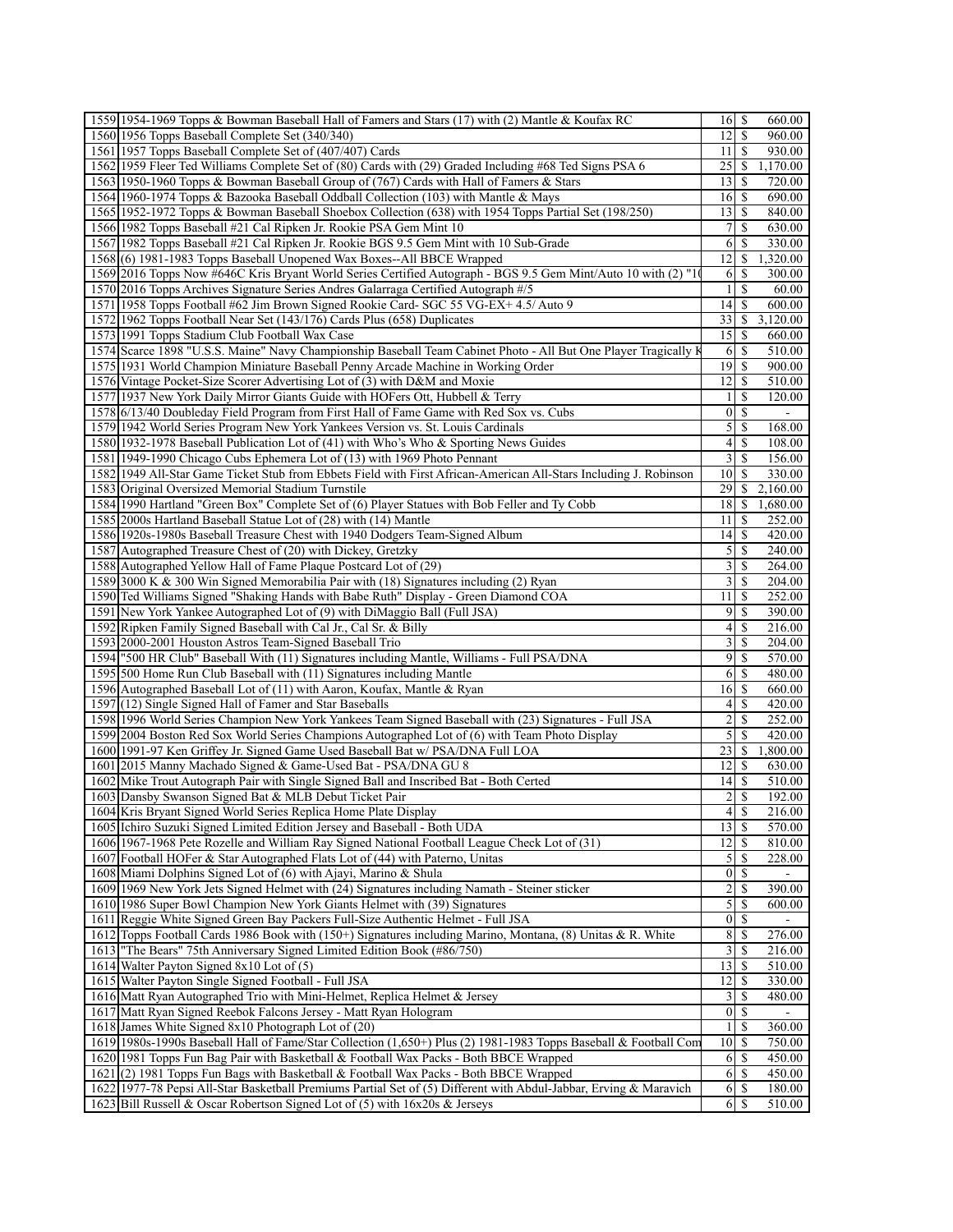| 1559 1954-1969 Topps & Bowman Baseball Hall of Famers and Stars (17) with (2) Mantle & Koufax RC                  | $16 \mid S$<br>660.00                      |
|-------------------------------------------------------------------------------------------------------------------|--------------------------------------------|
| 1560 1956 Topps Baseball Complete Set (340/340)                                                                   | 12<br>\$<br>960.00                         |
| 1561 1957 Topps Baseball Complete Set of (407/407) Cards                                                          | 11<br>$\mathbb{S}$<br>930.00               |
| 1562 1959 Fleer Ted Williams Complete Set of (80) Cards with (29) Graded Including #68 Ted Signs PSA 6            | $25$   \$<br>1,170.00                      |
| 1563 1950-1960 Topps & Bowman Baseball Group of (767) Cards with Hall of Famers & Stars                           | 13<br>\$<br>720.00                         |
| 1564 1960-1974 Topps & Bazooka Baseball Oddball Collection (103) with Mantle & Mays                               | $16$ S<br>690.00                           |
| 1565 1952-1972 Topps & Bowman Baseball Shoebox Collection (638) with 1954 Topps Partial Set (198/250)             | 13<br>-S<br>840.00                         |
| 1566 1982 Topps Baseball #21 Cal Ripken Jr. Rookie PSA Gem Mint 10                                                | 7<br><sup>\$</sup><br>630.00               |
| 1567 1982 Topps Baseball #21 Cal Ripken Jr. Rookie BGS 9.5 Gem Mint with 10 Sub-Grade                             | 6<br>-S<br>330.00                          |
| 1568(6) 1981-1983 Topps Baseball Unopened Wax Boxes--All BBCE Wrapped                                             | 12<br>\$<br>1,320.00                       |
| 1569 2016 Topps Now #646C Kris Bryant World Series Certified Autograph - BGS 9.5 Gem Mint/Auto 10 with (2) "10    | 6<br>-S<br>300.00                          |
| 1570 2016 Topps Archives Signature Series Andres Galarraga Certified Autograph #/5                                | $\mathbf{1}$<br><sup>\$</sup><br>60.00     |
| 1571 1958 Topps Football #62 Jim Brown Signed Rookie Card- SGC 55 VG-EX+ 4.5/ Auto 9                              | 14<br>  \$<br>600.00                       |
| 1572 1962 Topps Football Near Set (143/176) Cards Plus (658) Duplicates                                           | 33<br>3,120.00<br>\$                       |
| 1573 1991 Topps Stadium Club Football Wax Case                                                                    | 15<br>-S<br>660.00                         |
| 1574 Scarce 1898 "U.S.S. Maine" Navy Championship Baseball Team Cabinet Photo - All But One Player Tragically K   | $\overline{5}10.00$<br>6<br>\$             |
| 1575 1931 World Champion Miniature Baseball Penny Arcade Machine in Working Order                                 | 19 <sup>1</sup><br>900.00<br>-S            |
|                                                                                                                   |                                            |
| 1576 Vintage Pocket-Size Scorer Advertising Lot of (3) with D&M and Moxie                                         | 12<br>-S<br>510.00                         |
| 1577 1937 New York Daily Mirror Giants Guide with HOFers Ott, Hubbell & Terry                                     | \$<br>$\overline{120.00}$<br>1             |
| 1578 6/13/40 Doubleday Field Program from First Hall of Fame Game with Red Sox vs. Cubs                           | $\vert 0 \vert$<br>$\mathbb{S}$<br>$\sim$  |
| 1579 1942 World Series Program New York Yankees Version vs. St. Louis Cardinals                                   | 168.00                                     |
| 1580 1932-1978 Baseball Publication Lot of (41) with Who's Who & Sporting News Guides                             | 4<br>\$<br>108.00                          |
| 1581 1949-1990 Chicago Cubs Ephemera Lot of (13) with 1969 Photo Pennant                                          | 3<br><sup>\$</sup><br>156.00               |
| 1582 1949 All-Star Game Ticket Stub from Ebbets Field with First African-American All-Stars Including J. Robinson | 10 <sup>1</sup><br><sup>\$</sup><br>330.00 |
| 1583 Original Oversized Memorial Stadium Turnstile                                                                | 29<br>\$<br>2,160.00                       |
| 1584 1990 Hartland "Green Box" Complete Set of (6) Player Statues with Bob Feller and Ty Cobb                     | $18$   \$<br>1,680.00                      |
| 1585 2000s Hartland Baseball Statue Lot of (28) with (14) Mantle                                                  | 11<br>252.00<br>-S                         |
| 1586 1920s-1980s Baseball Treasure Chest with 1940 Dodgers Team-Signed Album                                      | 14<br>-S<br>420.00                         |
| 1587 Autographed Treasure Chest of (20) with Dickey, Gretzky                                                      | 5<br><sup>\$</sup><br>240.00               |
| 1588 Autographed Yellow Hall of Fame Plaque Postcard Lot of (29)                                                  | $\overline{\mathbf{3}}$<br>-S<br>264.00    |
| 1589 3000 K & 300 Win Signed Memorabilia Pair with (18) Signatures including (2) Ryan                             | $\overline{3}$<br>\$<br>204.00             |
| 1590 Ted Williams Signed "Shaking Hands with Babe Ruth" Display - Green Diamond COA                               | 11<br>-\$<br>252.00                        |
| 1591 New York Yankee Autographed Lot of (9) with DiMaggio Ball (Full JSA)                                         | $\overline{9}$<br>-S<br>390.00             |
| 1592 Ripken Family Signed Baseball with Cal Jr., Cal Sr. & Billy                                                  | $\overline{4}$<br>\$<br>216.00             |
| 1593 2000-2001 Houston Astros Team-Signed Baseball Trio                                                           | 3<br>-S<br>204.00                          |
| 1594   "500 HR Club" Baseball With (11) Signatures including Mantle, Williams - Full PSA/DNA                      | 9<br>\$<br>570.00                          |
| 1595 500 Home Run Club Baseball with (11) Signatures including Mantle                                             | 6<br>$\mathbb{S}$<br>480.00                |
| 1596 Autographed Baseball Lot of (11) with Aaron, Koufax, Mantle & Ryan                                           | $16$ $\sqrt{5}$<br>660.00                  |
| 1597 (12) Single Signed Hall of Famer and Star Baseballs                                                          | \$<br>4<br>420.00                          |
| 1598 1996 World Series Champion New York Yankees Team Signed Baseball with (23) Signatures - Full JSA             | $\overline{c}$<br>-S<br>252.00             |
| 1599 2004 Boston Red Sox World Series Champions Autographed Lot of (6) with Team Photo Display                    | $\mathfrak{S}$<br>$\mathbb{S}$<br>420.00   |
| 1600 1991-97 Ken Griffey Jr. Signed Game Used Baseball Bat w/ PSA/DNA Full LOA                                    | 23<br>\$<br>1,800.00                       |
| 1601 2015 Manny Machado Signed & Game-Used Bat - PSA/DNA GU 8                                                     | $\overline{12}$ S<br>630.00                |
| 1602 Mike Trout Autograph Pair with Single Signed Ball and Inscribed Bat - Both Certed                            | 14<br>-S<br>510.00                         |
| 1603 Dansby Swanson Signed Bat & MLB Debut Ticket Pair                                                            | $\overline{c}$<br><sup>\$</sup><br>192.00  |
| 1604 Kris Bryant Signed World Series Replica Home Plate Display                                                   | 4s<br>216.00                               |
| 1605 Ichiro Suzuki Signed Limited Edition Jersey and Baseball - Both UDA                                          | 13<br>-S<br>570.00                         |
| 1606 1967-1968 Pete Rozelle and William Ray Signed National Football League Check Lot of (31)                     | 12<br>810.00<br>-S                         |
| 1607 Football HOFer & Star Autographed Flats Lot of (44) with Paterno, Unitas                                     | $\mathfrak{S}$<br>-S<br>228.00             |
| 1608 Miami Dolphins Signed Lot of (6) with Ajayi, Marino & Shula                                                  | $\vert 0 \vert$<br><sup>\$</sup>           |
|                                                                                                                   |                                            |
| 1609 1969 New York Jets Signed Helmet with (24) Signatures including Namath - Steiner sticker                     | $\overline{c}$<br>S<br>390.00<br>600.00    |
| 1610 1986 Super Bowl Champion New York Giants Helmet with (39) Signatures                                         | $\mathfrak{S}$<br>-\$                      |
| 1611 Reggie White Signed Green Bay Packers Full-Size Authentic Helmet - Full JSA                                  | $\vert 0 \vert$<br>\$                      |
| 1612 Topps Football Cards 1986 Book with (150+) Signatures including Marino, Montana, (8) Unitas & R. White       | 8 <sup>1</sup><br>-S<br>276.00             |
| 1613 The Bears" 75th Anniversary Signed Limited Edition Book (#86/750)                                            | $\overline{3}$<br>216.00<br>-S             |
| 1614 Walter Payton Signed 8x10 Lot of (5)                                                                         | 13<br>-S<br>510.00                         |
| 1615 Walter Payton Single Signed Football - Full JSA                                                              | 12<br>330.00<br>-S                         |
| 1616 Matt Ryan Autographed Trio with Mini-Helmet, Replica Helmet & Jersey                                         | $\overline{3}$<br><sup>\$</sup><br>480.00  |
| 1617 Matt Ryan Signed Reebok Falcons Jersey - Matt Ryan Hologram                                                  | $\vert 0 \vert$<br>\$                      |
| 1618 James White Signed 8x10 Photograph Lot of (20)                                                               | $\mathbf{1}$<br>-S<br>360.00               |
| 1619 1980s-1990s Baseball Hall of Fame/Star Collection (1,650+) Plus (2) 1981-1983 Topps Baseball & Football Com  | 10<br>750.00<br>-S                         |
| 1620 1981 Topps Fun Bag Pair with Basketball & Football Wax Packs - Both BBCE Wrapped                             | 6<br>450.00<br>-S                          |
| 1621 (2) 1981 Topps Fun Bags with Basketball & Football Wax Packs - Both BBCE Wrapped                             | 6<br>450.00<br>-S                          |
| 1622 1977-78 Pepsi All-Star Basketball Premiums Partial Set of (5) Different with Abdul-Jabbar, Erving & Maravich | 6<br>-S<br>180.00                          |
| 1623 Bill Russell & Oscar Robertson Signed Lot of (5) with 16x20s & Jerseys                                       | 6<br>510.00<br>-S                          |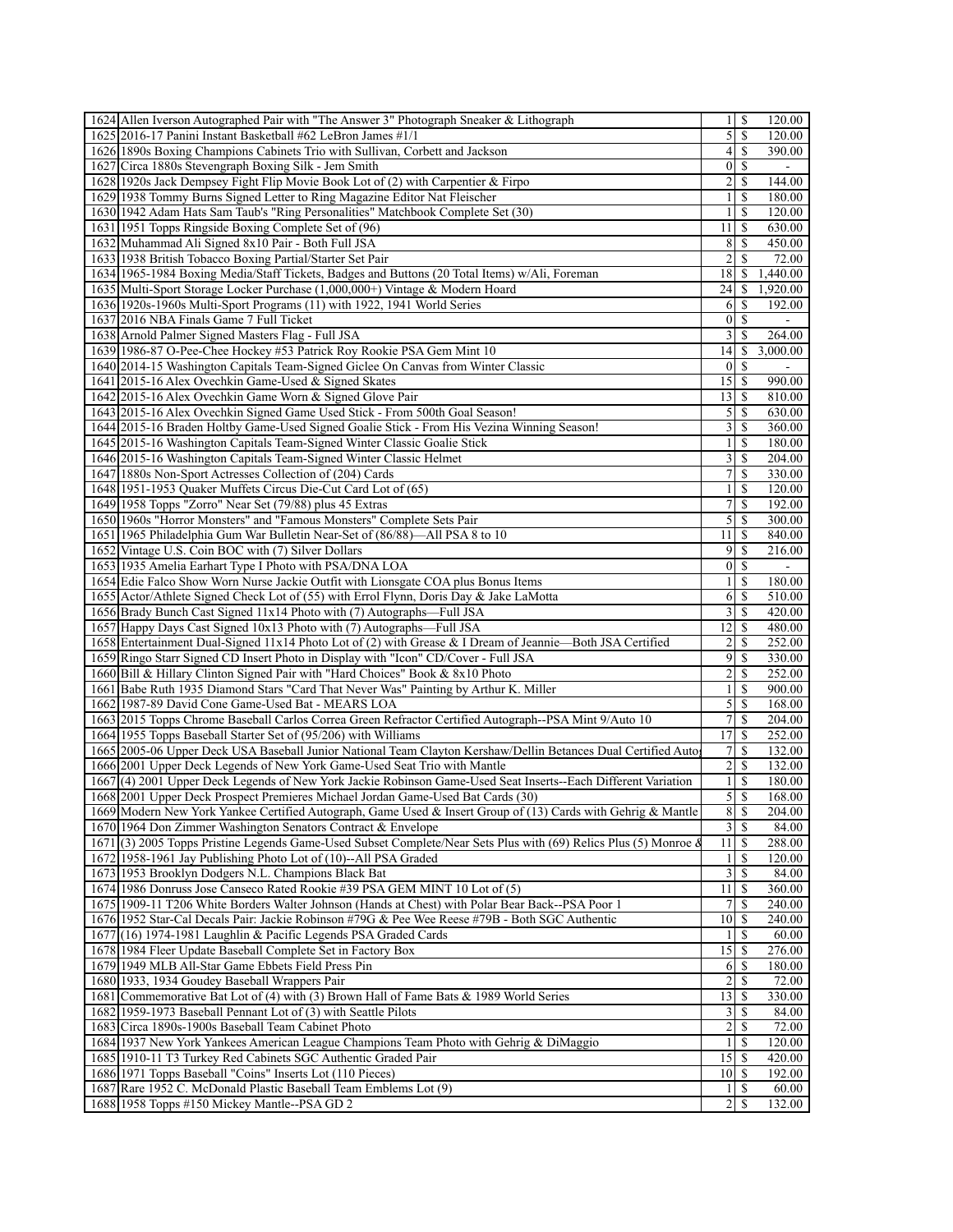|                                                                                                                  | $1 \, \sqrt{3}$                 | 120.00                           |
|------------------------------------------------------------------------------------------------------------------|---------------------------------|----------------------------------|
| 1625 2016-17 Panini Instant Basketball #62 LeBron James #1/1                                                     | $\mathcal{S}$                   | \$<br>120.00                     |
| 1626 1890s Boxing Champions Cabinets Trio with Sullivan, Corbett and Jackson                                     | 4 <sup>1</sup>                  | 390.00<br><sup>\$</sup>          |
| 1627 Circa 1880s Stevengraph Boxing Silk - Jem Smith                                                             | $0 \mid S$                      |                                  |
| 1628 1920s Jack Dempsey Fight Flip Movie Book Lot of (2) with Carpentier & Firpo                                 | $\overline{2}$                  | \$<br>144.00                     |
| 1629 1938 Tommy Burns Signed Letter to Ring Magazine Editor Nat Fleischer                                        | 1 <sup>1</sup>                  | <sup>\$</sup><br>180.00          |
| 1630 1942 Adam Hats Sam Taub's "Ring Personalities" Matchbook Complete Set (30)                                  | $\mathbf{1}$                    | <sup>\$</sup><br>120.00          |
|                                                                                                                  | $11 \mid S$                     |                                  |
| 1631 1951 Topps Ringside Boxing Complete Set of (96)                                                             |                                 | 630.00                           |
| 1632 Muhammad Ali Signed 8x10 Pair - Both Full JSA                                                               | 8 <sup>1</sup>                  | <sup>\$</sup><br>450.00          |
| 1633 1938 British Tobacco Boxing Partial/Starter Set Pair                                                        | $\overline{2}$                  | $\mathbb{S}$<br>72.00            |
| 1634 1965-1984 Boxing Media/Staff Tickets, Badges and Buttons (20 Total Items) w/Ali, Foreman                    | 18I                             | <sup>\$</sup><br>1,440.00        |
| 1635 Multi-Sport Storage Locker Purchase (1,000,000+) Vintage & Modern Hoard                                     | 24<br><sup>\$</sup>             | 1,920.00                         |
| 1636 1920s-1960s Multi-Sport Programs (11) with 1922, 1941 World Series                                          | <sup>6</sup>                    | -S<br>192.00                     |
| 1637 2016 NBA Finals Game 7 Full Ticket                                                                          | $\overline{0}$                  | <sup>\$</sup>                    |
| 1638 Arnold Palmer Signed Masters Flag - Full JSA                                                                | $\overline{3}$                  | <sup>\$</sup><br>264.00          |
| 1639 1986-87 O-Pee-Chee Hockey #53 Patrick Roy Rookie PSA Gem Mint 10                                            | 14                              | \$<br>3,000.00                   |
| 1640 2014-15 Washington Capitals Team-Signed Giclee On Canvas from Winter Classic                                | 0 <sup>1</sup>                  | -S                               |
| 1641 2015-16 Alex Ovechkin Game-Used & Signed Skates                                                             | $15$ $\sqrt{S}$                 | 990.00                           |
| 1642 2015-16 Alex Ovechkin Game Worn & Signed Glove Pair                                                         | 13                              | \$<br>810.00                     |
| 1643 2015-16 Alex Ovechkin Signed Game Used Stick - From 500th Goal Season!                                      | 5                               | \$<br>630.00                     |
|                                                                                                                  | $\frac{3}{ }$                   |                                  |
| 1644 2015-16 Braden Holtby Game-Used Signed Goalie Stick - From His Vezina Winning Season!                       |                                 | <sup>\$</sup><br>360.00          |
| 1645 2015-16 Washington Capitals Team-Signed Winter Classic Goalie Stick                                         | $\frac{1}{2}$                   | \$<br>180.00                     |
| 1646 2015-16 Washington Capitals Team-Signed Winter Classic Helmet                                               | $\frac{3}{2}$                   | \$<br>204.00                     |
| 1647 1880s Non-Sport Actresses Collection of (204) Cards                                                         | 7 <sup>1</sup>                  | <sup>\$</sup><br>330.00          |
| 1648 1951-1953 Quaker Muffets Circus Die-Cut Card Lot of (65)                                                    | 11                              | <sup>\$</sup><br>120.00          |
| 1649 1958 Topps "Zorro" Near Set (79/88) plus 45 Extras                                                          | 7                               | <sup>\$</sup><br>192.00          |
| 1650 1960s "Horror Monsters" and "Famous Monsters" Complete Sets Pair                                            |                                 | 300.00                           |
| 1651 1965 Philadelphia Gum War Bulletin Near-Set of (86/88)—All PSA 8 to 10                                      | 111S                            | 840.00                           |
| 1652 Vintage U.S. Coin BOC with (7) Silver Dollars                                                               | 9                               | <sup>\$</sup><br>216.00          |
| 1653 1935 Amelia Earhart Type I Photo with PSA/DNA LOA                                                           | $\mathcal{S}$<br>0 <sup>1</sup> |                                  |
| 1654 Edie Falco Show Worn Nurse Jackie Outfit with Lionsgate COA plus Bonus Items                                | 11                              | <sup>\$</sup><br>180.00          |
| 1655 Actor/Athlete Signed Check Lot of (55) with Errol Flynn, Doris Day & Jake LaMotta                           | <sup>6</sup>                    | -S<br>510.00                     |
| 1656 Brady Bunch Cast Signed 11x14 Photo with (7) Autographs—Full JSA                                            | 3 <sup>1</sup><br>$\mathbb{S}$  | 420.00                           |
| 1657 Happy Days Cast Signed 10x13 Photo with (7) Autographs—Full JSA                                             | 12                              | <sup>\$</sup><br>480.00          |
|                                                                                                                  |                                 |                                  |
| 1658 Entertainment Dual-Signed 11x14 Photo Lot of (2) with Grease & I Dream of Jeannie—Both JSA Certified        | $\overline{2}$                  | \$<br>252.00                     |
| 1659 Ringo Starr Signed CD Insert Photo in Display with "Icon" CD/Cover - Full JSA                               | $\overline{9}$                  | \$<br>330.00                     |
| 1660 Bill & Hillary Clinton Signed Pair with "Hard Choices" Book & 8x10 Photo                                    | $\overline{2}$                  | \$<br>252.00                     |
| 1661 Babe Ruth 1935 Diamond Stars "Card That Never Was" Painting by Arthur K. Miller                             | 11                              | <sup>\$</sup><br>900.00          |
| 1662 1987-89 David Cone Game-Used Bat - MEARS LOA                                                                | $\mathfrak{S}$                  | \$<br>168.00                     |
|                                                                                                                  | 7 <sup>1</sup>                  | $\mathbb{S}$<br>204.00           |
| 1663 2015 Topps Chrome Baseball Carlos Correa Green Refractor Certified Autograph--PSA Mint 9/Auto 10            | 17                              | <sup>\$</sup><br>252.00          |
| 1664 1955 Topps Baseball Starter Set of (95/206) with Williams                                                   |                                 |                                  |
| 1665 2005-06 Upper Deck USA Baseball Junior National Team Clayton Kershaw/Dellin Betances Dual Certified Auto    | 7 <sup>1</sup>                  | \$.<br>132.00                    |
|                                                                                                                  |                                 | -S<br>132.00                     |
| 1666 2001 Upper Deck Legends of New York Game-Used Seat Trio with Mantle                                         | $\overline{2}$                  |                                  |
| 1667(4) 2001 Upper Deck Legends of New York Jackie Robinson Game-Used Seat Inserts--Each Different Variation     | 1 <sup>1</sup>                  | <sup>\$</sup><br>180.00          |
| 1668 2001 Upper Deck Prospect Premieres Michael Jordan Game-Used Bat Cards (30)                                  | $\mathcal{S}$                   | S<br>168.00                      |
| 1669 Modern New York Yankee Certified Autograph, Game Used & Insert Group of (13) Cards with Gehrig & Mantle     | 8S                              | 204.00                           |
| 1670 1964 Don Zimmer Washington Senators Contract & Envelope                                                     | 3S                              | 84.00                            |
| 1671(3) 2005 Topps Pristine Legends Game-Used Subset Complete/Near Sets Plus with (69) Relics Plus (5) Monroe &  | $11 \mid S$                     | 288.00                           |
| 1672 1958-1961 Jay Publishing Photo Lot of (10)--All PSA Graded                                                  | $1\overline{\smash{)}\,s}$      | 120.00                           |
| 1673 1953 Brooklyn Dodgers N.L. Champions Black Bat                                                              | $3 \mid S$                      | 84.00                            |
| 1674 1986 Donruss Jose Canseco Rated Rookie #39 PSA GEM MINT 10 Lot of (5)                                       | 111S                            | 360.00                           |
| 1675   1909-11 T206 White Borders Walter Johnson (Hands at Chest) with Polar Bear Back--PSA Poor 1               | 71                              | <sup>\$</sup><br>240.00          |
| 1676 1952 Star-Cal Decals Pair: Jackie Robinson #79G & Pee Wee Reese #79B - Both SGC Authentic                   | 10I                             | \$<br>240.00                     |
| 1677 (16) 1974-1981 Laughlin & Pacific Legends PSA Graded Cards                                                  |                                 | -S<br>60.00                      |
| 1678 1984 Fleer Update Baseball Complete Set in Factory Box                                                      |                                 | 276.00                           |
| 1679 1949 MLB All-Star Game Ebbets Field Press Pin                                                               | 6                               | \$<br>180.00                     |
| 1680 1933, 1934 Goudey Baseball Wrappers Pair                                                                    | $\overline{2}$                  | S<br>72.00                       |
| 1681 Commemorative Bat Lot of (4) with (3) Brown Hall of Fame Bats & 1989 World Series                           | 13 <sup>1</sup>                 | <sup>\$</sup><br>330.00          |
| 1682 1959-1973 Baseball Pennant Lot of (3) with Seattle Pilots                                                   | 31                              | \$.<br>84.00                     |
|                                                                                                                  |                                 | <sup>\$</sup>                    |
| 1683 Circa 1890s-1900s Baseball Team Cabinet Photo                                                               | $2\vert$                        | 72.00                            |
| 1684 1937 New York Yankees American League Champions Team Photo with Gehrig & DiMaggio                           | $1 \mid S$                      | 120.00                           |
| 1685 1910-11 T3 Turkey Red Cabinets SGC Authentic Graded Pair                                                    | $15$   $\sqrt{5}$               | 420.00                           |
| 1686 1971 Topps Baseball "Coins" Inserts Lot (110 Pieces)                                                        | $10\vert S$                     | 192.00                           |
| 1687 Rare 1952 C. McDonald Plastic Baseball Team Emblems Lot (9)<br>1688 1958 Topps #150 Mickey Mantle--PSA GD 2 | $1 \mid S$<br>$\overline{2}$    | 60.00<br><sup>\$</sup><br>132.00 |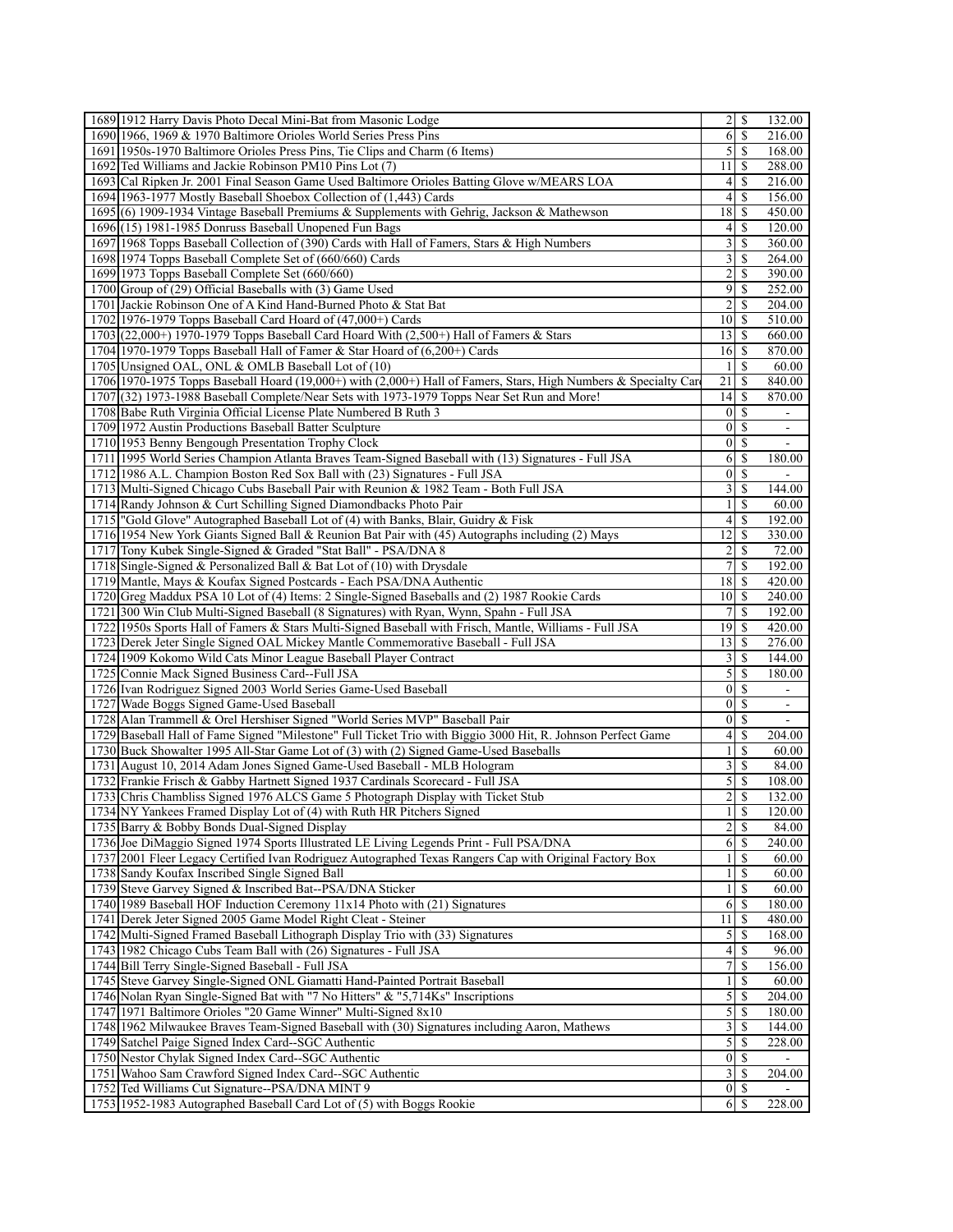| 1689 1912 Harry Davis Photo Decal Mini-Bat from Masonic Lodge                                                   |                         |                      | 132.00                   |
|-----------------------------------------------------------------------------------------------------------------|-------------------------|----------------------|--------------------------|
| 1690 1966, 1969 & 1970 Baltimore Orioles World Series Press Pins                                                | 6                       | -S                   | 216.00                   |
| 1691 1950s-1970 Baltimore Orioles Press Pins, Tie Clips and Charm (6 Items)                                     | 5 <sup>1</sup>          | <sup>\$</sup>        | 168.00                   |
| 1692 Ted Williams and Jackie Robinson PM10 Pins Lot (7)                                                         | 111S                    |                      | 288.00                   |
| 1693 Cal Ripken Jr. 2001 Final Season Game Used Baltimore Orioles Batting Glove w/MEARS LOA                     | $\left 4\right $        | \$                   | 216.00                   |
| 1694 1963-1977 Mostly Baseball Shoebox Collection of (1,443) Cards                                              | $\left 4\right $        | S                    | 156.00                   |
| 1695(6) 1909-1934 Vintage Baseball Premiums & Supplements with Gehrig, Jackson & Mathewson                      | $18$ $\sqrt{5}$         |                      | 450.00                   |
| 1696(15) 1981-1985 Donruss Baseball Unopened Fun Bags                                                           | $\left 4\right $        | S                    | 120.00                   |
| 1697 1968 Topps Baseball Collection of (390) Cards with Hall of Famers, Stars & High Numbers                    | $\overline{3}$          | <sup>\$</sup>        | 360.00                   |
| 1698 1974 Topps Baseball Complete Set of (660/660) Cards                                                        | $\frac{3}{3}$           | -S                   | 264.00                   |
| 1699 1973 Topps Baseball Complete Set (660/660)                                                                 | $\overline{2}$          | \$                   | 390.00                   |
| 1700 Group of (29) Official Baseballs with (3) Game Used                                                        | $\overline{9}$          | \$.                  | 252.00                   |
| 1701 Jackie Robinson One of A Kind Hand-Burned Photo & Stat Bat                                                 | $\overline{c}$          | \$                   | 204.00                   |
| 1702 1976-1979 Topps Baseball Card Hoard of (47,000+) Cards                                                     | 10                      | -S                   | 510.00                   |
| $1703$ (22,000+) 1970-1979 Topps Baseball Card Hoard With (2,500+) Hall of Famers & Stars                       | 13S                     |                      | 660.00                   |
| 1704 1970-1979 Topps Baseball Hall of Famer & Star Hoard of $(6,200+)$ Cards                                    | 16                      | -S                   | 870.00                   |
| 1705 Unsigned OAL, ONL & OMLB Baseball Lot of (10)                                                              | $\frac{1}{2}$           | \$                   | 60.00                    |
| 1706 1970-1975 Topps Baseball Hoard (19,000+) with (2,000+) Hall of Famers, Stars, High Numbers & Specialty Car | 21                      | -S                   | 840.00                   |
| 1707 (32) 1973-1988 Baseball Complete/Near Sets with 1973-1979 Topps Near Set Run and More!                     | 14                      | -S                   | 870.00                   |
| 1708 Babe Ruth Virginia Official License Plate Numbered B Ruth 3                                                | 0                       | <sup>\$</sup>        |                          |
| 1709 1972 Austin Productions Baseball Batter Sculpture                                                          | $\vert 0 \vert$         | <sup>\$</sup>        |                          |
| 1710 1953 Benny Bengough Presentation Trophy Clock                                                              | $\overline{0}$          | -S                   | $\overline{\phantom{a}}$ |
| 1711 1995 World Series Champion Atlanta Braves Team-Signed Baseball with (13) Signatures - Full JSA             | 6                       | \$.                  | 180.00                   |
| 1712 1986 A.L. Champion Boston Red Sox Ball with (23) Signatures - Full JSA                                     | $\vert 0 \vert$         | -\$                  |                          |
| 1713 Multi-Signed Chicago Cubs Baseball Pair with Reunion & 1982 Team - Both Full JSA                           | $\overline{\mathbf{3}}$ | -S                   | 144.00                   |
|                                                                                                                 | $\frac{1}{2}$           | \$.                  |                          |
| 1714 Randy Johnson & Curt Schilling Signed Diamondbacks Photo Pair                                              |                         |                      | 60.00                    |
| 1715  "Gold Glove" Autographed Baseball Lot of (4) with Banks, Blair, Guidry & Fisk                             | 4                       | <sup>\$</sup>        | 192.00                   |
| 1716 1954 New York Giants Signed Ball & Reunion Bat Pair with (45) Autographs including (2) Mays                | 12                      | \$                   | 330.00                   |
| 1717 Tony Kubek Single-Signed & Graded "Stat Ball" - PSA/DNA 8                                                  | $\overline{2}$          | <sup>\$</sup>        | 72.00                    |
| 1718 Single-Signed & Personalized Ball & Bat Lot of (10) with Drysdale                                          | $7\vert$                | \$                   | 192.00                   |
| 1719 Mantle, Mays & Koufax Signed Postcards - Each PSA/DNA Authentic                                            | 181                     | -S                   | 420.00                   |
| 1720 Greg Maddux PSA 10 Lot of (4) Items: 2 Single-Signed Baseballs and (2) 1987 Rookie Cards                   | $10$ $\sqrt{5}$         |                      | 240.00                   |
| 1721 300 Win Club Multi-Signed Baseball (8 Signatures) with Ryan, Wynn, Spahn - Full JSA                        | $\overline{7}$          | \$                   | 192.00                   |
| 1722 1950s Sports Hall of Famers & Stars Multi-Signed Baseball with Frisch, Mantle, Williams - Full JSA         | 19                      | -S                   | 420.00                   |
| 1723 Derek Jeter Single Signed OAL Mickey Mantle Commemorative Baseball - Full JSA                              | 13                      | \$                   | 276.00                   |
| 1724 1909 Kokomo Wild Cats Minor League Baseball Player Contract                                                |                         |                      | 144.00                   |
| 1725 Connie Mack Signed Business Card--Full JSA                                                                 | $\mathfrak{S}$          | \$                   | 180.00                   |
| 1726 Ivan Rodriguez Signed 2003 World Series Game-Used Baseball                                                 | $\vert$                 | <sup>\$</sup>        |                          |
| 1727 Wade Boggs Signed Game-Used Baseball                                                                       | $\overline{0}$          | <sup>\$</sup>        | $\blacksquare$           |
| 1728 Alan Trammell & Orel Hershiser Signed "World Series MVP" Baseball Pair                                     | $\vert 0 \vert$         | <sup>\$</sup>        | $\blacksquare$           |
| 1729 Baseball Hall of Fame Signed "Milestone" Full Ticket Trio with Biggio 3000 Hit, R. Johnson Perfect Game    | 4                       | -S                   | 204.00                   |
| 1730 Buck Showalter 1995 All-Star Game Lot of (3) with (2) Signed Game-Used Baseballs                           | $\frac{1}{2}$           | \$                   | 60.00                    |
| 1731 August 10, 2014 Adam Jones Signed Game-Used Baseball - MLB Hologram                                        | $\overline{3}$          | <sup>\$</sup>        | 84.00                    |
| 1732 Frankie Frisch & Gabby Hartnett Signed 1937 Cardinals Scorecard - Full JSA                                 | $\overline{5}$          | -S                   | 108.00                   |
| 1733 Chris Chambliss Signed 1976 ALCS Game 5 Photograph Display with Ticket Stub                                | 2                       | \$                   | 132.00                   |
| 1734 NY Yankees Framed Display Lot of (4) with Ruth HR Pitchers Signed                                          |                         | $1 \mid$ \$          | 120.00                   |
| 1735 Barry & Bobby Bonds Dual-Signed Display                                                                    | $\overline{2}$          | $\mathbb{S}$         | 84.00                    |
| 1736 Joe DiMaggio Signed 1974 Sports Illustrated LE Living Legends Print - Full PSA/DNA                         | 6                       | \$.                  | 240.00                   |
| 1737 2001 Fleer Legacy Certified Ivan Rodriguez Autographed Texas Rangers Cap with Original Factory Box         | $\frac{1}{2}$           | <sup>\$</sup>        | 60.00                    |
| 1738 Sandy Koufax Inscribed Single Signed Ball                                                                  | $\frac{1}{2}$           | \$                   | 60.00                    |
| 1739 Steve Garvey Signed & Inscribed Bat--PSA/DNA Sticker                                                       | $\frac{1}{2}$           | \$                   | 60.00                    |
| 1740 1989 Baseball HOF Induction Ceremony 11x14 Photo with (21) Signatures                                      | 6                       | \$                   | 180.00                   |
| 1741 Derek Jeter Signed 2005 Game Model Right Cleat - Steiner                                                   | 11                      | -S                   | 480.00                   |
| 1742 Multi-Signed Framed Baseball Lithograph Display Trio with (33) Signatures                                  | $\mathfrak{S}$          | \$                   | 168.00                   |
| 1743 1982 Chicago Cubs Team Ball with (26) Signatures - Full JSA                                                | $\left 4\right $        | <sup>\$</sup>        | 96.00                    |
| 1744 Bill Terry Single-Signed Baseball - Full JSA                                                               | $\overline{7}$          | <sup>\$</sup>        | 156.00                   |
| 1745 Steve Garvey Single-Signed ONL Giamatti Hand-Painted Portrait Baseball                                     | $\frac{1}{2}$           | \$.                  | 60.00                    |
| 1746 Nolan Ryan Single-Signed Bat with "7 No Hitters" & "5,714Ks" Inscriptions                                  | $\mathfrak{S}$          | <b>S</b>             | 204.00                   |
| 1747 1971 Baltimore Orioles "20 Game Winner" Multi-Signed 8x10                                                  | $\mathfrak{S}$          | <sup>\$</sup>        | 180.00                   |
| 1748 1962 Milwaukee Braves Team-Signed Baseball with (30) Signatures including Aaron, Mathews                   | $\frac{3}{2}$           | \$.                  | 144.00                   |
| 1749 Satchel Paige Signed Index Card-SGC Authentic                                                              | $\overline{5}$          | -S                   | 228.00                   |
| 1750 Nestor Chylak Signed Index Card-SGC Authentic                                                              | $\vert 0 \vert$         | \$.                  |                          |
| 1751 Wahoo Sam Crawford Signed Index Card--SGC Authentic                                                        | $\overline{\mathbf{3}}$ | \$.                  | 204.00                   |
| 1752 Ted Williams Cut Signature--PSA/DNA MINT 9                                                                 |                         | $0 \mid \mathcal{S}$ |                          |
| 1753 1952-1983 Autographed Baseball Card Lot of (5) with Boggs Rookie                                           | 6                       | -S                   | 228.00                   |
|                                                                                                                 |                         |                      |                          |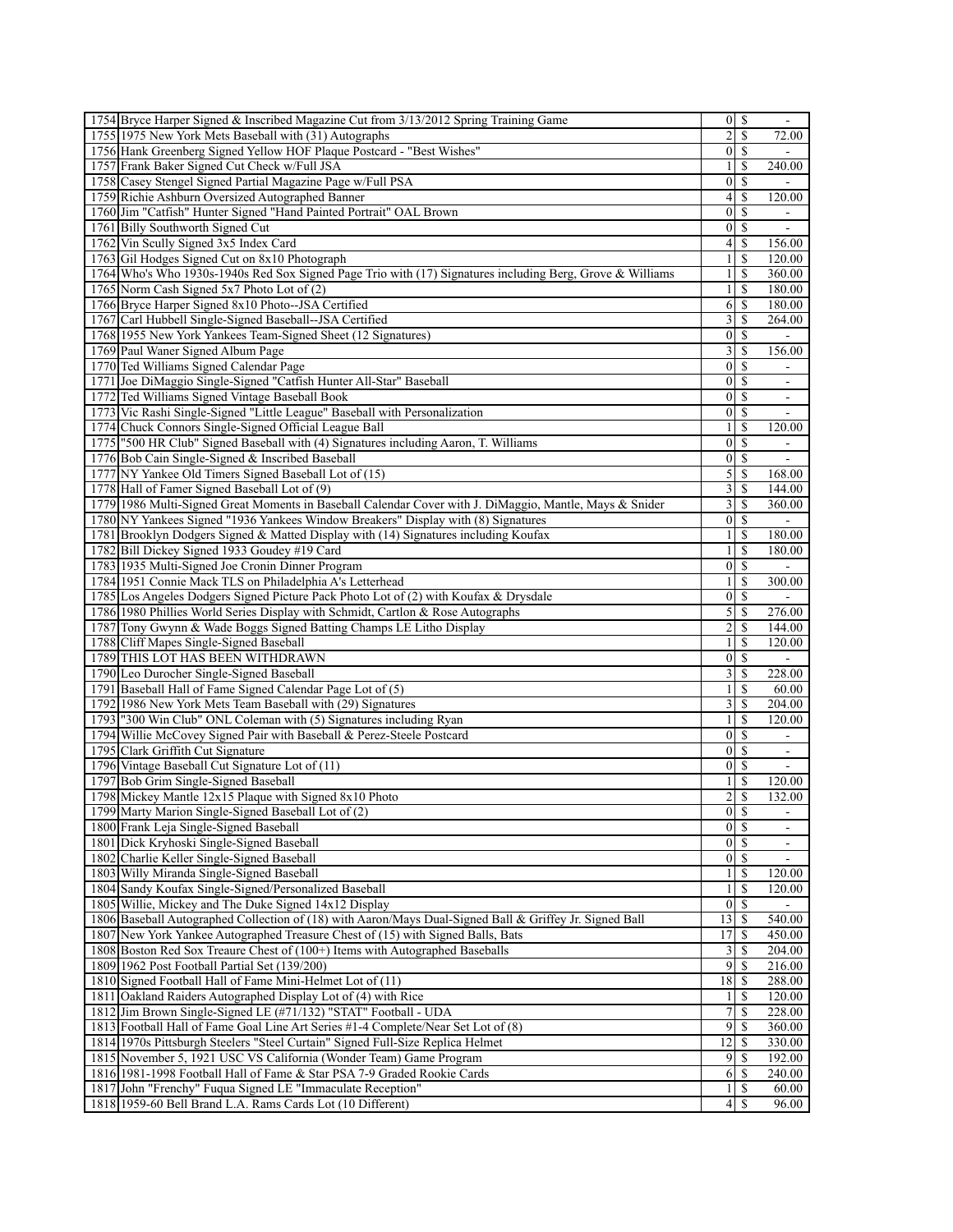| 1754 Bryce Harper Signed & Inscribed Magazine Cut from 3/13/2012 Spring Training Game                     |                         | $0 \mid S$       |                          |
|-----------------------------------------------------------------------------------------------------------|-------------------------|------------------|--------------------------|
| 1755 1975 New York Mets Baseball with (31) Autographs                                                     | $\overline{c}$          | \$               | 72.00                    |
| 1756 Hank Greenberg Signed Yellow HOF Plaque Postcard - "Best Wishes"                                     | $\overline{0}$          | -S               | $\sim$                   |
| 1757 Frank Baker Signed Cut Check w/Full JSA                                                              | $\frac{1}{2}$           | <sup>\$</sup>    | 240.00                   |
| 1758 Casey Stengel Signed Partial Magazine Page w/Full PSA                                                | $\boldsymbol{0}$        | S                |                          |
| 1759 Richie Ashburn Oversized Autographed Banner                                                          | $\left 4\right $        | S                | 120.00                   |
| 1760 Jim "Catfish" Hunter Signed "Hand Painted Portrait" OAL Brown                                        | $\vert 0 \vert$         | <sup>\$</sup>    |                          |
| 1761 Billy Southworth Signed Cut                                                                          | $\vert 0 \vert$         | <sup>\$</sup>    | $\overline{\phantom{a}}$ |
| 1762 Vin Scully Signed 3x5 Index Card                                                                     | $\overline{4}$          | S                | 156.00                   |
| 1763 Gil Hodges Signed Cut on 8x10 Photograph                                                             | $\mathbf{1}$            | <sup>\$</sup>    | 120.00                   |
| 1764 Who's Who 1930s-1940s Red Sox Signed Page Trio with (17) Signatures including Berg, Grove & Williams | $\frac{1}{2}$           | \$               | 360.00                   |
| 1765 Norm Cash Signed 5x7 Photo Lot of (2)                                                                | $\mathbf{1}$            | <sup>\$</sup>    | 180.00                   |
| 1766 Bryce Harper Signed 8x10 Photo--JSA Certified                                                        |                         | $6 \mid S$       | 180.00                   |
| 1767 Carl Hubbell Single-Signed Baseball--JSA Certified                                                   | 3                       | S                | 264.00                   |
| 1768 1955 New York Yankees Team-Signed Sheet (12 Signatures)                                              | $\vert 0 \vert$         | <sup>\$</sup>    |                          |
| 1769 Paul Waner Signed Album Page                                                                         | $\overline{3}$          | <sup>\$</sup>    | 156.00                   |
| 1770 Ted Williams Signed Calendar Page                                                                    | $\vert$                 | S                |                          |
| 1771 Joe DiMaggio Single-Signed "Catfish Hunter All-Star" Baseball                                        | $\vert 0 \vert$         | <sup>\$</sup>    |                          |
| 1772 Ted Williams Signed Vintage Baseball Book                                                            |                         | $0 \mid S$       |                          |
|                                                                                                           | $\overline{0}$          | -S               | $\overline{\phantom{a}}$ |
| 1773 Vic Rashi Single-Signed "Little League" Baseball with Personalization                                |                         |                  | $\blacksquare$           |
| 1774 Chuck Connors Single-Signed Official League Ball                                                     | $\mathbf{1}$            | <sup>\$</sup>    | 120.00                   |
| 1775 "500 HR Club" Signed Baseball with (4) Signatures including Aaron, T. Williams                       | $\boldsymbol{0}$        | S                | ۰                        |
| 1776 Bob Cain Single-Signed & Inscribed Baseball                                                          | $\overline{0}$          | -S               | $\overline{\phantom{a}}$ |
| 1777 NY Yankee Old Timers Signed Baseball Lot of (15)                                                     |                         |                  | 168.00                   |
| 1778 Hall of Famer Signed Baseball Lot of (9)                                                             | 3                       | \$               | 144.00                   |
| 1779 1986 Multi-Signed Great Moments in Baseball Calendar Cover with J. DiMaggio, Mantle, Mays & Snider   | $\overline{\mathbf{3}}$ | S                | 360.00                   |
| 1780 NY Yankees Signed "1936 Yankees Window Breakers" Display with (8) Signatures                         |                         | $0 \mid S$       |                          |
| 1781 Brooklyn Dodgers Signed & Matted Display with (14) Signatures including Koufax                       | 1 <sup>1</sup>          | <sup>\$</sup>    | 180.00                   |
| 1782 Bill Dickey Signed 1933 Goudey #19 Card                                                              | $\mathbf{1}$            | <sup>\$</sup>    | 180.00                   |
| 1783 1935 Multi-Signed Joe Cronin Dinner Program                                                          |                         | $0 \mid S$       |                          |
| 1784 1951 Connie Mack TLS on Philadelphia A's Letterhead                                                  | $\mathbf{1}$            | \$.              | 300.00                   |
| 1785 Los Angeles Dodgers Signed Picture Pack Photo Lot of (2) with Koufax & Drysdale                      | $\boldsymbol{0}$        | <sup>\$</sup>    |                          |
| 1786 1980 Phillies World Series Display with Schmidt, Cartlon & Rose Autographs                           | $\mathcal{S}$           | <sup>\$</sup>    | 276.00                   |
| 1787 Tony Gwynn & Wade Boggs Signed Batting Champs LE Litho Display                                       | $\overline{c}$          | <sup>\$</sup>    | 144.00                   |
| 1788 Cliff Mapes Single-Signed Baseball                                                                   | $\mathbf{1}$            | <sup>\$</sup>    | 120.00                   |
| 1789 THIS LOT HAS BEEN WITHDRAWN                                                                          |                         | $0 \mid S$       | $\blacksquare$           |
| 1790 Leo Durocher Single-Signed Baseball                                                                  | $\overline{\mathbf{3}}$ | \$.              | 228.00                   |
| 1791 Baseball Hall of Fame Signed Calendar Page Lot of (5)                                                | $\frac{1}{2}$           | -S               | 60.00                    |
| 1792 1986 New York Mets Team Baseball with (29) Signatures                                                | $\overline{\mathbf{3}}$ | \$               | 204.00                   |
| 1793 "300 Win Club" ONL Coleman with (5) Signatures including Ryan                                        | $\mathbf{1}$            | \$               | 120.00                   |
| 1794 Willie McCovey Signed Pair with Baseball & Perez-Steele Postcard                                     | $\vert 0 \vert$         | $\mathbf S$      |                          |
| 1795 Clark Griffith Cut Signature                                                                         | $\mathbf{0}$            | <sup>\$</sup>    |                          |
|                                                                                                           | 0                       | $\mathcal{S}$    | $\overline{\phantom{a}}$ |
| 1796 Vintage Baseball Cut Signature Lot of (11)                                                           |                         |                  | $\overline{\phantom{a}}$ |
| 1797 Bob Grim Single-Signed Baseball                                                                      | $\mathbf{1}$            | <sup>\$</sup>    | 120.00                   |
| 1798 Mickey Mantle 12x15 Plaque with Signed 8x10 Photo                                                    | 2                       | S                | 132.00                   |
| 1799 Marty Marion Single-Signed Baseball Lot of (2)                                                       |                         | $\overline{0}$ s |                          |
| 1800 Frank Leja Single-Signed Baseball                                                                    | 0                       | $\mathcal{S}$    | $\frac{1}{2}$            |
| 1801 Dick Kryhoski Single-Signed Baseball                                                                 |                         | $0 \mid S$       |                          |
| 1802 Charlie Keller Single-Signed Baseball                                                                | $\vert 0 \vert$         | -S               |                          |
| 1803 Willy Miranda Single-Signed Baseball                                                                 | $\frac{1}{2}$           | S                | 120.00                   |
| 1804 Sandy Koufax Single-Signed/Personalized Baseball                                                     | $\mathbf{1}$            | <sup>\$</sup>    | 120.00                   |
| 1805 Willie, Mickey and The Duke Signed 14x12 Display                                                     | $\overline{0}$          | -S               |                          |
| 1806 Baseball Autographed Collection of (18) with Aaron/Mays Dual-Signed Ball & Griffey Jr. Signed Ball   | 13                      | <sup>\$</sup>    | 540.00                   |
| 1807 New York Yankee Autographed Treasure Chest of (15) with Signed Balls, Bats                           | 17                      | -S               | 450.00                   |
| 1808 Boston Red Sox Treaure Chest of (100+) Items with Autographed Baseballs                              | $\overline{\mathbf{3}}$ | <sup>\$</sup>    | 204.00                   |
| 1809 1962 Post Football Partial Set (139/200)                                                             | 9                       |                  | 216.00                   |
| 1810 Signed Football Hall of Fame Mini-Helmet Lot of (11)                                                 |                         | $18 \mid$ \$     | 288.00                   |
| 1811 Oakland Raiders Autographed Display Lot of (4) with Rice                                             | 11                      | <sup>\$</sup>    | 120.00                   |
| 1812 Jim Brown Single-Signed LE (#71/132) "STAT" Football - UDA                                           | 7                       | \$               | 228.00                   |
| 1813 Football Hall of Fame Goal Line Art Series #1-4 Complete/Near Set Lot of (8)                         | 9                       | S                | 360.00                   |
| 1814 1970s Pittsburgh Steelers "Steel Curtain" Signed Full-Size Replica Helmet                            | 12                      | <sup>\$</sup>    | 330.00                   |
| 1815 November 5, 1921 USC VS California (Wonder Team) Game Program                                        | $\overline{9}$          | <sup>\$</sup>    | 192.00                   |
| 1816 1981-1998 Football Hall of Fame & Star PSA 7-9 Graded Rookie Cards                                   | 6                       | -S               | 240.00                   |
| 1817 John "Frenchy" Fuqua Signed LE "Immaculate Reception"                                                | $\frac{1}{2}$           | <sup>\$</sup>    | 60.00                    |
| 1818 1959-60 Bell Brand L.A. Rams Cards Lot (10 Different)                                                | $\left 4\right $        | -S               | 96.00                    |
|                                                                                                           |                         |                  |                          |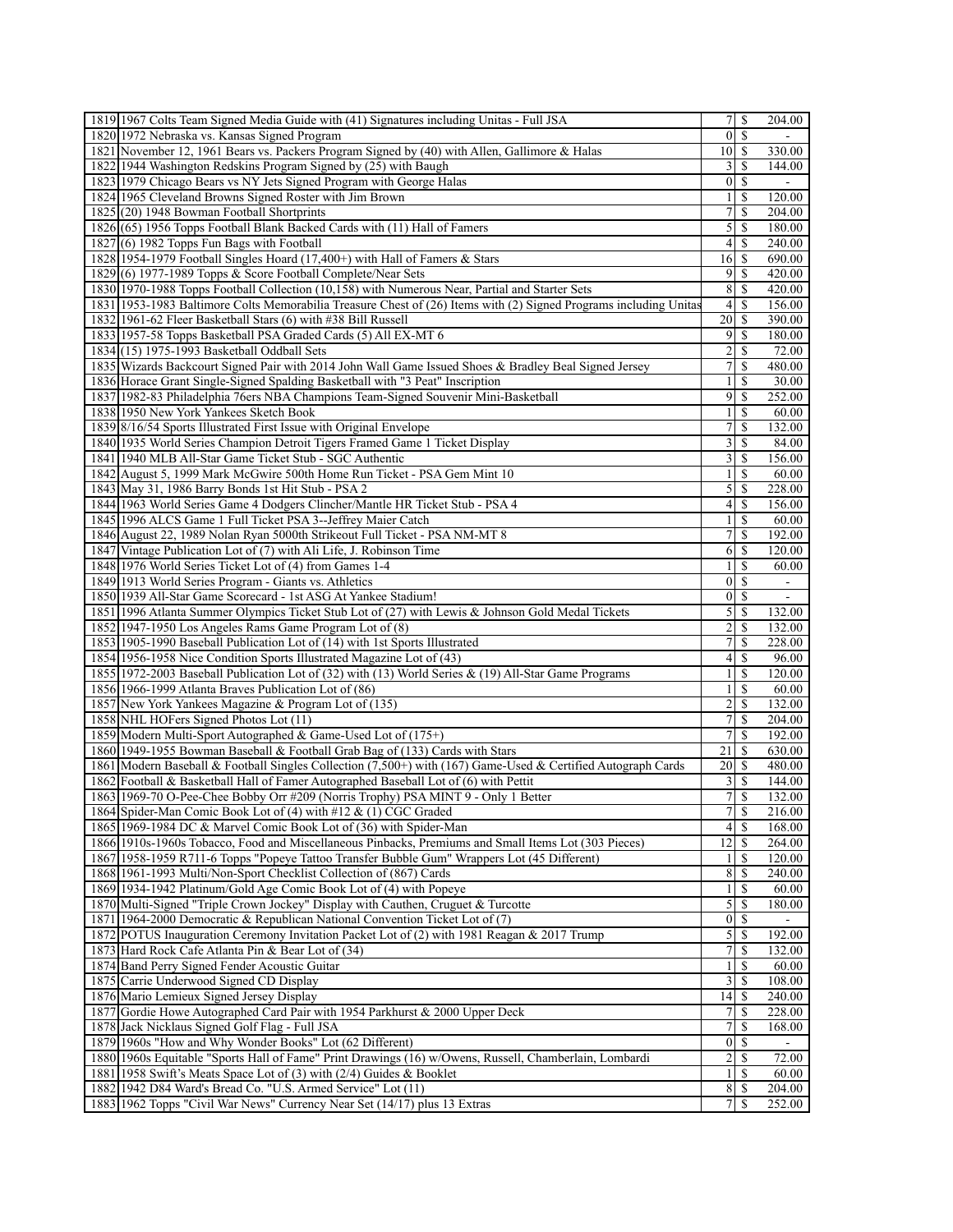| 1819 1967 Colts Team Signed Media Guide with (41) Signatures including Unitas - Full JSA                                                  | $7$ $\sqrt{5}$          |               | 204.00                   |
|-------------------------------------------------------------------------------------------------------------------------------------------|-------------------------|---------------|--------------------------|
| 1820 1972 Nebraska vs. Kansas Signed Program                                                                                              | $\vert 0 \vert$         | \$            |                          |
| 1821 November 12, 1961 Bears vs. Packers Program Signed by (40) with Allen, Gallimore & Halas                                             | 10 <sup> </sup>         | -S            | 330.00                   |
| 1822 1944 Washington Redskins Program Signed by (25) with Baugh                                                                           | $\frac{3}{2}$           | <sup>\$</sup> | 144.00                   |
| 1823 1979 Chicago Bears vs NY Jets Signed Program with George Halas                                                                       | $\vert 0 \vert$         | \$            |                          |
| 1824 1965 Cleveland Browns Signed Roster with Jim Brown                                                                                   | $\frac{1}{2}$           | S             | 120.00                   |
| 1825 (20) 1948 Bowman Football Shortprints                                                                                                | $\overline{7}$          | \$            | 204.00                   |
|                                                                                                                                           |                         |               |                          |
| 1826(65) 1956 Topps Football Blank Backed Cards with (11) Hall of Famers                                                                  | $\mathfrak{z}$          | <b>S</b>      | 180.00                   |
| 1827(6) 1982 Topps Fun Bags with Football                                                                                                 | $\vert 4 \vert$         | <sup>\$</sup> | 240.00                   |
| 1828 1954-1979 Football Singles Hoard (17,400+) with Hall of Famers & Stars                                                               | $16$ $\frac{1}{2}$      |               | 690.00                   |
| 1829(6) 1977-1989 Topps & Score Football Complete/Near Sets                                                                               | 9                       | <sup>\$</sup> | 420.00                   |
| 1830 1970-1988 Topps Football Collection (10,158) with Numerous Near, Partial and Starter Sets                                            | 8                       | \$            | 420.00                   |
| 1831 1953-1983 Baltimore Colts Memorabilia Treasure Chest of (26) Items with (2) Signed Programs including Unitas                         | $\vert 4 \vert$         | -S            | 156.00                   |
| 1832 1961-62 Fleer Basketball Stars (6) with #38 Bill Russell                                                                             | 20 <sup>1</sup>         | -S            | 390.00                   |
| 1833 1957-58 Topps Basketball PSA Graded Cards (5) All EX-MT 6                                                                            | 9                       | -S            | 180.00                   |
| 1834](15) 1975-1993 Basketball Oddball Sets                                                                                               | $\frac{2}{ }$           | \$            | 72.00                    |
| 1835 Wizards Backcourt Signed Pair with 2014 John Wall Game Issued Shoes & Bradley Beal Signed Jersey                                     | $\overline{7}$          | \$            | 480.00                   |
| 1836 Horace Grant Single-Signed Spalding Basketball with "3 Peat" Inscription                                                             | $\frac{1}{2}$           | <sup>\$</sup> | 30.00                    |
| 1837 1982-83 Philadelphia 76ers NBA Champions Team-Signed Souvenir Mini-Basketball                                                        | $\overline{9}$          | \$            | 252.00                   |
| 1838 1950 New York Yankees Sketch Book                                                                                                    | $\frac{1}{2}$           | \$            | 60.00                    |
| 1839 8/16/54 Sports Illustrated First Issue with Original Envelope                                                                        | $7\vert$                | \$            | 132.00                   |
|                                                                                                                                           |                         |               |                          |
| 1840 1935 World Series Champion Detroit Tigers Framed Game 1 Ticket Display                                                               | $\overline{\mathbf{3}}$ | \$            | 84.00                    |
| 1841 1940 MLB All-Star Game Ticket Stub - SGC Authentic                                                                                   | $\overline{\mathbf{3}}$ | \$            | 156.00                   |
| 1842 August 5, 1999 Mark McGwire 500th Home Run Ticket - PSA Gem Mint 10                                                                  | $\mathbf{1}$            | <sup>\$</sup> | 60.00                    |
| 1843 May 31, 1986 Barry Bonds 1st Hit Stub - PSA 2                                                                                        | $\mathfrak{S}$          | \$.           | 228.00                   |
| 1844 1963 World Series Game 4 Dodgers Clincher/Mantle HR Ticket Stub - PSA 4                                                              | $\vert 4 \vert$         | <sup>\$</sup> | 156.00                   |
| 1845 1996 ALCS Game 1 Full Ticket PSA 3--Jeffrey Maier Catch                                                                              | $\frac{1}{2}$           | <sup>\$</sup> | 60.00                    |
| 1846 August 22, 1989 Nolan Ryan 5000th Strikeout Full Ticket - PSA NM-MT 8                                                                | 7                       | \$.           | 192.00                   |
| 1847 Vintage Publication Lot of (7) with Ali Life, J. Robinson Time                                                                       | 6                       | S             | 120.00                   |
| 1848 1976 World Series Ticket Lot of (4) from Games 1-4                                                                                   | $\mathbf{1}$            | \$            | 60.00                    |
| 1849 1913 World Series Program - Giants vs. Athletics                                                                                     | $\vert$                 | <sup>\$</sup> | $\overline{\phantom{a}}$ |
| 1850 1939 All-Star Game Scorecard - 1st ASG At Yankee Stadium!                                                                            | $\vert$                 | <sup>\$</sup> |                          |
| 1851 1996 Atlanta Summer Olympics Ticket Stub Lot of (27) with Lewis & Johnson Gold Medal Tickets                                         | $\mathcal{S}$           | -S            | 132.00                   |
|                                                                                                                                           |                         | \$            |                          |
| 1852 1947-1950 Los Angeles Rams Game Program Lot of (8)                                                                                   | $\overline{2}$          |               | 132.00                   |
| 1853 1905-1990 Baseball Publication Lot of (14) with 1st Sports Illustrated                                                               | $\overline{7}$          | <sup>\$</sup> | 228.00                   |
| 1854 1956-1958 Nice Condition Sports Illustrated Magazine Lot of (43)                                                                     | $\left 4\right $        | \$            | 96.00                    |
| 1855 1972-2003 Baseball Publication Lot of (32) with (13) World Series & (19) All-Star Game Programs                                      | $\frac{1}{2}$           | \$.           | 120.00                   |
| 1856 1966-1999 Atlanta Braves Publication Lot of (86)                                                                                     | 1 <sup>1</sup>          | <sup>\$</sup> | 60.00                    |
| 1857 New York Yankees Magazine & Program Lot of (135)                                                                                     | $\overline{2}$          | \$            | 132.00                   |
| 1858 NHL HOFers Signed Photos Lot (11)                                                                                                    | $\overline{7}$          | \$            | 204.00                   |
| 1859 Modern Multi-Sport Autographed & Game-Used Lot of (175+)                                                                             | $\overline{7}$          | \$            | 192.00                   |
| 1860 1949-1955 Bowman Baseball & Football Grab Bag of (133) Cards with Stars                                                              | 21                      | \$            | 630.00                   |
| 1861 Modern Baseball & Football Singles Collection (7,500+) with (167) Game-Used & Certified Autograph Cards                              | 20 <sup> </sup>         |               | 480.00                   |
| 1862 Football & Basketball Hall of Famer Autographed Baseball Lot of (6) with Pettit                                                      | $\overline{3}$          | <sup>\$</sup> | 144.00                   |
| 1863 1969-70 O-Pee-Chee Bobby Orr #209 (Norris Trophy) PSA MINT 9 - Only 1 Better                                                         | $\overline{7}$          | \$            | 132.00                   |
| 1864 Spider-Man Comic Book Lot of (4) with #12 & (1) CGC Graded                                                                           |                         | 7s            | 216.00                   |
| 1865 1969-1984 DC & Marvel Comic Book Lot of (36) with Spider-Man                                                                         | 4                       | $\mathbb{S}$  | 168.00                   |
| 1866 1910s-1960s Tobacco, Food and Miscellaneous Pinbacks, Premiums and Small Items Lot (303 Pieces)                                      | 12                      |               |                          |
|                                                                                                                                           |                         | -S            | 264.00                   |
|                                                                                                                                           |                         |               |                          |
| 1867 1958-1959 R711-6 Topps "Popeye Tattoo Transfer Bubble Gum" Wrappers Lot (45 Different)                                               | $\frac{1}{2}$           | S             | 120.00                   |
| 1868 1961-1993 Multi/Non-Sport Checklist Collection of (867) Cards                                                                        | 8                       | <sup>\$</sup> | 240.00                   |
| 1869 1934-1942 Platinum/Gold Age Comic Book Lot of (4) with Popeye                                                                        | $\frac{1}{2}$           | <sup>\$</sup> | 60.00                    |
| 1870 Multi-Signed "Triple Crown Jockey" Display with Cauthen, Cruguet & Turcotte                                                          | $\mathfrak{S}$          | -S            | 180.00                   |
| 1871 1964-2000 Democratic & Republican National Convention Ticket Lot of (7)                                                              | $\vert 0 \vert$         | <sup>\$</sup> |                          |
| 1872 POTUS Inauguration Ceremony Invitation Packet Lot of (2) with 1981 Reagan & 2017 Trump                                               | $\mathfrak{S}$          | <sup>\$</sup> | 192.00                   |
| 1873 Hard Rock Cafe Atlanta Pin & Bear Lot of (34)                                                                                        | $7\vert$                | <sup>\$</sup> | 132.00                   |
| 1874 Band Perry Signed Fender Acoustic Guitar                                                                                             | $\frac{1}{2}$           | \$            | 60.00                    |
| 1875 Carrie Underwood Signed CD Display                                                                                                   |                         | <sup>\$</sup> | 108.00                   |
|                                                                                                                                           | $\overline{\mathbf{3}}$ | <sup>\$</sup> |                          |
| 1876 Mario Lemieux Signed Jersey Display                                                                                                  | 14                      |               | 240.00                   |
| 1877 Gordie Howe Autographed Card Pair with 1954 Parkhurst & 2000 Upper Deck                                                              | 7                       | \$            | 228.00                   |
| 1878 Jack Nicklaus Signed Golf Flag - Full JSA                                                                                            | $\overline{7}$          | S             | 168.00                   |
| 1879 1960s "How and Why Wonder Books" Lot (62 Different)                                                                                  | $0 \mid S$              |               | $\blacksquare$           |
| 1880 1960s Equitable "Sports Hall of Fame" Print Drawings (16) w/Owens, Russell, Chamberlain, Lombardi                                    | $\overline{2}$          | S             | 72.00                    |
| 1881 1958 Swift's Meats Space Lot of (3) with (2/4) Guides & Booklet                                                                      | $\mathbf{1}$            | S             | 60.00                    |
| 1882 1942 D84 Ward's Bread Co. "U.S. Armed Service" Lot (11)<br>1883 1962 Topps "Civil War News" Currency Near Set (14/17) plus 13 Extras | 8S<br>7 <sup>1</sup>    | \$            | 204.00<br>252.00         |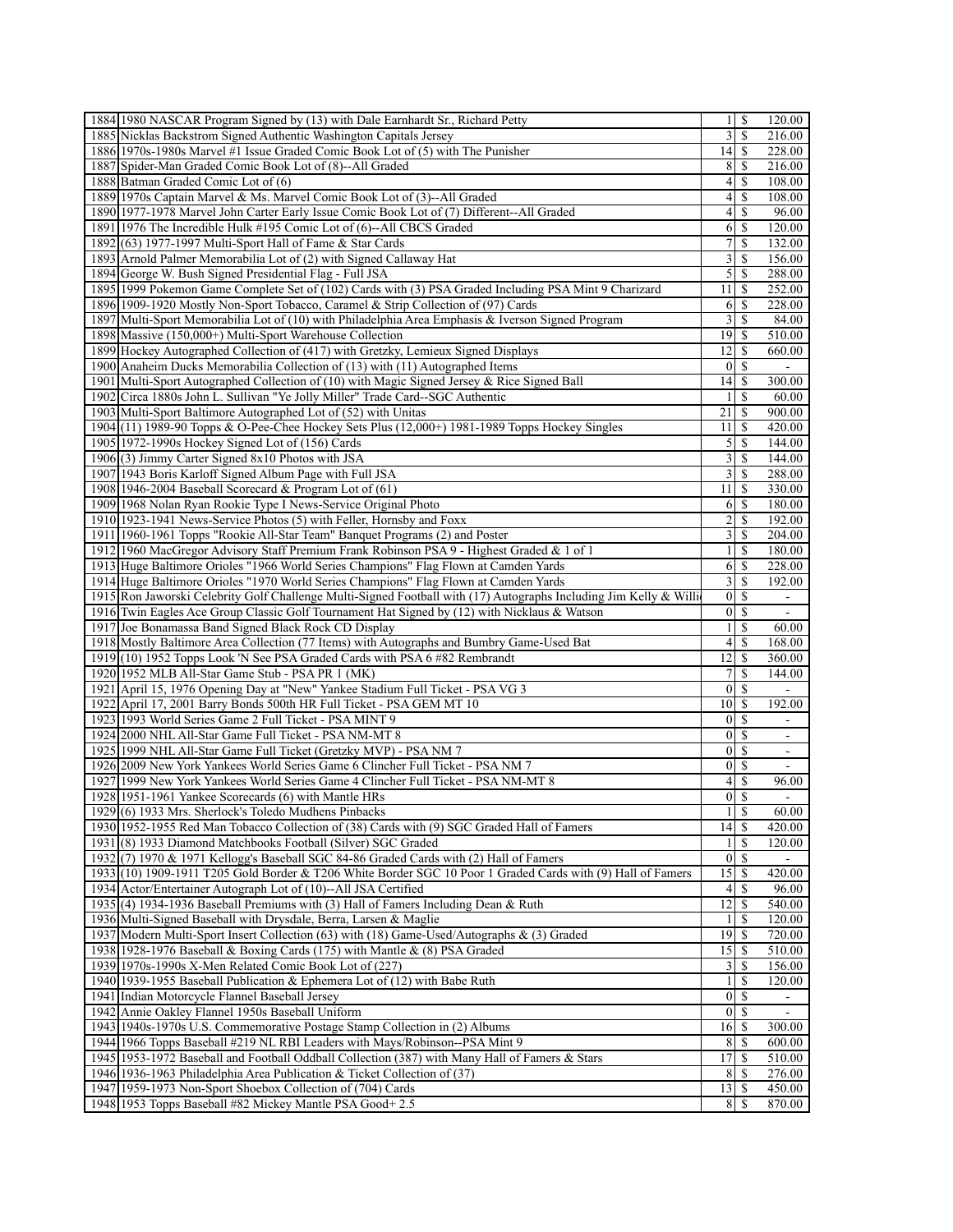| 1884 1980 NASCAR Program Signed by (13) with Dale Earnhardt Sr., Richard Petty                                    |                          | $1 \mid S$    | 120.00                   |
|-------------------------------------------------------------------------------------------------------------------|--------------------------|---------------|--------------------------|
| 1885 Nicklas Backstrom Signed Authentic Washington Capitals Jersey                                                | 3                        | \$            | 216.00                   |
| 1886 1970s-1980s Marvel #1 Issue Graded Comic Book Lot of (5) with The Punisher                                   | 14                       | -S            | 228.00                   |
| 1887 Spider-Man Graded Comic Book Lot of (8)--All Graded                                                          | 8 <sup>1</sup>           | -S            | 216.00                   |
| 1888 Batman Graded Comic Lot of (6)                                                                               | 4                        | \$            | 108.00                   |
| 1889 1970s Captain Marvel & Ms. Marvel Comic Book Lot of (3)--All Graded                                          | 4                        | <b>S</b>      | 108.00                   |
| 1890 1977-1978 Marvel John Carter Early Issue Comic Book Lot of (7) Different--All Graded                         | $\left 4\right $         | <sup>\$</sup> | 96.00                    |
| 189111976 The Incredible Hulk #195 Comic Lot of (6)--All CBCS Graded                                              | 6                        | -S            | 120.00                   |
| 1892 (63) 1977-1997 Multi-Sport Hall of Fame & Star Cards                                                         | 7                        | <sup>\$</sup> | 132.00                   |
| 1893 Arnold Palmer Memorabilia Lot of (2) with Signed Callaway Hat                                                | $\overline{3}$           | <sup>\$</sup> | 156.00                   |
| 1894 George W. Bush Signed Presidential Flag - Full JSA                                                           | $\mathfrak{S}$           | -S            | 288.00                   |
| 1895 1999 Pokemon Game Complete Set of (102) Cards with (3) PSA Graded Including PSA Mint 9 Charizard             | 11                       | -S            | 252.00                   |
| 1896 1909-1920 Mostly Non-Sport Tobacco, Caramel & Strip Collection of (97) Cards                                 | 6                        | -S            | 228.00                   |
| 1897 Multi-Sport Memorabilia Lot of (10) with Philadelphia Area Emphasis & Iverson Signed Program                 | $\overline{3}$           | <sup>\$</sup> | 84.00                    |
| 1898 Massive (150,000+) Multi-Sport Warehouse Collection                                                          | 19                       | -S            | 510.00                   |
| 1899 Hockey Autographed Collection of (417) with Gretzky, Lemieux Signed Displays                                 | 2                        | S             | 660.00                   |
|                                                                                                                   | $\overline{0}$           | -S            | $\sim$                   |
| 1900 Anaheim Ducks Memorabilia Collection of (13) with (11) Autographed Items                                     |                          |               |                          |
| 1901 Multi-Sport Autographed Collection of (10) with Magic Signed Jersey & Rice Signed Ball                       | 14                       | -S            | 300.00                   |
| 1902 Circa 1880s John L. Sullivan "Ye Jolly Miller" Trade Card-SGC Authentic                                      | 1                        | S             | 60.00                    |
| 1903 Multi-Sport Baltimore Autographed Lot of (52) with Unitas                                                    | 21                       | \$            | 900.00                   |
| 1904(11) 1989-90 Topps & O-Pee-Chee Hockey Sets Plus (12,000+) 1981-1989 Topps Hockey Singles                     | 11                       | -S            | 420.00                   |
| 1905 1972-1990s Hockey Signed Lot of (156) Cards                                                                  | 5                        | S             | 144.00                   |
| 1906(3) Jimmy Carter Signed 8x10 Photos with JSA                                                                  | 3                        | S             | 144.00                   |
| 1907 1943 Boris Karloff Signed Album Page with Full JSA                                                           | $\overline{3}$           | <sup>\$</sup> | 288.00                   |
| 1908 1946-2004 Baseball Scorecard & Program Lot of $(61)$                                                         | 11                       | \$            | 330.00                   |
| 1909 1968 Nolan Ryan Rookie Type I News-Service Original Photo                                                    | 6                        | -S            | 180.00                   |
| 1910 1923-1941 News-Service Photos (5) with Feller, Hornsby and Foxx                                              | $\overline{2}$           | -S            | 192.00                   |
| 1911 1960-1961 Topps "Rookie All-Star Team" Banquet Programs (2) and Poster                                       | 3                        | -S            | 204.00                   |
| 1912 1960 MacGregor Advisory Staff Premium Frank Robinson PSA 9 - Highest Graded & 1 of 1                         | $\mathbf{1}$             | S             | 180.00                   |
| 1913 Huge Baltimore Orioles "1966 World Series Champions" Flag Flown at Camden Yards                              | 6                        | -\$           | 228.00                   |
| 1914 Huge Baltimore Orioles "1970 World Series Champions" Flag Flown at Camden Yards                              | 3                        | S             | 192.00                   |
| 1915 Ron Jaworski Celebrity Golf Challenge Multi-Signed Football with (17) Autographs Including Jim Kelly & Willi | $\vert$                  | -S            | $\blacksquare$           |
| 1916 Twin Eagles Ace Group Classic Golf Tournament Hat Signed by (12) with Nicklaus & Watson                      | $\overline{0}$           | -S            | $\blacksquare$           |
| 1917 Joe Bonamassa Band Signed Black Rock CD Display                                                              | $\mathbf{1}$             | S             | 60.00                    |
| 1918 Mostly Baltimore Area Collection (77 Items) with Autographs and Bumbry Game-Used Bat                         | 4                        | -S            | 168.00                   |
| 1919(10) 1952 Topps Look 'N See PSA Graded Cards with PSA 6 #82 Rembrandt                                         | 12                       | \$            | 360.00                   |
| 1920 1952 MLB All-Star Game Stub - PSA PR 1 (MK)                                                                  | 7                        | S             | 144.00                   |
| 1921 April 15, 1976 Opening Day at "New" Yankee Stadium Full Ticket - PSA VG 3                                    |                          | $0 \mid S$    |                          |
| 1922 April 17, 2001 Barry Bonds 500th HR Full Ticket - PSA GEM MT 10                                              | 10                       | S             | 192.00                   |
| 1923 1993 World Series Game 2 Full Ticket - PSA MINT 9                                                            | $\vert 0 \vert$          | <sup>\$</sup> | $\overline{\phantom{a}}$ |
| 1924 2000 NHL All-Star Game Full Ticket - PSA NM-MT 8                                                             | $\overline{0}$           | <sup>S</sup>  | $\blacksquare$           |
| 1925 1999 NHL All-Star Game Full Ticket (Gretzky MVP) - PSA NM 7                                                  | $\overline{0}$           | -S            |                          |
|                                                                                                                   | $\vert$                  | $\mathcal{S}$ | -                        |
| 1926 2009 New York Yankees World Series Game 6 Clincher Full Ticket - PSA NM 7                                    |                          |               |                          |
| 1927 1999 New York Yankees World Series Game 4 Clincher Full Ticket - PSA NM-MT 8                                 | $\overline{\mathcal{A}}$ | <sup>\$</sup> | 96.00                    |
| 1928 1951-1961 Yankee Scorecards (6) with Mantle HRs                                                              | $\vert 0 \vert$          | <sup>\$</sup> |                          |
| 1929 (6) 1933 Mrs. Sherlock's Toledo Mudhens Pinbacks                                                             |                          | $1 \mid \$$   | 60.00                    |
| 1930 1952-1955 Red Man Tobacco Collection of (38) Cards with (9) SGC Graded Hall of Famers                        |                          |               | 420.00                   |
| 1931 (8) 1933 Diamond Matchbooks Football (Silver) SGC Graded                                                     | $\frac{1}{2}$            | $\mathbb{S}$  | 120.00                   |
| 1932(7) 1970 & 1971 Kellogg's Baseball SGC 84-86 Graded Cards with (2) Hall of Famers                             | $\overline{0}$           | -S            |                          |
| 1933(10) 1909-1911 T205 Gold Border & T206 White Border SGC 10 Poor 1 Graded Cards with (9) Hall of Famers        | 15                       | -S            | 420.00                   |
| 1934 Actor/Entertainer Autograph Lot of (10)--All JSA Certified                                                   | $\left 4\right $         | -S            | 96.00                    |
| 1935 (4) 1934-1936 Baseball Premiums with (3) Hall of Famers Including Dean & Ruth                                | 12                       | -S            | 540.00                   |
| 1936 Multi-Signed Baseball with Drysdale, Berra, Larsen & Maglie                                                  | 1                        |               | 120.00                   |
| 1937 Modern Multi-Sport Insert Collection (63) with (18) Game-Used/Autographs & (3) Graded                        | 19                       | -S            | 720.00                   |
| 1938 1928-1976 Baseball & Boxing Cards (175) with Mantle & (8) PSA Graded                                         | 15                       | -S            | 510.00                   |
| 1939 1970s-1990s X-Men Related Comic Book Lot of (227)                                                            | 3                        | \$.           | 156.00                   |
| 1940 1939-1955 Baseball Publication & Ephemera Lot of (12) with Babe Ruth                                         | $\mathbf{1}$             | S             | 120.00                   |
| 1941 Indian Motorcycle Flannel Baseball Jersey                                                                    | $\overline{0}$           | -S            |                          |
| 1942 Annie Oakley Flannel 1950s Baseball Uniform                                                                  | $\overline{0}$           | -S            |                          |
| 1943 1940s-1970s U.S. Commemorative Postage Stamp Collection in (2) Albums                                        | $16$ $\sqrt{5}$          |               | 300.00                   |
| 1944 1966 Topps Baseball #219 NL RBI Leaders with Mays/Robinson--PSA Mint 9                                       | 8 <sup>l</sup>           | -S            | 600.00                   |
| 1945 1953-1972 Baseball and Football Oddball Collection (387) with Many Hall of Famers & Stars                    | 17                       | -S            | 510.00                   |
| 1946 1936-1963 Philadelphia Area Publication & Ticket Collection of (37)                                          | 8                        | <sup>\$</sup> | 276.00                   |
| 1947 1959-1973 Non-Sport Shoebox Collection of (704) Cards                                                        | 13                       | -S            | 450.00                   |
|                                                                                                                   |                          | <sup>\$</sup> | 870.00                   |
| 1948 1953 Topps Baseball #82 Mickey Mantle PSA Good+ 2.5                                                          | 8                        |               |                          |